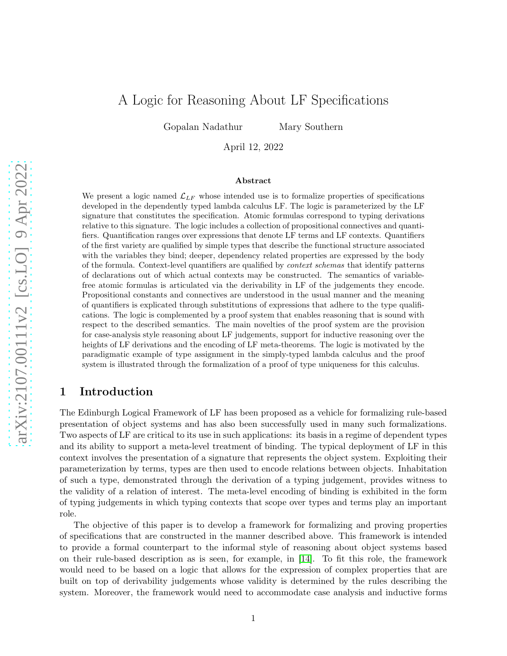# A Logic for Reasoning About LF Specifications

Gopalan Nadathur Mary Southern

April 12, 2022

#### Abstract

We present a logic named  $\mathcal{L}_{LF}$  whose intended use is to formalize properties of specifications developed in the dependently typed lambda calculus LF. The logic is parameterized by the LF signature that constitutes the specification. Atomic formulas correspond to typing derivations relative to this signature. The logic includes a collection of propositional connectives and quantifiers. Quantification ranges over expressions that denote LF terms and LF contexts. Quantifiers of the first variety are qualified by simple types that describe the functional structure associated with the variables they bind; deeper, dependency related properties are expressed by the body of the formula. Context-level quantifiers are qualified by context schemas that identify patterns of declarations out of which actual contexts may be constructed. The semantics of variablefree atomic formulas is articulated via the derivability in LF of the judgements they encode. Propositional constants and connectives are understood in the usual manner and the meaning of quantifiers is explicated through substitutions of expressions that adhere to the type qualifications. The logic is complemented by a proof system that enables reasoning that is sound with respect to the described semantics. The main novelties of the proof system are the provision for case-analysis style reasoning about LF judgements, support for inductive reasoning over the heights of LF derivations and the encoding of LF meta-theorems. The logic is motivated by the paradigmatic example of type assignment in the simply-typed lambda calculus and the proof system is illustrated through the formalization of a proof of type uniqueness for this calculus.

# 1 Introduction

The Edinburgh Logical Framework of LF has been proposed as a vehicle for formalizing rule-based presentation of object systems and has also been successfully used in many such formalizations. Two aspects of LF are critical to its use in such applications: its basis in a regime of dependent types and its ability to support a meta-level treatment of binding. The typical deployment of LF in this context involves the presentation of a signature that represents the object system. Exploiting their parameterization by terms, types are then used to encode relations between objects. Inhabitation of such a type, demonstrated through the derivation of a typing judgement, provides witness to the validity of a relation of interest. The meta-level encoding of binding is exhibited in the form of typing judgements in which typing contexts that scope over types and terms play an important role.

The objective of this paper is to develop a framework for formalizing and proving properties of specifications that are constructed in the manner described above. This framework is intended to provide a formal counterpart to the informal style of reasoning about object systems based on their rule-based description as is seen, for example, in [\[14\]](#page-70-0). To fit this role, the framework would need to be based on a logic that allows for the expression of complex properties that are built on top of derivability judgements whose validity is determined by the rules describing the system. Moreover, the framework would need to accommodate case analysis and inductive forms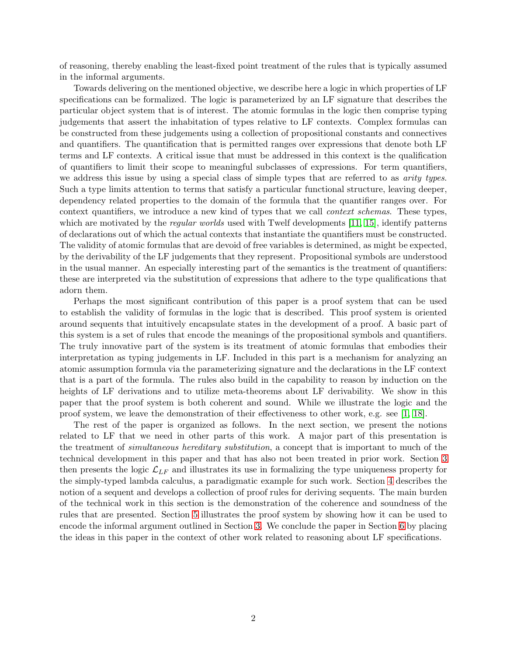of reasoning, thereby enabling the least-fixed point treatment of the rules that is typically assumed in the informal arguments.

Towards delivering on the mentioned objective, we describe here a logic in which properties of LF specifications can be formalized. The logic is parameterized by an LF signature that describes the particular object system that is of interest. The atomic formulas in the logic then comprise typing judgements that assert the inhabitation of types relative to LF contexts. Complex formulas can be constructed from these judgements using a collection of propositional constants and connectives and quantifiers. The quantification that is permitted ranges over expressions that denote both LF terms and LF contexts. A critical issue that must be addressed in this context is the qualification of quantifiers to limit their scope to meaningful subclasses of expressions. For term quantifiers, we address this issue by using a special class of simple types that are referred to as *arity types*. Such a type limits attention to terms that satisfy a particular functional structure, leaving deeper, dependency related properties to the domain of the formula that the quantifier ranges over. For context quantifiers, we introduce a new kind of types that we call *context schemas*. These types, which are motivated by the *regular worlds* used with Twelf developments [\[11,](#page-70-1) [15\]](#page-70-2), identify patterns of declarations out of which the actual contexts that instantiate the quantifiers must be constructed. The validity of atomic formulas that are devoid of free variables is determined, as might be expected, by the derivability of the LF judgements that they represent. Propositional symbols are understood in the usual manner. An especially interesting part of the semantics is the treatment of quantifiers: these are interpreted via the substitution of expressions that adhere to the type qualifications that adorn them.

Perhaps the most significant contribution of this paper is a proof system that can be used to establish the validity of formulas in the logic that is described. This proof system is oriented around sequents that intuitively encapsulate states in the development of a proof. A basic part of this system is a set of rules that encode the meanings of the propositional symbols and quantifiers. The truly innovative part of the system is its treatment of atomic formulas that embodies their interpretation as typing judgements in LF. Included in this part is a mechanism for analyzing an atomic assumption formula via the parameterizing signature and the declarations in the LF context that is a part of the formula. The rules also build in the capability to reason by induction on the heights of LF derivations and to utilize meta-theorems about LF derivability. We show in this paper that the proof system is both coherent and sound. While we illustrate the logic and the proof system, we leave the demonstration of their effectiveness to other work, e.g. see [\[1,](#page-70-3) [18\]](#page-71-0).

The rest of the paper is organized as follows. In the next section, we present the notions related to LF that we need in other parts of this work. A major part of this presentation is the treatment of simultaneous hereditary substitution, a concept that is important to much of the technical development in this paper and that has also not been treated in prior work. Section [3](#page-14-0) then presents the logic  $\mathcal{L}_{LF}$  and illustrates its use in formalizing the type uniqueness property for the simply-typed lambda calculus, a paradigmatic example for such work. Section [4](#page-24-0) describes the notion of a sequent and develops a collection of proof rules for deriving sequents. The main burden of the technical work in this section is the demonstration of the coherence and soundness of the rules that are presented. Section [5](#page-65-0) illustrates the proof system by showing how it can be used to encode the informal argument outlined in Section [3.](#page-14-0) We conclude the paper in Section [6](#page-68-0) by placing the ideas in this paper in the context of other work related to reasoning about LF specifications.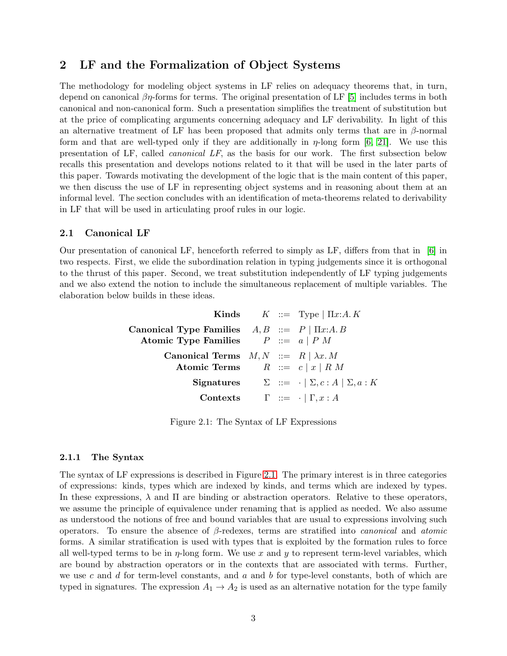# <span id="page-2-0"></span>2 LF and the Formalization of Object Systems

The methodology for modeling object systems in LF relies on adequacy theorems that, in turn, depend on canonical  $\beta\eta$ -forms for terms. The original presentation of LF [\[5\]](#page-70-4) includes terms in both canonical and non-canonical form. Such a presentation simplifies the treatment of substitution but at the price of complicating arguments concerning adequacy and LF derivability. In light of this an alternative treatment of LF has been proposed that admits only terms that are in  $\beta$ -normal form and that are well-typed only if they are additionally in  $\eta$ -long form [\[6,](#page-70-5) [21\]](#page-71-1). We use this presentation of LF, called canonical LF, as the basis for our work. The first subsection below recalls this presentation and develops notions related to it that will be used in the later parts of this paper. Towards motivating the development of the logic that is the main content of this paper, we then discuss the use of LF in representing object systems and in reasoning about them at an informal level. The section concludes with an identification of meta-theorems related to derivability in LF that will be used in articulating proof rules in our logic.

### 2.1 Canonical LF

Our presentation of canonical LF, henceforth referred to simply as LF, differs from that in [\[6\]](#page-70-5) in two respects. First, we elide the subordination relation in typing judgements since it is orthogonal to the thrust of this paper. Second, we treat substitution independently of LF typing judgements and we also extend the notion to include the simultaneous replacement of multiple variables. The elaboration below builds in these ideas.

|                                                                                           |  | <b>Kinds</b> $K := Type   \Pi x:A.K$                                 |
|-------------------------------------------------------------------------------------------|--|----------------------------------------------------------------------|
| Canonical Type Families $A, B ::= P   \Pi x:A, B$<br>Atomic Type Families $P ::= a   P M$ |  |                                                                      |
| Canonical Terms $M, N ::= R   \lambda x. M$<br>Atomic Terms $R ::= c   x   R M$           |  |                                                                      |
|                                                                                           |  | <b>Signatures</b> $\Sigma ::= \cdot   \Sigma, c : A   \Sigma, a : K$ |
| <b>Contexts</b> $\Gamma ::= \cdot   \Gamma, x : A$                                        |  |                                                                      |

Figure 2.1: The Syntax of LF Expressions

#### 2.1.1 The Syntax

The syntax of LF expressions is described in Figure [2.1.](#page-25-0) The primary interest is in three categories of expressions: kinds, types which are indexed by kinds, and terms which are indexed by types. In these expressions,  $\lambda$  and  $\Pi$  are binding or abstraction operators. Relative to these operators, we assume the principle of equivalence under renaming that is applied as needed. We also assume as understood the notions of free and bound variables that are usual to expressions involving such operators. To ensure the absence of  $\beta$ -redexes, terms are stratified into *canonical* and *atomic* forms. A similar stratification is used with types that is exploited by the formation rules to force all well-typed terms to be in  $\eta$ -long form. We use x and y to represent term-level variables, which are bound by abstraction operators or in the contexts that are associated with terms. Further, we use c and d for term-level constants, and  $a$  and  $b$  for type-level constants, both of which are typed in signatures. The expression  $A_1 \rightarrow A_2$  is used as an alternative notation for the type family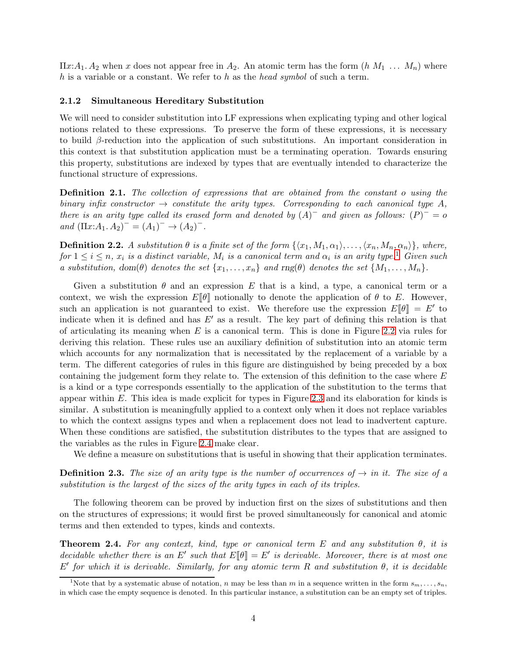$\Pi x:A_1 \ A_2$  when x does not appear free in  $A_2$ . An atomic term has the form  $(h\ M_1 \ \ldots \ M_n)$  where h is a variable or a constant. We refer to h as the head symbol of such a term.

#### 2.1.2 Simultaneous Hereditary Substitution

We will need to consider substitution into LF expressions when explicating typing and other logical notions related to these expressions. To preserve the form of these expressions, it is necessary to build  $\beta$ -reduction into the application of such substitutions. An important consideration in this context is that substitution application must be a terminating operation. Towards ensuring this property, substitutions are indexed by types that are eventually intended to characterize the functional structure of expressions.

**Definition 2.1.** The collection of expressions that are obtained from the constant o using the binary infix constructor  $\rightarrow$  constitute the arity types. Corresponding to each canonical type A, there is an arity type called its erased form and denoted by  $(A)^-$  and given as follows:  $(P)^- = o$ and  $(\Pi x:A_1 \tcdot A_2)^{-} = (A_1)^{-} \rightarrow (A_2)^{-}$ .

**Definition 2.2.** A substitution  $\theta$  is a finite set of the form  $\{\langle x_1, M_1, \alpha_1 \rangle, \ldots, \langle x_n, M_n, \alpha_n \rangle\}$ , where, for  $1 \leq i \leq n$  $1 \leq i \leq n$ ,  $x_i$  is a distinct variable,  $M_i$  is a canonical term and  $\alpha_i$  is an arity type.<sup>1</sup> Given such a substitution, dom( $\theta$ ) denotes the set  $\{x_1, \ldots, x_n\}$  and  $\text{rng}(\theta)$  denotes the set  $\{M_1, \ldots, M_n\}$ .

Given a substitution  $\theta$  and an expression E that is a kind, a type, a canonical term or a context, we wish the expression  $E[\![\theta]\!]$  notionally to denote the application of  $\theta$  to E. However, such an application is not guaranteed to exist. We therefore use the expression  $E[\![\theta]\!] = E'$  to indicate when it is defined and has  $E'$  as a result. The key part of defining this relation is that of articulating its meaning when  $E$  is a canonical term. This is done in Figure [2.2](#page-31-0) via rules for deriving this relation. These rules use an auxiliary definition of substitution into an atomic term which accounts for any normalization that is necessitated by the replacement of a variable by a term. The different categories of rules in this figure are distinguished by being preceded by a box containing the judgement form they relate to. The extension of this definition to the case where  $E$ is a kind or a type corresponds essentially to the application of the substitution to the terms that appear within E. This idea is made explicit for types in Figure [2.3](#page-33-0) and its elaboration for kinds is similar. A substitution is meaningfully applied to a context only when it does not replace variables to which the context assigns types and when a replacement does not lead to inadvertent capture. When these conditions are satisfied, the substitution distributes to the types that are assigned to the variables as the rules in Figure [2.4](#page-36-0) make clear.

We define a measure on substitutions that is useful in showing that their application terminates.

**Definition 2.3.** The size of an arity type is the number of occurrences of  $\rightarrow$  in it. The size of a substitution is the largest of the sizes of the arity types in each of its triples.

The following theorem can be proved by induction first on the sizes of substitutions and then on the structures of expressions; it would first be proved simultaneously for canonical and atomic terms and then extended to types, kinds and contexts.

<span id="page-3-1"></span>**Theorem 2.4.** For any context, kind, type or canonical term E and any substitution  $\theta$ , it is decidable whether there is an E' such that  $E[\![\theta]\!] = E'$  is derivable. Moreover, there is at most one  $E'$  for which it is derivable. Similarly, for any atomic term R and substitution  $θ$ , it is decidable

<span id="page-3-0"></span><sup>&</sup>lt;sup>1</sup>Note that by a systematic abuse of notation, n may be less than m in a sequence written in the form  $s_m, \ldots, s_n$ , in which case the empty sequence is denoted. In this particular instance, a substitution can be an empty set of triples.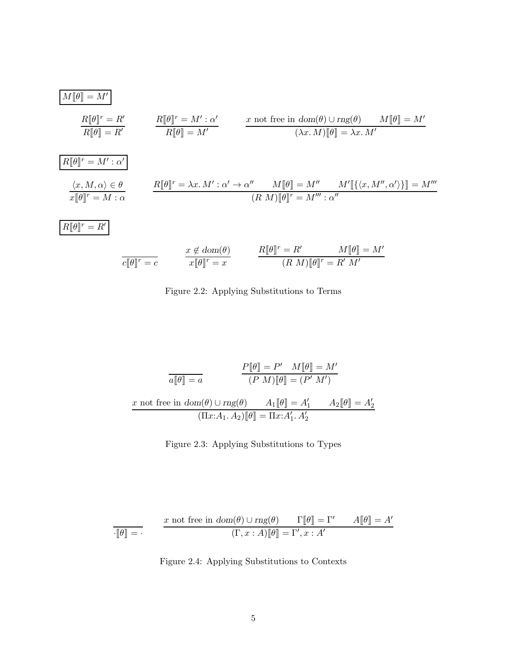$$
\boxed{M[\![\theta]\!] = M'}
$$
\n
$$
\frac{R[\![\theta]\!]^r = R'}{R[\![\theta]\!] = R'}
$$
\n
$$
\frac{R[\![\theta]\!]^r = M' : \alpha'}{R[\![\theta]\!] = M'}
$$
\n
$$
\frac{x \text{ not free in } \text{dom}(\theta) \cup \text{rng}(\theta)}{(\lambda x. M)[\![\theta]\!] = \lambda x. M'}
$$
\n
$$
\frac{R[\![\theta]\!]^r = M' : \alpha'}{x[\![\theta]\!]^r = M : \alpha}
$$
\n
$$
\frac{\langle x, M, \alpha \rangle \in \theta}{x[\![\theta]\!]^r = M : \alpha}
$$
\n
$$
\frac{R[\![\theta]\!]^r = \lambda x. M' : \alpha' \to \alpha'' \quad M[\![\theta]\!] = M'' \quad M'[\![\{\langle x, M'', \alpha' \rangle\}]\!] = M'''}{(R \ M)[\![\theta]\!]^r = M'' : \alpha''}
$$
\n
$$
\frac{x \notin \text{dom}(\theta)}{x[\![\theta]\!]^r = x}
$$
\n
$$
\frac{x \notin \text{dom}(\theta)}{x[\![\theta]\!]^r = x}
$$
\n
$$
\frac{R[\![\theta]\!]^r = R'}{R \ M[\![\theta]\!]^r = R' \quad M[\![\theta]\!] = M'}
$$



$$
\frac{P[\![\theta]\!]=P'\quad M[\![\theta]\!]=M'}{(P\;M)[\![\theta]\!]= (P'\;M')}
$$
\n
$$
x \text{ not free in } dom(\theta) \cup rng(\theta) \qquad A_1[\![\theta]\!]=A'_1 \qquad A_2[\![\theta]\!]=A'_2
$$
\n
$$
(\Pi x{:}A_1.A_2)[\![\theta]\!]=\Pi x{:}A'_1.A'_2
$$

Figure 2.3: Applying Substitutions to Types

$$
\boxed{\frac{x \text{ not free in } \text{dom}(\theta) \cup \text{rng}(\theta) \quad \Gamma[\![\theta]\!] = \Gamma' \qquad A[\![\theta]\!] = A' }}{\text{(}\Gamma, x : A)\llbracket \theta \rrbracket = \Gamma', x : A'}
$$

Figure 2.4: Applying Substitutions to Contexts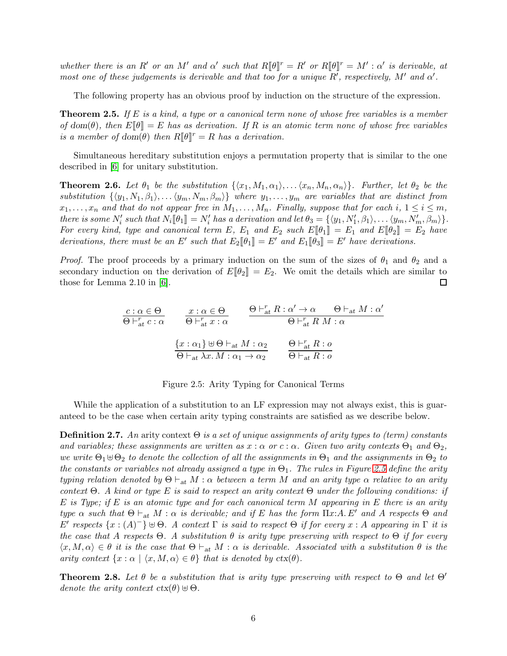whether there is an R' or an M' and  $\alpha'$  such that  $R[\![\theta]\!]^r = R'$  or  $R[\![\theta]\!]^r = M' : \alpha'$  is derivable, at most one of these judgements is derivable and that too for a unique  $R'$ , respectively,  $M'$  and  $\alpha'$ .

The following property has an obvious proof by induction on the structure of the expression.

**Theorem 2.5.** If  $E$  is a kind, a type or a canonical term none of whose free variables is a member of dom( $\theta$ ), then  $E[\theta] = E$  has as derivation. If R is an atomic term none of whose free variables is a member of dom( $\theta$ ) then  $R[\![\theta]\!]^r = R$  has a derivation.

Simultaneous hereditary substitution enjoys a permutation property that is similar to the one described in [\[6\]](#page-70-5) for unitary substitution.

<span id="page-5-1"></span>**Theorem 2.6.** Let  $\theta_1$  be the substitution  $\{\langle x_1, M_1, \alpha_1 \rangle, \ldots, \langle x_n, M_n, \alpha_n \rangle\}$ . Further, let  $\theta_2$  be the substitution  $\{\langle y_1, N_1, \beta_1 \rangle, \ldots \langle y_m, N_m, \beta_m \rangle\}$  where  $y_1, \ldots, y_m$  are variables that are distinct from  $x_1, \ldots, x_n$  and that do not appear free in  $M_1, \ldots, M_n$ . Finally, suppose that for each i,  $1 \le i \le m$ , there is some  $N'_i$  such that  $N_i[\![\theta_1]\!] = N'_i$  has a derivation and let  $\theta_3 = \{\langle y_1, N'_1, \beta_1 \rangle, \ldots \langle y_m, N'_m, \beta_m \rangle\}$ . For every kind, type and canonical term E,  $E_1$  and  $E_2$  such  $E[\![\theta_1]\!] = E_1$  and  $E[\![\theta_2]\!] = E_2$  have derivations, there must be an E' such that  $E_2[\![\theta_1]\!] = E'$  and  $E_1[\![\theta_3]\!] = E'$  have derivations.

*Proof.* The proof proceeds by a primary induction on the sum of the sizes of  $\theta_1$  and  $\theta_2$  and a secondary induction on the derivation of  $E[\![\theta_2]\!] = E_2$ . We omit the details which are similar to those for Lemma 2.10 in [\[6\]](#page-70-5). □

$$
\frac{c: \alpha \in \Theta}{\Theta \vdash_{at}^{r} c: \alpha} \qquad \frac{x: \alpha \in \Theta}{\Theta \vdash_{at}^{r} x: \alpha} \qquad \frac{\Theta \vdash_{at}^{r} R: \alpha' \to \alpha \qquad \Theta \vdash_{at} M: \alpha'}{\Theta \vdash_{at}^{r} R M: \alpha}
$$
\n
$$
\frac{\{x: \alpha_{1}\} \uplus \Theta \vdash_{at} M: \alpha_{2}}{\Theta \vdash_{at} \lambda x. M: \alpha_{1} \to \alpha_{2}} \qquad \frac{\Theta \vdash_{at}^{r} R: \alpha}{\Theta \vdash_{at} R: \alpha}
$$

Figure 2.5: Arity Typing for Canonical Terms

While the application of a substitution to an LF expression may not always exist, this is guaranteed to be the case when certain arity typing constraints are satisfied as we describe below.

<span id="page-5-2"></span>**Definition 2.7.** An arity context  $\Theta$  is a set of unique assignments of arity types to (term) constants and variables; these assignments are written as  $x : \alpha$  or  $c : \alpha$ . Given two arity contexts  $\Theta_1$  and  $\Theta_2$ , we write  $\Theta_1 \oplus \Theta_2$  to denote the collection of all the assignments in  $\Theta_1$  and the assignments in  $\Theta_2$  to the constants or variables not already assigned a type in  $\Theta_1$ . The rules in Figure [2.5](#page-50-0) define the arity typing relation denoted by  $\Theta \vdash_{\text{at}} M : \alpha$  between a term M and an arity type  $\alpha$  relative to an arity context Θ. A kind or type E is said to respect an arity context Θ under the following conditions: if  $E$  is Type; if  $E$  is an atomic type and for each canonical term  $M$  appearing in  $E$  there is an arity type  $\alpha$  such that  $\Theta \vdash_{at} M : \alpha$  is derivable; and if E has the form  $\Pi x:A. E'$  and A respects  $\Theta$  and  $E'$  respects  $\{x:(A)^{-}\}\uplus\Theta$ . A context Γ is said to respect  $\Theta$  if for every x : A appearing in Γ it is the case that A respects  $\Theta$ . A substitution  $\theta$  is arity type preserving with respect to  $\Theta$  if for every  $\langle x, M, \alpha \rangle \in \theta$  it is the case that  $\Theta \vdash_{\text{at}} M : \alpha$  is derivable. Associated with a substitution  $\theta$  is the arity context  $\{x : \alpha \mid \langle x, M, \alpha \rangle \in \theta\}$  that is denoted by  $\text{ctx}(\theta)$ .

<span id="page-5-0"></span>**Theorem 2.8.** Let  $\theta$  be a substitution that is arity type preserving with respect to  $\Theta$  and let  $\Theta'$ denote the arity context  $\text{ctx}(\theta) \oplus \Theta$ .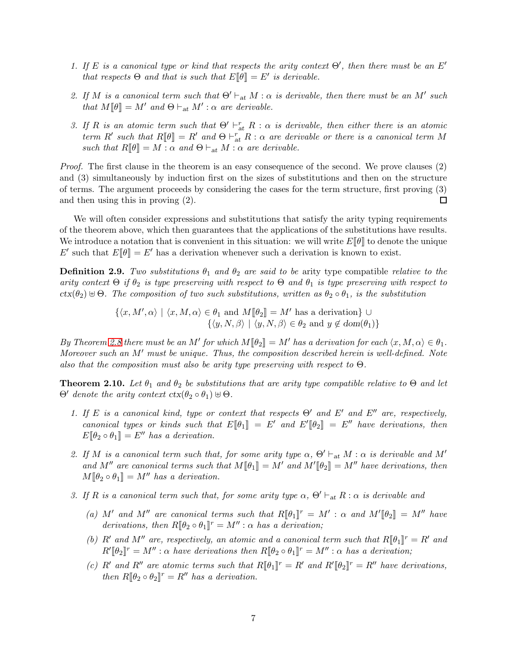- 1. If E is a canonical type or kind that respects the arity context  $\Theta'$ , then there must be an E' that respects  $\Theta$  and that is such that  $E[\![\theta]\!] = E'$  is derivable.
- 2. If M is a canonical term such that  $\Theta' \vdash_{\text{at}} M : \alpha$  is derivable, then there must be an M' such that  $M[\![\theta]\!] = M'$  and  $\Theta \vdash_{\text{at}} M' : \alpha$  are derivable.
- 3. If R is an atomic term such that  $\Theta' \vdash_{at}^r R : \alpha$  is derivable, then either there is an atomic term R' such that  $R[\![\theta]\!]=R'$  and  $\Theta\vdash_{\text{at}}^r R:\alpha$  are derivable or there is a canonical term M such that  $R[\![\theta]\!]=M:\alpha$  and  $\Theta\vdash_{\textup{at}} M:\alpha$  are derivable.

Proof. The first clause in the theorem is an easy consequence of the second. We prove clauses (2) and (3) simultaneously by induction first on the sizes of substitutions and then on the structure of terms. The argument proceeds by considering the cases for the term structure, first proving (3) and then using this in proving (2).  $\Box$ 

We will often consider expressions and substitutions that satisfy the arity typing requirements of the theorem above, which then guarantees that the applications of the substitutions have results. We introduce a notation that is convenient in this situation: we will write  $E[\![\theta]\!]$  to denote the unique E' such that  $E[\![\theta]\!] = E'$  has a derivation whenever such a derivation is known to exist.

**Definition 2.9.** Two substitutions  $\theta_1$  and  $\theta_2$  are said to be arity type compatible relative to the arity context  $\Theta$  if  $\theta_2$  is type preserving with respect to  $\Theta$  and  $\theta_1$  is type preserving with respect to  $ctx(\theta_2) \oplus \Theta$ . The composition of two such substitutions, written as  $\theta_2 \circ \theta_1$ , is the substitution

> $\{\langle x, M', \alpha \rangle \mid \langle x, M, \alpha \rangle \in \theta_1 \text{ and } M[\![\theta_2]\!] = M'$  has a derivation} ∪  $\{\langle y, N, \beta \rangle \mid \langle y, N, \beta \rangle \in \theta_2 \text{ and } y \notin \text{dom}(\theta_1)\}\$

By Theorem [2.8](#page-5-0) there must be an M' for which  $M[\![\theta_2]\!]=M'$  has a derivation for each  $\langle x, M, \alpha \rangle \in \theta_1$ . Moreover such an M' must be unique. Thus, the composition described herein is well-defined. Note also that the composition must also be arity type preserving with respect to  $\Theta$ .

<span id="page-6-0"></span>**Theorem 2.10.** Let  $\theta_1$  and  $\theta_2$  be substitutions that are arity type compatible relative to  $\Theta$  and let  $\Theta'$  denote the arity context  $\text{ctx}(\theta_2 \circ \theta_1) \uplus \Theta$ .

- 1. If E is a canonical kind, type or context that respects  $\Theta'$  and  $E'$  and  $E''$  are, respectively, canonical types or kinds such that  $E[\![\theta_1]\!] = E'$  and  $E'[\![\theta_2]\!] = E''$  have derivations, then  $E[\![\theta_2 \circ \theta_1]\!] = E''$  has a derivation.
- 2. If M is a canonical term such that, for some arity type  $\alpha$ ,  $\Theta' \vdash_{\text{at}} M : \alpha$  is derivable and M' and M'' are canonical terms such that  $M[\![\theta_1]\!] = M'$  and  $M'[\![\theta_2]\!] = M''$  have derivations, then  $M[\![\theta_2 \circ \theta_1]\!] = M''$  has a derivation.
- 3. If R is a canonical term such that, for some arity type  $\alpha$ ,  $\Theta' \vdash_{at} R : \alpha$  is derivable and
	- (a) M' and M" are canonical terms such that  $R[\![\theta_1]\!]^r = M'$  :  $\alpha$  and  $M'[\![\theta_2]\!] = M''$  have derivations, then  $R[\![\theta_2 \circ \theta_1]\!]^r = M'' : \alpha$  has a derivation;
	- (b) R' and M'' are, respectively, an atomic and a canonical term such that  $R[\![\theta_1]\!]^r = R'$  and  $R'[\![\theta_2]\!]^r = M'' : \alpha$  have derivations then  $R[\![\theta_2 \circ \theta_1]\!]^r = M'' : \alpha$  has a derivation;
	- (c) R' and R'' are atomic terms such that  $R[\![\theta_1]\!]^r = R'$  and  $R'[\![\theta_2]\!]^r = R''$  have derivations, then  $R[\![\theta_2 \circ \theta_2]\!]^r = R''$  has a derivation.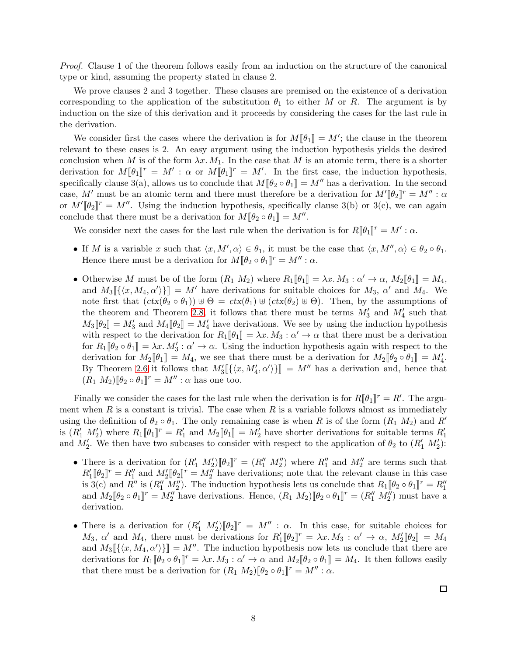Proof. Clause 1 of the theorem follows easily from an induction on the structure of the canonical type or kind, assuming the property stated in clause 2.

We prove clauses 2 and 3 together. These clauses are premised on the existence of a derivation corresponding to the application of the substitution  $\theta_1$  to either M or R. The argument is by induction on the size of this derivation and it proceeds by considering the cases for the last rule in the derivation.

We consider first the cases where the derivation is for  $M[\![\theta_1]\!] = M'$ ; the clause in the theorem relevant to these cases is 2. An easy argument using the induction hypothesis yields the desired conclusion when M is of the form  $\lambda x. M_1$ . In the case that M is an atomic term, there is a shorter derivation for  $M[\![\theta_1]\!]^r = M'$ :  $\alpha$  or  $M[\![\theta_1]\!]^r = M'$ . In the first case, the induction hypothesis, specifically clause 3(a), allows us to conclude that  $M[\theta_2 \circ \theta_1] = M''$  has a derivation. In the second case, M' must be an atomic term and there must therefore be a derivation for  $M'[\![\theta_2]\!]^r = M'' : \alpha$ or  $M'[\![\theta_2]\!]^r = M''$ . Using the induction hypothesis, specifically clause 3(b) or 3(c), we can again conclude that there must be a derivation for  $M[\![\theta_2 \circ \theta_1]\!] = M''$ .

We consider next the cases for the last rule when the derivation is for  $R[\![\theta_1]\!]^r = M'$ :  $\alpha$ .

- If M is a variable x such that  $\langle x, M', \alpha \rangle \in \theta_1$ , it must be the case that  $\langle x, M'', \alpha \rangle \in \theta_2 \circ \theta_1$ . Hence there must be a derivation for  $M[\![\theta_2 \circ \theta_1]\!]^r = M'' : \alpha$ .
- Otherwise M must be of the form  $(R_1 M_2)$  where  $R_1[\![\theta_1]\!] = \lambda x \cdot M_3 : \alpha' \to \alpha$ ,  $M_2[\![\theta_1]\!] = M_4$ , and  $M_3\left[\{\langle x, M_4, \alpha'\rangle\}\right] = M'$  have derivations for suitable choices for  $M_3$ ,  $\alpha'$  and  $M_4$ . We note first that  $(ctx(\theta_2 \circ \theta_1)) \uplus \Theta = ctx(\theta_1) \uplus (ctx(\theta_2) \uplus \Theta)$ . Then, by the assumptions of the theorem and Theorem [2.8,](#page-5-0) it follows that there must be terms  $M'_3$  and  $M'_4$  such that  $M_3[\![\theta_2]\!] = M'_3$  and  $M_4[\![\theta_2]\!] = M'_4$  have derivations. We see by using the induction hypothesis with respect to the derivation for  $R_1[\![\theta_1]\!] = \lambda x. M_3 : \alpha' \to \alpha$  that there must be a derivation for  $R_1[\![\theta_2 \circ \theta_1]\!] = \lambda x. M_3': \alpha' \to \alpha$ . Using the induction hypothesis again with respect to the derivation for  $M_2[\![\theta_1]\!] = M_4$ , we see that there must be a derivation for  $M_2[\![\theta_2 \circ \theta_1]\!] = M'_4$ . By Theorem [2.6](#page-5-1) it follows that  $M'_3\llbracket\{\langle x,M'_4,\alpha'\rangle\}\rrbracket = M''$  has a derivation and, hence that  $(R_1 M_2)\llbracket \theta_2 \circ \theta_1 \rrbracket^r = M'' : \alpha$  has one too.

Finally we consider the cases for the last rule when the derivation is for  $R[\![\theta_1]\!]^r = R'$ . The argument when  $R$  is a constant is trivial. The case when  $R$  is a variable follows almost as immediately using the definition of  $\theta_2 \circ \theta_1$ . The only remaining case is when R is of the form  $(R_1 M_2)$  and R' is  $(R'_1 \ M'_2)$  where  $R_1[\![\theta_1]\!]^r = R'_1$  and  $M_2[\![\theta_1]\!] = M'_2$  have shorter derivations for suitable terms  $R'_1$ and  $M'_2$ . We then have two subcases to consider with respect to the application of  $\theta_2$  to  $(R'_1 M'_2)$ :

- There is a derivation for  $(R'_1 \ M'_2)[\![\theta_2]\!]^r = (R''_1 \ M''_2)$  where  $R''_1$  and  $M''_2$  are terms such that  $R'_1[\![\theta_2]\!]^r = R''_1$  and  $M'_2[\![\theta_2]\!]^r = M''_2$  have derivations; note that the relevant clause in this case is 3(c) and R'' is  $(R''_1 M''_2)$ . The induction hypothesis lets us conclude that  $R_1[\![\theta_2 \circ \theta_1]\!]^r = R''_1$ and  $M_2[\![\theta_2 \circ \theta_1]\!]^r = M''_2$  have derivations. Hence,  $(R_1 M_2)[\![\theta_2 \circ \theta_1]\!]^r = (R''_1 M''_2)$  must have a derivation.
- There is a derivation for  $(R'_1 \ M'_2)[\ell_2]^r = M''$ :  $\alpha$ . In this case, for suitable choices for  $M_3$ ,  $\alpha'$  and  $M_4$ , there must be derivations for  $R'_1[\![\theta_2]\!]^r = \lambda x \cdot M_3 : \alpha' \to \alpha$ ,  $M'_2[\![\theta_2]\!] = M_4$ and  $M_3\left[\{\langle x, M_4, \alpha'\rangle\}\right] = M''$ . The induction hypothesis now lets us conclude that there are derivations for  $R_1[\![\theta_2 \circ \theta_1]\!]^r = \lambda x. M_3 : \alpha' \to \alpha$  and  $M_2[\![\theta_2 \circ \theta_1]\!] = M_4$ . It then follows easily that there must be a derivation for  $(R_1 M_2) \llbracket \theta_2 \circ \theta_1 \rrbracket^r = M'' : \alpha$ .

 $\Box$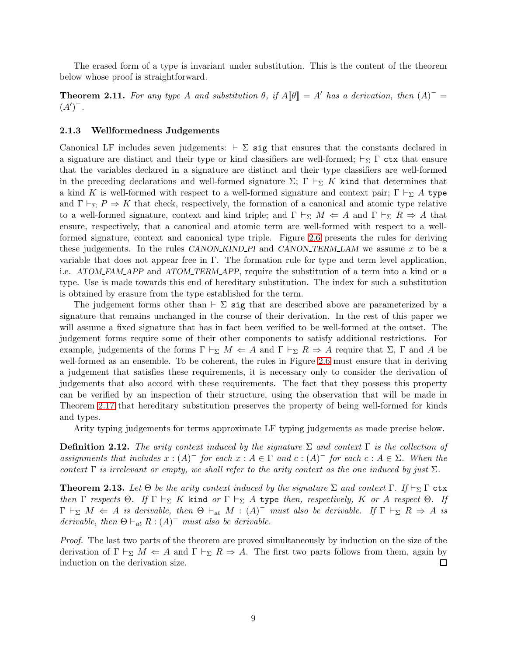The erased form of a type is invariant under substitution. This is the content of the theorem below whose proof is straightforward.

<span id="page-8-1"></span>**Theorem 2.11.** For any type A and substitution  $\theta$ , if  $A[\![\theta]\!] = A'$  has a derivation, then  $(A)^{-}$  $(A')^{-}$ .

#### 2.1.3 Wellformedness Judgements

Canonical LF includes seven judgements:  $\vdash \Sigma$  sig that ensures that the constants declared in a signature are distinct and their type or kind classifiers are well-formed;  $\vdash_{\Sigma} \Gamma$  ctx that ensure that the variables declared in a signature are distinct and their type classifiers are well-formed in the preceding declarations and well-formed signature  $\Sigma$ ; Γ  $\vdash_{\Sigma} K$  kind that determines that a kind K is well-formed with respect to a well-formed signature and context pair;  $\Gamma \vdash_{\Sigma} A$  type and  $\Gamma \vdash_{\Sigma} P \Rightarrow K$  that check, respectively, the formation of a canonical and atomic type relative to a well-formed signature, context and kind triple; and  $\Gamma \vdash_{\Sigma} M \Leftarrow A$  and  $\Gamma \vdash_{\Sigma} R \Rightarrow A$  that ensure, respectively, that a canonical and atomic term are well-formed with respect to a wellformed signature, context and canonical type triple. Figure [2.6](#page-55-0) presents the rules for deriving these judgements. In the rules CANON KIND PI and CANON TERM LAM we assume  $x$  to be a variable that does not appear free in Γ. The formation rule for type and term level application, i.e. ATOM\_FAM\_APP and ATOM\_TERM\_APP, require the substitution of a term into a kind or a type. Use is made towards this end of hereditary substitution. The index for such a substitution is obtained by erasure from the type established for the term.

The judgement forms other than  $\vdash \Sigma$  sig that are described above are parameterized by a signature that remains unchanged in the course of their derivation. In the rest of this paper we will assume a fixed signature that has in fact been verified to be well-formed at the outset. The judgement forms require some of their other components to satisfy additional restrictions. For example, judgements of the forms  $\Gamma \vdash_{\Sigma} M \Leftarrow A$  and  $\Gamma \vdash_{\Sigma} R \Rightarrow A$  require that  $\Sigma$ ,  $\Gamma$  and A be well-formed as an ensemble. To be coherent, the rules in Figure [2.6](#page-55-0) must ensure that in deriving a judgement that satisfies these requirements, it is necessary only to consider the derivation of judgements that also accord with these requirements. The fact that they possess this property can be verified by an inspection of their structure, using the observation that will be made in Theorem [2.17](#page-11-0) that hereditary substitution preserves the property of being well-formed for kinds and types.

Arity typing judgements for terms approximate LF typing judgements as made precise below.

**Definition 2.12.** The arity context induced by the signature  $\Sigma$  and context  $\Gamma$  is the collection of assignments that includes  $x:(A)^-$  for each  $x:A \in \Gamma$  and  $c:(A)^-$  for each  $c:A \in \Sigma$ . When the context  $\Gamma$  is irrelevant or empty, we shall refer to the arity context as the one induced by just  $\Sigma$ .

<span id="page-8-0"></span>**Theorem 2.13.** Let  $\Theta$  be the arity context induced by the signature  $\Sigma$  and context  $\Gamma$ . If  $\vdash_{\Sigma} \Gamma$  ctx then Γ respects Θ. If  $\Gamma \vdash_{\Sigma} K$  kind or  $\Gamma \vdash_{\Sigma} A$  type then, respectively, K or A respect Θ. If  $\Gamma\vdash_{\Sigma} M \Leftarrow A$  is derivable, then  $\Theta\vdash_{at} M$  :  $(A)^{-}$  must also be derivable. If  $\Gamma\vdash_{\Sigma} R \Rightarrow A$  is derivable, then  $\Theta \vdash_{at} R : (A)^-$  must also be derivable.

Proof. The last two parts of the theorem are proved simultaneously by induction on the size of the derivation of  $\Gamma \vdash_{\Sigma} M \Leftarrow A$  and  $\Gamma \vdash_{\Sigma} R \Rightarrow A$ . The first two parts follows from them, again by induction on the derivation size.  $\Box$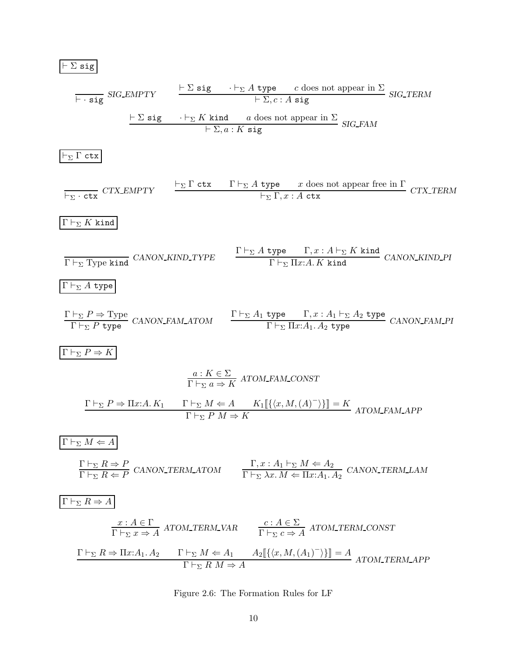⊢ Σ sig ⊢ · sig SIG EMPTY ⊢ Σ sig · ⊢<sup>Σ</sup> A type c does not appear in Σ <sup>⊢</sup> <sup>Σ</sup>, c : <sup>A</sup> sig SIG TERM ⊢ Σ sig · ⊢<sup>Σ</sup> K kind a does not appear in Σ <sup>⊢</sup> <sup>Σ</sup>, a : <sup>K</sup> sig SIG FAM ⊢<sup>Σ</sup> Γ ctx ⊢<sup>Σ</sup> · ctx CTX EMPTY ⊢<sup>Σ</sup> Γ ctx Γ ⊢<sup>Σ</sup> A type x does not appear free in Γ ⊢<sup>Σ</sup> Γ, x : A ctx CTX TERM Γ ⊢<sup>Σ</sup> K kind <sup>Γ</sup> <sup>⊢</sup><sup>Σ</sup> Type kind CANON KIND TYPE Γ ⊢<sup>Σ</sup> A type Γ, x : A ⊢<sup>Σ</sup> K kind <sup>Γ</sup> <sup>⊢</sup><sup>Σ</sup> <sup>Π</sup>x:A. K kind CANON KIND PI Γ ⊢<sup>Σ</sup> A type Γ ⊢<sup>Σ</sup> P ⇒ Type Γ ⊢<sup>Σ</sup> P type CANON FAM ATOM Γ ⊢<sup>Σ</sup> A<sup>1</sup> type Γ, x : A<sup>1</sup> ⊢<sup>Σ</sup> A<sup>2</sup> type Γ ⊢<sup>Σ</sup> Πx:A1. A<sup>2</sup> type CANON FAM PI Γ ⊢<sup>Σ</sup> P ⇒ K a : K ∈ Σ Γ ⊢<sup>Σ</sup> a ⇒ K ATOM FAM CONST Γ ⊢<sup>Σ</sup> P ⇒ Πx:A. K<sup>1</sup> Γ ⊢<sup>Σ</sup> M ⇐ A K1J{hx, M,(A) − i}K = K Γ ⊢<sup>Σ</sup> P M ⇒ K ATOM FAM APP Γ ⊢<sup>Σ</sup> M ⇐ A Γ ⊢<sup>Σ</sup> R ⇒ P Γ ⊢<sup>Σ</sup> R ⇐ P CANON TERM ATOM Γ, x : A<sup>1</sup> ⊢<sup>Σ</sup> M ⇐ A<sup>2</sup> Γ ⊢<sup>Σ</sup> λx. M ⇐ Πx:A1. A<sup>2</sup> CANON TERM LAM Γ ⊢<sup>Σ</sup> R ⇒ A x : A ∈ Γ Γ ⊢<sup>Σ</sup> x ⇒ A ATOM TERM VAR <sup>c</sup> : <sup>A</sup> <sup>∈</sup> <sup>Σ</sup> Γ ⊢<sup>Σ</sup> c ⇒ A ATOM TERM CONST Γ ⊢<sup>Σ</sup> R ⇒ Πx:A1. A<sup>2</sup> Γ ⊢<sup>Σ</sup> M ⇐ A<sup>1</sup> A2J{hx, M,(A1) − i}K = A Γ ⊢<sup>Σ</sup> R M ⇒ A ATOM TERM APP

Figure 2.6: The Formation Rules for LF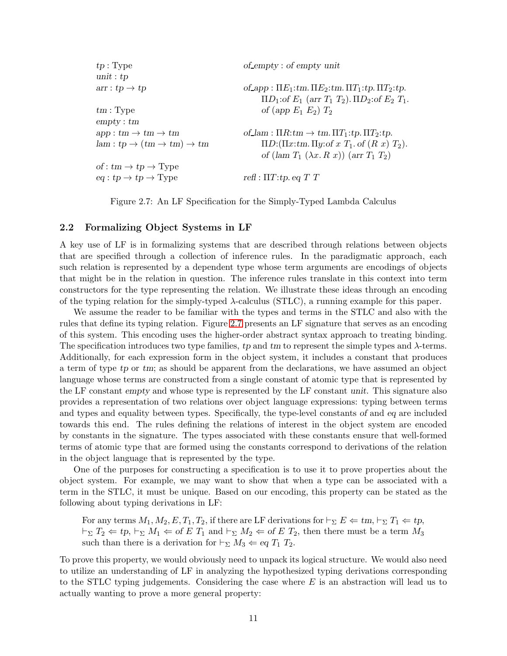| tp:Type                                  | $of$ -empty : of empty unit                                              |
|------------------------------------------|--------------------------------------------------------------------------|
| unit : $tp$                              |                                                                          |
| $arr: tp \rightarrow tp$                 | of app : $\Pi E_1$ : tm. $\Pi E_2$ : tm. $\Pi T_1$ : tp. $\Pi T_2$ : tp. |
|                                          | $\Pi D_1$ : of $E_1$ (arr $T_1$ $T_2$ ). $\Pi D_2$ : of $E_2$ $T_1$ .    |
| $tm$ : Type                              | of (app $E_1$ $E_2$ ) $T_2$                                              |
| empty:tm                                 |                                                                          |
| $app:tm\to tm\to tm$                     | of_lam : $\Pi R$ : $tm \rightarrow tm. \Pi T_1$ : $tp. \Pi T_2$ : $tp.$  |
| $lam: tp \to (tm \to tm) \to tm$         | $\Pi D: (\Pi x$ : tm. $\Pi y$ : of $x$ $T_1$ . of $(R x) T_2$ ).         |
|                                          | of $(\text{lam }T_1 \ (\lambda x. R x))$ $(\text{arr }T_1 T_2)$          |
| of : $tm \to tp \to Type$                |                                                                          |
| $eq: tp \rightarrow tp \rightarrow Type$ | refl : $\Pi T$ : tp. eq T T                                              |
|                                          |                                                                          |

Figure 2.7: An LF Specification for the Simply-Typed Lambda Calculus

#### <span id="page-10-0"></span>2.2 Formalizing Object Systems in LF

A key use of LF is in formalizing systems that are described through relations between objects that are specified through a collection of inference rules. In the paradigmatic approach, each such relation is represented by a dependent type whose term arguments are encodings of objects that might be in the relation in question. The inference rules translate in this context into term constructors for the type representing the relation. We illustrate these ideas through an encoding of the typing relation for the simply-typed  $\lambda$ -calculus (STLC), a running example for this paper.

We assume the reader to be familiar with the types and terms in the STLC and also with the rules that define its typing relation. Figure [2.7](#page-59-0) presents an LF signature that serves as an encoding of this system. This encoding uses the higher-order abstract syntax approach to treating binding. The specification introduces two type families, tp and tm to represent the simple types and  $\lambda$ -terms. Additionally, for each expression form in the object system, it includes a constant that produces a term of type tp or tm; as should be apparent from the declarations, we have assumed an object language whose terms are constructed from a single constant of atomic type that is represented by the LF constant empty and whose type is represented by the LF constant unit. This signature also provides a representation of two relations over object language expressions: typing between terms and types and equality between types. Specifically, the type-level constants of and eq are included towards this end. The rules defining the relations of interest in the object system are encoded by constants in the signature. The types associated with these constants ensure that well-formed terms of atomic type that are formed using the constants correspond to derivations of the relation in the object language that is represented by the type.

One of the purposes for constructing a specification is to use it to prove properties about the object system. For example, we may want to show that when a type can be associated with a term in the STLC, it must be unique. Based on our encoding, this property can be stated as the following about typing derivations in LF:

For any terms  $M_1, M_2, E, T_1, T_2$ , if there are LF derivations for  $\vdash_{\Sigma} E \Leftarrow tm, \vdash_{\Sigma} T_1 \Leftarrow tp$ ,  $\vdash_{\Sigma} T_2 \Leftarrow tp, \vdash_{\Sigma} M_1 \Leftarrow \text{of } E T_1 \text{ and } \vdash_{\Sigma} M_2 \Leftarrow \text{of } E T_2 \text{, then there must be a term } M_3$ such than there is a derivation for  $\vdash_{\Sigma} M_3 \Leftarrow eq T_1 T_2$ .

To prove this property, we would obviously need to unpack its logical structure. We would also need to utilize an understanding of LF in analyzing the hypothesized typing derivations corresponding to the STLC typing judgements. Considering the case where  $E$  is an abstraction will lead us to actually wanting to prove a more general property: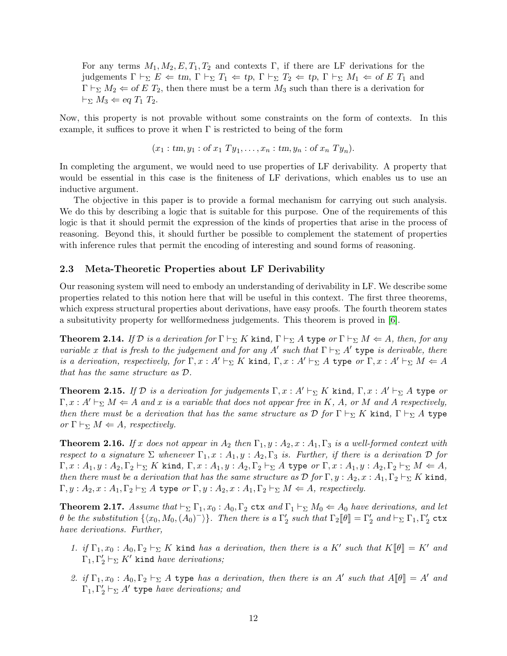For any terms  $M_1, M_2, E, T_1, T_2$  and contexts Γ, if there are LF derivations for the judgements  $\Gamma \vdash_{\Sigma} E \Leftarrow tm, \Gamma \vdash_{\Sigma} T_1 \Leftarrow tp, \Gamma \vdash_{\Sigma} T_2 \Leftarrow tp, \Gamma \vdash_{\Sigma} M_1 \Leftarrow of E T_1$  and  $\Gamma \vdash_{\Sigma} M_2 \Leftarrow$  of E  $T_2$ , then there must be a term  $M_3$  such than there is a derivation for  $\vdash_{\Sigma} M_3 \Leftarrow$  eq  $T_1$   $T_2$ .

Now, this property is not provable without some constraints on the form of contexts. In this example, it suffices to prove it when  $\Gamma$  is restricted to being of the form

 $(x_1:tm, y_1:of x_1 Ty_1, \ldots, x_n:tm, y_n:of x_n Ty_n).$ 

In completing the argument, we would need to use properties of LF derivability. A property that would be essential in this case is the finiteness of LF derivations, which enables us to use an inductive argument.

The objective in this paper is to provide a formal mechanism for carrying out such analysis. We do this by describing a logic that is suitable for this purpose. One of the requirements of this logic is that it should permit the expression of the kinds of properties that arise in the process of reasoning. Beyond this, it should further be possible to complement the statement of properties with inference rules that permit the encoding of interesting and sound forms of reasoning.

#### 2.3 Meta-Theoretic Properties about LF Derivability

Our reasoning system will need to embody an understanding of derivability in LF. We describe some properties related to this notion here that will be useful in this context. The first three theorems, which express structural properties about derivations, have easy proofs. The fourth theorem states a subsitutivity property for wellformedness judgements. This theorem is proved in [\[6\]](#page-70-5).

<span id="page-11-1"></span>**Theorem 2.14.** If D is a derivation for  $\Gamma \vdash_{\Sigma} K$  kind,  $\Gamma \vdash_{\Sigma} A$  type or  $\Gamma \vdash_{\Sigma} M \Leftarrow A$ , then, for any variable x that is fresh to the judgement and for any A' such that  $\Gamma \vdash_{\Sigma} A'$  type is derivable, there is a derivation, respectively, for  $\Gamma, x : A' \vdash_{\Sigma} K$  kind,  $\Gamma, x : A' \vdash_{\Sigma} A$  type or  $\Gamma, x : A' \vdash_{\Sigma} M \Leftarrow A$ that has the same structure as D.

**Theorem 2.15.** If  $D$  is a derivation for judgements  $\Gamma, x : A' \vdash_{\Sigma} K$  kind,  $\Gamma, x : A' \vdash_{\Sigma} A$  type or  $\Gamma, x : A' \vdash_{\Sigma} M \Leftarrow A$  and x is a variable that does not appear free in K, A, or M and A respectively, then there must be a derivation that has the same structure as  $D$  for  $\Gamma \vdash_{\Sigma} K$  kind,  $\Gamma \vdash_{\Sigma} A$  type or  $\Gamma \vdash_{\Sigma} M \Leftarrow A$ , respectively.

**Theorem 2.16.** If x does not appear in  $A_2$  then  $\Gamma_1, y : A_2, x : A_1, \Gamma_3$  is a well-formed context with respect to a signature  $\Sigma$  whenever  $\Gamma_1, x : A_1, y : A_2, \Gamma_3$  is. Further, if there is a derivation  $\mathcal D$  for  $\Gamma, x : A_1, y : A_2, \Gamma_2 \vdash_{\Sigma} K$  kind,  $\Gamma, x : A_1, y : A_2, \Gamma_2 \vdash_{\Sigma} A$  type or  $\Gamma, x : A_1, y : A_2, \Gamma_2 \vdash_{\Sigma} M \Leftarrow A$ , then there must be a derivation that has the same structure as  $\mathcal D$  for  $\Gamma, y : A_2, x : A_1, \Gamma_2 \vdash_{\Sigma} K$  kind,  $\Gamma, y : A_2, x : A_1, \Gamma_2 \vdash_{\Sigma} A$  type or  $\Gamma, y : A_2, x : A_1, \Gamma_2 \vdash_{\Sigma} M \Leftarrow A$ , respectively.

<span id="page-11-0"></span>**Theorem 2.17.** Assume that  $\vdash_{\Sigma} \Gamma_1, x_0 : A_0, \Gamma_2$  **ctx** and  $\Gamma_1 \vdash_{\Sigma} M_0 \Leftarrow A_0$  have derivations, and let  $\theta$  be the substitution  $\{(\overline{x}_0, M_0, (A_0)^{\top}\}\)$ . Then there is a  $\Gamma'_2$  such that  $\Gamma_2[\![\theta]\!] = \Gamma'_2$  and  $\vdash_{\Sigma} \Gamma_1, \Gamma'_2$   $\mathtt{ctx}$ have derivations. Further,

- 1. if  $\Gamma_1, x_0 : A_0, \Gamma_2 \vdash_{\Sigma} K$  kind has a derivation, then there is a K' such that  $K[\![\theta]\!] = K'$  and  $\Gamma_1, \Gamma'_2 \vdash_{\Sigma} K'$  kind *have derivations*;
- 2. if  $\Gamma_1, x_0 : A_0, \Gamma_2 \vdash_{\Sigma} A$  type has a derivation, then there is an A' such that  $A[\![\theta]\!] = A'$  and  $\Gamma_1, \Gamma'_2 \vdash_{\Sigma} A'$  type have derivations; and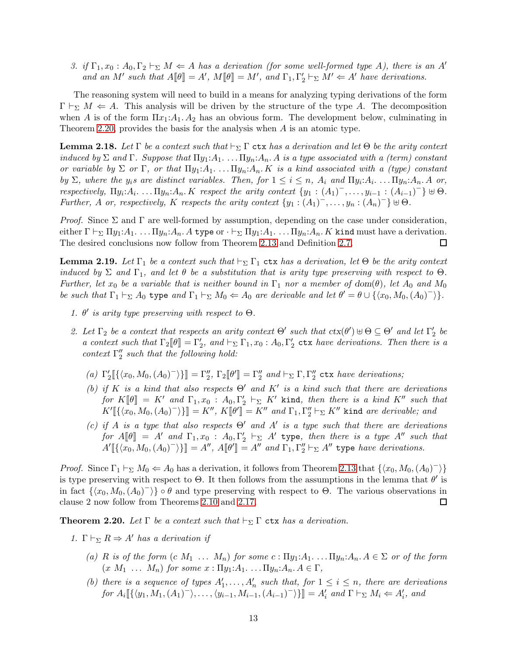3. if  $\Gamma_1, x_0 : A_0, \Gamma_2 \vdash_{\Sigma} M \Leftarrow A$  has a derivation (for some well-formed type A), there is an A' and an M' such that  $A[\![\theta]\!] = A'$ ,  $M[\![\theta]\!] = M'$ , and  $\Gamma_1, \Gamma'_2 \vdash_{\Sigma} M' \Leftarrow A'$  have derivations.

The reasoning system will need to build in a means for analyzing typing derivations of the form  $\Gamma \vdash_{\Sigma} M \Leftarrow A$ . This analysis will be driven by the structure of the type A. The decomposition when A is of the form  $\Pi x_1:A_1 \ldotp A_2$  has an obvious form. The development below, culminating in Theorem [2.20,](#page-12-0) provides the basis for the analysis when A is an atomic type.

<span id="page-12-2"></span>**Lemma 2.18.** Let  $\Gamma$  be a context such that  $\vdash_{\Sigma} \Gamma$  ctx has a derivation and let  $\Theta$  be the arity context induced by  $\Sigma$  and  $\Gamma$ . Suppose that  $\Pi y_1:A_1 \ldots \Pi y_n:A_n$ . A is a type associated with a (term) constant or variable by  $\Sigma$  or  $\Gamma$ , or that  $\Pi y_1:A_1 \ldots \Pi y_n:A_n$ . K is a kind associated with a (type) constant by  $\Sigma$ , where the  $y_i$ s are distinct variables. Then, for  $1 \leq i \leq n$ ,  $A_i$  and  $\Pi y_i:A_i$ . ...  $\Pi y_n:A_n$ . A or, respectively,  $\Pi y_i: A_i$ . . . .  $\Pi y_n: A_n$ . K respect the arity context  $\{y_1: (A_1)^-, \ldots, y_{i-1}: (A_{i-1})^-\} \uplus \Theta$ . Further, A or, respectively, K respects the arity context  $\{y_1 : (A_1)^-, \ldots, y_n : (A_n)^-\} \uplus \Theta$ .

*Proof.* Since  $\Sigma$  and  $\Gamma$  are well-formed by assumption, depending on the case under consideration, either  $\Gamma \vdash_{\Sigma} \Pi y_1:A_1.\dots \Pi y_n:A_n.$  A type or  $\cdot \vdash_{\Sigma} \Pi y_1:A_1.\dots \Pi y_n:A_n.$  K kind must have a derivation. The desired conclusions now follow from Theorem [2.13](#page-8-0) and Definition [2.7.](#page-5-2) □

<span id="page-12-1"></span>**Lemma 2.19.** Let  $\Gamma_1$  be a context such that  $\vdash_{\Sigma} \Gamma_1$  ctx has a derivation, let  $\Theta$  be the arity context induced by  $\Sigma$  and  $\Gamma_1$ , and let  $\theta$  be a substitution that is arity type preserving with respect to  $\Theta$ . Further, let  $x_0$  be a variable that is neither bound in  $\Gamma_1$  nor a member of dom( $\theta$ ), let  $A_0$  and  $M_0$ be such that  $\Gamma_1 \vdash_{\Sigma} A_0$  type and  $\Gamma_1 \vdash_{\Sigma} M_0 \Leftarrow A_0$  are derivable and let  $\theta' = \theta \cup \{\langle x_0, M_0, (A_0)^{\top} \rangle\}.$ 

- 1.  $\theta'$  is arity type preserving with respect to  $\Theta$ .
- 2. Let  $\Gamma_2$  be a context that respects an arity context  $\Theta'$  such that  $\text{ctx}(\theta') \oplus \Theta \subseteq \Theta'$  and let  $\Gamma'_2$  be a context such that  $\Gamma_2[\![\theta]\!] = \Gamma'_2$ , and  $\vdash_{\Sigma} \Gamma_1, x_0 : A_0, \Gamma'_2$  ctx have derivations. Then there is a context  $\Gamma''_2$  such that the following hold:
	- (a)  $\Gamma'_2 \llbracket \{ \langle x_0, M_0, (A_0)^{-} \rangle \} \rrbracket = \Gamma''_2$ ,  $\Gamma_2 \llbracket \theta' \rrbracket = \Gamma''_2$  and  $\vdash_{\Sigma} \Gamma, \Gamma''_2$  ctx have derivations;
	- (b) if K is a kind that also respects  $\Theta'$  and K' is a kind such that there are derivations for  $K[\![\theta]\!] = K'$  and  $\Gamma_1, x_0 : A_0, \Gamma'_2 \vdash_{\Sigma} K'$  kind, then there is a kind  $K''$  such that  $K'[\![\{\langle x_0, M_0, (A_0)^-\rangle\}]\!] = K'',\ K[\![\theta']\!] = K''\ and\ \Gamma_1, \Gamma''_2 \vdash_{\Sigma} K''\ \text{kind}\ are\ derivable;\ and$
	- (c) if A is a type that also respects  $\Theta'$  and A' is a type such that there are derivations for  $A[\![\theta]\!] = A'$  and  $\Gamma_1, x_0 : A_0, \Gamma'_2 \vdash_{\Sigma} A'$  type, then there is a type  $A''$  such that  $A'\llbracket {\langle x_0,M_0,(A_0)^-\rangle}\rrbracket = A'',\, A\llbracket \theta'\rrbracket = A''\,\, and\,\, \Gamma_1,\Gamma_2''\vdash_{\Sigma} A''\,\, \text{type}\,\, have\,\, derivations.$

*Proof.* Since  $\Gamma_1 \vdash_{\Sigma} M_0 \Leftarrow A_0$  has a derivation, it follows from Theorem [2.13](#page-8-0) that  $\{\langle x_0, M_0, (A_0)^{-} \rangle\}$ is type preserving with respect to  $\Theta$ . It then follows from the assumptions in the lemma that  $\theta'$  is in fact  $\{\langle x_0, M_0, (A_0)^{\dagger} \rangle\}$  ∘ θ and type preserving with respect to  $\Theta$ . The various observations in clause 2 now follow from Theorems [2.10](#page-6-0) and [2.17.](#page-11-0)  $\Box$ 

<span id="page-12-0"></span>**Theorem 2.20.** Let  $\Gamma$  be a context such that  $\vdash_{\Sigma} \Gamma$  ctx has a derivation.

- 1.  $\Gamma \vdash_{\Sigma} R \Rightarrow A'$  has a derivation if
	- (a) R is of the form  $(c M_1 ... M_n)$  for some  $c : \Pi y_1:A_1 ... \Pi y_n:A_n A \in \Sigma$  or of the form  $(x M_1 \ldots M_n)$  for some  $x : \Pi y_1 : A_1 \ldots \Pi y_n : A_n \in \Gamma$ ,
	- (b) there is a sequence of types  $A'_1, \ldots, A'_n$  such that, for  $1 \leq i \leq n$ , there are derivations for  $A_i \llbracket \{ \langle y_1, M_1, (A_1)^{-} \rangle, \ldots, \langle y_{i-1}, M_{i-1}, (A_{i-1})^{-} \rangle \} \rrbracket = A'_i$  and  $\Gamma \vdash_{\Sigma} M_i \Leftarrow A'_i$ , and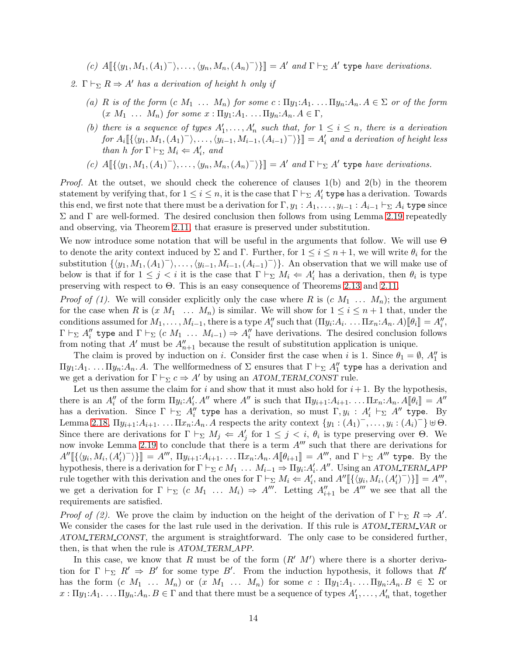(c)  $A[\{\langle y_1, M_1, (A_1)^{-}\rangle, \ldots, \langle y_n, M_n, (A_n)^{-}\rangle\}] = A'$  and  $\Gamma \vdash_{\Sigma} A'$  type have derivations.

2. Γ  $\vdash_{\Sigma} R \Rightarrow A'$  has a derivation of height h only if

- (a) R is of the form  $(c M_1 ... M_n)$  for some  $c : \Pi y_1:A_1 ... \Pi y_n:A_n$ .  $A \in \Sigma$  or of the form  $(x M_1 \dots M_n)$  for some  $x : \Pi y_1:A_1 \dots \Pi y_n:A_n.A \in \Gamma$ ,
- (b) there is a sequence of types  $A'_1, \ldots, A'_n$  such that, for  $1 \leq i \leq n$ , there is a derivation  $for A_i \llbracket {\langle y_1, M_1, (A_1)^{-}} \rangle, \ldots, \langle y_{i-1}, M_{i-1}, (A_{i-1})^{-} \rangle \rrbracket = A'_i$  and a derivation of height less than h for  $\Gamma \vdash_{\Sigma} M_i \Leftarrow A'_i$ , and
- (c)  $A[\{\langle y_1, M_1, (A_1)^{-}\rangle, \ldots, \langle y_n, M_n, (A_n)^{-}\rangle\}] = A'$  and  $\Gamma \vdash_{\Sigma} A'$  type have derivations.

*Proof.* At the outset, we should check the coherence of clauses  $1(b)$  and  $2(b)$  in the theorem statement by verifying that, for  $1 \leq i \leq n$ , it is the case that  $\Gamma \vdash_{\Sigma} A'_i$  type has a derivation. Towards this end, we first note that there must be a derivation for  $\Gamma, y_1 : A_1, \ldots, y_{i-1} : A_{i-1} \vdash_{\Sigma} A_i$  type since  $\Sigma$  and Γ are well-formed. The desired conclusion then follows from using Lemma [2.19](#page-12-1) repeatedly and observing, via Theorem [2.11,](#page-8-1) that erasure is preserved under substitution.

We now introduce some notation that will be useful in the arguments that follow. We will use Θ to denote the arity context induced by  $\Sigma$  and  $\Gamma$ . Further, for  $1 \le i \le n+1$ , we will write  $\theta_i$  for the substitution  $\{\langle y_1, M_1, (A_1)^{\dagger}, \ldots, \langle y_{i-1}, M_{i-1}, (A_{i-1})^{\dagger}\rangle\}$ . An observation that we will make use of below is that if for  $1 \leq j < i$  it is the case that  $\Gamma \vdash_{\Sigma} M_i \Leftarrow A'_i$  has a derivation, then  $\theta_i$  is type preserving with respect to Θ. This is an easy consequence of Theorems [2.13](#page-8-0) and [2.11.](#page-8-1)

*Proof of (1).* We will consider explicitly only the case where R is  $(c \ M_1 \ \ldots \ M_n)$ ; the argument for the case when R is  $(x M_1 \ldots M_n)$  is similar. We will show for  $1 \leq i \leq n+1$  that, under the conditions assumed for  $M_1, \ldots, M_{i-1}$ , there is a type  $A''_i$  such that  $(\Pi y_i: A_i \ldots \Pi x_n: A_n \ldotp A) [\![\theta_i]\!] = A''_i$ ,  $\Gamma \vdash_{\Sigma} A''_i$  type and  $\Gamma \vdash_{\Sigma} (c M_1 \ldots M_{i-1}) \Rightarrow A''_i$  have derivations. The desired conclusion follows from noting that  $A'$  must be  $A''_{n+1}$  because the result of substitution application is unique.

The claim is proved by induction on i. Consider first the case when i is 1. Since  $\theta_1 = \emptyset$ ,  $A''_1$  is Πy<sub>1</sub>: $A_1$ ... Πy<sub>n</sub>: $A_n$ . A. The wellformedness of Σ ensures that  $\Gamma \vdash_{\Sigma} A''_1$  type has a derivation and we get a derivation for  $\Gamma \vdash_{\Sigma} c \Rightarrow A'$  by using an ATOM TERM CONST rule.

Let us then assume the claim for i and show that it must also hold for  $i+1$ . By the hypothesis, there is an  $A''_i$  of the form  $\Pi y_i:A'_i\ A''$  where  $A''$  is such that  $\Pi y_{i+1}:A_{i+1}\ldots \Pi x_n:A_n\ A[\![\theta_i]\!]=A''$ has a derivation. Since  $\Gamma \vdash_{\Sigma} A''_i$  type has a derivation, so must  $\Gamma, y_i : A'_i \vdash_{\Sigma} A''$  type. By Lemma [2.18,](#page-12-2)  $\Pi y_{i+1}: A_{i+1}$ ...  $\Pi x_n: A_n$ . A respects the arity context  $\{y_1: (A_1)^-, \ldots, y_i: (A_i)^-\}$   $\forall \Theta$ . Since there are derivations for  $\Gamma \vdash_{\Sigma} M_j \Leftarrow A'_j$  for  $1 \leq j < i$ ,  $\theta_i$  is type preserving over  $\Theta$ . We now invoke Lemma [2.19](#page-12-1) to conclude that there is a term  $A'''$  such that there are derivations for  $A''[\{\langle y_i, M_i, (A'_i)^{-} \rangle\}] = A'''$ ,  $\Pi y_{i+1}: A_{i+1}$ ... .  $\Pi x_n: A_n A[\![\theta_{i+1}]\!] = A'''$ , and  $\Gamma \vdash_{\Sigma} A'''$  type. By the hypothesis, there is a derivation for  $\Gamma \vdash_{\Sigma} c M_1 \ldots M_{i-1} \Rightarrow \Pi y_i : A'_i A''$ . Using an ATOM\_TERM\_APP rule together with this derivation and the ones for  $\Gamma \vdash_{\Sigma} M_i \Leftarrow A'_i$ , and  $A''[\{\langle y_i, M_i, (A'_i)^\top \rangle\}] = A'''$ , we get a derivation for  $\Gamma \vdash_{\Sigma} (c M_1 ... M_i) \Rightarrow A'''$ . Letting  $A''_{i+1}$  be  $A'''$  we see that all the requirements are satisfied.

*Proof of (2).* We prove the claim by induction on the height of the derivation of  $\Gamma \vdash_{\Sigma} R \Rightarrow A'$ . We consider the cases for the last rule used in the derivation. If this rule is ATOM\_TERM\_VAR or ATOM TERM CONST, the argument is straightforward. The only case to be considered further, then, is that when the rule is ATOM TERM APP.

In this case, we know that R must be of the form  $(R' \ M')$  where there is a shorter derivation for  $\Gamma \vdash_{\Sigma} R' \Rightarrow B'$  for some type B'. From the induction hypothesis, it follows that R' has the form  $(c M_1 ... M_n)$  or  $(x M_1 ... M_n)$  for some  $c : \Pi y_1:A_1 ... \Pi y_n:A_n.B \in \Sigma$  or  $x:\Pi y_1:A_1.\dots \Pi y_n:A_n.B \in \Gamma$  and that there must be a sequence of types  $A'_1,\dots, A'_n$  that, together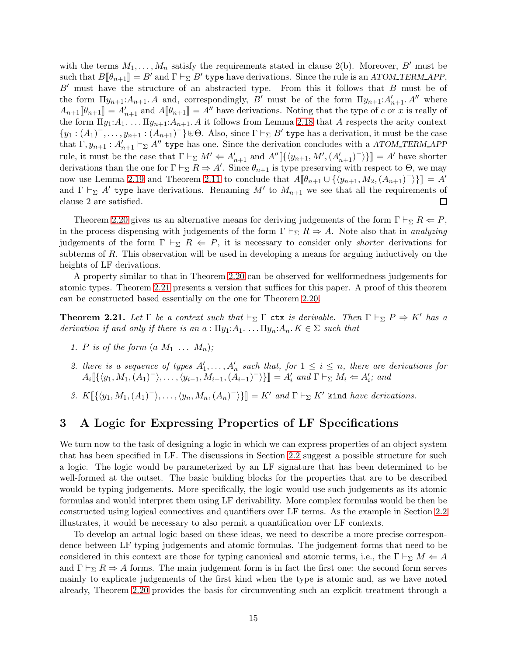with the terms  $M_1, \ldots, M_n$  satisfy the requirements stated in clause 2(b). Moreover, B' must be such that  $B[\![\theta_{n+1}]\!] = B'$  and  $\Gamma \vdash_{\Sigma} B'$  type have derivations. Since the rule is an ATOM TERM APP,  $B'$  must have the structure of an abstracted type. From this it follows that  $B$  must be of the form  $\Pi y_{n+1}: A_{n+1}. A$  and, correspondingly, B' must be of the form  $\Pi y_{n+1}: A'_{n+1}. A''$  where  $A_{n+1}[\![\theta_{n+1}]\!] = A'_{n+1}$  and  $A[\![\theta_{n+1}]\!] = A''$  have derivations. Noting that the type of c or x is really of the form  $\Pi y_1: A_1 \ldots \Pi y_{n+1}: A_{n+1}. A$  it follows from Lemma [2.18](#page-12-2) that A respects the arity context  ${y_1 : (A_1)^-, \ldots, y_{n+1} : (A_{n+1})^- \}$   $\forall \Theta$ . Also, since  $\Gamma \vdash_{\Sigma} B'$  type has a derivation, it must be the case that  $\Gamma, y_{n+1} : A'_{n+1} \vdash_{\Sigma} A''$  type has one. Since the derivation concludes with a ATOM TERM APP rule, it must be the case that  $\Gamma \vdash_{\Sigma} M' \Leftarrow A'_{n+1}$  and  $A''[\{\langle y_{n+1}, M', (A'_{n+1})^-\rangle\}] = A'$  have shorter derivations than the one for  $\Gamma \vdash_{\Sigma} R \Rightarrow A'$ . Since  $\theta_{n+1}$  is type preserving with respect to  $\Theta$ , we may now use Lemma [2.19](#page-12-1) and Theorem [2.11](#page-8-1) to conclude that  $A[\![\theta_{n+1}\cup\{\langle y_{n+1}, M_2, (A_{n+1})^-\rangle\}]] = A'$ and  $\Gamma \vdash_{\Sigma} A'$  type have derivations. Renaming M' to  $M_{n+1}$  we see that all the requirements of clause 2 are satisfied. □

Theorem [2.20](#page-12-0) gives us an alternative means for deriving judgements of the form  $\Gamma \vdash_{\Sigma} R \Leftarrow P$ , in the process dispensing with judgements of the form  $\Gamma \vdash_{\Sigma} R \Rightarrow A$ . Note also that in analyzing judgements of the form  $\Gamma \vdash_{\Sigma} R \Leftarrow P$ , it is necessary to consider only *shorter* derivations for subterms of R. This observation will be used in developing a means for arguing inductively on the heights of LF derivations.

A property similar to that in Theorem [2.20](#page-12-0) can be observed for wellformedness judgements for atomic types. Theorem [2.21](#page-14-1) presents a version that suffices for this paper. A proof of this theorem can be constructed based essentially on the one for Theorem [2.20.](#page-12-0)

<span id="page-14-1"></span>**Theorem 2.21.** Let  $\Gamma$  be a context such that  $\vdash_{\Sigma} \Gamma$  **ctx** is derivable. Then  $\Gamma \vdash_{\Sigma} P \Rightarrow K'$  has a derivation if and only if there is an  $a: \Pi y_1:A_1 \ldots \Pi y_n:A_n$ .  $K \in \Sigma$  such that

- 1. P is of the form  $(a\ M_1 \ldots M_n);$
- 2. there is a sequence of types  $A'_1, \ldots, A'_n$  such that, for  $1 \leq i \leq n$ , there are derivations for  $A_i \llbracket \{ \langle y_1, M_1, (A_1)^{-} \rangle, \ldots, \langle y_{i-1}, M_{i-1}, (\tilde{A}_{i-1})^{-} \rangle \} \rrbracket = A'_i$  and  $\Gamma \vdash_{\Sigma} M_i \Leftarrow A'_i$ ; and
- 3.  $K[\{\langle y_1, M_1, (A_1)^{-}\rangle, \ldots, \langle y_n, M_n, (A_n)^{-}\rangle\}] = K'$  and  $\Gamma \vdash_{\Sigma} K'$  kind have derivations.

## <span id="page-14-0"></span>3 A Logic for Expressing Properties of LF Specifications

We turn now to the task of designing a logic in which we can express properties of an object system that has been specified in LF. The discussions in Section [2.2](#page-10-0) suggest a possible structure for such a logic. The logic would be parameterized by an LF signature that has been determined to be well-formed at the outset. The basic building blocks for the properties that are to be described would be typing judgements. More specifically, the logic would use such judgements as its atomic formulas and would interpret them using LF derivability. More complex formulas would be then be constructed using logical connectives and quantifiers over LF terms. As the example in Section [2.2](#page-10-0) illustrates, it would be necessary to also permit a quantification over LF contexts.

To develop an actual logic based on these ideas, we need to describe a more precise correspondence between LF typing judgements and atomic formulas. The judgement forms that need to be considered in this context are those for typing canonical and atomic terms, i.e., the  $\Gamma \vdash_{\Sigma} M \Leftarrow A$ and  $\Gamma \vdash_{\Sigma} R \Rightarrow A$  forms. The main judgement form is in fact the first one: the second form serves mainly to explicate judgements of the first kind when the type is atomic and, as we have noted already, Theorem [2.20](#page-12-0) provides the basis for circumventing such an explicit treatment through a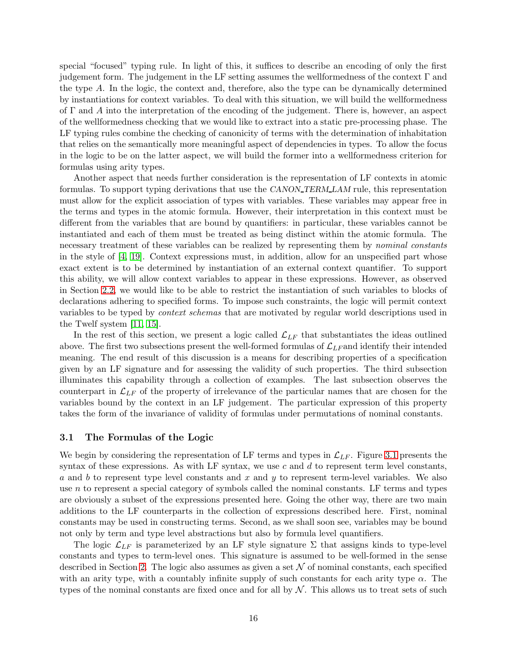special "focused" typing rule. In light of this, it suffices to describe an encoding of only the first judgement form. The judgement in the LF setting assumes the wellformedness of the context  $\Gamma$  and the type A. In the logic, the context and, therefore, also the type can be dynamically determined by instantiations for context variables. To deal with this situation, we will build the wellformedness of  $\Gamma$  and A into the interpretation of the encoding of the judgement. There is, however, an aspect of the wellformedness checking that we would like to extract into a static pre-processing phase. The LF typing rules combine the checking of canonicity of terms with the determination of inhabitation that relies on the semantically more meaningful aspect of dependencies in types. To allow the focus in the logic to be on the latter aspect, we will build the former into a wellformedness criterion for formulas using arity types.

Another aspect that needs further consideration is the representation of LF contexts in atomic formulas. To support typing derivations that use the CANON\_TERM\_LAM rule, this representation must allow for the explicit association of types with variables. These variables may appear free in the terms and types in the atomic formula. However, their interpretation in this context must be different from the variables that are bound by quantifiers: in particular, these variables cannot be instantiated and each of them must be treated as being distinct within the atomic formula. The necessary treatment of these variables can be realized by representing them by nominal constants in the style of [\[4,](#page-70-6) [19\]](#page-71-2). Context expressions must, in addition, allow for an unspecified part whose exact extent is to be determined by instantiation of an external context quantifier. To support this ability, we will allow context variables to appear in these expressions. However, as observed in Section [2.2,](#page-10-0) we would like to be able to restrict the instantiation of such variables to blocks of declarations adhering to specified forms. To impose such constraints, the logic will permit context variables to be typed by context schemas that are motivated by regular world descriptions used in the Twelf system [\[11,](#page-70-1) [15\]](#page-70-2).

In the rest of this section, we present a logic called  $\mathcal{L}_{LF}$  that substantiates the ideas outlined above. The first two subsections present the well-formed formulas of  $\mathcal{L}_{LF}$  and identify their intended meaning. The end result of this discussion is a means for describing properties of a specification given by an LF signature and for assessing the validity of such properties. The third subsection illuminates this capability through a collection of examples. The last subsection observes the counterpart in  $\mathcal{L}_{LF}$  of the property of irrelevance of the particular names that are chosen for the variables bound by the context in an LF judgement. The particular expression of this property takes the form of the invariance of validity of formulas under permutations of nominal constants.

#### 3.1 The Formulas of the Logic

We begin by considering the representation of LF terms and types in  $\mathcal{L}_{LF}$ . Figure [3.1](#page-25-0) presents the syntax of these expressions. As with LF syntax, we use c and d to represent term level constants, a and b to represent type level constants and x and y to represent term-level variables. We also use  $n$  to represent a special category of symbols called the nominal constants. LF terms and types are obviously a subset of the expressions presented here. Going the other way, there are two main additions to the LF counterparts in the collection of expressions described here. First, nominal constants may be used in constructing terms. Second, as we shall soon see, variables may be bound not only by term and type level abstractions but also by formula level quantifiers.

The logic  $\mathcal{L}_{LF}$  is parameterized by an LF style signature  $\Sigma$  that assigns kinds to type-level constants and types to term-level ones. This signature is assumed to be well-formed in the sense described in Section [2.](#page-2-0) The logic also assumes as given a set  $N$  of nominal constants, each specified with an arity type, with a countably infinite supply of such constants for each arity type  $\alpha$ . The types of the nominal constants are fixed once and for all by  $N$ . This allows us to treat sets of such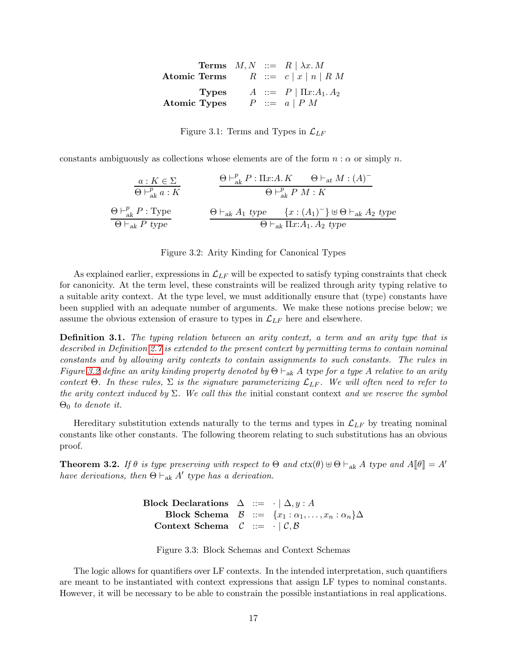|                     |  | <b>Terms</b> $M, N ::= R   \lambda x. M$ |
|---------------------|--|------------------------------------------|
|                     |  | Atomic Terms $R ::= c   x   n   R M$     |
| <b>Types</b>        |  | $A ::= P   \Pi x:A_1.A_2$                |
| <b>Atomic Types</b> |  | $P \ ::= a   P M$                        |

Figure 3.1: Terms and Types in  $\mathcal{L}_{LF}$ 

constants ambiguously as collections whose elements are of the form  $n : \alpha$  or simply n.

$$
\frac{a: K \in \Sigma}{\Theta \vdash_{ak}^p a: K} \qquad \frac{\Theta \vdash_{ak}^p P: \Pi x: A. K \qquad \Theta \vdash_{at} M: (A)^-}{\Theta \vdash_{ak}^p P M: K}
$$
\n
$$
\frac{\Theta \vdash_{ak}^p P: \text{Type}}{\Theta \vdash_{ak} P \text{ type}} \qquad \frac{\Theta \vdash_{ak} A_1 \text{ type} \{x: (A_1)^-\} \uplus \Theta \vdash_{ak} A_2 \text{ type}}{\Theta \vdash_{ak} \Pi x: A_1. A_2 \text{ type}}
$$

Figure 3.2: Arity Kinding for Canonical Types

As explained earlier, expressions in  $\mathcal{L}_{LF}$  will be expected to satisfy typing constraints that check for canonicity. At the term level, these constraints will be realized through arity typing relative to a suitable arity context. At the type level, we must additionally ensure that (type) constants have been supplied with an adequate number of arguments. We make these notions precise below; we assume the obvious extension of erasure to types in  $\mathcal{L}_{LF}$  here and elsewhere.

**Definition 3.1.** The typing relation between an arity context, a term and an arity type that is described in Definition [2.7](#page-5-2) is extended to the present context by permitting terms to contain nominal constants and by allowing arity contexts to contain assignments to such constants. The rules in Figure [3.2](#page-31-0) define an arity kinding property denoted by  $\Theta \vdash_{ak} A$  type for a type A relative to an arity context  $\Theta$ . In these rules,  $\Sigma$  is the signature parameterizing  $\mathcal{L}_{LF}$ . We will often need to refer to the arity context induced by  $\Sigma$ . We call this the initial constant context and we reserve the symbol  $\Theta_0$  to denote it.

Hereditary substitution extends naturally to the terms and types in  $\mathcal{L}_{LF}$  by treating nominal constants like other constants. The following theorem relating to such substitutions has an obvious proof.

<span id="page-16-0"></span>**Theorem 3.2.** If  $\theta$  is type preserving with respect to  $\Theta$  and  $ctx(\theta) \cup \Theta \vdash_{ak} A$  type and  $A[\![\theta]\!] = A'$ have derivations, then  $\Theta \vdash_{ak} A'$  type has a derivation.

> Block Declarations  $\Delta ::= \cdot | \Delta, y : A$ Block Schema  $\mathcal{B}$  ::=  $\{x_1 : \alpha_1, \ldots, x_n : \alpha_n\}\Delta$ Context Schema  $\mathcal{C} ::= \cdot | \mathcal{C}, \mathcal{B}$

Figure 3.3: Block Schemas and Context Schemas

The logic allows for quantifiers over LF contexts. In the intended interpretation, such quantifiers are meant to be instantiated with context expressions that assign LF types to nominal constants. However, it will be necessary to be able to constrain the possible instantiations in real applications.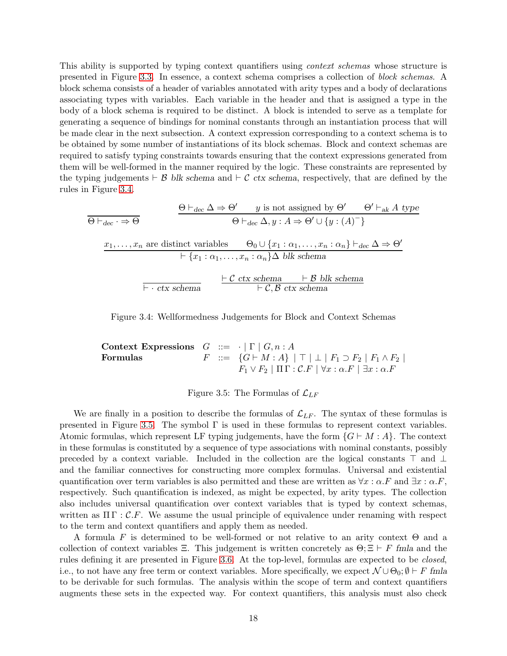This ability is supported by typing context quantifiers using context schemas whose structure is presented in Figure [3.3.](#page-33-0) In essence, a context schema comprises a collection of block schemas. A block schema consists of a header of variables annotated with arity types and a body of declarations associating types with variables. Each variable in the header and that is assigned a type in the body of a block schema is required to be distinct. A block is intended to serve as a template for generating a sequence of bindings for nominal constants through an instantiation process that will be made clear in the next subsection. A context expression corresponding to a context schema is to be obtained by some number of instantiations of its block schemas. Block and context schemas are required to satisfy typing constraints towards ensuring that the context expressions generated from them will be well-formed in the manner required by the logic. These constraints are represented by the typing judgements  $\vdash$  B blk schema and  $\vdash$  C ctx schema, respectively, that are defined by the rules in Figure [3.4.](#page-36-0)

$$
\frac{\Theta \vdash_{dec} \Delta \Rightarrow \Theta' \qquad y \text{ is not assigned by } \Theta' \qquad \Theta' \vdash_{ak} A \text{ type } }{\Theta \vdash_{dec} \Delta, y : A \Rightarrow \Theta' \cup \{y : (A)^-\}}
$$
\n
$$
\frac{x_1, \dots, x_n \text{ are distinct variables} \qquad \Theta_0 \cup \{x_1 : \alpha_1, \dots, x_n : \alpha_n\} \vdash_{dec} \Delta \Rightarrow \Theta' \text{ type } }{\vdash \{x_1 : \alpha_1, \dots, x_n : \alpha_n\} \Delta \text{ blks schema}}
$$
\n
$$
\frac{\vdash C \text{ ctx schema} \qquad \vdash B \text{ blks schema}}{\vdash C, B \text{ ctx schema}}
$$

Figure 3.4: Wellformedness Judgements for Block and Context Schemas

Context Expressions  $G ::= \cdot | \Gamma | G, n : A$ Formulas  $F$  ::=  $\{G \vdash M : A\}$  |  $\top$  |  $\bot$  |  $F_1 \supset F_2$  |  $F_1 \wedge F_2$  |  $F_1 \vee F_2 \mid \Pi \Gamma : \mathcal{C}.F \mid \forall x : \alpha . F \mid \exists x : \alpha . F$ 

Figure 3.5: The Formulas of  $\mathcal{L}_{LF}$ 

We are finally in a position to describe the formulas of  $\mathcal{L}_{LF}$ . The syntax of these formulas is presented in Figure [3.5.](#page-50-0) The symbol  $\Gamma$  is used in these formulas to represent context variables. Atomic formulas, which represent LF typing judgements, have the form  $\{G \vdash M : A\}$ . The context in these formulas is constituted by a sequence of type associations with nominal constants, possibly preceded by a context variable. Included in the collection are the logical constants ⊤ and ⊥ and the familiar connectives for constructing more complex formulas. Universal and existential quantification over term variables is also permitted and these are written as  $\forall x : \alpha.F$  and  $\exists x : \alpha.F$ , respectively. Such quantification is indexed, as might be expected, by arity types. The collection also includes universal quantification over context variables that is typed by context schemas, written as  $\Pi \Gamma : \mathcal{C}.F$ . We assume the usual principle of equivalence under renaming with respect to the term and context quantifiers and apply them as needed.

A formula F is determined to be well-formed or not relative to an arity context  $\Theta$  and a collection of context variables Ξ. This judgement is written concretely as  $\Theta$ ;  $\Xi \vdash F$  fmla and the rules defining it are presented in Figure [3.6.](#page-55-0) At the top-level, formulas are expected to be closed, i.e., to not have any free term or context variables. More specifically, we expect  $\mathcal{N} \cup \Theta_0$ ;  $\emptyset \vdash F$  fmla to be derivable for such formulas. The analysis within the scope of term and context quantifiers augments these sets in the expected way. For context quantifiers, this analysis must also check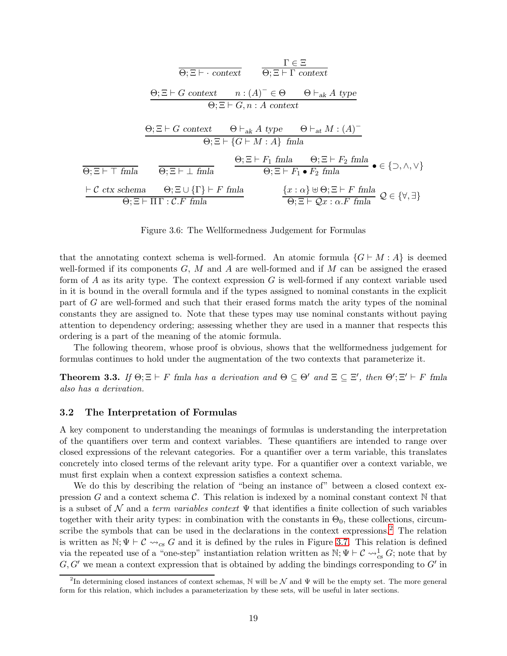$$
\frac{\Gamma \in \Xi}{\Theta; \Xi \vdash \cdot \text{context}} \qquad \frac{\Gamma \in \Xi}{\Theta; \Xi \vdash \Gamma \text{ context}}
$$
\n
$$
\frac{\Theta; \Xi \vdash G \text{ context} \qquad n : (A)^{-} \in \Theta \qquad \Theta \vdash_{ak} A \text{ type}}{\Theta; \Xi \vdash G, n : A \text{ context}}
$$
\n
$$
\frac{\Theta; \Xi \vdash G \text{ context} \qquad \Theta \vdash_{ak} A \text{ type} \qquad \Theta \vdash_{at} M : (A)^{-}}{\Theta; \Xi \vdash \{G \vdash M : A\} \text{ final}}
$$
\n
$$
\frac{\Theta; \Xi \vdash F_1 \text{ final} \qquad \Theta; \Xi \vdash F_2 \text{ final}}{\Theta; \Xi \vdash \top \text{ final}} \qquad \frac{\Theta; \Xi \vdash F_1 \text{ final} \qquad \Theta; \Xi \vdash F_2 \text{ final}}{\Theta; \Xi \vdash F_1 \bullet F_2 \text{ final}} \qquad \bullet \in \{\supset, \wedge, \vee\}
$$
\n
$$
\frac{\vdash C \text{ ctx schema} \qquad \Theta; \Xi \cup \{\Gamma\} \vdash F \text{ final}}{\Theta; \Xi \vdash \Pi \Gamma : C.F \text{ final}} \qquad \frac{\{x : \alpha\} \uplus \Theta; \Xi \vdash F \text{ final}}{\Theta; \Xi \vdash Qx : \alpha.F \text{ final}} \qquad \mathcal{Q} \in \{\forall, \exists\}
$$

Figure 3.6: The Wellformedness Judgement for Formulas

that the annotating context schema is well-formed. An atomic formula  $\{G \vdash M : A\}$  is deemed well-formed if its components  $G, M$  and  $A$  are well-formed and if  $M$  can be assigned the erased form of A as its arity type. The context expression  $G$  is well-formed if any context variable used in it is bound in the overall formula and if the types assigned to nominal constants in the explicit part of G are well-formed and such that their erased forms match the arity types of the nominal constants they are assigned to. Note that these types may use nominal constants without paying attention to dependency ordering; assessing whether they are used in a manner that respects this ordering is a part of the meaning of the atomic formula.

The following theorem, whose proof is obvious, shows that the wellformedness judgement for formulas continues to hold under the augmentation of the two contexts that parameterize it.

<span id="page-18-1"></span>**Theorem 3.3.** If  $\Theta; \Xi \vdash F$  fmla has a derivation and  $\Theta \subseteq \Theta'$  and  $\Xi \subseteq \Xi'$ , then  $\Theta'; \Xi' \vdash F$  fmla also has a derivation.

#### 3.2 The Interpretation of Formulas

A key component to understanding the meanings of formulas is understanding the interpretation of the quantifiers over term and context variables. These quantifiers are intended to range over closed expressions of the relevant categories. For a quantifier over a term variable, this translates concretely into closed terms of the relevant arity type. For a quantifier over a context variable, we must first explain when a context expression satisfies a context schema.

We do this by describing the relation of "being an instance of" between a closed context expression G and a context schema C. This relation is indexed by a nominal constant context  $\mathbb N$  that is a subset of N and a term variables context  $\Psi$  that identifies a finite collection of such variables together with their arity types: in combination with the constants in  $\Theta_0$ , these collections, circumscribe the symbols that can be used in the declarations in the context expressions.[2](#page-18-0) The relation is written as  $\mathbb{N}; \Psi \vdash \mathcal{C} \leadsto_{cs} G$  and it is defined by the rules in Figure [3.7.](#page-59-0) This relation is defined via the repeated use of a "one-step" instantiation relation written as  $\mathbb{N}; \Psi \vdash \mathcal{C} \leadsto_{cs}^1 G$ ; note that by  $G, G'$  we mean a context expression that is obtained by adding the bindings corresponding to  $G'$  in

<span id="page-18-0"></span><sup>&</sup>lt;sup>2</sup>In determining closed instances of context schemas, N will be  $\mathcal N$  and  $\Psi$  will be the empty set. The more general form for this relation, which includes a parameterization by these sets, will be useful in later sections.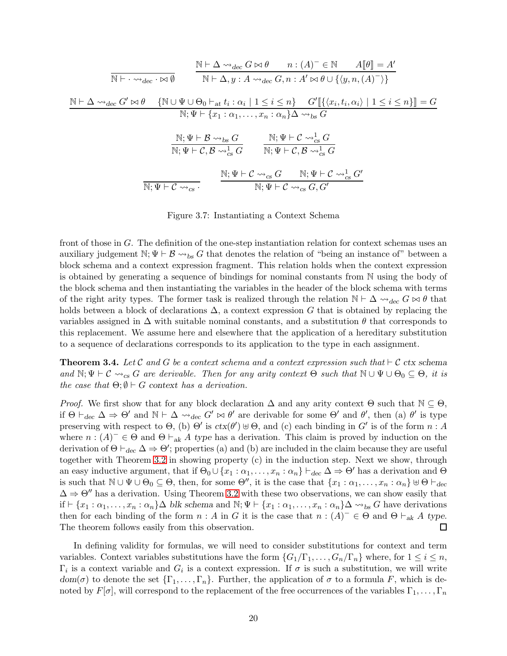$$
\frac{\mathbb{N} \vdash \Delta \leadsto_{dec} G \bowtie \theta \qquad n : (A)^{-} \in \mathbb{N} \qquad A[\![\theta]\!] = A'}{\mathbb{N} \vdash \Delta, y : A \leadsto_{dec} G, n : A' \bowtie \theta \cup \{\langle y, n, (A)^{-}\rangle\}}
$$
\n
$$
\frac{\mathbb{N} \vdash \Delta \leadsto_{dec} G' \bowtie \theta \qquad \{\mathbb{N} \cup \Psi \cup \Theta_{0} \vdash_{at} t_{i} : \alpha_{i} \mid 1 \leq i \leq n\} \qquad G'[\![\{\langle x_{i}, t_{i}, \alpha_{i} \rangle \mid 1 \leq i \leq n\}\!] = G}{\mathbb{N}; \Psi \vdash \{x_{1} : \alpha_{1}, \dots, x_{n} : \alpha_{n}\} \Delta \leadsto_{bs} G}
$$
\n
$$
\frac{\mathbb{N}; \Psi \vdash \mathcal{B} \leadsto_{bs} G}{\mathbb{N}; \Psi \vdash \mathcal{C}, \mathcal{B} \leadsto_{cs}^{1} G} \qquad \frac{\mathbb{N}; \Psi \vdash \mathcal{C} \leadsto_{cs}^{1} G}{\mathbb{N}; \Psi \vdash \mathcal{C}, \mathcal{B} \leadsto_{cs}^{1} G}
$$
\n
$$
\frac{\mathbb{N}; \Psi \vdash \mathcal{C} \leadsto_{cs} G}{\mathbb{N}; \Psi \vdash \mathcal{C} \leadsto_{cs} G} \qquad \frac{\mathbb{N}; \Psi \vdash \mathcal{C} \leadsto_{cs} G}{\mathbb{N}; \Psi \vdash \mathcal{C} \leadsto_{cs} G, G'}
$$

Figure 3.7: Instantiating a Context Schema

front of those in G. The definition of the one-step instantiation relation for context schemas uses an auxiliary judgement N;  $\Psi \vdash \mathcal{B} \leadsto_{bs} G$  that denotes the relation of "being an instance of" between a block schema and a context expression fragment. This relation holds when the context expression is obtained by generating a sequence of bindings for nominal constants from N using the body of the block schema and then instantiating the variables in the header of the block schema with terms of the right arity types. The former task is realized through the relation  $\mathbb{N} \vdash \Delta \leadsto_{\text{dec}} G \bowtie \theta$  that holds between a block of declarations  $\Delta$ , a context expression G that is obtained by replacing the variables assigned in  $\Delta$  with suitable nominal constants, and a substitution  $\theta$  that corresponds to this replacement. We assume here and elsewhere that the application of a hereditary substitution to a sequence of declarations corresponds to its application to the type in each assignment.

<span id="page-19-0"></span>**Theorem 3.4.** Let C and G be a context schema and a context expression such that  $\vdash$  C ctx schema and  $\mathbb{N}; \Psi \vdash \mathcal{C} \leadsto_{cs} G$  are derivable. Then for any arity context  $\Theta$  such that  $\mathbb{N} \cup \Psi \cup \Theta_0 \subseteq \Theta$ , it is the case that  $\Theta$ ;  $\emptyset \vdash G$  context has a derivation.

*Proof.* We first show that for any block declaration  $\Delta$  and any arity context  $\Theta$  such that  $\mathbb{N} \subseteq \Theta$ , if  $\Theta \vdash_{dec} \Delta \Rightarrow \Theta'$  and  $\mathbb{N} \vdash \Delta \leadsto_{dec} G' \bowtie \theta'$  are derivable for some  $\Theta'$  and  $\theta'$ , then (a)  $\theta'$  is type preserving with respect to  $\Theta$ , (b)  $\Theta'$  is  $ctx(\theta') \oplus \Theta$ , and (c) each binding in G' is of the form  $n : A$ where  $n:(A)^{\dagger} \in \Theta$  and  $\Theta \vdash_{ak} A$  type has a derivation. This claim is proved by induction on the derivation of  $\Theta \vdash_{dec} \Delta \Rightarrow \Theta'$ ; properties (a) and (b) are included in the claim because they are useful together with Theorem [3.2](#page-16-0) in showing property (c) in the induction step. Next we show, through an easy inductive argument, that if  $\Theta_0 \cup \{x_1 : \alpha_1, \ldots, x_n : \alpha_n\} \vdash_{dec} \Delta \Rightarrow \Theta'$  has a derivation and  $\Theta$ is such that  $\mathbb{N} \cup \Psi \cup \Theta_0 \subseteq \Theta$ , then, for some  $\Theta''$ , it is the case that  $\{x_1 : \alpha_1, \ldots, x_n : \alpha_n\} \cup \Theta \vdash_{dec}$  $\Delta \Rightarrow \Theta''$  has a derivation. Using Theorem [3.2](#page-16-0) with these two observations, we can show easily that if  $\vdash \{x_1 : \alpha_1, \ldots, x_n : \alpha_n\}$  blk schema and  $\mathbb{N}; \Psi \vdash \{x_1 : \alpha_1, \ldots, x_n : \alpha_n\}$   $\Delta \leadsto_{bs} G$  have derivations then for each binding of the form  $n : A$  in G it is the case that  $n : (A)^- \in \Theta$  and  $\Theta \vdash_{ak} A$  type. The theorem follows easily from this observation. 口

In defining validity for formulas, we will need to consider substitutions for context and term variables. Context variables substitutions have the form  $\{G_1/\Gamma_1,\ldots,G_n/\Gamma_n\}$  where, for  $1 \leq i \leq n$ ,  $\Gamma_i$  is a context variable and  $G_i$  is a context expression. If  $\sigma$  is such a substitution, we will write  $dom(\sigma)$  to denote the set  $\{\Gamma_1,\ldots,\Gamma_n\}$ . Further, the application of  $\sigma$  to a formula F, which is denoted by  $F[\sigma]$ , will correspond to the replacement of the free occurrences of the variables  $\Gamma_1, \ldots, \Gamma_n$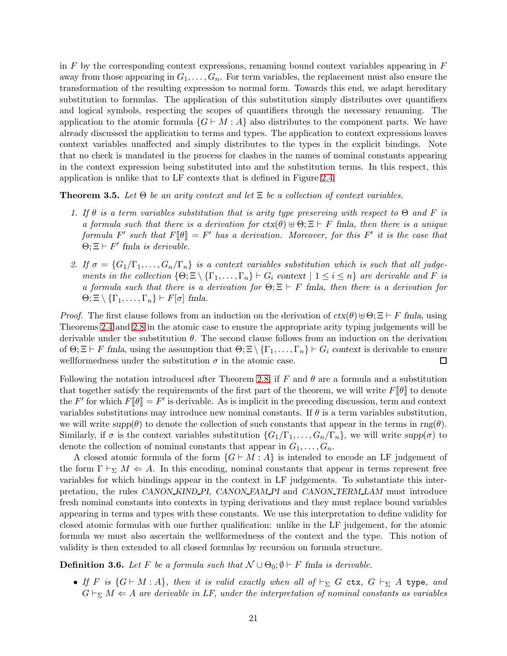in  $F$  by the corresponding context expressions, renaming bound context variables appearing in  $F$ away from those appearing in  $G_1, \ldots, G_n$ . For term variables, the replacement must also ensure the transformation of the resulting expression to normal form. Towards this end, we adapt hereditary substitution to formulas. The application of this substitution simply distributes over quantifiers and logical symbols, respecting the scopes of quantifiers through the necessary renaming. The application to the atomic formula  $\{G \vdash M : A\}$  also distributes to the component parts. We have already discussed the application to terms and types. The application to context expressions leaves context variables unaffected and simply distributes to the types in the explicit bindings. Note that no check is mandated in the process for clashes in the names of nominal constants appearing in the context expression being substituted into and the substitution terms. In this respect, this application is unlike that to LF contexts that is defined in Figure [2.4.](#page-36-0)

<span id="page-20-0"></span>**Theorem 3.5.** Let  $\Theta$  be an arity context and let  $\Xi$  be a collection of context variables.

- 1. If  $\theta$  is a term variables substitution that is arity type preserving with respect to  $\Theta$  and F is a formula such that there is a derivation for  $ctx(\theta) \oplus \Theta \subset E \vdash F$  fmla, then there is a unique formula F' such that  $F[\![\theta]\!] = F'$  has a derivation. Moreover, for this F' it is the case that  $\Theta$ ;  $\Xi \vdash F'$  fmla is derivable.
- 2. If  $\sigma = \{G_1/\Gamma_1,\ldots,G_n/\Gamma_n\}$  is a context variables substitution which is such that all judgements in the collection  $\{\Theta; \Xi \setminus \{\Gamma_1, \ldots, \Gamma_n\} \vdash G_i \text{ context } | 1 \leq i \leq n\}$  are derivable and F is a formula such that there is a derivation for  $\Theta$ ;  $\Xi \vdash F$  fmla, then there is a derivation for  $\Theta$ ;  $\Xi \setminus {\{\Gamma_1, \ldots, \Gamma_n\}} \vdash F[\sigma]$  fmla.

*Proof.* The first clause follows from an induction on the derivation of  $ctx(\theta) \cup \Theta; \Xi \vdash F$  fmla, using Theorems [2.4](#page-3-1) and [2.8](#page-5-0) in the atomic case to ensure the appropriate arity typing judgements will be derivable under the substitution  $\theta$ . The second clause follows from an induction on the derivation of  $\Theta$ ;  $\Xi \vdash F$  fmla, using the assumption that  $\Theta$ ;  $\Xi \setminus {\{\Gamma_1, \ldots, \Gamma_n\}} \vdash G_i$  context is derivable to ensure wellformedness under the substitution  $\sigma$  in the atomic case. □

Following the notation introduced after Theorem [2.8,](#page-5-0) if F and  $\theta$  are a formula and a substitution that together satisfy the requirements of the first part of the theorem, we will write  $F[\![\theta]\!]$  to denote the F' for which  $F[\![\theta]\!] = F'$  is derivable. As is implicit in the preceding discussion, term and context variables substitutions may introduce new nominal constants. If  $\theta$  is a term variables substitution, we will write  $supp(\theta)$  to denote the collection of such constants that appear in the terms in  $rng(\theta)$ . Similarly, if  $\sigma$  is the context variables substitution  $\{G_1/\Gamma_1,\ldots,G_n/\Gamma_n\}$ , we will write  $supp(\sigma)$  to denote the collection of nominal constants that appear in  $G_1, \ldots, G_n$ .

A closed atomic formula of the form  $\{G \vdash M : A\}$  is intended to encode an LF judgement of the form  $\Gamma \vdash_{\Sigma} M \Leftarrow A$ . In this encoding, nominal constants that appear in terms represent free variables for which bindings appear in the context in LF judgements. To substantiate this interpretation, the rules CANON KIND PI, CANON FAM PI and CANON TERM LAM must introduce fresh nominal constants into contexts in typing derivations and they must replace bound variables appearing in terms and types with these constants. We use this interpretation to define validity for closed atomic formulas with one further qualification: unlike in the LF judgement, for the atomic formula we must also ascertain the wellformedness of the context and the type. This notion of validity is then extended to all closed formulas by recursion on formula structure.

**Definition 3.6.** Let F be a formula such that  $\mathcal{N} \cup \Theta_0$ ;  $\emptyset \vdash F$  fmla is derivable.

• If F is  $\{G \vdash M : A\}$ , then it is valid exactly when all of  $\vdash_{\Sigma} G$  ctx,  $G \vdash_{\Sigma} A$  type, and  $G\vdash_{\Sigma} M \Leftarrow A$  are derivable in LF, under the interpretation of nominal constants as variables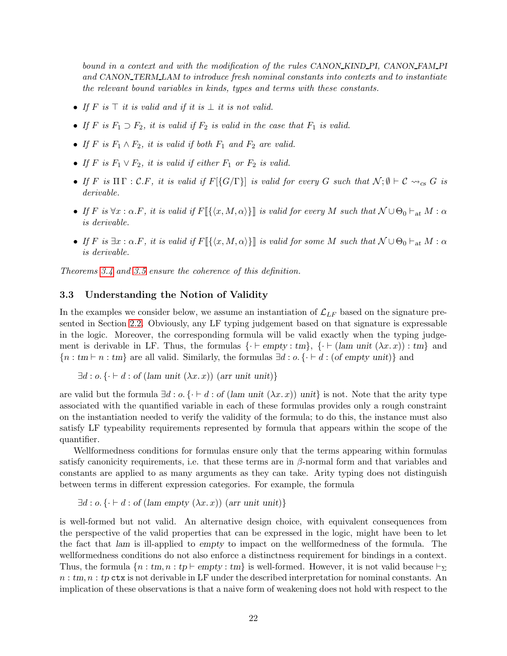bound in a context and with the modification of the rules CANON\_KIND\_PI, CANON\_FAM\_PI and CANON TERM LAM to introduce fresh nominal constants into contexts and to instantiate the relevant bound variables in kinds, types and terms with these constants.

- If  $F$  is  $\top$  it is valid and if it is  $\bot$  it is not valid.
- If F is  $F_1 \supset F_2$ , it is valid if  $F_2$  is valid in the case that  $F_1$  is valid.
- If F is  $F_1 \wedge F_2$ , it is valid if both  $F_1$  and  $F_2$  are valid.
- If F is  $F_1 \vee F_2$ , it is valid if either  $F_1$  or  $F_2$  is valid.
- If F is  $\Pi \Gamma : C.F$ , it is valid if  $F[\{G/\Gamma\}]$  is valid for every G such that  $\mathcal{N}; \emptyset \vdash C \leadsto_{cs} G$  is derivable.
- If F is  $\forall x : \alpha. F$ , it is valid if  $F[\{\langle x, M, \alpha \rangle\}]$  is valid for every M such that  $\mathcal{N} \cup \Theta_0 \vdash_{\text{at}} M : \alpha$ is derivable.
- If F is  $\exists x : \alpha.F$ , it is valid if  $F[\{\langle x, M, \alpha \rangle\}]$  is valid for some M such that  $\mathcal{N} \cup \Theta_0 \vdash_{\text{at}} M : \alpha$ is derivable.

Theorems [3.4](#page-19-0) and [3.5](#page-20-0) ensure the coherence of this definition.

#### 3.3 Understanding the Notion of Validity

In the examples we consider below, we assume an instantiation of  $\mathcal{L}_{LF}$  based on the signature presented in Section [2.2.](#page-10-0) Obviously, any LF typing judgement based on that signature is expressable in the logic. Moreover, the corresponding formula will be valid exactly when the typing judgement is derivable in LF. Thus, the formulas  $\{\cdot \vdash empty : tm\}$ ,  $\{\cdot \vdash (lam unit (\lambda x.x)) : tm\}$  and  ${n : tm \mid n : tm}$  are all valid. Similarly, the formulas  $\exists d : o. \{\cdot \vdash d : (of empty unit)\}$  and

$$
\exists d : o. \{ \cdot \vdash d : \text{of (lam unit } (\lambda x. x)) \text{ (arr unit unit)} \}
$$

are valid but the formula  $\exists d : o. \{ \cdot \vdash d : \text{of (lam unit } (\lambda x. x)) \text{ unit} \}$  is not. Note that the arity type associated with the quantified variable in each of these formulas provides only a rough constraint on the instantiation needed to verify the validity of the formula; to do this, the instance must also satisfy LF typeability requirements represented by formula that appears within the scope of the quantifier.

Wellformedness conditions for formulas ensure only that the terms appearing within formulas satisfy canonicity requirements, i.e. that these terms are in  $\beta$ -normal form and that variables and constants are applied to as many arguments as they can take. Arity typing does not distinguish between terms in different expression categories. For example, the formula

 $\exists d : o. \{\cdot \vdash d : \text{of (lam empty } (\lambda x. x)) \text{ (arr unit unit)}\}$ 

is well-formed but not valid. An alternative design choice, with equivalent consequences from the perspective of the valid properties that can be expressed in the logic, might have been to let the fact that lam is ill-applied to empty to impact on the wellformedness of the formula. The wellformedness conditions do not also enforce a distinctness requirement for bindings in a context. Thus, the formula  $\{n : tm, n : tp \vdash empty : tm\}$  is well-formed. However, it is not valid because  $\vdash_{\Sigma}$  $n : t, n : t$  ctx is not derivable in LF under the described interpretation for nominal constants. An implication of these observations is that a naive form of weakening does not hold with respect to the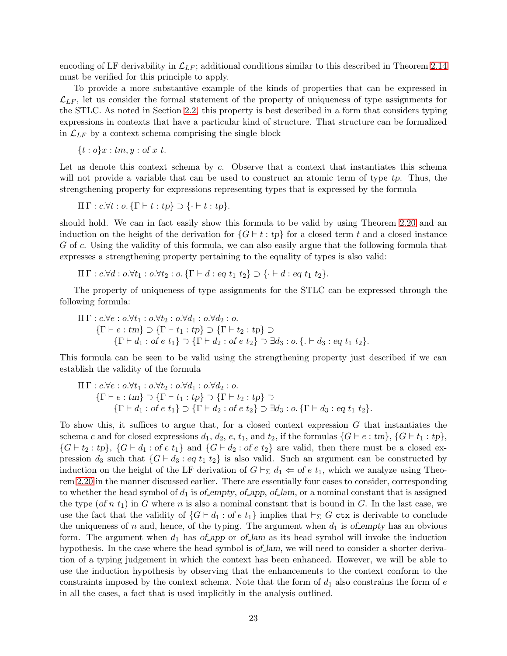encoding of LF derivability in  $\mathcal{L}_{LF}$ ; additional conditions similar to this described in Theorem [2.14](#page-11-1) must be verified for this principle to apply.

To provide a more substantive example of the kinds of properties that can be expressed in  $\mathcal{L}_{LF}$ , let us consider the formal statement of the property of uniqueness of type assignments for the STLC. As noted in Section [2.2,](#page-10-0) this property is best described in a form that considers typing expressions in contexts that have a particular kind of structure. That structure can be formalized in  $\mathcal{L}_{LF}$  by a context schema comprising the single block

 ${t : o}x : tm, y : of x t.$ 

Let us denote this context schema by c. Observe that a context that instantiates this schema will not provide a variable that can be used to construct an atomic term of type tp. Thus, the strengthening property for expressions representing types that is expressed by the formula

$$
\Pi \Gamma : c.\forall t : o. \{\Gamma \vdash t : tp\} \supset \{\cdot \vdash t : tp\}.
$$

should hold. We can in fact easily show this formula to be valid by using Theorem [2.20](#page-12-0) and an induction on the height of the derivation for  $\{G \vdash t : tp\}$  for a closed term t and a closed instance G of c. Using the validity of this formula, we can also easily argue that the following formula that expresses a strengthening property pertaining to the equality of types is also valid:

$$
\Pi \Gamma: c.\forall d: o.\forall t_1: o.\forall t_2: o.\{\Gamma \vdash d: eq \ t_1 \ t_2\} \supset \{\cdot \vdash d: eq \ t_1 \ t_2\}.
$$

The property of uniqueness of type assignments for the STLC can be expressed through the following formula:

$$
\Pi \Gamma : c.\forall e : o.\forall t_1 : o.\forall t_2 : o.\forall d_1 : o.\forall d_2 : o.
$$
\n
$$
\{\Gamma \vdash e : t_m\} \supset \{\Gamma \vdash t_1 : tp\} \supset \{\Gamma \vdash t_2 : tp\} \supset \{\Gamma \vdash d_3 : o.\{.\} \vdash d_3 : eq \ t_1 \ t_2\}.
$$

This formula can be seen to be valid using the strengthening property just described if we can establish the validity of the formula

$$
\Pi \Gamma : c.\forall e : o.\forall t_1 : o.\forall t_2 : o.\forall d_1 : o.\forall d_2 : o.
$$
\n
$$
\{\Gamma \vdash e : t m\} \supset \{\Gamma \vdash t_1 : t p\} \supset \{\Gamma \vdash t_2 : t p\} \supset \{\Gamma \vdash d_3 : o. \{\Gamma \vdash d_3 : e q t_1 t_2\}.
$$
\n
$$
\{\Gamma \vdash d_1 : \text{of } e t_1\} \supset \{\Gamma \vdash d_2 : \text{of } e t_2\} \supset \exists d_3 : o. \{\Gamma \vdash d_3 : e q t_1 t_2\}.
$$

To show this, it suffices to argue that, for a closed context expression G that instantiates the schema c and for closed expressions  $d_1, d_2, e, t_1$ , and  $t_2$ , if the formulas  $\{G \vdash e : tm\}, \{G \vdash t_1 : tp\},\$  ${G \vdash t_2 : tp}, \ {G \vdash d_1 : of e t_1} \text{ and } {G \vdash d_2 : of e t_2} \text{ are valid, then there must be a closed ex$ pression  $d_3$  such that  $\{G \vdash d_3 : eq \ t_1 \ t_2\}$  is also valid. Such an argument can be constructed by induction on the height of the LF derivation of  $G \vdash_{\Sigma} d_1 \Leftarrow$  of e t<sub>1</sub>, which we analyze using Theorem [2.20](#page-12-0) in the manner discussed earlier. There are essentially four cases to consider, corresponding to whether the head symbol of  $d_1$  is of empty, of app, of lam, or a nominal constant that is assigned the type (of n  $t_1$ ) in G where n is also a nominal constant that is bound in G. In the last case, we use the fact that the validity of  $\{G \vdash d_1 : \text{of } e t_1\}$  implies that  $\vdash_{\Sigma} G$  ctx is derivable to conclude the uniqueness of n and, hence, of the typing. The argument when  $d_1$  is of empty has an obvious form. The argument when  $d_1$  has of app or of lam as its head symbol will invoke the induction hypothesis. In the case where the head symbol is of lam, we will need to consider a shorter derivation of a typing judgement in which the context has been enhanced. However, we will be able to use the induction hypothesis by observing that the enhancements to the context conform to the constraints imposed by the context schema. Note that the form of  $d_1$  also constrains the form of  $e$ in all the cases, a fact that is used implicitly in the analysis outlined.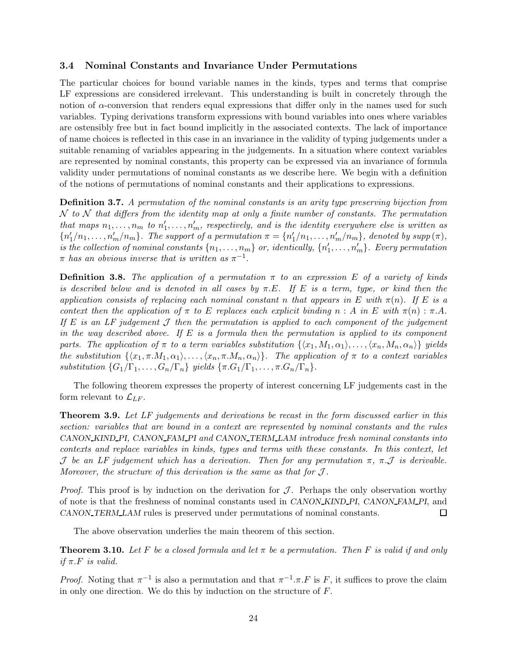### 3.4 Nominal Constants and Invariance Under Permutations

The particular choices for bound variable names in the kinds, types and terms that comprise LF expressions are considered irrelevant. This understanding is built in concretely through the notion of  $\alpha$ -conversion that renders equal expressions that differ only in the names used for such variables. Typing derivations transform expressions with bound variables into ones where variables are ostensibly free but in fact bound implicitly in the associated contexts. The lack of importance of name choices is reflected in this case in an invariance in the validity of typing judgements under a suitable renaming of variables appearing in the judgements. In a situation where context variables are represented by nominal constants, this property can be expressed via an invariance of formula validity under permutations of nominal constants as we describe here. We begin with a definition of the notions of permutations of nominal constants and their applications to expressions.

Definition 3.7. A permutation of the nominal constants is an arity type preserving bijection from  $\mathcal N$  to  $\mathcal N$  that differs from the identity map at only a finite number of constants. The permutation that maps  $n_1, \ldots, n_m$  to  $n'_1, \ldots, n'_m$ , respectively, and is the identity everywhere else is written as  ${n'_1/n_1,...,n'_m/n_m}$ . The support of a permutation  $\pi = {n'_1/n_1,...,n'_m/n_m}$ , denoted by supp $(\pi)$ , is the collection of nominal constants  $\{n_1, \ldots, n_m\}$  or, identically,  $\{n'_1, \ldots, n'_m\}$ . Every permutation  $\pi$  has an obvious inverse that is written as  $\pi^{-1}$ .

**Definition 3.8.** The application of a permutation  $\pi$  to an expression E of a variety of kinds is described below and is denoted in all cases by  $\pi.E$ . If E is a term, type, or kind then the application consists of replacing each nominal constant n that appears in E with  $\pi(n)$ . If E is a context then the application of  $\pi$  to E replaces each explicit binding  $n : A$  in E with  $\pi(n) : \pi.A$ . If E is an LF judgement  $\mathcal J$  then the permutation is applied to each component of the judgement in the way described above. If  $E$  is a formula then the permutation is applied to its component parts. The application of  $\pi$  to a term variables substitution  $\{\langle x_1, M_1, \alpha_1 \rangle, \ldots, \langle x_n, M_n, \alpha_n \rangle\}$  yields the substitution  $\{\langle x_1, \pi.M_1, \alpha_1 \rangle, \ldots, \langle x_n, \pi.M_n, \alpha_n \rangle\}.$  The application of  $\pi$  to a context variables substitution  $\{G_1/\Gamma_1,\ldots,G_n/\Gamma_n\}$  yields  $\{\pi.G_1/\Gamma_1,\ldots,\pi.G_n/\Gamma_n\}.$ 

The following theorem expresses the property of interest concerning LF judgements cast in the form relevant to  $\mathcal{L}_{LF}$ .

<span id="page-23-0"></span>**Theorem 3.9.** Let LF judgements and derivations be recast in the form discussed earlier in this section: variables that are bound in a context are represented by nominal constants and the rules CANON KIND PI, CANON FAM PI and CANON TERM LAM introduce fresh nominal constants into contexts and replace variables in kinds, types and terms with these constants. In this context, let J be an LF judgement which has a derivation. Then for any permutation  $\pi$ ,  $\pi$ . J is derivable. Moreover, the structure of this derivation is the same as that for  $\mathcal{J}$ .

*Proof.* This proof is by induction on the derivation for  $J$ . Perhaps the only observation worthy of note is that the freshness of nominal constants used in CANON KIND PI, CANON FAM PI, and CANON TERM LAM rules is preserved under permutations of nominal constants. 囗

The above observation underlies the main theorem of this section.

<span id="page-23-1"></span>**Theorem 3.10.** Let F be a closed formula and let  $\pi$  be a permutation. Then F is valid if and only if  $\pi.F$  is valid.

*Proof.* Noting that  $\pi^{-1}$  is also a permutation and that  $\pi^{-1} \cdot \pi \cdot F$  is F, it suffices to prove the claim in only one direction. We do this by induction on the structure of  $F$ .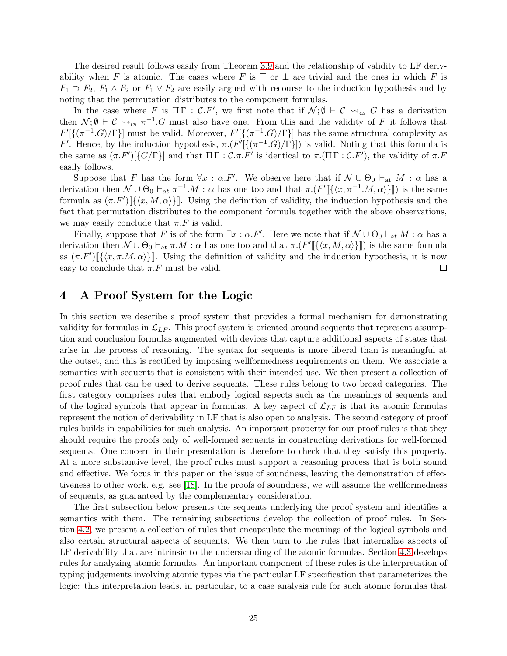The desired result follows easily from Theorem [3.9](#page-23-0) and the relationship of validity to LF derivability when F is atomic. The cases where F is ⊤ or  $\perp$  are trivial and the ones in which F is  $F_1 \supset F_2$ ,  $F_1 \wedge F_2$  or  $F_1 \vee F_2$  are easily argued with recourse to the induction hypothesis and by noting that the permutation distributes to the component formulas.

In the case where F is  $\Pi \Gamma : \mathcal{C}.F'$ , we first note that if  $\mathcal{N}; \emptyset \vdash \mathcal{C} \leadsto_{cs} G$  has a derivation then  $\mathcal{N}; \emptyset \vdash \mathcal{C} \leadsto_{cs} \pi^{-1}.G$  must also have one. From this and the validity of F it follows that  $F'[\{(\pi^{-1}.G)/\Gamma\}]$  must be valid. Moreover,  $F'[\{(\pi^{-1}.G)/\Gamma\}]$  has the same structural complexity as F'. Hence, by the induction hypothesis,  $\pi.(F'[\{(\pi^{-1}.G)/\Gamma\}])$  is valid. Noting that this formula is the same as  $(\pi F')[\{G/\Gamma\}]$  and that  $\Pi \Gamma : \mathcal{C}.\pi.F'$  is identical to  $\pi.(\Pi \Gamma : \mathcal{C}.F')$ , the validity of  $\pi.F$ easily follows.

Suppose that F has the form  $\forall x : \alpha.F'$ . We observe here that if  $\mathcal{N} \cup \Theta_0 \vdash_{at} M : \alpha$  has a derivation then  $\mathcal{N} \cup \Theta_0 \vdash_{at} \pi^{-1} M : \alpha$  has one too and that  $\pi . (F' [\{\langle x, \pi^{-1} . M, \alpha \rangle\}])$  is the same formula as  $(\pi F')$   $[\{\langle x, M, \alpha \rangle\}]$ . Using the definition of validity, the induction hypothesis and the fact that permutation distributes to the component formula together with the above observations, we may easily conclude that  $\pi.F$  is valid.

Finally, suppose that F is of the form  $\exists x : \alpha.F'$ . Here we note that if  $\mathcal{N} \cup \Theta_0 \vdash_{at} M : \alpha$  has a derivation then  $\mathcal{N} \cup \Theta_0 \vdash_{at} \pi.M : \alpha$  has one too and that  $\pi.\left(F'\right[\{\langle x, M, \alpha \rangle\}\right])$  is the same formula as  $(\pi.F')[\{\langle x, \pi.M, \alpha\rangle\}]$ . Using the definition of validity and the induction hypothesis, it is now easy to conclude that  $\pi.F$  must be valid.  $\Box$ 

# <span id="page-24-0"></span>4 A Proof System for the Logic

In this section we describe a proof system that provides a formal mechanism for demonstrating validity for formulas in  $\mathcal{L}_{LF}$ . This proof system is oriented around sequents that represent assumption and conclusion formulas augmented with devices that capture additional aspects of states that arise in the process of reasoning. The syntax for sequents is more liberal than is meaningful at the outset, and this is rectified by imposing wellformedness requirements on them. We associate a semantics with sequents that is consistent with their intended use. We then present a collection of proof rules that can be used to derive sequents. These rules belong to two broad categories. The first category comprises rules that embody logical aspects such as the meanings of sequents and of the logical symbols that appear in formulas. A key aspect of  $\mathcal{L}_{LF}$  is that its atomic formulas represent the notion of derivability in LF that is also open to analysis. The second category of proof rules builds in capabilities for such analysis. An important property for our proof rules is that they should require the proofs only of well-formed sequents in constructing derivations for well-formed sequents. One concern in their presentation is therefore to check that they satisfy this property. At a more substantive level, the proof rules must support a reasoning process that is both sound and effective. We focus in this paper on the issue of soundness, leaving the demonstration of effectiveness to other work, e.g. see [\[18\]](#page-71-0). In the proofs of soundness, we will assume the wellformedness of sequents, as guaranteed by the complementary consideration.

The first subsection below presents the sequents underlying the proof system and identifies a semantics with them. The remaining subsections develop the collection of proof rules. In Section [4.2,](#page-31-1) we present a collection of rules that encapsulate the meanings of the logical symbols and also certain structural aspects of sequents. We then turn to the rules that internalize aspects of LF derivability that are intrinsic to the understanding of the atomic formulas. Section [4.3](#page-39-0) develops rules for analyzing atomic formulas. An important component of these rules is the interpretation of typing judgements involving atomic types via the particular LF specification that parameterizes the logic: this interpretation leads, in particular, to a case analysis rule for such atomic formulas that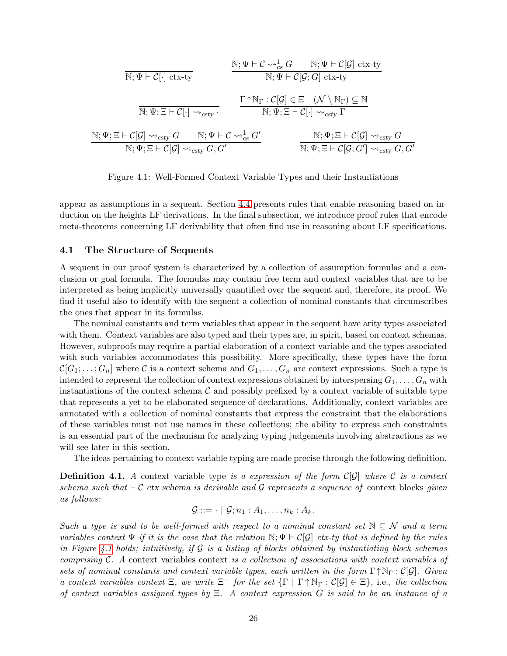$$
\mathbb{N}; \Psi \vdash \mathcal{C} \rightarrow_{cs}^{1} G \qquad \mathbb{N}; \Psi \vdash \mathcal{C}[\mathcal{G}] \text{ ctx-ty}
$$
\n
$$
\mathbb{N}; \Psi \vdash \mathcal{C}[\cdot] \text{ ctx-ty}
$$
\n
$$
\mathbb{N}; \Psi \vdash \mathcal{C}[\mathcal{G}] \text{ ctx-ty}
$$
\n
$$
\frac{\Gamma \uparrow \mathbb{N}_{\Gamma} : \mathcal{C}[\mathcal{G}] \in \Xi \quad (\mathcal{N} \setminus \mathbb{N}_{\Gamma}) \subseteq \mathbb{N}}{\mathbb{N}; \Psi; \Xi \vdash \mathcal{C}[\cdot] \leadsto_{csty} G} \qquad \frac{\Gamma \uparrow \mathbb{N}_{\Gamma} : \mathcal{C}[\mathcal{G}] \in \Xi \quad (\mathcal{N} \setminus \mathbb{N}_{\Gamma}) \subseteq \mathbb{N}}{\mathbb{N}; \Psi; \Xi \vdash \mathcal{C}[\cdot] \leadsto_{csty} \Gamma}
$$
\n
$$
\mathbb{N}; \Psi; \Xi \vdash \mathcal{C}[\mathcal{G}] \leadsto_{csty} G, G' \qquad \mathbb{N}; \Psi; \Xi \vdash \mathcal{C}[\mathcal{G}] \leadsto_{csty} G, G'}
$$
\n
$$
\mathbb{N}; \Psi; \Xi \vdash \mathcal{C}[\mathcal{G}; G'] \leadsto_{csty} G, G'
$$

<span id="page-25-0"></span>Figure 4.1: Well-Formed Context Variable Types and their Instantiations

appear as assumptions in a sequent. Section [4.4](#page-52-0) presents rules that enable reasoning based on induction on the heights LF derivations. In the final subsection, we introduce proof rules that encode meta-theorems concerning LF derivability that often find use in reasoning about LF specifications.

#### 4.1 The Structure of Sequents

A sequent in our proof system is characterized by a collection of assumption formulas and a conclusion or goal formula. The formulas may contain free term and context variables that are to be interpreted as being implicitly universally quantified over the sequent and, therefore, its proof. We find it useful also to identify with the sequent a collection of nominal constants that circumscribes the ones that appear in its formulas.

The nominal constants and term variables that appear in the sequent have arity types associated with them. Context variables are also typed and their types are, in spirit, based on context schemas. However, subproofs may require a partial elaboration of a context variable and the types associated with such variables accommodates this possibility. More specifically, these types have the form  $\mathcal{C}[G_1; \ldots; G_n]$  where C is a context schema and  $G_1, \ldots, G_n$  are context expressions. Such a type is intended to represent the collection of context expressions obtained by interspersing  $G_1, \ldots, G_n$  with instantiations of the context schema  $\mathcal C$  and possibly prefixed by a context variable of suitable type that represents a yet to be elaborated sequence of declarations. Additionally, context variables are annotated with a collection of nominal constants that express the constraint that the elaborations of these variables must not use names in these collections; the ability to express such constraints is an essential part of the mechanism for analyzing typing judgements involving abstractions as we will see later in this section.

The ideas pertaining to context variable typing are made precise through the following definition.

**Definition 4.1.** A context variable type is a expression of the form  $C[\mathcal{G}]$  where C is a context schema such that  $\vdash \mathcal{C}$  ctx schema is derivable and G represents a sequence of context blocks given as follows:

$$
\mathcal{G} ::= \cdot \mid \mathcal{G}; n_1 : A_1, \ldots, n_k : A_k.
$$

Such a type is said to be well-formed with respect to a nominal constant set  $\mathbb{N} \subseteq \mathcal{N}$  and a term variables context  $\Psi$  if it is the case that the relation  $\mathbb{N}; \Psi \vdash \mathcal{C}[\mathcal{G}]$  ctx-ty that is defined by the rules in Figure [4.1](#page-25-0) holds; intuitively, if  $G$  is a listing of blocks obtained by instantiating block schemas comprising  $C$ . A context variables context is a collection of associations with context variables of sets of nominal constants and context variable types, each written in the form  $\Gamma \uparrow N_{\Gamma} : C[\mathcal{G}]$ . Given a context variables context  $\Xi$ , we write  $\Xi^-$  for the set  $\{\Gamma \mid \Gamma \uparrow \mathbb{N}_{\Gamma} : \mathcal{C}[\mathcal{G}] \in \Xi\}$ , i.e., the collection of context variables assigned types by  $\Xi$ . A context expression G is said to be an instance of a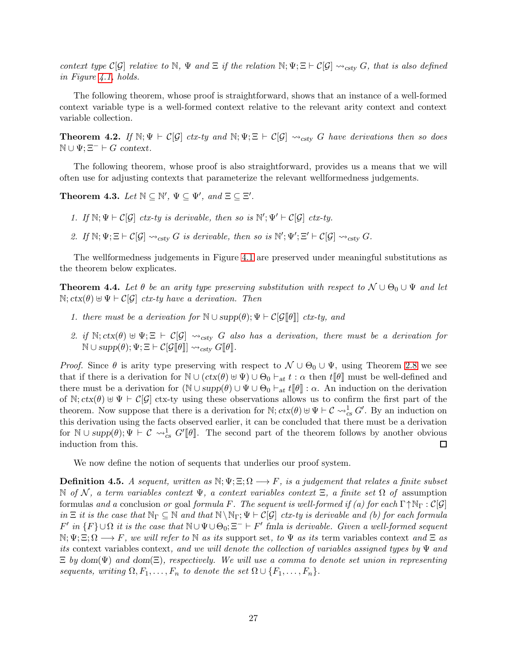context type  $\mathcal{C}[\mathcal{G}]$  relative to N,  $\Psi$  and  $\Xi$  if the relation N;  $\Psi$ ;  $\Xi \vdash \mathcal{C}[\mathcal{G}] \leadsto_{\text{csty}} G$ , that is also defined in Figure [4.1,](#page-25-0) holds.

The following theorem, whose proof is straightforward, shows that an instance of a well-formed context variable type is a well-formed context relative to the relevant arity context and context variable collection.

**Theorem 4.2.** If  $\mathbb{N}; \Psi \vdash \mathcal{C}[\mathcal{G}]$  ctx-ty and  $\mathbb{N}; \Psi \vDash \mathcal{C}[\mathcal{G}]$   $\leadsto_{\text{csty}} G$  have derivations then so does  $\mathbb{N} \cup \Psi$ ;  $\Xi^- \vdash G$  context.

The following theorem, whose proof is also straightforward, provides us a means that we will often use for adjusting contexts that parameterize the relevant wellformedness judgements.

<span id="page-26-0"></span>Theorem 4.3. Let  $\mathbb{N} \subseteq \mathbb{N}'$ ,  $\Psi \subseteq \Psi'$ , and  $\Xi \subseteq \Xi'$ .

1. If  $\mathbb{N}; \Psi \vdash C[\mathcal{G}]$  ctx-ty is derivable, then so is  $\mathbb{N}'; \Psi' \vdash C[\mathcal{G}]$  ctx-ty.

2. If  $\mathbb{N}; \Psi; \Xi \vdash C[\mathcal{G}] \leadsto_{\text{csty}} G$  is derivable, then so is  $\mathbb{N}'; \Psi'; \Xi' \vdash C[\mathcal{G}] \leadsto_{\text{csty}} G$ .

The wellformedness judgements in Figure [4.1](#page-25-0) are preserved under meaningful substitutions as the theorem below explicates.

<span id="page-26-1"></span>**Theorem 4.4.** Let  $\theta$  be an arity type preserving substitution with respect to  $\mathcal{N} \cup \Theta_0 \cup \Psi$  and let N;  $ctx(θ) ⊕ \Psi ⊢ C[G] ctx-ty have a derivation. Then$ 

- 1. there must be a derivation for  $\mathbb{N} \cup \text{supp}(\theta); \Psi \vdash \mathcal{C}[\mathcal{G}[\![\theta]\!]]$  ctx-ty, and
- 2. if  $\mathbb{N}; \text{ctx}(\theta) \oplus \Psi; \Xi \vdash \mathcal{C}[\mathcal{G}] \leadsto_{\text{csty}} G$  also has a derivation, there must be a derivation for  $\mathbb{N} \cup \mathrm{supp}(\hat{\theta}); \Psi; \Xi \vdash \mathcal{C}[\mathcal{G}[\![\theta]\!]] \leadsto_{\mathrm{csty}} G[\![\theta]\!].$

*Proof.* Since  $\theta$  is arity type preserving with respect to  $\mathcal{N} \cup \Theta_0 \cup \Psi$ , using Theorem [2.8](#page-5-0) we see that if there is a derivation for  $\mathbb{N} \cup (ctx(\theta) \cup \Psi) \cup \Theta_0 \vdash_{at} t : \alpha$  then  $t[\![\theta]\!]$  must be well-defined and there must be a derivation for  $(N \cup supp(\theta) \cup \Psi \cup \Theta_0 \vdash_{at} t[\![\theta]\!]: \alpha$ . An induction on the derivation of N;  $ctx(\theta) \oplus \Psi \vdash \mathcal{C}[\mathcal{G}]$  ctx-ty using these observations allows us to confirm the first part of the theorem. Now suppose that there is a derivation for  $\mathbb{N}$ ;  $ctx(\theta) \oplus \Psi \vdash \mathcal{C} \leadsto_{cs}^1 G'$ . By an induction on this derivation using the facts observed earlier, it can be concluded that there must be a derivation for  $\mathbb{N} \cup supp(\theta); \Psi \vdash \mathcal{C} \leadsto_{cs}^1 G'[\![\theta]\!]$ . The second part of the theorem follows by another obvious induction from this.  $\Box$ 

We now define the notion of sequents that underlies our proof system.

**Definition 4.5.** A sequent, written as  $\mathbb{N}; \Psi; \Xi; \Omega \longrightarrow F$ , is a judgement that relates a finite subset  $\mathbb N$  of N, a term variables context  $\Psi$ , a context variables context  $\Xi$ , a finite set  $\Omega$  of assumption formulas and a conclusion or goal formula F. The sequent is well-formed if (a) for each  $\Gamma \uparrow \mathbb{N}_{\Gamma} : \mathcal{C}[\mathcal{G}]$ in  $\Xi$  it is the case that  $\mathbb{N}_{\Gamma} \subseteq \mathbb{N}$  and that  $\mathbb{N} \setminus \mathbb{N}_{\Gamma}$ ;  $\Psi \vdash C[\mathcal{G}]$  ctx-ty is derivable and (b) for each formula  $F'$  in  $\{F\} \cup \Omega$  it is the case that  $\mathbb{N} \cup \Psi \cup \Theta_0$ ;  $\Xi^- \vdash F'$  finla is derivable. Given a well-formed sequent  $\mathbb{N}; \Psi; \Xi; \Omega \longrightarrow F$ , we will refer to  $\mathbb N$  as its support set, to  $\Psi$  as its term variables context and  $\Xi$  as its context variables context, and we will denote the collection of variables assigned types by  $\Psi$  and  $\Xi$  by dom( $\Psi$ ) and dom( $\Xi$ ), respectively. We will use a comma to denote set union in representing sequents, writing  $\Omega, F_1, \ldots, F_n$  to denote the set  $\Omega \cup \{F_1, \ldots, F_n\}$ .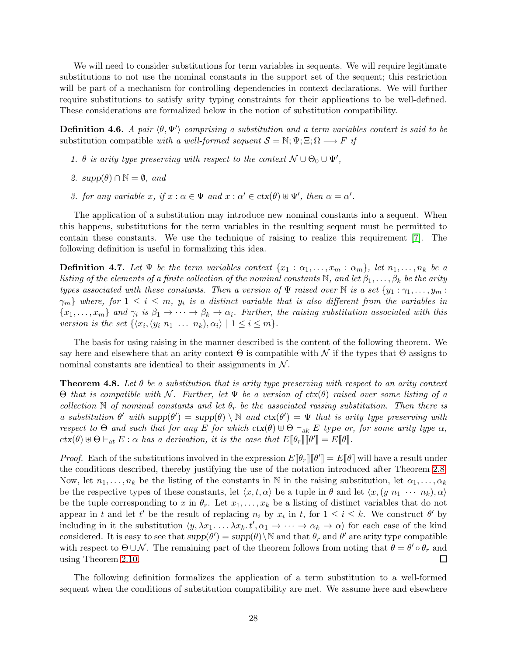We will need to consider substitutions for term variables in sequents. We will require legitimate substitutions to not use the nominal constants in the support set of the sequent; this restriction will be part of a mechanism for controlling dependencies in context declarations. We will further require substitutions to satisfy arity typing constraints for their applications to be well-defined. These considerations are formalized below in the notion of substitution compatibility.

**Definition 4.6.** A pair  $\langle \theta, \Psi' \rangle$  comprising a substitution and a term variables context is said to be substitution compatible with a well-formed sequent  $S = \mathbb{N}; \Psi; \Xi; \Omega \longrightarrow F$  if

- 1.  $\theta$  is arity type preserving with respect to the context  $\mathcal{N} \cup \Theta_0 \cup \Psi'$ ,
- 2.  $supp(\theta) \cap \mathbb{N} = \emptyset$ , and
- 3. for any variable x, if  $x : \alpha \in \Psi$  and  $x : \alpha' \in \text{ctx}(\theta) \cup \Psi'$ , then  $\alpha = \alpha'$ .

The application of a substitution may introduce new nominal constants into a sequent. When this happens, substitutions for the term variables in the resulting sequent must be permitted to contain these constants. We use the technique of raising to realize this requirement [\[7\]](#page-70-7). The following definition is useful in formalizing this idea.

<span id="page-27-0"></span>**Definition 4.7.** Let  $\Psi$  be the term variables context  $\{x_1 : \alpha_1, \ldots, x_m : \alpha_m\}$ , let  $n_1, \ldots, n_k$  be a listing of the elements of a finite collection of the nominal constants N, and let  $\beta_1, \ldots, \beta_k$  be the arity types associated with these constants. Then a version of  $\Psi$  raised over  $\mathbb N$  is a set  $\{y_1 : \gamma_1, \ldots, y_m :$  $\{\gamma_m\}$  where, for  $1 \leq i \leq m$ ,  $y_i$  is a distinct variable that is also different from the variables in  $\{x_1,\ldots,x_m\}$  and  $\gamma_i$  is  $\beta_1\to\cdots\to\beta_k\to\alpha_i$ . Further, the raising substitution associated with this version is the set  $\{\langle x_i,(y_i \ n_1 \ \ldots \ n_k),\alpha_i\rangle \mid 1 \le i \le m\}.$ 

The basis for using raising in the manner described is the content of the following theorem. We say here and elsewhere that an arity context  $\Theta$  is compatible with N if the types that  $\Theta$  assigns to nominal constants are identical to their assignments in  $N$ .

**Theorem 4.8.** Let  $\theta$  be a substitution that is arity type preserving with respect to an arity context  $Θ$  that is compatible with N. Further, let  $Ψ$  be a version of  $ctx(θ)$  raised over some listing of a collection N of nominal constants and let  $\theta_r$  be the associated raising substitution. Then there is a substitution  $\theta'$  with  $supp(\theta') = supp(\theta) \setminus \mathbb{N}$  and  $ctx(\theta') = \Psi$  that is arity type preserving with respect to Θ and such that for any E for which  $\text{ctx}(\theta) \oplus \Theta \vdash_{\text{ak}} E$  type or, for some arity type  $\alpha$ ,  $ctx(\theta) \uplus \Theta \vdash_{at} E : \alpha \text{ has a derivation}, \text{ it is the case that } E[\![\theta_r]\!] [\![\theta']\!] = E[\![\theta]\!]$ .

*Proof.* Each of the substitutions involved in the expression  $E[\![\theta_r]\!] [\![\theta']\!] = E[\![\theta]\!]$  will have a result under the conditions described, thereby justifying the use of the notation introduced after Theorem [2.8.](#page-5-0) Now, let  $n_1, \ldots, n_k$  be the listing of the constants in N in the raising substitution, let  $\alpha_1, \ldots, \alpha_k$ be the respective types of these constants, let  $\langle x, t, \alpha \rangle$  be a tuple in  $\theta$  and let  $\langle x, (y \ n_1 \ \cdots \ n_k), \alpha \rangle$ be the tuple corresponding to x in  $\theta_r$ . Let  $x_1, \ldots, x_k$  be a listing of distinct variables that do not appear in t and let t' be the result of replacing  $n_i$  by  $x_i$  in t, for  $1 \le i \le k$ . We construct  $\theta'$  by including in it the substitution  $\langle y, \lambda x_1, \ldots, \lambda x_k, t', \alpha_1 \to \cdots \to \alpha_k \to \alpha \rangle$  for each case of the kind considered. It is easy to see that  $supp(\theta') = supp(\theta) \setminus \mathbb{N}$  and that  $\theta_r$  and  $\theta'$  are arity type compatible with respect to  $\Theta \cup \mathcal{N}$ . The remaining part of the theorem follows from noting that  $\theta = \theta' \circ \theta_r$  and using Theorem [2.10.](#page-6-0)  $\Box$ 

The following definition formalizes the application of a term substitution to a well-formed sequent when the conditions of substitution compatibility are met. We assume here and elsewhere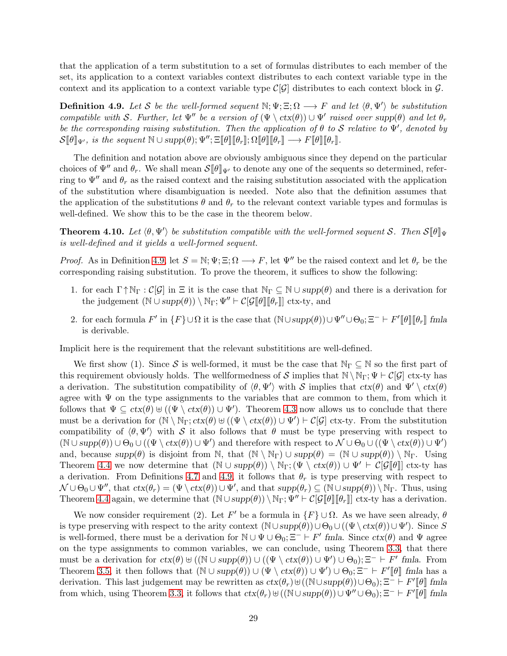that the application of a term substitution to a set of formulas distributes to each member of the set, its application to a context variables context distributes to each context variable type in the context and its application to a context variable type  $\mathcal{C}[\mathcal{G}]$  distributes to each context block in  $\mathcal{G}$ .

<span id="page-28-0"></span>**Definition 4.9.** Let S be the well-formed sequent  $\mathbb{N}; \Psi; \Xi; \Omega \longrightarrow F$  and let  $\langle \theta, \Psi' \rangle$  be substitution compatible with S. Further, let  $\Psi''$  be a version of  $(\Psi \setminus \text{ctx}(\theta)) \cup \Psi'$  raised over supp $(\theta)$  and let  $\theta_r$ be the corresponding raising substitution. Then the application of  $\theta$  to  $S$  relative to  $\Psi'$ , denoted by  $\mathcal{S}[\![\theta]\!]_{\Psi'}$ , is the sequent  $\mathbb{N} \cup \mathrm{supp}(\theta)$ ;  $\Psi''$ ;  $\Xi[\![\theta]\!] [\![\theta_r]\!]$ ;  $\Omega[\![\theta]\!] [\![\theta_r]\!] \longrightarrow F[\![\theta]\!] [\![\theta_r]\!]$ .

The definition and notation above are obviously ambiguous since they depend on the particular choices of  $\Psi''$  and  $\theta_r$ . We shall mean  $\mathcal{S}[\theta]_{\Psi'}$  to denote any one of the sequents so determined, referring to  $\Psi''$  and  $\theta_r$  as the raised context and the raising substitution associated with the application of the substitution where disambiguation is needed. Note also that the definition assumes that the application of the substitutions  $\theta$  and  $\theta_r$  to the relevant context variable types and formulas is well-defined. We show this to be the case in the theorem below.

<span id="page-28-1"></span>**Theorem 4.10.** Let  $\langle \theta, \Psi' \rangle$  be substitution compatible with the well-formed sequent S. Then  $S[\![\theta]\!]_{\Psi}$ is well-defined and it yields a well-formed sequent.

*Proof.* As in Definition [4.9,](#page-28-0) let  $S = \mathbb{N}; \Psi; \Xi; \Omega \longrightarrow F$ , let  $\Psi''$  be the raised context and let  $\theta_r$  be the corresponding raising substitution. To prove the theorem, it suffices to show the following:

- 1. for each  $\Gamma \uparrow \mathbb{N}_{\Gamma} : C[\mathcal{G}]$  in  $\Xi$  it is the case that  $\mathbb{N}_{\Gamma} \subseteq \mathbb{N} \cup supp(\theta)$  and there is a derivation for the judgement  $(\mathbb{N} \cup supp(\theta)) \setminus \mathbb{N}_{\Gamma}$ ;  $\Psi'' \vdash \mathcal{C}[\mathcal{G}[\![\theta]\!] [\![\theta_r]\!]$  ctx-ty, and
- 2. for each formula  $F'$  in  $\{F\} \cup \Omega$  it is the case that  $(\mathbb{N} \cup supp(\theta)) \cup \Psi'' \cup \Theta_0$ ;  $\Xi^- \vdash F'[\![\theta]\!][\![\theta_r]\!]$  fmla is derivable.

Implicit here is the requirement that the relevant substititions are well-defined.

We first show (1). Since S is well-formed, it must be the case that  $\mathbb{N}_{\Gamma} \subseteq \mathbb{N}$  so the first part of this requirement obviously holds. The wellformedness of S implies that  $\mathbb{N} \setminus \mathbb{N}_{\Gamma}$ ;  $\Psi \vdash \mathcal{C}[\mathcal{G}]$  ctx-ty has a derivation. The substitution compatibility of  $\langle \theta, \Psi' \rangle$  with S implies that  $ctx(\theta)$  and  $\Psi' \setminus tx(\theta)$ agree with  $\Psi$  on the type assignments to the variables that are common to them, from which it follows that  $\Psi \subseteq \text{ctx}(\theta) \cup (\Psi \setminus \text{ctx}(\theta)) \cup \Psi'$ . Theorem [4.3](#page-26-0) now allows us to conclude that there must be a derivation for  $(\mathbb{N} \setminus \mathbb{N}_{\Gamma}; ctx(\theta) \cup (\Psi \setminus ctx(\theta)) \cup \Psi') \vdash C[\mathcal{G}]$  ctx-ty. From the substitution compatibility of  $\langle \theta, \Psi' \rangle$  with S it also follows that  $\theta$  must be type preserving with respect to  $(\mathbb{N} \cup supp(\theta)) \cup \Theta_0 \cup ((\Psi \setminus \text{ctx}(\theta)) \cup \Psi')$  and therefore with respect to  $\mathcal{N} \cup \Theta_0 \cup ((\Psi \setminus \text{ctx}(\theta)) \cup \Psi')$ and, because  $supp(\theta)$  is disjoint from N, that  $(N \setminus N_{\Gamma}) \cup supp(\theta) = (N \cup supp(\theta)) \setminus N_{\Gamma}$ . Using Theorem [4.4](#page-26-1) we now determine that  $(\mathbb{N} \cup supp(\theta)) \setminus \mathbb{N}_{\Gamma}$ ;  $(\Psi \setminus ctx(\theta)) \cup \Psi' \vdash \mathcal{C}[\mathcal{G}[\theta]]$  ctx-ty has a derivation. From Definitions [4.7](#page-27-0) and [4.9,](#page-28-0) it follows that  $\theta_r$  is type preserving with respect to  $\mathcal{N} \cup \Theta_0 \cup \Psi''$ , that  $ctx(\theta_r) = (\Psi \setminus tx(\theta)) \cup \Psi'$ , and that  $supp(\theta_r) \subseteq (\mathbb{N} \cup supp(\theta)) \setminus \mathbb{N}_{\Gamma}$ . Thus, using Theorem [4.4](#page-26-1) again, we determine that  $(\mathbb{N} \cup supp(\theta)) \setminus \mathbb{N}_{\Gamma}$ ;  $\Psi'' \vdash \mathcal{C}[\mathcal{G}[\![\theta]\!] [\![\theta_r]\!]$  ctx-ty has a derivation.

We now consider requirement (2). Let F' be a formula in  $\{F\} \cup \Omega$ . As we have seen already,  $\theta$ is type preserving with respect to the arity context  $(\mathbb{N} \cup supp(\theta)) \cup \Theta_0 \cup ((\Psi \setminus \text{ctx}(\theta)) \cup \Psi')$ . Since S is well-formed, there must be a derivation for  $\mathbb{N} \cup \Psi \cup \Theta_0$ ;  $\Xi^- \vdash F'$  fmla. Since  $ctx(\theta)$  and  $\Psi$  agree on the type assignments to common variables, we can conclude, using Theorem [3.3,](#page-18-1) that there must be a derivation for  $ctx(\theta) \cup ((\mathbb{N} \cup supp(\theta)) \cup ((\Psi \setminus tx(\theta)) \cup \Psi') \cup \Theta_0); \Xi^- \vdash F'$  fmla. From Theorem [3.5,](#page-20-0) it then follows that  $(\mathbb{N} \cup supp(\theta)) \cup (\Psi \setminus \text{ctx}(\theta)) \cup \Psi') \cup \Theta_0$ ;  $\Xi^- \vdash F'[\![\theta]\!]$  fmla has a derivation. This last judgement may be rewritten as  $ctx(\theta_r) \uplus ((\mathbb{N} \cup supp(\theta)) \cup \Theta_0); \Xi^- \vdash F'[\![\theta]\!]$  fmla from which, using Theorem [3.3,](#page-18-1) it follows that  $ctx(\theta_r) \uplus ((\mathbb{N} \cup supp(\theta)) \cup \Psi'' \cup \Theta_0); \Xi^- \vdash F'[\![\theta]\!]$  fmla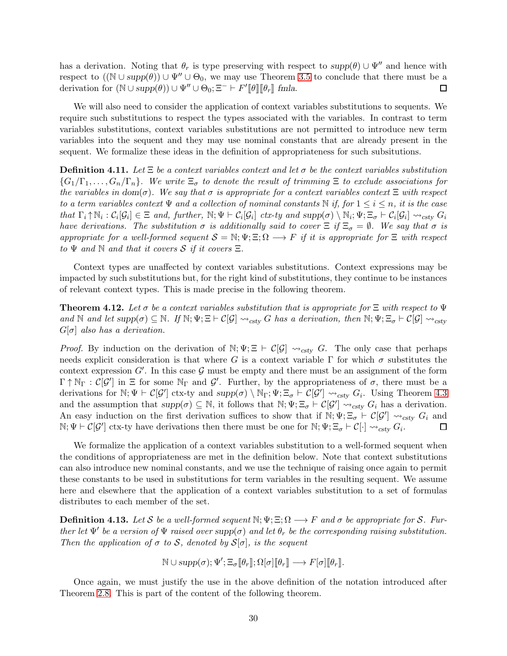has a derivation. Noting that  $\theta_r$  is type preserving with respect to  $supp(\theta) \cup \Psi''$  and hence with respect to  $((\mathbb{N} \cup supp(\theta)) \cup \Psi'' \cup \Theta_0$ , we may use Theorem [3.5](#page-20-0) to conclude that there must be a derivation for  $(\mathbb{N} \cup supp(\theta)) \cup \Psi'' \cup \Theta_0$ ;  $\Xi^- \vdash F'[\![\theta]\!][\![\theta_r]\!]$  fmla.  $\Box$ 

We will also need to consider the application of context variables substitutions to sequents. We require such substitutions to respect the types associated with the variables. In contrast to term variables substitutions, context variables substitutions are not permitted to introduce new term variables into the sequent and they may use nominal constants that are already present in the sequent. We formalize these ideas in the definition of appropriateness for such subsitutions.

**Definition 4.11.** Let  $\Xi$  be a context variables context and let  $\sigma$  be the context variables substitution  ${G_1/\Gamma_1,\ldots,G_n/\Gamma_n}$ . We write  $\Xi_{\sigma}$  to denote the result of trimming  $\Xi$  to exclude associations for the variables in dom( $\sigma$ ). We say that  $\sigma$  is appropriate for a context variables context  $\Xi$  with respect to a term variables context  $\Psi$  and a collection of nominal constants  $\mathbb N$  if, for  $1 \leq i \leq n$ , it is the case that  $\Gamma_i \uparrow \mathbb{N}_i : \mathcal{C}_i[\mathcal{G}_i] \in \Xi$  and, further,  $\mathbb{N}; \Psi \vdash \mathcal{C}_i[\mathcal{G}_i]$  ctx-ty and  $\text{supp}(\sigma) \setminus \mathbb{N}_i; \Psi \vdash \Xi_{\sigma} \vdash \mathcal{C}_i[\mathcal{G}_i] \leadsto_{\text{csty}} G_i$ have derivations. The substitution  $\sigma$  is additionally said to cover  $\Xi$  if  $\Xi_{\sigma} = \emptyset$ . We say that  $\sigma$  is appropriate for a well-formed sequent  $S = \mathbb{N}; \Psi; \Xi; \Omega \longrightarrow F$  if it is appropriate for  $\Xi$  with respect to  $\Psi$  and  $\mathbb N$  and that it covers  $\mathcal S$  if it covers  $\Xi$ .

Context types are unaffected by context variables substitutions. Context expressions may be impacted by such substitutions but, for the right kind of substitutions, they continue to be instances of relevant context types. This is made precise in the following theorem.

**Theorem 4.12.** Let  $\sigma$  be a context variables substitution that is appropriate for  $\Xi$  with respect to  $\Psi$ and N and let  $supp(\sigma) \subseteq N$ . If  $N; \Psi \in E[\mathcal{G}] \leadsto_{cstv} G$  has a derivation, then  $N; \Psi \in E_{\sigma} \vdash C[\mathcal{G}] \leadsto_{cstv} G$  $G[\sigma]$  also has a derivation.

*Proof.* By induction on the derivation of  $\mathbb{N}; \Psi; \Xi \vdash \mathcal{C}[\mathcal{G}] \leadsto_{\text{csty}} G$ . The only case that perhaps needs explicit consideration is that where G is a context variable  $\Gamma$  for which  $\sigma$  substitutes the context expression  $G'$ . In this case  $\mathcal G$  must be empty and there must be an assignment of the form  $\Gamma \uparrow \mathbb{N}_{\Gamma} : \mathcal{C}[\mathcal{G}']$  in  $\Xi$  for some  $\mathbb{N}_{\Gamma}$  and  $\mathcal{G}'$ . Further, by the appropriateness of  $\sigma$ , there must be a derivations for  $\mathbb{N}; \Psi \vdash \mathcal{C}[\mathcal{G}']$  ctx-ty and  $supp(\sigma) \setminus \mathbb{N}_{\Gamma}; \Psi; \Xi_{\sigma} \vdash \mathcal{C}[\mathcal{G}'] \leadsto_{csty} G_i$ . Using Theorem [4.3](#page-26-0) and the assumption that  $supp(\sigma) \subseteq \mathbb{N}$ , it follows that  $\mathbb{N}; \Psi; \Xi_{\sigma} \vdash C[\mathcal{G}'] \leadsto_{\text{csty}} G_i$  has a derivation. An easy induction on the first derivation suffices to show that if  $\mathbb{N}; \Psi; \Xi_{\sigma} \vdash \mathcal{C}[\mathcal{G}'] \leadsto_{csty} G_i$  and  $\mathbb{N}; \Psi \vdash \mathcal{C}[\mathcal{G}']$  ctx-ty have derivations then there must be one for  $\mathbb{N}; \Psi; \Xi_{\sigma} \vdash \mathcal{C}[\cdot] \leadsto_{\text{csty}} G_i$ .  $\Box$ 

We formalize the application of a context variables substitution to a well-formed sequent when the conditions of appropriateness are met in the definition below. Note that context substitutions can also introduce new nominal constants, and we use the technique of raising once again to permit these constants to be used in substitutions for term variables in the resulting sequent. We assume here and elsewhere that the application of a context variables substitution to a set of formulas distributes to each member of the set.

<span id="page-29-0"></span>**Definition 4.13.** Let S be a well-formed sequent  $\mathbb{N}; \Psi; \Xi; \Omega \longrightarrow F$  and  $\sigma$  be appropriate for S. Further let  $\Psi'$  be a version of  $\Psi$  raised over supp( $\sigma$ ) and let  $\theta_r$  be the corresponding raising substitution. Then the application of  $\sigma$  to  $\mathcal{S}$ , denoted by  $\mathcal{S}[\sigma]$ , is the sequent

$$
\mathbb{N} \cup supp(\sigma); \Psi'; \Xi_{\sigma}[\![\theta_r]\!]; \Omega[\sigma][\![\theta_r]\!] \longrightarrow F[\sigma][\![\theta_r]\!].
$$

Once again, we must justify the use in the above definition of the notation introduced after Theorem [2.8.](#page-5-0) This is part of the content of the following theorem.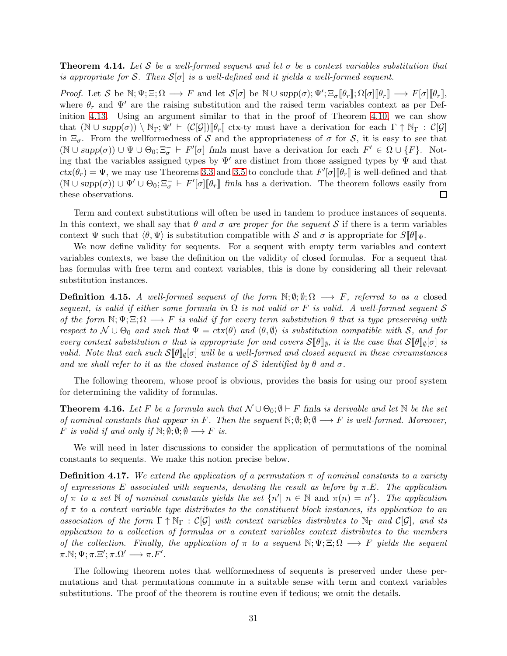**Theorem 4.14.** Let S be a well-formed sequent and let  $\sigma$  be a context variables substitution that is appropriate for S. Then  $S[\sigma]$  is a well-defined and it yields a well-formed sequent.

Proof. Let S be  $\mathbb{N}; \Psi; \Xi; \Omega \longrightarrow F$  and let  $\mathcal{S}[\sigma]$  be  $\mathbb{N} \cup supp(\sigma); \Psi'; \Xi_{\sigma}[\![\theta_r]\!]; \Omega[\sigma][\![\theta_r]\!] \longrightarrow F[\sigma][\![\theta_r]\!],$ where  $\theta_r$  and  $\Psi'$  are the raising substitution and the raised term variables context as per Definition [4.13.](#page-29-0) Using an argument similar to that in the proof of Theorem [4.10,](#page-28-1) we can show that  $(\mathbb{N} \cup supp(\sigma)) \setminus \mathbb{N}_{\Gamma}$ ;  $\Psi' \vdash (\mathcal{C}[\mathcal{G}])[\![\theta_r]\!]$  ctx-ty must have a derivation for each  $\Gamma \uparrow \mathbb{N}_{\Gamma}$ :  $\mathcal{C}[\mathcal{G}]$ in  $\Xi_{\sigma}$ . From the wellformedness of S and the appropriateness of  $\sigma$  for S, it is easy to see that  $(\mathbb{N} \cup supp(\sigma)) \cup \Psi \cup \Theta_0; \Xi_{\sigma}^- \vdash F'[\sigma]$  fmla must have a derivation for each  $F' \in \Omega \cup \{F\}$ . Noting that the variables assigned types by  $\Psi'$  are distinct from those assigned types by  $\Psi$  and that  $ctx(\theta_r) = \Psi$ , we may use Theorems [3.3](#page-18-1) and [3.5](#page-20-0) to conclude that  $F'[\sigma][\theta_r]$  is well-defined and that  $(\mathbb{N} \cup supp(\sigma)) \cup \Psi' \cup \Theta_0; \Xi_{\sigma}^{-} \vdash F'[\sigma][\theta_r]$  fmla has a derivation. The theorem follows easily from these observations.  $\Box$ 

Term and context substitutions will often be used in tandem to produce instances of sequents. In this context, we shall say that  $\theta$  and  $\sigma$  are proper for the sequent S if there is a term variables context  $\Psi$  such that  $\langle \theta, \Psi \rangle$  is substitution compatible with S and  $\sigma$  is appropriate for  $S\|\theta\|_{\Psi}$ .

We now define validity for sequents. For a sequent with empty term variables and context variables contexts, we base the definition on the validity of closed formulas. For a sequent that has formulas with free term and context variables, this is done by considering all their relevant substitution instances.

**Definition 4.15.** A well-formed sequent of the form  $\mathbb{N}; \emptyset; \mathcal{Y}; \Omega \longrightarrow F$ , referred to as a closed sequent, is valid if either some formula in  $\Omega$  is not valid or F is valid. A well-formed sequent S of the form  $N; \Psi; \Xi; \Omega \longrightarrow F$  is valid if for every term substitution  $\theta$  that is type preserving with respect to  $\mathcal{N} \cup \Theta_0$  and such that  $\Psi = \text{ctx}(\theta)$  and  $\langle \theta, \emptyset \rangle$  is substitution compatible with S, and for every context substitution  $\sigma$  that is appropriate for and covers  $\mathcal{S}[\![\theta]\!]_{\emptyset}$ , it is the case that  $\mathcal{S}[\![\theta]\!]_{\emptyset}[\sigma]$  is valid. Note that each such  $\mathcal{S}[\![\theta]\!]_{\emptyset}[\sigma]$  will be a well-formed and closed sequent in these circumstances and we shall refer to it as the closed instance of S identified by  $\theta$  and  $\sigma$ .

The following theorem, whose proof is obvious, provides the basis for using our proof system for determining the validity of formulas.

**Theorem 4.16.** Let F be a formula such that  $\mathcal{N} \cup \Theta_0$ ;  $\emptyset \vdash F$  fmla is derivable and let N be the set of nominal constants that appear in F. Then the sequent  $\mathbb{N}; \emptyset; \emptyset \longrightarrow F$  is well-formed. Moreover, F is valid if and only if  $\mathbb{N}; \emptyset; \emptyset; \emptyset \longrightarrow F$  is.

We will need in later discussions to consider the application of permutations of the nominal constants to sequents. We make this notion precise below.

**Definition 4.17.** We extend the application of a permutation  $\pi$  of nominal constants to a variety of expressions E associated with sequents, denoting the result as before by  $\pi.E$ . The application of  $\pi$  to a set N of nominal constants yields the set  $\{n' | n \in \mathbb{N} \text{ and } \pi(n) = n'\}$ . The application of  $\pi$  to a context variable type distributes to the constituent block instances, its application to an association of the form  $\Gamma \uparrow \mathbb{N}_{\Gamma} : \mathcal{C}[\mathcal{G}]$  with context variables distributes to  $\mathbb{N}_{\Gamma}$  and  $\mathcal{C}[\mathcal{G}]$ , and its application to a collection of formulas or a context variables context distributes to the members of the collection. Finally, the application of  $\pi$  to a sequent  $\mathbb{N}; \Psi; \Xi; \Omega \longrightarrow F$  yields the sequent  $\pi.\mathbb{N}; \Psi; \pi.\Xi'; \pi.\Omega' \longrightarrow \pi.F'.$ 

The following theorem notes that wellformedness of sequents is preserved under these permutations and that permutations commute in a suitable sense with term and context variables substitutions. The proof of the theorem is routine even if tedious; we omit the details.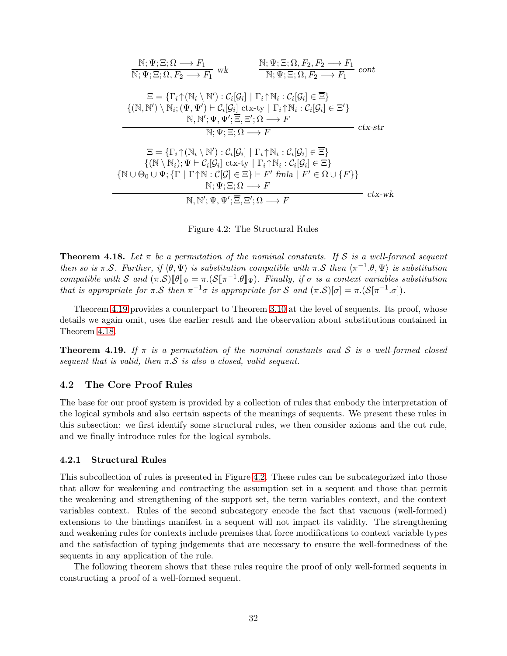| $\mathbb{N}; \Psi; \Xi; \Omega, F_2, F_2 \longrightarrow F_1$<br>$\mathbb{N}; \Psi; \Xi; \Omega \longrightarrow F_1$<br>$\overline{\mathbb{N}; \Psi; \Xi; \Omega, F_2 \longrightarrow F_1}$ wk<br>$\overline{\mathbb{N}; \Psi; \Xi; \Omega, F_2 \longrightarrow F_1}$ cont                                                                                                                                                                                                                                                                         |                  |
|----------------------------------------------------------------------------------------------------------------------------------------------------------------------------------------------------------------------------------------------------------------------------------------------------------------------------------------------------------------------------------------------------------------------------------------------------------------------------------------------------------------------------------------------------|------------------|
| $\Xi = \{\Gamma_i \uparrow (\mathbb{N}_i \setminus \mathbb{N}') : \mathcal{C}_i[\mathcal{G}_i] \mid \Gamma_i \uparrow \mathbb{N}_i : \mathcal{C}_i[\mathcal{G}_i] \in \overline{\Xi}\}\$<br>$\{(\mathbb{N},\mathbb{N}')\setminus\mathbb{N}_i; (\Psi,\Psi')\vdash \mathcal{C}_i[\mathcal{G}_i] \text{ ctx-ty }   \Gamma_i\uparrow\mathbb{N}_i:\mathcal{C}_i[\mathcal{G}_i]\in\Xi'\}$<br>$\mathbb{N}, \mathbb{N}'; \Psi, \Psi'; \overline{\Xi}, \Xi'; \Omega \longrightarrow F$                                                                      |                  |
| $\mathbb{N}; \Psi; \Xi; \Omega \longrightarrow F$                                                                                                                                                                                                                                                                                                                                                                                                                                                                                                  | $ctx\text{-}str$ |
| $\Xi = \{\Gamma_i \uparrow (\mathbb{N}_i \setminus \mathbb{N}') : \mathcal{C}_i[\mathcal{G}_i] \mid \Gamma_i \uparrow \mathbb{N}_i : \mathcal{C}_i[\mathcal{G}_i] \in \overline{\Xi}\}\$<br>$\{(\mathbb{N}\setminus\mathbb{N}_i); \Psi \vdash \mathcal{C}_i[\mathcal{G}_i] \text{ ctx-ty }   \Gamma_i \uparrow \mathbb{N}_i : \mathcal{C}_i[\mathcal{G}_i] \in \Xi \}$<br>$\{ \mathbb{N} \cup \Theta_0 \cup \Psi; \{\Gamma \mid \Gamma \uparrow \mathbb{N} : C   \mathcal{G} \in \Xi \} \vdash F' \text{ finla} \mid F' \in \Omega \cup \{F \} \}$ |                  |
| $\mathbb{N}; \Psi; \Xi; \Omega \longrightarrow F$<br>$\mathbb{N}, \mathbb{N}'; \Psi, \Psi'; \overline{\Xi}, \Xi'; \Omega \longrightarrow F$                                                                                                                                                                                                                                                                                                                                                                                                        | $ctx$ -wk        |

<span id="page-31-0"></span>Figure 4.2: The Structural Rules

<span id="page-31-3"></span>**Theorem 4.18.** Let  $\pi$  be a permutation of the nominal constants. If S is a well-formed sequent then so is  $\pi.\mathcal{S}$ . Further, if  $\langle \theta, \Psi \rangle$  is substitution compatible with  $\pi.\mathcal{S}$  then  $\langle \pi^{-1}.\theta, \Psi \rangle$  is substitution compatible with S and  $(\pi.\mathcal{S})[\![\theta]\!]_{\Psi} = \pi.(\mathcal{S}[\![\pi^{-1}.\theta]\!]_{\Psi})$ . Finally, if  $\sigma$  is a context variables substitution that is appropriate for  $\pi \cdot S$  then  $\pi^{-1} \sigma$  is appropriate for S and  $(\pi \cdot S)[\sigma] = \pi \cdot (S[\pi^{-1} \cdot \sigma])$ .

Theorem [4.19](#page-31-2) provides a counterpart to Theorem [3.10](#page-23-1) at the level of sequents. Its proof, whose details we again omit, uses the earlier result and the observation about substitutions contained in Theorem [4.18.](#page-31-3)

<span id="page-31-2"></span>**Theorem 4.19.** If  $\pi$  is a permutation of the nominal constants and S is a well-formed closed sequent that is valid, then  $\pi \mathcal{S}$  is also a closed, valid sequent.

### <span id="page-31-1"></span>4.2 The Core Proof Rules

The base for our proof system is provided by a collection of rules that embody the interpretation of the logical symbols and also certain aspects of the meanings of sequents. We present these rules in this subsection: we first identify some structural rules, we then consider axioms and the cut rule, and we finally introduce rules for the logical symbols.

### 4.2.1 Structural Rules

This subcollection of rules is presented in Figure [4.2.](#page-31-0) These rules can be subcategorized into those that allow for weakening and contracting the assumption set in a sequent and those that permit the weakening and strengthening of the support set, the term variables context, and the context variables context. Rules of the second subcategory encode the fact that vacuous (well-formed) extensions to the bindings manifest in a sequent will not impact its validity. The strengthening and weakening rules for contexts include premises that force modifications to context variable types and the satisfaction of typing judgements that are necessary to ensure the well-formedness of the sequents in any application of the rule.

The following theorem shows that these rules require the proof of only well-formed sequents in constructing a proof of a well-formed sequent.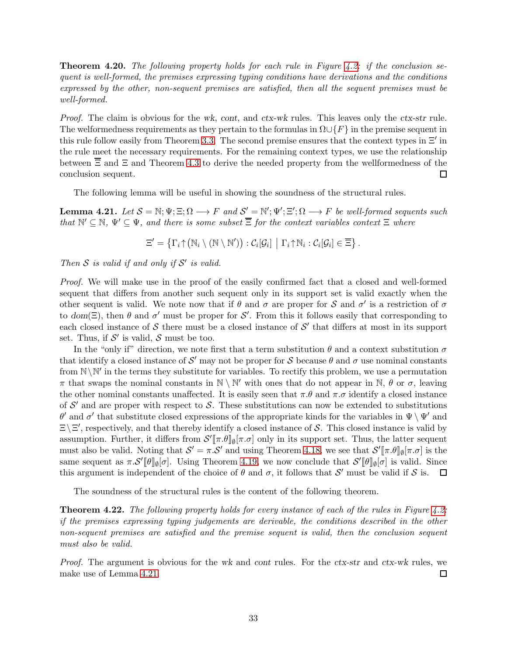**Theorem 4.20.** The following property holds for each rule in Figure [4.2:](#page-31-0) if the conclusion sequent is well-formed, the premises expressing typing conditions have derivations and the conditions expressed by the other, non-sequent premises are satisfied, then all the sequent premises must be well-formed.

Proof. The claim is obvious for the wk, cont, and ctx-wk rules. This leaves only the ctx-str rule. The welformedness requirements as they pertain to the formulas in  $\Omega \cup \{F\}$  in the premise sequent in this rule follow easily from Theorem [3.3.](#page-18-1) The second premise ensures that the context types in  $\Xi'$  in the rule meet the necessary requirements. For the remaining context types, we use the relationship between  $\overline{\Xi}$  and  $\Xi$  and Theorem [4.3](#page-26-0) to derive the needed property from the wellformedness of the conclusion sequent.  $\Box$ 

The following lemma will be useful in showing the soundness of the structural rules.

<span id="page-32-0"></span>**Lemma 4.21.** Let  $S = \mathbb{N}; \Psi; \Xi; \Omega \longrightarrow F$  and  $S' = \mathbb{N}'; \Psi'; \Xi'; \Omega \longrightarrow F$  be well-formed sequents such that  $\mathbb{N}' \subseteq \mathbb{N}$ ,  $\Psi' \subseteq \Psi$ , and there is some subset  $\overline{\Xi}$  for the context variables context  $\Xi$  where

$$
\Xi' = \left\{ \Gamma_i \uparrow (\mathbb{N}_i \setminus (\mathbb{N} \setminus \mathbb{N}')) : \mathcal{C}_i[\mathcal{G}_i] \middle| \Gamma_i \uparrow \mathbb{N}_i : \mathcal{C}_i[\mathcal{G}_i] \in \overline{\Xi} \right\}.
$$

Then  $S$  is valid if and only if  $S'$  is valid.

Proof. We will make use in the proof of the easily confirmed fact that a closed and well-formed sequent that differs from another such sequent only in its support set is valid exactly when the other sequent is valid. We note now that if  $\theta$  and  $\sigma$  are proper for S and  $\sigma'$  is a restriction of  $\sigma$ to dom( $\Xi$ ), then  $\theta$  and  $\sigma'$  must be proper for S'. From this it follows easily that corresponding to each closed instance of  $S$  there must be a closed instance of  $S'$  that differs at most in its support set. Thus, if  $\mathcal{S}'$  is valid,  $\mathcal{S}$  must be too.

In the "only if" direction, we note first that a term substitution  $\theta$  and a context substitution  $\sigma$ that identify a closed instance of  $\mathcal{S}'$  may not be proper for  $\mathcal S$  because  $\theta$  and  $\sigma$  use nominal constants from  $\mathbb{N}\backslash\mathbb{N}'$  in the terms they substitute for variables. To rectify this problem, we use a permutation  $\pi$  that swaps the nominal constants in  $\mathbb{N} \setminus \mathbb{N}'$  with ones that do not appear in  $\mathbb{N}$ ,  $\theta$  or  $\sigma$ , leaving the other nominal constants unaffected. It is easily seen that  $\pi.\theta$  and  $\pi.\sigma$  identify a closed instance of  $\mathcal{S}'$  and are proper with respect to  $\mathcal{S}$ . These substitutions can now be extended to substitutions  $\theta'$  and  $\sigma'$  that substitute closed expressions of the appropriate kinds for the variables in  $\Psi \setminus \Psi'$  and  $\Xi \backslash \Xi'$ , respectively, and that thereby identify a closed instance of S. This closed instance is valid by assumption. Further, it differs from  $\mathcal{S}'[\![\pi.\theta]\!]_{\emptyset}[\pi.\sigma]$  only in its support set. Thus, the latter sequent must also be valid. Noting that  $\mathcal{S}' = \pi \cdot \mathcal{S}'$  and using Theorem [4.18,](#page-31-3) we see that  $\mathcal{S}'[\![\pi \cdot \theta]\!]_{\emptyset}[\![\pi \cdot \sigma]$  is the same sequent as  $\pi \mathcal{S}'[\![\theta]\!]_{\emptyset}[\sigma]$ . Using Theorem [4.19,](#page-31-2) we now conclude that  $\mathcal{S}'[\![\theta]\!]_{\emptyset}[\sigma]$  is valid. Since this argument is independent of the choice of  $\theta$  and  $\sigma$ , it follows that  $\mathcal{S}'$  must be valid if  $\mathcal{S}$  is.  $\Box$ 

The soundness of the structural rules is the content of the following theorem.

**Theorem 4.22.** The following property holds for every instance of each of the rules in Figure [4.2:](#page-31-0) if the premises expressing typing judgements are derivable, the conditions described in the other non-sequent premises are satisfied and the premise sequent is valid, then the conclusion sequent must also be valid.

Proof. The argument is obvious for the wk and cont rules. For the ctx-str and ctx-wk rules, we make use of Lemma [4.21.](#page-32-0)  $\Box$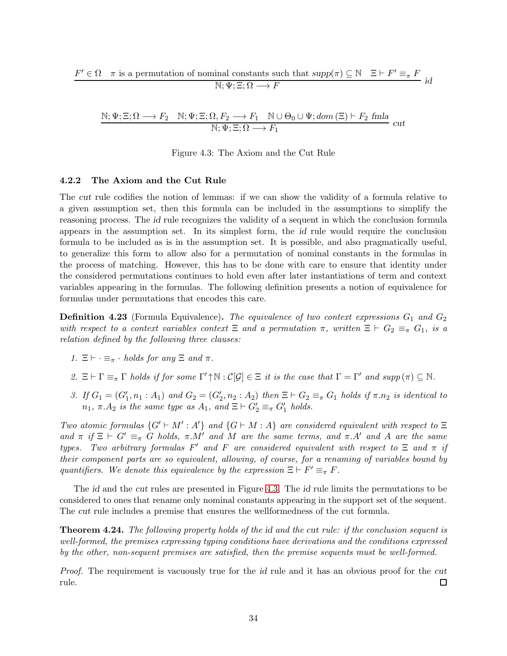$$
\frac{F' \in \Omega \quad \pi \text{ is a permutation of nominal constants such that } supp(\pi) \subseteq \mathbb{N} \quad \Xi \vdash F' \equiv_{\pi} F
$$
  

$$
\mathbb{N}; \Psi; \Xi; \Omega \longrightarrow F
$$

$$
\frac{\mathbb{N}; \Psi; \Xi; \Omega \longrightarrow F_2 \quad \mathbb{N}; \Psi; \Xi; \Omega, F_2 \longrightarrow F_1 \quad \mathbb{N} \cup \Theta_0 \cup \Psi; dom(\Xi) \vdash F_2 \text{ finla}{\mathbb{N}}; \Psi; \Xi; \Omega \longrightarrow F_1}{{\mathbb{N}}; \Psi; \Xi; \Omega \longrightarrow F_1} \quad cut
$$

<span id="page-33-0"></span>Figure 4.3: The Axiom and the Cut Rule

### 4.2.2 The Axiom and the Cut Rule

The cut rule codifies the notion of lemmas: if we can show the validity of a formula relative to a given assumption set, then this formula can be included in the assumptions to simplify the reasoning process. The id rule recognizes the validity of a sequent in which the conclusion formula appears in the assumption set. In its simplest form, the id rule would require the conclusion formula to be included as is in the assumption set. It is possible, and also pragmatically useful, to generalize this form to allow also for a permutation of nominal constants in the formulas in the process of matching. However, this has to be done with care to ensure that identity under the considered permutations continues to hold even after later instantiations of term and context variables appearing in the formulas. The following definition presents a notion of equivalence for formulas under permutations that encodes this care.

**Definition 4.23** (Formula Equivalence). The equivalence of two context expressions  $G_1$  and  $G_2$ with respect to a context variables context  $\Xi$  and a permutation  $\pi$ , written  $\Xi \vdash G_2 \equiv_{\pi} G_1$ , is a relation defined by the following three clauses:

- 1.  $\Xi \vdash \cdot \equiv_{\pi} \cdot holds$  for any  $\Xi$  and  $\pi$ .
- 2.  $\Xi \vdash \Gamma \equiv_{\pi} \Gamma$  holds if for some  $\Gamma' \uparrow \mathbb{N} : \mathcal{C}[\mathcal{G}] \in \Xi$  it is the case that  $\Gamma = \Gamma'$  and  $supp(\pi) \subseteq \mathbb{N}$ .
- 3. If  $G_1 = (G'_1, n_1 : A_1)$  and  $G_2 = (G'_2, n_2 : A_2)$  then  $\Xi \vdash G_2 \equiv_{\pi} G_1$  holds if  $\pi.n_2$  is identical to  $n_1, \pi.A_2$  is the same type as  $A_1$ , and  $\Xi \vdash G'_2 \equiv_{\pi} G'_1$  holds.

Two atomic formulas  $\{G' \vdash M' : A'\}$  and  $\{G \vdash M : A\}$  are considered equivalent with respect to  $\Xi$ and  $\pi$  if  $\Xi \vdash G' \equiv_{\pi} G$  holds,  $\pi.M'$  and M are the same terms, and  $\pi.A'$  and A are the same types. Two arbitrary formulas F' and F are considered equivalent with respect to  $\Xi$  and  $\pi$  if their component parts are so equivalent, allowing, of course, for a renaming of variables bound by quantifiers. We denote this equivalence by the expression  $\Xi \vdash F' \equiv_{\pi} F$ .

The id and the cut rules are presented in Figure [4.3.](#page-33-0) The id rule limits the permutations to be considered to ones that rename only nominal constants appearing in the support set of the sequent. The cut rule includes a premise that ensures the wellformedness of the cut formula.

Theorem 4.24. The following property holds of the id and the cut rule: if the conclusion sequent is well-formed, the premises expressing typing conditions have derivations and the conditions expressed by the other, non-sequent premises are satisfied, then the premise sequents must be well-formed.

Proof. The requirement is vacuously true for the id rule and it has an obvious proof for the cut rule. 口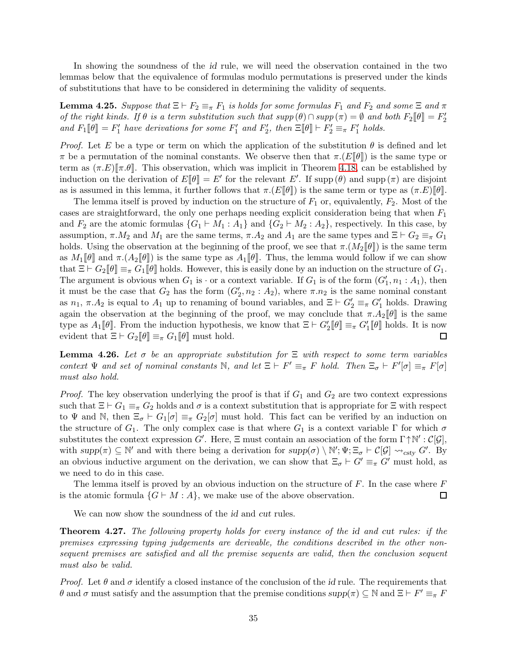In showing the soundness of the id rule, we will need the observation contained in the two lemmas below that the equivalence of formulas modulo permutations is preserved under the kinds of substitutions that have to be considered in determining the validity of sequents.

<span id="page-34-0"></span>**Lemma 4.25.** Suppose that  $\Xi \vdash F_2 \equiv_{\pi} F_1$  is holds for some formulas  $F_1$  and  $F_2$  and some  $\Xi$  and  $\pi$ of the right kinds. If  $\theta$  is a term substitution such that  $supp(\theta) \cap supp(\pi) = \emptyset$  and both  $F_2[\![\theta]\!] = F_2'$ and  $F_1[\![\theta]\!] = F'_1$  have derivations for some  $F'_1$  and  $F'_2$ , then  $\Xi[\![\theta]\!] \vdash F'_2 \equiv_{\pi} F'_1$  holds.

*Proof.* Let E be a type or term on which the application of the substitution  $\theta$  is defined and let π be a permutation of the nominal constants. We observe then that  $\pi.(E[\theta])$  is the same type or term as  $(\pi.E)[\pi.\theta]$ . This observation, which was implicit in Theorem [4.18,](#page-31-3) can be established by induction on the derivation of  $E[\![\theta]\!] = E'$  for the relevant E'. If supp  $(\theta)$  and supp  $(\pi)$  are disjoint as is assumed in this lemma, it further follows that  $\pi.(E[\![\theta]\!])$  is the same term or type as  $(\pi.E)[\![\theta]\!].$ 

The lemma itself is proved by induction on the structure of  $F_1$  or, equivalently,  $F_2$ . Most of the cases are straightforward, the only one perhaps needing explicit consideration being that when  $F_1$ and  $F_2$  are the atomic formulas  $\{G_1 \vdash M_1 : A_1\}$  and  $\{G_2 \vdash M_2 : A_2\}$ , respectively. In this case, by assumption,  $\pi.M_2$  and  $M_1$  are the same terms,  $\pi.A_2$  and  $A_1$  are the same types and  $\Xi \vdash G_2 \equiv_{\pi} G_1$ holds. Using the observation at the beginning of the proof, we see that  $\pi \cdot (M_2[\![\theta]\!])$  is the same term as  $M_1[\![\theta]\!]$  and  $\pi.(A_2[\![\theta]\!])$  is the same type as  $A_1[\![\theta]\!]$ . Thus, the lemma would follow if we can show that  $\Xi \vdash G_2[\![\theta]\!] \equiv_{\pi} G_1[\![\theta]\!]$  holds. However, this is easily done by an induction on the structure of  $G_1$ . The argument is obvious when  $G_1$  is  $\cdot$  or a context variable. If  $G_1$  is of the form  $(G'_1, n_1 : A_1)$ , then it must be the case that  $G_2$  has the form  $(G'_2, n_2 : A_2)$ , where  $\pi.n_2$  is the same nominal constant as  $n_1, \pi.A_2$  is equal to  $A_1$  up to renaming of bound variables, and  $\Xi \vdash G_2' \equiv_{\pi} G_1'$  holds. Drawing again the observation at the beginning of the proof, we may conclude that  $\pi.A_2[\![\theta]\!]$  is the same type as  $A_1[\![\theta]\!]$ . From the induction hypothesis, we know that  $\Xi \vdash G'_2[\![\theta]\!] \equiv_{\pi} G'_1[\![\theta]\!]$  holds. It is now evident that  $\Xi \vdash G_2[\![\theta]\!] \equiv_{\pi} G_1[\![\theta]\!]$  must hold.  $\Box$ 

<span id="page-34-1"></span>**Lemma 4.26.** Let  $\sigma$  be an appropriate substitution for  $\Xi$  with respect to some term variables context  $\Psi$  and set of nominal constants  $\mathbb N$ , and let  $\Xi \vdash F' \equiv_{\pi} F$  hold. Then  $\Xi_{\sigma} \vdash F'[\sigma] \equiv_{\pi} F[\sigma]$ must also hold.

*Proof.* The key observation underlying the proof is that if  $G_1$  and  $G_2$  are two context expressions such that  $\Xi \vdash G_1 \equiv_{\pi} G_2$  holds and  $\sigma$  is a context substitution that is appropriate for  $\Xi$  with respect to  $\Psi$  and N, then  $\Xi_{\sigma} \vdash G_1[\sigma] \equiv_{\pi} G_2[\sigma]$  must hold. This fact can be verified by an induction on the structure of  $G_1$ . The only complex case is that where  $G_1$  is a context variable  $\Gamma$  for which  $\sigma$ substitutes the context expression G'. Here,  $\Xi$  must contain an association of the form  $\Gamma \uparrow \mathbb{N}' : C[\mathcal{G}]$ , with  $supp(\pi) \subseteq \mathbb{N}'$  and with there being a derivation for  $supp(\sigma) \setminus \mathbb{N}'$ ;  $\Psi$ ;  $\Xi_{\sigma} \vdash \mathcal{C}[\mathcal{G}] \leadsto_{csty} G'$ . By an obvious inductive argument on the derivation, we can show that  $\Xi_{\sigma} \vdash G' \equiv_{\pi} G'$  must hold, as we need to do in this case.

The lemma itself is proved by an obvious induction on the structure of  $F$ . In the case where  $F$ is the atomic formula  $\{G \vdash M : A\}$ , we make use of the above observation. □

We can now show the soundness of the *id* and *cut* rules.

Theorem 4.27. The following property holds for every instance of the id and cut rules: if the premises expressing typing judgements are derivable, the conditions described in the other nonsequent premises are satisfied and all the premise sequents are valid, then the conclusion sequent must also be valid.

*Proof.* Let  $\theta$  and  $\sigma$  identify a closed instance of the conclusion of the id rule. The requirements that θ and σ must satisfy and the assumption that the premise conditions  $supp(π) ⊆ ℕ$  and  $E ⊢ F' ≡ π F$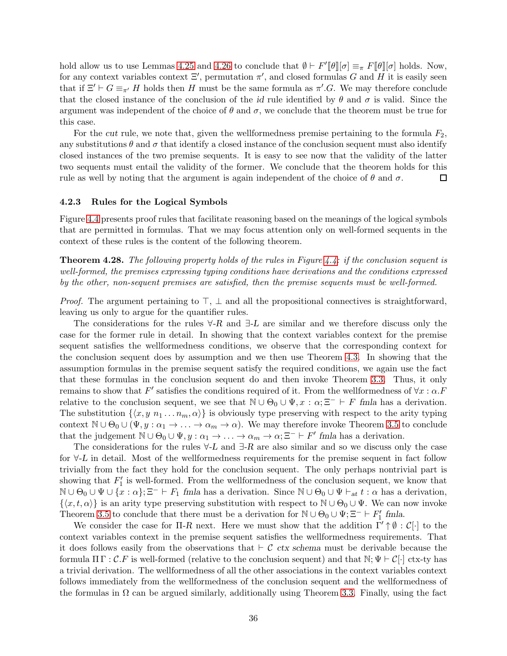hold allow us to use Lemmas [4.25](#page-34-0) and [4.26](#page-34-1) to conclude that  $\emptyset \vdash F'[\![\theta]\!][\sigma] \equiv_{\pi} F[\![\theta]\!][\sigma]$  holds. Now, for any context variables context  $\Xi'$ , permutation  $\pi'$ , and closed formulas G and H it is easily seen that if  $\Xi' \vdash G \equiv_{\pi'} H$  holds then H must be the same formula as  $\pi'.G$ . We may therefore conclude that the closed instance of the conclusion of the id rule identified by  $\theta$  and  $\sigma$  is valid. Since the argument was independent of the choice of  $\theta$  and  $\sigma$ , we conclude that the theorem must be true for this case.

For the cut rule, we note that, given the wellformedness premise pertaining to the formula  $F_2$ , any substitutions  $\theta$  and  $\sigma$  that identify a closed instance of the conclusion sequent must also identify closed instances of the two premise sequents. It is easy to see now that the validity of the latter two sequents must entail the validity of the former. We conclude that the theorem holds for this rule as well by noting that the argument is again independent of the choice of  $\theta$  and  $\sigma$ . □

#### 4.2.3 Rules for the Logical Symbols

Figure [4.4](#page-36-0) presents proof rules that facilitate reasoning based on the meanings of the logical symbols that are permitted in formulas. That we may focus attention only on well-formed sequents in the context of these rules is the content of the following theorem.

**Theorem 4.28.** The following property holds of the rules in Figure [4.4:](#page-36-0) if the conclusion sequent is well-formed, the premises expressing typing conditions have derivations and the conditions expressed by the other, non-sequent premises are satisfied, then the premise sequents must be well-formed.

*Proof.* The argument pertaining to  $\top$ ,  $\bot$  and all the propositional connectives is straightforward, leaving us only to argue for the quantifier rules.

The considerations for the rules  $\forall$ -R and  $\exists$ -L are similar and we therefore discuss only the case for the former rule in detail. In showing that the context variables context for the premise sequent satisfies the wellformedness conditions, we observe that the corresponding context for the conclusion sequent does by assumption and we then use Theorem [4.3.](#page-26-0) In showing that the assumption formulas in the premise sequent satisfy the required conditions, we again use the fact that these formulas in the conclusion sequent do and then invoke Theorem [3.3.](#page-18-1) Thus, it only remains to show that F' satisfies the conditions required of it. From the wellformedness of  $\forall x : \alpha$ . relative to the conclusion sequent, we see that  $\mathbb{N} \cup \Theta_0 \cup \Psi$ ,  $x : \alpha; \Xi^- \vdash F$  fmla has a derivation. The substitution  $\{\langle x, y \n_1 ... n_m, \alpha \rangle\}$  is obviously type preserving with respect to the arity typing context  $\mathbb{N} \cup \Theta_0 \cup (\Psi, y : \alpha_1 \to \ldots \to \alpha_m \to \alpha)$ . We may therefore invoke Theorem [3.5](#page-20-0) to conclude that the judgement  $\mathbb{N} \cup \Theta_0 \cup \Psi$ ,  $y : \alpha_1 \to \ldots \to \alpha_m \to \alpha; \Xi^- \vdash F'$  fmla has a derivation.

The considerations for the rules  $\forall$ -L and  $\exists$ -R are also similar and so we discuss only the case for ∀-L in detail. Most of the wellformedness requirements for the premise sequent in fact follow trivially from the fact they hold for the conclusion sequent. The only perhaps nontrivial part is showing that  $F'_1$  is well-formed. From the wellformedness of the conclusion sequent, we know that  $\mathbb{N} \cup \Theta_0 \cup \Psi \cup \{x : \alpha\}; \Xi^- \vdash F_1$  fmla has a derivation. Since  $\mathbb{N} \cup \Theta_0 \cup \Psi \vdash_{at} t : \alpha$  has a derivation,  $\{\langle x, t, \alpha \rangle\}$  is an arity type preserving substitution with respect to  $\mathbb{N} \cup \Theta_0 \cup \Psi$ . We can now invoke Theorem [3.5](#page-20-0) to conclude that there must be a derivation for  $\mathbb{N} \cup \Theta_0 \cup \Psi; \Xi^- \vdash F'_1$  fmla.

We consider the case for  $\Pi$ -R next. Here we must show that the addition  $\Gamma' \uparrow \emptyset : C[\cdot]$  to the context variables context in the premise sequent satisfies the wellformedness requirements. That it does follows easily from the observations that  $\vdash \mathcal{C}$  ctx schema must be derivable because the formula  $\Pi \Gamma : \mathcal{C} . F$  is well-formed (relative to the conclusion sequent) and that  $\mathbb{N}; \Psi \vdash \mathcal{C}[\cdot]$  ctx-ty has a trivial derivation. The wellformedness of all the other associations in the context variables context follows immediately from the wellformedness of the conclusion sequent and the wellformedness of the formulas in  $\Omega$  can be argued similarly, additionally using Theorem [3.3.](#page-18-1) Finally, using the fact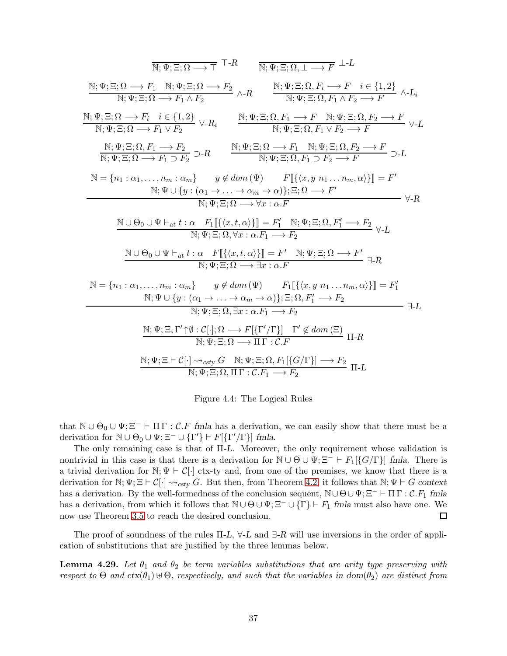$$
\frac{\overline{N};\Psi;\Xi;\Omega\longrightarrow\top\top R}{\overline{N};\Psi;\Xi;\Omega\longrightarrow F_2}\quad\frac{\overline{N};\Psi;\Xi;\Omega,\bot\longrightarrow F\bot L}{\overline{N};\Psi;\Xi;\Omega\longrightarrow F_1\wedge F_2}\wedge R\quad\frac{\overline{N};\Psi;\Xi;\Omega,R_1\longrightarrow F\bot}{\overline{N};\Psi;\Xi;\Omega,R_1\wedge F_2\longrightarrow F}\wedge L_i
$$
\n
$$
\frac{\overline{N};\Psi;\Xi;\Omega\longrightarrow F_i\quad\text{if }e\{1,2\}}{\overline{N};\Psi;\Xi;\Omega\longrightarrow F_1\vee F_2}\vee R_i\quad\frac{\overline{N};\Psi;\Xi;\Omega,P_1\longrightarrow F\quad\overline{N};\Psi;\Xi;\Omega,P_2\longrightarrow F}{\overline{N};\Psi;\Xi;\Omega,P_1\vee F_2\longrightarrow F}\vee L
$$
\n
$$
\frac{\overline{N};\Psi;\Xi;\Omega\longrightarrow F_1\vee F_2}{\overline{N};\Psi;\Xi;\Omega\longrightarrow F_1\supset F_2}\supset R\quad\frac{\overline{N};\Psi;\Xi;\Omega,P_1\longrightarrow F\quad\overline{N};\Psi;\Xi;\Omega,P_2\longrightarrow F}{\overline{N};\Psi;\Xi;\Omega,P_1\supset F_2\longrightarrow F}\supset L
$$
\n
$$
N=\{n_1:\alpha_1,\ldots,n_m:\alpha_m\} \quad y\notin dom(\Psi)\quad F[\{(x,y,n_1\ldots,n_m,\alpha)\}] = F'
$$
\n
$$
N;\Psi\cup\{y:(\alpha_1\rightarrow\ldots\rightarrow\alpha_m\rightarrow\alpha)\};\Xi;\Omega\longrightarrow F'
$$
\n
$$
N;\Psi;\Xi;\Omega\longrightarrow\forall x:\alpha.F
$$
\n
$$
\frac{N\cup\Theta_0\cup\Psi\vdash_{at}t:\alpha\quad F_1[\{(x,t,\alpha)\}] = F'_1\quad\overline{N};\Psi;\Xi;\Omega,P'_1\longrightarrow F_2}\quad\forall\text{-}R}{\overline{N};\Psi;\Xi;\Omega,\forall x:\alpha.P_1\longrightarrow F_2}\quad\forall\text{-}L
$$
\n
$$
\frac{N\cup\Theta_0\cup\Psi\vdash_{at}t:\alpha\quad F[\{(x,t,\alpha)\}] = F'\quad\overline{N};\Psi;\Xi;\Omega\longrightarrow F'\quad\exists\text{-}R}
$$
\n
$$
N=\{n_1:\alpha_1,\ldots
$$

<span id="page-36-0"></span>Figure 4.4: The Logical Rules

that  $\mathbb{N} \cup \Theta_0 \cup \Psi; \Xi^- \vdash \Pi \Gamma : \mathcal{C}.F$  fmla has a derivation, we can easily show that there must be a derivation for  $\mathbb{N} \cup \Theta_0 \cup \Psi; \Xi^- \cup \{\Gamma'\} \vdash F[\{\Gamma'/\Gamma\}]$  fmla.

The only remaining case is that of Π-L. Moreover, the only requirement whose validation is nontrivial in this case is that there is a derivation for  $\mathbb{N} \cup \Theta \cup \Psi$ ;  $\Xi^- \vdash F_1[\{G/\Gamma\}]$  fmla. There is a trivial derivation for  $\mathbb{N}; \Psi \vdash \mathcal{C}[\cdot]$  ctx-ty and, from one of the premises, we know that there is a derivation for N;  $\Psi$ ;  $\Xi \vdash \mathcal{C}[\cdot] \leadsto_{csty} G$ . But then, from Theorem [4.2,](#page-26-0) it follows that N;  $\Psi \vdash G$  context has a derivation. By the well-formedness of the conclusion sequent,  $\mathbb{N} \cup \Theta \cup \Psi; \Xi^- \vdash \Pi \Gamma : \mathcal{C}.F_1$  fmla has a derivation, from which it follows that  $\mathbb{N} \cup \Theta \cup \Psi$ ;  $\Xi^- \cup {\{\Gamma\}} \vdash F_1$  fmla must also have one. We now use Theorem [3.5](#page-20-0) to reach the desired conclusion.  $\Box$ 

The proof of soundness of the rules  $\Pi$ -L,  $\forall$ -L and  $\exists$ -R will use inversions in the order of application of substitutions that are justified by the three lemmas below.

<span id="page-36-1"></span>**Lemma 4.29.** Let  $\theta_1$  and  $\theta_2$  be term variables substitutions that are arity type preserving with respect to Θ and  $ctx(\theta_1) \oplus \Theta$ , respectively, and such that the variables in dom( $\theta_2$ ) are distinct from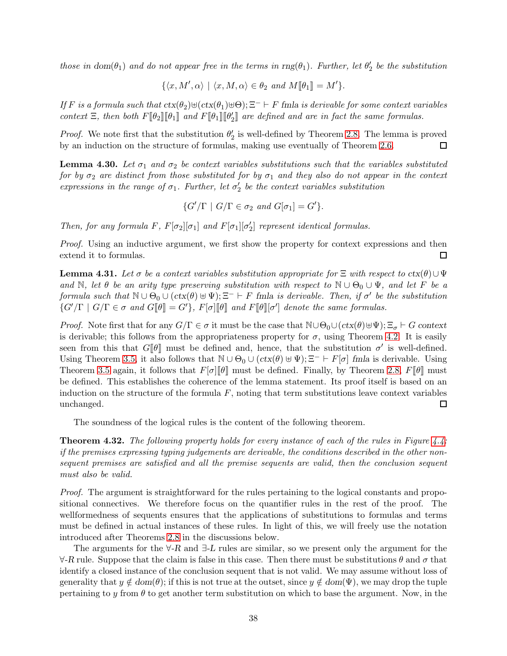those in dom $(\theta_1)$  and do not appear free in the terms in  $\text{rng}(\theta_1)$ . Further, let  $\theta'_2$  be the substitution

$$
\{\langle x, M', \alpha \rangle \mid \langle x, M, \alpha \rangle \in \theta_2 \text{ and } M[\![\theta_1]\!] = M' \}.
$$

If F is a formula such that  $\text{ctx}(\theta_1) \oplus \text{C}(\text{ctx}(\theta_1) \oplus \Theta)$ ;  $\Xi^ \vdash$  F fmla is derivable for some context variables context  $\Xi$ , then both  $F[\![\theta_2]\!][\![\theta_1]\!]$  and  $F[\![\theta_1]\!][\![\theta'_2]\!]$  are defined and are in fact the same formulas.

*Proof.* We note first that the substitution  $\theta_2'$  is well-defined by Theorem [2.8.](#page-5-0) The lemma is proved by an induction on the structure of formulas, making use eventually of Theorem [2.6.](#page-5-1)  $\Box$ 

**Lemma 4.30.** Let  $\sigma_1$  and  $\sigma_2$  be context variables substitutions such that the variables substituted for by  $\sigma_2$  are distinct from those substituted for by  $\sigma_1$  and they also do not appear in the context expressions in the range of  $\sigma_1$ . Further, let  $\sigma'_2$  be the context variables substitution

$$
\{G'/\Gamma \mid G/\Gamma \in \sigma_2 \text{ and } G[\sigma_1] = G'\}.
$$

Then, for any formula  $F$ ,  $F[\sigma_2][\sigma_1]$  and  $F[\sigma_1][\sigma'_2]$  represent identical formulas.

Proof. Using an inductive argument, we first show the property for context expressions and then extend it to formulas.  $\Box$ 

<span id="page-37-0"></span>**Lemma 4.31.** Let  $\sigma$  be a context variables substitution appropriate for  $\Xi$  with respect to  $\text{ctx}(\theta) \cup \Psi$ and N, let  $\theta$  be an arity type preserving substitution with respect to  $\mathbb{N} \cup \Theta_0 \cup \Psi$ , and let F be a formula such that  $\mathbb{N} \cup \Theta_0 \cup (ctx(\theta) \cup \Psi)$ ;  $\Xi^- \vdash F$  fmla is derivable. Then, if  $\sigma'$  be the substitution  $\{G'/\Gamma \mid G/\Gamma \in \sigma \text{ and } G[\![\theta]\!] = G' \}, F[\sigma][\![\theta]\!]$  and  $F[\![\theta]\!] [\sigma']$  denote the same formulas.

*Proof.* Note first that for any  $G/\Gamma \in \sigma$  it must be the case that  $\mathbb{N} \cup \Theta_0 \cup (ctx(\theta) \cup \Psi)$ ;  $\Xi_{\sigma} \vdash G$  context is derivable; this follows from the appropriateness property for  $\sigma$ , using Theorem [4.2.](#page-26-0) It is easily seen from this that  $G[\![\theta]\!]$  must be defined and, hence, that the substitution  $\sigma'$  is well-defined. Using Theorem [3.5,](#page-20-0) it also follows that  $\mathbb{N} \cup \Theta_0 \cup (ctx(\theta) \cup \Psi)$ ;  $\Xi^- \vdash F[\sigma]$  fmla is derivable. Using Theorem [3.5](#page-20-0) again, it follows that  $F[\sigma]\llbracket \theta \rrbracket$  must be defined. Finally, by Theorem [2.8,](#page-5-0)  $F[\theta]\rrbracket$  must be defined. This establishes the coherence of the lemma statement. Its proof itself is based on an induction on the structure of the formula  $F$ , noting that term substitutions leave context variables unchanged.  $\Box$ 

The soundness of the logical rules is the content of the following theorem.

**Theorem 4.32.** The following property holds for every instance of each of the rules in Figure [4.4:](#page-36-0) if the premises expressing typing judgements are derivable, the conditions described in the other nonsequent premises are satisfied and all the premise sequents are valid, then the conclusion sequent must also be valid.

Proof. The argument is straightforward for the rules pertaining to the logical constants and propositional connectives. We therefore focus on the quantifier rules in the rest of the proof. The wellformedness of sequents ensures that the applications of substitutions to formulas and terms must be defined in actual instances of these rules. In light of this, we will freely use the notation introduced after Theorems [2.8](#page-5-0) in the discussions below.

The arguments for the  $\forall$ -R and  $\exists$ -L rules are similar, so we present only the argument for the  $\forall R$  rule. Suppose that the claim is false in this case. Then there must be substitutions  $\theta$  and  $\sigma$  that identify a closed instance of the conclusion sequent that is not valid. We may assume without loss of generality that  $y \notin dom(\theta)$ ; if this is not true at the outset, since  $y \notin dom(\Psi)$ , we may drop the tuple pertaining to y from  $\theta$  to get another term substitution on which to base the argument. Now, in the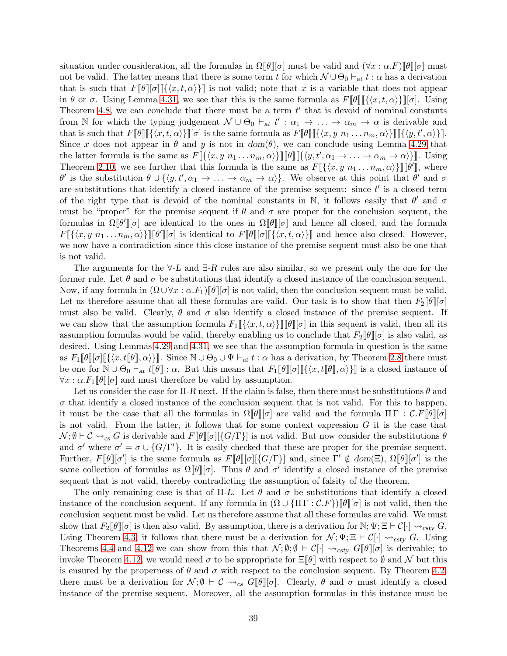situation under consideration, all the formulas in  $\Omega[\theta][\sigma]$  must be valid and  $(\forall x : \alpha F)[\theta][\sigma]$  must not be valid. The latter means that there is some term t for which  $\mathcal{N} \cup \Theta_0 \vdash_{at} t : \alpha$  has a derivation that is such that  $F[\![\theta]\!][\![\sigma]\!][\{x, t, \alpha\}]$  is not valid; note that x is a variable that does not appear in θ or σ. Using Lemma [4.31,](#page-37-0) we see that this is the same formula as  $F[\theta] [\{(x, t, \alpha)\}] [\sigma]$ . Using Theorem [4.8,](#page-27-0) we can conclude that there must be a term  $t'$  that is devoid of nominal constants from N for which the typing judgement  $\mathcal{N} \cup \Theta_0 \vdash_{\text{at}} t' : \alpha_1 \to \ldots \to \alpha_m \to \alpha$  is derivable and that is such that  $F[\![\theta]\!] [\{\langle x,t,\alpha\rangle\}][\![\sigma]$  is the same formula as  $F[\![\theta]\!] [\{\langle x,y|n_1\ldots n_m,\alpha\rangle\}][\![\{\langle y,t',\alpha\rangle\}]]$ . Since x does not appear in  $\theta$  and y is not in  $dom(\theta)$ , we can conclude using Lemma [4.29](#page-36-1) that the latter formula is the same as  $F[\![\{(x, y \ n_1 \ldots n_m, \alpha)\}] \!] [\![\theta]\!] [\![\{(y, t', \alpha_1 \to \ldots \to \alpha_m \to \alpha)\}] \!]$ . Using Theorem [2.10,](#page-6-0) we see further that this formula is the same as  $F[\{\langle x, y \ n_1 \dots n_m, \alpha \rangle\}]\pi\theta$ , where  $\theta'$  is the substitution  $\theta \cup \{\langle y, t', \alpha_1 \to \ldots \to \alpha_m \to \alpha \rangle\}$ . We observe at this point that  $\theta'$  and  $\sigma$ are substitutions that identify a closed instance of the premise sequent: since  $t'$  is a closed term of the right type that is devoid of the nominal constants in N, it follows easily that  $\theta'$  and  $\sigma$ must be "proper" for the premise sequent if  $\theta$  and  $\sigma$  are proper for the conclusion sequent, the formulas in  $\Omega[\![\theta']\!] [\sigma]$  are identical to the ones in  $\Omega[\![\theta]\!] [\sigma]$  and hence all closed, and the formula  $F[\{\langle x, y \n_1 \dots n_m, \alpha \rangle\}][\![\theta']\!][\sigma]$  is identical to  $F[\![\theta]\!][\![\{\langle x, t, \alpha \rangle\}]\!]$  and hence also closed. However, we now have a contradiction since this close instance of the premise sequent must also be one that is not valid.

The arguments for the  $\forall$ -L and  $\exists$ -R rules are also similar, so we present only the one for the former rule. Let  $\theta$  and  $\sigma$  be substitutions that identify a closed instance of the conclusion sequent. Now, if any formula in  $(\Omega \cup \forall x : \alpha F_1)\llbracket \theta \rrbracket[\sigma]$  is not valid, then the conclusion sequent must be valid. Let us therefore assume that all these formulas are valid. Our task is to show that then  $F_2[\![\theta]\!][\sigma]$ must also be valid. Clearly,  $\theta$  and  $\sigma$  also identify a closed instance of the premise sequent. If we can show that the assumption formula  $F_1\llbracket \{x, t, \alpha\} \rrbracket \llbracket \theta \rrbracket \sigma$  in this sequent is valid, then all its assumption formulas would be valid, thereby enabling us to conclude that  $F_2\llbracket \theta \rrbracket[\sigma]$  is also valid, as desired. Using Lemmas [4.29](#page-36-1) and [4.31,](#page-37-0) we see that the assumption formula in question is the same as  $F_1[\![\theta]\!][\![\sigma][\![\{\langle x, t[\![\theta]\!], \alpha\rangle\}]\!]$ . Since  $\mathbb{N} \cup \Theta_0 \cup \Psi \vdash_{\mathit{at}} t : \alpha$  has a derivation, by Theorem [2.8](#page-5-0) there must be one for  $\mathbb{N} \cup \Theta_0 \vdash_{\text{at}} t[\![\theta]\!] : \alpha$ . But this means that  $F_1[\![\theta]\!][\![\sigma][\!][\{(x, t[\![\theta]\!], \alpha)\}]$  is a closed instance of  $\forall x : \alpha. F_1[\theta][\sigma]$  and must therefore be valid by assumption.

Let us consider the case for  $\Pi$ -R next. If the claim is false, then there must be substitutions  $\theta$  and  $\sigma$  that identify a closed instance of the conclusion sequent that is not valid. For this to happen, it must be the case that all the formulas in  $\Omega[\![\theta]\!][\sigma]$  are valid and the formula  $\Pi\Gamma : \mathcal{C}.F[\![\theta]\!][\sigma]$ is not valid. From the latter, it follows that for some context expression  $G$  it is the case that  $\mathcal{N}; \emptyset \vdash \mathcal{C} \leadsto_{cs} G$  is derivable and  $F[\![\theta]\!][\{\mathcal{G}/\Gamma\}]$  is not valid. But now consider the substitutions  $\theta$ and  $\sigma'$  where  $\sigma' = \sigma \cup \{G/\Gamma'\}$ . It is easily checked that these are proper for the premise sequent. Further,  $F[\![\theta]\!][\sigma']$  is the same formula as  $F[\![\theta]\!][\{\sigma/[\Gamma]\}]$  and, since  $\Gamma' \notin dom(\Xi)$ ,  $\Omega[\![\theta]\!][\sigma']$  is the same collection of formulas as  $\Omega[\![\theta]\!] [\sigma]$ . Thus  $\theta$  and  $\sigma'$  identify a closed instance of the premise sequent that is not valid, thereby contradicting the assumption of falsity of the theorem.

The only remaining case is that of  $\Pi$ -L. Let  $\theta$  and  $\sigma$  be substitutions that identify a closed instance of the conclusion sequent. If any formula in  $(\Omega \cup {\{\Pi\}\cap \mathcal{C}.F\}\|\theta\|[\sigma]$  is not valid, then the conclusion sequent must be valid. Let us therefore assume that all these formulas are valid. We must show that  $F_2\llbracket \theta \rrbracket[\sigma]$  is then also valid. By assumption, there is a derivation for N;  $\Psi$ ;  $\Xi \vdash C[\cdot] \leadsto_{cstv} G$ . Using Theorem [4.3,](#page-26-1) it follows that there must be a derivation for  $\mathcal{N}; \Psi; \Xi \vdash \mathcal{C}[\cdot] \leadsto_{csty} G$ . Using Theorems [4.4](#page-26-2) and [4.12](#page-29-0) we can show from this that  $\mathcal{N}; \emptyset; \emptyset \vdash \mathcal{C}[\cdot] \rightsquigarrow_{\text{csty }} G[\![\theta]\!] [\sigma]$  is derivable; to invoke Theorem [4.12,](#page-29-0) we would need  $\sigma$  to be appropriate for  $\Xi[\![\theta]\!]$  with respect to  $\emptyset$  and  $\mathcal N$  but this is ensured by the properness of  $\theta$  and  $\sigma$  with respect to the conclusion sequent. By Theorem [4.2,](#page-26-0) there must be a derivation for  $\mathcal{N}; \emptyset \vdash \mathcal{C} \leadsto_{cs} G[\![\theta]\!][\![\sigma]$ . Clearly,  $\theta$  and  $\sigma$  must identify a closed instance of the premise sequent. Moreover, all the assumption formulas in this instance must be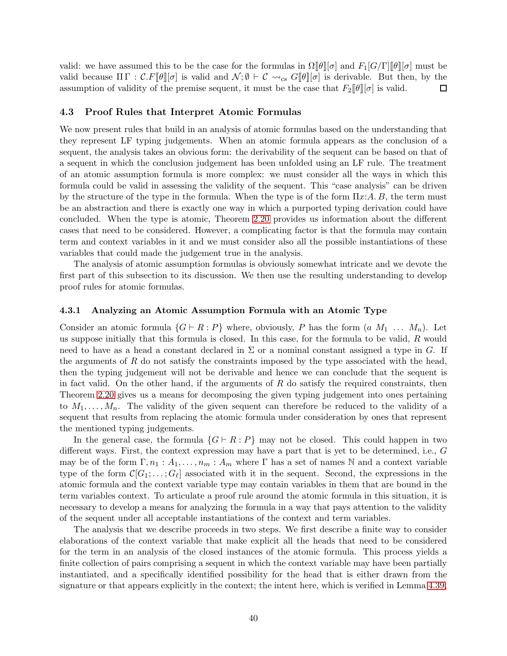valid: we have assumed this to be the case for the formulas in  $\Omega[\theta][\sigma]$  and  $F_1[G/\Gamma][\theta][\sigma]$  must be valid because  $\Pi \Gamma : \mathcal{C} \mathcal{F}[\![\theta]\!][\sigma]$  is valid and  $\mathcal{N}; \emptyset \vdash \mathcal{C} \leadsto_{cs} G[\![\theta]\!][\sigma]$  is derivable. But then, by the assumption of validity of the premise sequent, it must be the case that  $F_2[\theta][\sigma]$  is valid. □

### 4.3 Proof Rules that Interpret Atomic Formulas

We now present rules that build in an analysis of atomic formulas based on the understanding that they represent LF typing judgements. When an atomic formula appears as the conclusion of a sequent, the analysis takes an obvious form: the derivability of the sequent can be based on that of a sequent in which the conclusion judgement has been unfolded using an LF rule. The treatment of an atomic assumption formula is more complex: we must consider all the ways in which this formula could be valid in assessing the validity of the sequent. This "case analysis" can be driven by the structure of the type in the formula. When the type is of the form  $\Pi x:A.B$ , the term must be an abstraction and there is exactly one way in which a purported typing derivation could have concluded. When the type is atomic, Theorem [2.20](#page-12-0) provides us information about the different cases that need to be considered. However, a complicating factor is that the formula may contain term and context variables in it and we must consider also all the possible instantiations of these variables that could made the judgement true in the analysis.

The analysis of atomic assumption formulas is obviously somewhat intricate and we devote the first part of this subsection to its discussion. We then use the resulting understanding to develop proof rules for atomic formulas.

### 4.3.1 Analyzing an Atomic Assumption Formula with an Atomic Type

Consider an atomic formula  $\{G \vdash R : P\}$  where, obviously, P has the form  $(a M_1 ... M_n)$ . Let us suppose initially that this formula is closed. In this case, for the formula to be valid, R would need to have as a head a constant declared in  $\Sigma$  or a nominal constant assigned a type in G. If the arguments of  $R$  do not satisfy the constraints imposed by the type associated with the head, then the typing judgement will not be derivable and hence we can conclude that the sequent is in fact valid. On the other hand, if the arguments of  $R$  do satisfy the required constraints, then Theorem [2.20](#page-12-0) gives us a means for decomposing the given typing judgement into ones pertaining to  $M_1, \ldots, M_n$ . The validity of the given sequent can therefore be reduced to the validity of a sequent that results from replacing the atomic formula under consideration by ones that represent the mentioned typing judgements.

In the general case, the formula  $\{G \vdash R : P\}$  may not be closed. This could happen in two different ways. First, the context expression may have a part that is yet to be determined, i.e., G may be of the form  $\Gamma, n_1 : A_1, \ldots, n_m : A_m$  where  $\Gamma$  has a set of names N and a context variable type of the form  $\mathcal{C}[G_1; \ldots; G_\ell]$  associated with it in the sequent. Second, the expressions in the atomic formula and the context variable type may contain variables in them that are bound in the term variables context. To articulate a proof rule around the atomic formula in this situation, it is necessary to develop a means for analyzing the formula in a way that pays attention to the validity of the sequent under all acceptable instantiations of the context and term variables.

The analysis that we describe proceeds in two steps. We first describe a finite way to consider elaborations of the context variable that make explicit all the heads that need to be considered for the term in an analysis of the closed instances of the atomic formula. This process yields a finite collection of pairs comprising a sequent in which the context variable may have been partially instantiated, and a specifically identified possibility for the head that is either drawn from the signature or that appears explicitly in the context; the intent here, which is verified in Lemma [4.39,](#page-42-0)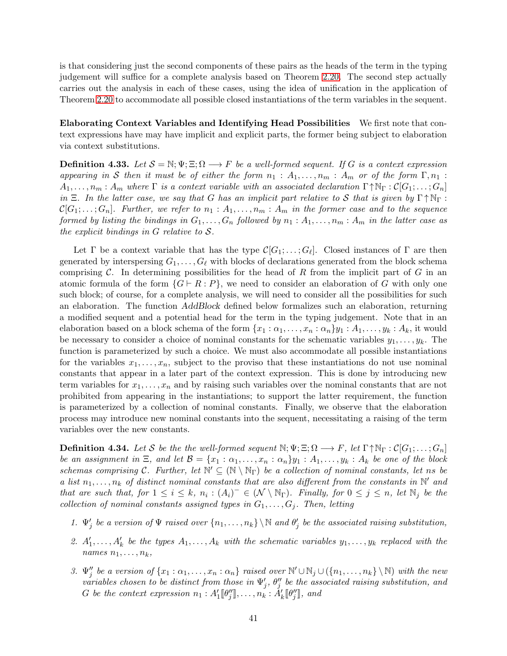is that considering just the second components of these pairs as the heads of the term in the typing judgement will suffice for a complete analysis based on Theorem [2.20.](#page-12-0) The second step actually carries out the analysis in each of these cases, using the idea of unification in the application of Theorem [2.20](#page-12-0) to accommodate all possible closed instantiations of the term variables in the sequent.

Elaborating Context Variables and Identifying Head Possibilities We first note that context expressions have may have implicit and explicit parts, the former being subject to elaboration via context substitutions.

**Definition 4.33.** Let  $S = \mathbb{N}; \Psi; \Xi; \Omega \longrightarrow F$  be a well-formed sequent. If G is a context expression appearing in S then it must be of either the form  $n_1 : A_1, \ldots, n_m : A_m$  or of the form  $\Gamma, n_1 :$  $A_1, \ldots, n_m : A_m$  where  $\Gamma$  is a context variable with an associated declaration  $\Gamma \uparrow \mathbb{N}_{\Gamma} : \mathcal{C}[G_1; \ldots; G_n]$ in  $\Xi$ . In the latter case, we say that G has an implicit part relative to S that is given by  $\Gamma \uparrow \mathbb{N}_{\Gamma}$ :  $\mathcal{C}[G_1; \ldots; G_n]$ . Further, we refer to  $n_1 : A_1, \ldots, n_m : A_m$  in the former case and to the sequence formed by listing the bindings in  $G_1, \ldots, G_n$  followed by  $n_1 : A_1, \ldots, n_m : A_m$  in the latter case as the explicit bindings in  $G$  relative to  $S$ .

Let  $\Gamma$  be a context variable that has the type  $\mathcal{C}[G_1; \ldots; G_\ell]$ . Closed instances of  $\Gamma$  are then generated by interspersing  $G_1, \ldots, G_\ell$  with blocks of declarations generated from the block schema comprising  $\mathcal C$ . In determining possibilities for the head of  $R$  from the implicit part of  $G$  in an atomic formula of the form  $\{G \vdash R : P\}$ , we need to consider an elaboration of G with only one such block; of course, for a complete analysis, we will need to consider all the possibilities for such an elaboration. The function AddBlock defined below formalizes such an elaboration, returning a modified sequent and a potential head for the term in the typing judgement. Note that in an elaboration based on a block schema of the form  $\{x_1 : \alpha_1, \ldots, x_n : \alpha_n\}$   $y_1 : A_1, \ldots, y_k : A_k$ , it would be necessary to consider a choice of nominal constants for the schematic variables  $y_1, \ldots, y_k$ . The function is parameterized by such a choice. We must also accommodate all possible instantiations for the variables  $x_1, \ldots, x_n$ , subject to the proviso that these instantiations do not use nominal constants that appear in a later part of the context expression. This is done by introducing new term variables for  $x_1, \ldots, x_n$  and by raising such variables over the nominal constants that are not prohibited from appearing in the instantiations; to support the latter requirement, the function is parameterized by a collection of nominal constants. Finally, we observe that the elaboration process may introduce new nominal constants into the sequent, necessitating a raising of the term variables over the new constants.

**Definition 4.34.** Let S be the the well-formed sequent  $\mathbb{N}; \Psi; \Xi; \Omega \to F$ , let  $\Gamma \uparrow \mathbb{N}_{\Gamma} : \mathcal{C}[G_1; \ldots; G_n]$ be an assignment in  $\Xi$ , and let  $\mathcal{B} = \{x_1 : \alpha_1, \ldots, x_n : \alpha_n\}y_1 : A_1, \ldots, y_k : A_k$  be one of the block schemas comprising C. Further, let  $\mathbb{N}' \subseteq (\mathbb{N} \setminus \mathbb{N}_{\Gamma})$  be a collection of nominal constants, let ns be a list  $n_1, \ldots, n_k$  of distinct nominal constants that are also different from the constants in  $\mathbb{N}'$  and that are such that, for  $1 \leq i \leq k$ ,  $n_i : (A_i)^- \in (\mathcal{N} \setminus \mathbb{N}_{\Gamma})$ . Finally, for  $0 \leq j \leq n$ , let  $\mathbb{N}_j$  be the collection of nominal constants assigned types in  $G_1, \ldots, G_j$ . Then, letting

- 1.  $\Psi'_j$  be a version of  $\Psi$  raised over  $\{n_1, \ldots, n_k\} \setminus \mathbb{N}$  and  $\theta'_j$  be the associated raising substitution,
- 2.  $A'_1, \ldots, A'_k$  be the types  $A_1, \ldots, A_k$  with the schematic variables  $y_1, \ldots, y_k$  replaced with the names  $n_1, \ldots, n_k$ ,
- 3.  $\Psi''_j$  be a version of  $\{x_1 : \alpha_1, \ldots, x_n : \alpha_n\}$  raised over  $\mathbb{N}' \cup \mathbb{N}_j \cup (\{n_1, \ldots, n_k\} \setminus \mathbb{N})$  with the new variables chosen to be distinct from those in  $\Psi'_j$ ,  $\theta''_j$  be the associated raising substitution, and G be the context expression  $n_1 : A'_1[\![\theta_j'']\!], \ldots, n_k : \check{A}'_k[\![\theta_j'']\!],$  and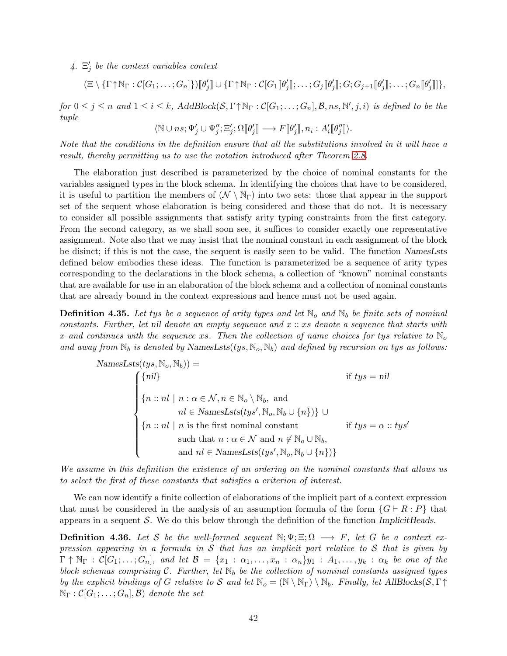4.  $\Xi'_j$  be the context variables context

$$
(\Xi \setminus {\{\Gamma \uparrow \mathbb{N}_{\Gamma} : C[G_1; \ldots; G_n]\}})[\![\theta'_j]\!] \cup {\{\Gamma \uparrow \mathbb{N}_{\Gamma} : C[G_1[\![\theta'_j]\!]; \ldots; G_j[\![\theta'_j]\!]; G; G_{j+1}[\![\theta'_j]\!]; \ldots; G_n[\![\theta'_j]\!]\}},
$$

 $for\ 0 \leq j \leq n \ and\ 1 \leq i \leq k$ ,  $AddBlock(S, \Gamma \uparrow \mathbb{N}_{\Gamma} : \mathcal{C}[G_1; \ldots; G_n], \mathcal{B}, ns, \mathbb{N}', j, i)$  is defined to be the tuple

$$
\langle \mathbb{N} \cup ns; \Psi'_j \cup \Psi''_j; \Xi'_j; \Omega[\![\theta'_j]\!] \longrightarrow F[\![\theta'_j]\!], n_i : A'_i[\![\theta''_j]\!]).
$$

Note that the conditions in the definition ensure that all the substitutions involved in it will have a result, thereby permitting us to use the notation introduced after Theorem [2.8.](#page-5-0)

The elaboration just described is parameterized by the choice of nominal constants for the variables assigned types in the block schema. In identifying the choices that have to be considered, it is useful to partition the members of  $(\mathcal{N} \setminus \mathbb{N}_{\Gamma})$  into two sets: those that appear in the support set of the sequent whose elaboration is being considered and those that do not. It is necessary to consider all possible assignments that satisfy arity typing constraints from the first category. From the second category, as we shall soon see, it suffices to consider exactly one representative assignment. Note also that we may insist that the nominal constant in each assignment of the block be disinct; if this is not the case, the sequent is easily seen to be valid. The function NamesLsts defined below embodies these ideas. The function is parameterized be a sequence of arity types corresponding to the declarations in the block schema, a collection of "known" nominal constants that are available for use in an elaboration of the block schema and a collection of nominal constants that are already bound in the context expressions and hence must not be used again.

**Definition 4.35.** Let tys be a sequence of arity types and let  $\mathbb{N}_o$  and  $\mathbb{N}_b$  be finite sets of nominal constants. Further, let nil denote an empty sequence and  $x:: x s$  denote a sequence that starts with x and continues with the sequence xs. Then the collection of name choices for tys relative to  $\mathbb{N}_o$ and away from  $\mathbb{N}_b$  is denoted by NamesLsts(tys,  $\mathbb{N}_o$ ,  $\mathbb{N}_b$ ) and defined by recursion on tys as follows:

$$
\text{NamesLsts}(tys, \mathbb{N}_o, \mathbb{N}_b)) =
$$
\n
$$
\begin{cases}\n\{nil\} & \text{if } tys = nil \\
\{n::nl \mid n : \alpha \in \mathcal{N}, n \in \mathbb{N}_o \setminus \mathbb{N}_b, \text{ and} \\
nl \in \text{NamesLsts}(tys', \mathbb{N}_o, \mathbb{N}_b \cup \{n\})\} \cup \\
\{n::nl \mid n \text{ is the first nominal constant} & \text{if } tys = \alpha :: tys' \\
\text{such that } n : \alpha \in \mathcal{N} \text{ and } n \notin \mathbb{N}_o \cup \mathbb{N}_b, \\
\text{and } nl \in \text{NamesLsts}(tys', \mathbb{N}_o, \mathbb{N}_b \cup \{n\})\}\n\end{cases}
$$

We assume in this definition the existence of an ordering on the nominal constants that allows us to select the first of these constants that satisfies a criterion of interest.

We can now identify a finite collection of elaborations of the implicit part of a context expression that must be considered in the analysis of an assumption formula of the form  $\{G \vdash R : P\}$  that appears in a sequent S. We do this below through the definition of the function Implicit Heads.

**Definition 4.36.** Let S be the well-formed sequent  $\mathbb{N}; \Psi; \Xi; \Omega \longrightarrow F$ , let G be a context expression appearing in a formula in  $S$  that has an implicit part relative to  $S$  that is given by  $\Gamma \uparrow \mathbb{N}_{\Gamma} : \mathcal{C}[G_1; \ldots; G_n],$  and let  $\mathcal{B} = \{x_1 : \alpha_1, \ldots, x_n : \alpha_n\}y_1 : A_1, \ldots, y_k : \alpha_k$  be one of the block schemas comprising C. Further, let  $\mathbb{N}_b$  be the collection of nominal constants assigned types by the explicit bindings of G relative to S and let  $\mathbb{N}_o = (\mathbb{N} \setminus \mathbb{N}_{\Gamma}) \setminus \mathbb{N}_b$ . Finally, let AllBlocks $(\mathcal{S}, \Gamma \uparrow$  $\mathbb{N}_{\Gamma} : \mathcal{C}[G_1; \ldots; G_n], \mathcal{B})$  denote the set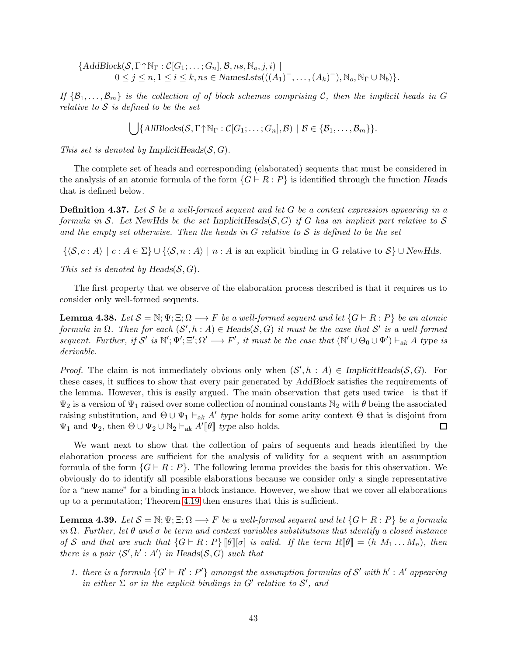$\{AddBlock(S, \Gamma \uparrow \mathbb{N}_{\Gamma} : C[G_1; \ldots; G_n], \mathcal{B}, ns, \mathbb{N}_o, j, i) \mid$  $0 \leq j \leq n, 1 \leq i \leq k, ns \in \text{NamesLsts}(((A_1)^-, \ldots, (A_k)^-), \mathbb{N}_o, \mathbb{N}_{\Gamma} \cup \mathbb{N}_b))$ .

If  $\{\mathcal{B}_1,\ldots,\mathcal{B}_m\}$  is the collection of of block schemas comprising C, then the implicit heads in G relative to  $S$  is defined to be the set

$$
\bigcup \{AllBlocks(\mathcal{S}, \Gamma \uparrow \mathbb{N}_{\Gamma}: \mathcal{C}[G_1; \ldots; G_n], \mathcal{B}) \mid \mathcal{B} \in \{\mathcal{B}_1, \ldots, \mathcal{B}_m\}\}.
$$

This set is denoted by Implicit Heads $(S, G)$ .

The complete set of heads and corresponding (elaborated) sequents that must be considered in the analysis of an atomic formula of the form  $\{G \vdash R : P\}$  is identified through the function Heads that is defined below.

**Definition 4.37.** Let S be a well-formed sequent and let G be a context expression appearing in a formula in S. Let NewHds be the set ImplicitHeads(S, G) if G has an implicit part relative to S and the empty set otherwise. Then the heads in  $G$  relative to  $S$  is defined to be the set

 $\{\langle \mathcal{S}, c : A \rangle \mid c : A \in \Sigma\} \cup \{\langle \mathcal{S}, n : A \rangle \mid n : A \text{ is an explicit binding in } G \text{ relative to } \mathcal{S}\} \cup \text{NewHds}.$ 

This set is denoted by Heads $(S, G)$ .

The first property that we observe of the elaboration process described is that it requires us to consider only well-formed sequents.

<span id="page-42-1"></span>**Lemma 4.38.** Let  $S = \mathbb{N}; \Psi; \Xi; \Omega \longrightarrow F$  be a well-formed sequent and let  $\{G \vdash R : P\}$  be an atomic formula in  $\Omega$ . Then for each  $(\mathcal{S}', h : A) \in \text{Heads}(\mathcal{S}, G)$  it must be the case that  $\mathcal{S}'$  is a well-formed sequent. Further, if S' is  $\mathbb{N}'$ ;  $\mathbb{E}'$ ;  $\Omega' \longrightarrow F'$ , it must be the case that  $(\mathbb{N}' \cup \Theta_0 \cup \Psi') \vdash_{ak} A$  type is derivable.

*Proof.* The claim is not immediately obvious only when  $(S', h : A) \in ImplicitHeads(S, G)$ . For these cases, it suffices to show that every pair generated by AddBlock satisfies the requirements of the lemma. However, this is easily argued. The main observation–that gets used twice—is that if  $\Psi_2$  is a version of  $\Psi_1$  raised over some collection of nominal constants  $\mathbb{N}_2$  with  $\theta$  being the associated raising substitution, and  $\Theta \cup \Psi_1 \vdash_{ak} A'$  type holds for some arity context  $\Theta$  that is disjoint from  $\Psi_1$  and  $\Psi_2$ , then  $\Theta \cup \Psi_2 \cup \mathbb{N}_2 \vdash_{ak} A'[\![\theta]\!]$  type also holds.  $\Box$ 

We want next to show that the collection of pairs of sequents and heads identified by the elaboration process are sufficient for the analysis of validity for a sequent with an assumption formula of the form  $\{G \vdash R : P\}$ . The following lemma provides the basis for this observation. We obviously do to identify all possible elaborations because we consider only a single representative for a "new name" for a binding in a block instance. However, we show that we cover all elaborations up to a permutation; Theorem [4.19](#page-31-0) then ensures that this is sufficient.

<span id="page-42-0"></span>**Lemma 4.39.** Let  $S = \mathbb{N}; \Psi; \Xi; \Omega \longrightarrow F$  be a well-formed sequent and let  $\{G \vdash R : P\}$  be a formula in  $\Omega$ . Further, let  $\theta$  and  $\sigma$  be term and context variables substitutions that identify a closed instance of S and that are such that  $\{G \vdash R : P\}$   $\llbracket \theta \rrbracket = \emptyset$  is valid. If the term  $R \llbracket \theta \rrbracket = (h \ M_1 \dots M_n)$ , then there is a pair  $\langle S', h' : A' \rangle$  in Heads( $S, G$ ) such that

1. there is a formula  $\{G' \vdash R' : P'\}$  amongst the assumption formulas of S' with h': A' appearing in either  $\Sigma$  or in the explicit bindings in  $G'$  relative to  $S'$ , and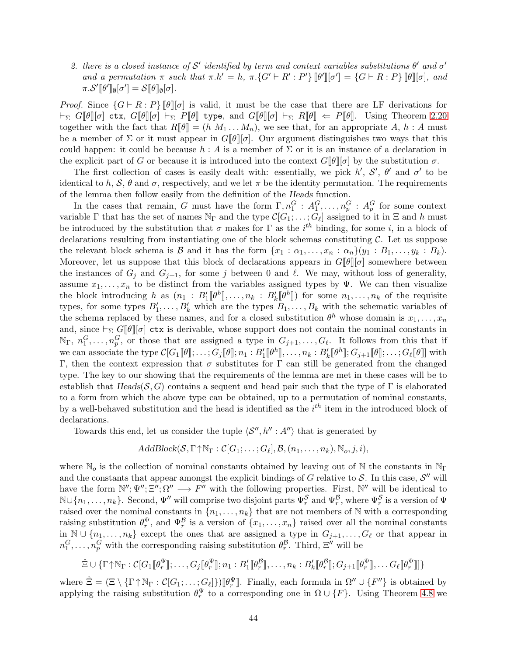2. there is a closed instance of S' identified by term and context variables substitutions  $\theta'$  and  $\sigma'$ and a permutation  $\pi$  such that  $\pi.h' = h$ ,  $\pi.\{G' \vdash R' : P'\}\llbracket \theta' \rrbracket [\sigma'] = \{G \vdash R : P\}\llbracket \theta \rrbracket [\sigma],$  and  $\pi.\mathcal{S}'[\![\theta']\!]_{\emptyset}[\sigma'] = \mathcal{S}[\![\theta]\!]_{\emptyset}[\sigma].$ 

*Proof.* Since  $\{G \vdash R : P\}$   $\llbracket \theta \rrbracket$  is valid, it must be the case that there are LF derivations for  $\vdash_{\Sigma} G[\![\theta]\!][\![\sigma]$  ctx,  $G[\![\theta]\!][\![\sigma] \vdash_{\Sigma} P[\![\theta]\!]$  type, and  $G[\![\theta]\!][\![\sigma] \vdash_{\Sigma} R[\![\theta]\!] \Leftarrow P[\![\theta]\!]$ . Using Theorem [2.20](#page-12-0) together with the fact that  $R[\![\theta]\!] = (h \; M_1 \ldots M_n)$ , we see that, for an appropriate A,  $h : A$  must be a member of  $\Sigma$  or it must appear in  $G[\![\theta]\!]$  Our argument distinguishes two ways that this could happen: it could be because  $h : A$  is a member of  $\Sigma$  or it is an instance of a declaration in the explicit part of G or because it is introduced into the context  $G[\![\theta]\!] [\sigma]$  by the substitution  $\sigma$ .

The first collection of cases is easily dealt with: essentially, we pick  $h'$ ,  $S'$ ,  $\theta'$  and  $\sigma'$  to be identical to h,  $S$ ,  $\theta$  and  $\sigma$ , respectively, and we let  $\pi$  be the identity permutation. The requirements of the lemma then follow easily from the definition of the Heads function.

In the cases that remain, G must have the form  $\Gamma, n_1^G : A_1^G, \ldots, n_p^G : A_p^G$  for some context variable  $\Gamma$  that has the set of names  $\mathbb{N}_{\Gamma}$  and the type  $\mathcal{C}[G_1; \ldots; G_{\ell}]$  assigned to it in  $\Xi$  and h must be introduced by the substitution that  $\sigma$  makes for  $\Gamma$  as the i<sup>th</sup> binding, for some i, in a block of declarations resulting from instantiating one of the block schemas constituting  $\mathcal{C}$ . Let us suppose the relevant block schema is B and it has the form  $\{x_1 : \alpha_1, \ldots, x_n : \alpha_n\}(y_1 : B_1, \ldots, y_k : B_k).$ Moreover, let us suppose that this block of declarations appears in  $G[\theta][\sigma]$  somewhere between the instances of  $G_i$  and  $G_{i+1}$ , for some j between 0 and  $\ell$ . We may, without loss of generality, assume  $x_1, \ldots, x_n$  to be distinct from the variables assigned types by Ψ. We can then visualize the block introducing h as  $(n_1 : B'_1[\![\theta^h]\!], \ldots, n_k : B'_k[\![\theta^h]\!])$  for some  $n_1, \ldots, n_k$  of the requisite types, for some types  $B'_1, \ldots, B'_k$  which are the types  $B_1, \ldots, B_k$  with the schematic variables of the schema replaced by these names, and for a closed substitution  $\theta^h$  whose domain is  $x_1, \ldots, x_n$ and, since  $\vdash_{\Sigma} G[\![\theta]\!] [\sigma]$  ctx is derivable, whose support does not contain the nominal constants in  $\mathbb{N}_{\Gamma}$ ,  $n_1^G, \ldots, n_p^G$ , or those that are assigned a type in  $G_{j+1}, \ldots, G_{\ell}$ . It follows from this that if we can associate the type  $C[G_1[\![\theta]\!]; \ldots; G_j[\![\theta]\!]; n_1 : B'_1[\![\theta^h]\!], \ldots, n_k : B'_k[\![\theta^h]\!]; G_{j+1}[\![\theta]\!]; \ldots; G_\ell[\![\theta]\!]$  with Γ, then the context expression that  $\sigma$  substitutes for Γ can still be generated from the changed type. The key to our showing that the requirements of the lemma are met in these cases will be to establish that  $Heads(\mathcal{S}, G)$  contains a sequent and head pair such that the type of  $\Gamma$  is elaborated to a form from which the above type can be obtained, up to a permutation of nominal constants, by a well-behaved substitution and the head is identified as the  $i<sup>th</sup>$  item in the introduced block of declarations.

Towards this end, let us consider the tuple  $\langle \mathcal{S}'', h'' : A'' \rangle$  that is generated by

$$
AddBlock(S, \Gamma \uparrow \mathbb{N}_{\Gamma} : \mathcal{C}[G_1; \ldots; G_{\ell}], \mathcal{B}, (n_1, \ldots, n_k), \mathbb{N}_o, j, i),
$$

where  $\mathbb{N}_o$  is the collection of nominal constants obtained by leaving out of N the constants in  $\mathbb{N}_{\Gamma}$ and the constants that appear amongst the explicit bindings of G relative to  $S$ . In this case,  $S''$  will have the form  $\mathbb{N}''$ ;  $\mathbb{E}''$ ;  $\Omega'' \longrightarrow F''$  with the following properties. First,  $\mathbb{N}''$  will be identical to  $\mathbb{N}\cup\{n_1,\ldots,n_k\}$ . Second,  $\Psi''$  will comprise two disjoint parts  $\Psi_r^{\mathcal{S}}$  and  $\Psi_r^{\mathcal{B}}$ , where  $\Psi_r^{\mathcal{S}}$  is a version of  $\Psi$ raised over the nominal constants in  $\{n_1, \ldots, n_k\}$  that are not members of N with a corresponding raising substitution  $\theta_r^{\Psi}$ , and  $\Psi_r^{\mathcal{B}}$  is a version of  $\{x_1,\ldots,x_n\}$  raised over all the nominal constants in  $\mathbb{N} \cup \{n_1, \ldots, n_k\}$  except the ones that are assigned a type in  $G_{j+1}, \ldots, G_\ell$  or that appear in  $n_1^G, \ldots, n_p^G$  with the corresponding raising substitution  $\theta_r^{\mathcal{B}}$ . Third,  $\Xi''$  will be

$$
\hat{\Xi} \cup \{\Gamma \uparrow \mathbb{N}_{\Gamma}: \mathcal{C}[G_1[\![\theta_r^{\Psi}]\!]; \ldots, G_j[\![\theta_r^{\Psi}]\!]; n_1: B_1'[\![\theta_r^{\mathcal{B}}]\!], \ldots, n_k: B_k'[\![\theta_r^{\mathcal{B}}]\!]; G_{j+1}[\![\theta_r^{\Psi}]\!], \ldots, G_{\ell}[\![\theta_r^{\Psi}]\!]]\}
$$

where  $\hat{\Xi} = (\Xi \setminus {\{\Gamma \uparrow \mathbb{N}_{\Gamma} : C[G_1; \ldots; G_{\ell}]\}})[\![\theta_r^{\Psi}]\!]$ . Finally, each formula in  $\Omega'' \cup {\{F''\}}$  is obtained by applying the raising substitution  $\theta_r^{\Psi}$  to a corresponding one in  $\Omega \cup \{F\}$ . Using Theorem [4.8](#page-27-0) we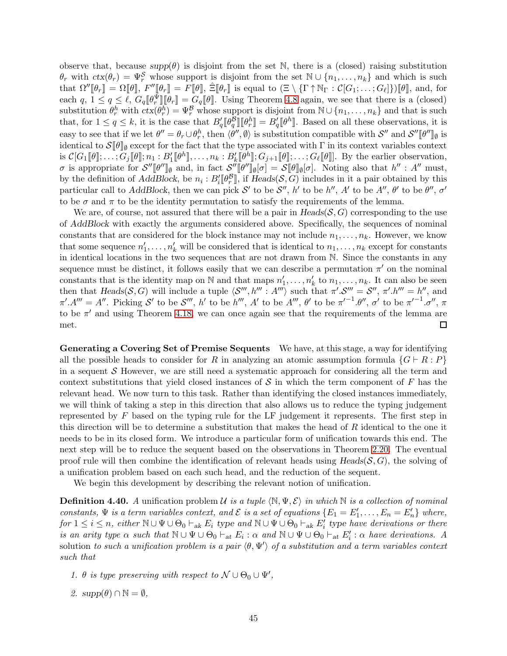observe that, because  $supp(\theta)$  is disjoint from the set N, there is a (closed) raising substitution  $\theta_r$  with  $ctx(\theta_r) = \Psi_r^{\mathcal{S}}$  whose support is disjoint from the set  $\mathbb{N} \cup \{n_1, \ldots, n_k\}$  and which is such that  $\Omega''[\![\theta_r]\!]=\Omega[\![\theta]\!], F''[\![\theta_r]\!]=F[\![\theta]\!], \hat{\Xi}[\![\theta_r]\!]$  is equal to  $(\Xi \setminus {\{\Gamma \uparrow \mathbb{N}_{\Gamma} : \mathcal{C}[G_1; \ldots; G_{\ell}]\}})[\![\theta]\!],$  and, for each  $q, 1 \leq q \leq \ell, G_q[\ell^{\Psi}_r][\ell_r] = G_q[\ell]$ . Using Theorem [4.8](#page-27-0) again, we see that there is a (closed) substitution  $\theta_r^h$  with  $ctx(\theta_r^h) = \Psi_r^{\mathcal{B}}$  whose support is disjoint from  $\mathbb{N} \cup \{n_1, \ldots, n_k\}$  and that is such that, for  $1 \le q \le k$ , it is the case that  $B_q'[\![\theta_q^B]\!] [\![\theta_r^h]\!] = B_q'[\![\theta^h]\!]$ . Based on all these observations, it is easy to see that if we let  $\theta'' = \theta_r \cup \theta_r^h$ , then  $\langle \theta'', \emptyset \rangle$  is substitution compatible with  $\mathcal{S}''$  and  $\mathcal{S}''[\![\theta'']\!]_{\emptyset}$  is identical to  $S[\![\theta]\!]_{\emptyset}$  except for the fact that the type associated with  $\Gamma$  in its context variables context is  $C[G_1[\![\theta]\!]; \ldots; G_j[\![\theta]\!]; n_1 : B'_1[\![\theta^h]\!], \ldots, n_k : B'_k[\![\theta^h]\!]; G_{j+1}[\![\theta]\!]; \ldots; G_\ell[\![\theta]\!]].$  By the earlier observation, σ is appropriate for  $\mathcal{S}''[\![\theta'']\!]_{\emptyset}$  and, in fact  $\mathcal{S}''[\![\theta'']\!]_{\emptyset}[\sigma] = \mathcal{S}[\![\theta]\!]_{\emptyset}[\sigma]$ . Noting also that  $h'' : A''$  must, by the definition of AddBlock, be  $n_i : B'_i[\![\theta_r^{\mathcal{B}}]\!]$ , if  $Heads(\mathcal{S}, G)$  includes in it a pair obtained by this particular call to AddBlock, then we can pick S' to be S'', h' to be h'', A' to be A'',  $\theta'$  to be  $\theta''$ ,  $\sigma'$ to be  $\sigma$  and  $\pi$  to be the identity permutation to satisfy the requirements of the lemma.

We are, of course, not assured that there will be a pair in  $Heads(S, G)$  corresponding to the use of AddBlock with exactly the arguments considered above. Specifically, the sequences of nominal constants that are considered for the block instance may not include  $n_1, \ldots, n_k$ . However, we know that some sequence  $n'_1, \ldots, n'_k$  will be considered that is identical to  $n_1, \ldots, n_k$  except for constants in identical locations in the two sequences that are not drawn from N. Since the constants in any sequence must be distinct, it follows easily that we can describe a permutation  $\pi'$  on the nominal constants that is the identity map on  $\mathbb N$  and that maps  $n'_1, \ldots, n'_k$  to  $n_1, \ldots, n_k$ . It can also be seen then that  $Heads(S, G)$  will include a tuple  $\langle S''', h''' : A''' \rangle$  such that  $\pi' \mathcal{S}''' = \mathcal{S}'', \pi' \mathcal{N}''' = h''$ , and  $\pi'.A''' = A''$ . Picking S' to be S''', h' to be h''', A' to be A''',  $\theta'$  to be  $\pi'^{-1}.\theta''$ ,  $\sigma'$  to be  $\pi'^{-1}.\sigma''$ ,  $\pi$ to be  $\pi'$  and using Theorem [4.18,](#page-31-1) we can once again see that the requirements of the lemma are met.  $\Box$ 

Generating a Covering Set of Premise Sequents We have, at this stage, a way for identifying all the possible heads to consider for R in analyzing an atomic assumption formula  $\{G \vdash R : P\}$ in a sequent  $\mathcal S$  However, we are still need a systematic approach for considering all the term and context substitutions that yield closed instances of  $S$  in which the term component of  $F$  has the relevant head. We now turn to this task. Rather than identifying the closed instances immediately, we will think of taking a step in this direction that also allows us to reduce the typing judgement represented by  $F$  based on the typing rule for the LF judgement it represents. The first step in this direction will be to determine a substitution that makes the head of  $R$  identical to the one it needs to be in its closed form. We introduce a particular form of unification towards this end. The next step will be to reduce the sequent based on the observations in Theorem [2.20.](#page-12-0) The eventual proof rule will then combine the identification of relevant heads using  $Heads(S, G)$ , the solving of a unification problem based on each such head, and the reduction of the sequent.

We begin this development by describing the relevant notion of unification.

<span id="page-44-0"></span>**Definition 4.40.** A unification problem U is a tuple  $\langle \mathbb{N}, \Psi, \mathcal{E} \rangle$  in which  $\mathbb{N}$  is a collection of nominal constants,  $\Psi$  is a term variables context, and  $\mathcal E$  is a set of equations  $\{E_1 = E'_1, \ldots, E_n = E'_n\}$  where,  $for 1 \leq i \leq n$ , either  $\mathbb{N} \cup \Psi \cup \Theta_0 \vdash_{ak} E_i$  type and  $\mathbb{N} \cup \Psi \cup \Theta_0 \vdash_{ak} E'_i$  type have derivations or there is an arity type  $\alpha$  such that  $\mathbb{N} \cup \Psi \cup \Theta_0 \vdash_{\text{at}} E_i : \alpha$  and  $\mathbb{N} \cup \Psi \cup \Theta_0 \vdash_{\text{at}} E'_i : \alpha$  have derivations. A solution to such a unification problem is a pair  $\langle \theta, \Psi' \rangle$  of a substitution and a term variables context such that

- 1.  $\theta$  is type preserving with respect to  $\mathcal{N} \cup \Theta_0 \cup \Psi'$ ,
- 2.  $supp(\theta) \cap \mathbb{N} = \emptyset$ ,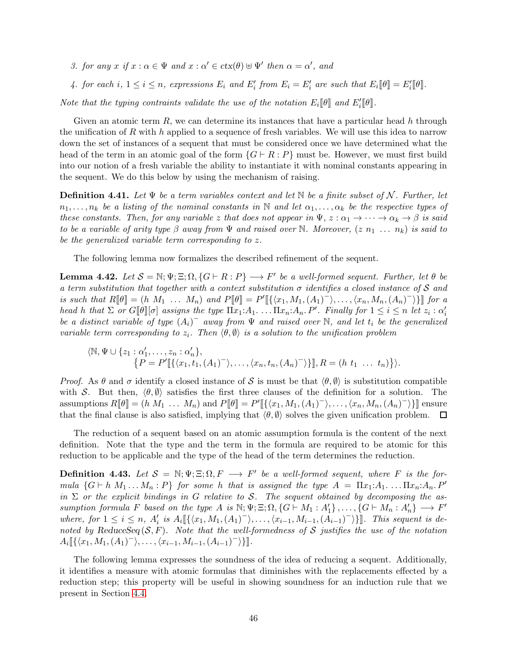- 3. for any x if  $x : \alpha \in \Psi$  and  $x : \alpha' \in \text{ctx}(\theta) \cup \Psi'$  then  $\alpha = \alpha'$ , and
- 4. for each i,  $1 \leq i \leq n$ , expressions  $E_i$  and  $E'_i$  from  $E_i = E'_i$  are such that  $E_i[\![\theta]\!] = E'_i[\![\theta]\!]$ .

Note that the typing contraints validate the use of the notation  $E_i[\![\theta]\!]$  and  $E'_i[\![\theta]\!]$ .

Given an atomic term  $R$ , we can determine its instances that have a particular head h through the unification of R with h applied to a sequence of fresh variables. We will use this idea to narrow down the set of instances of a sequent that must be considered once we have determined what the head of the term in an atomic goal of the form  $\{G \vdash R : P\}$  must be. However, we must first build into our notion of a fresh variable the ability to instantiate it with nominal constants appearing in the sequent. We do this below by using the mechanism of raising.

**Definition 4.41.** Let  $\Psi$  be a term variables context and let N be a finite subset of N. Further, let  $n_1, \ldots, n_k$  be a listing of the nominal constants in N and let  $\alpha_1, \ldots, \alpha_k$  be the respective types of these constants. Then, for any variable z that does not appear in  $\Psi$ ,  $z : \alpha_1 \to \cdots \to \alpha_k \to \beta$  is said to be a variable of arity type  $\beta$  away from  $\Psi$  and raised over N. Moreover,  $(z n_1 \ldots n_k)$  is said to be the generalized variable term corresponding to z.

The following lemma now formalizes the described refinement of the sequent.

<span id="page-45-0"></span>**Lemma 4.42.** Let  $S = \mathbb{N}; \Psi; \Xi; \Omega, \{G \vdash R : P\} \longrightarrow F'$  be a well-formed sequent. Further, let  $\theta$  be a term substitution that together with a context substitution  $\sigma$  identifies a closed instance of S and is such that  $R[\![\theta]\!] = (h \; M_1 \; \ldots \; M_n)$  and  $P[\![\theta]\!] = P'[\{\langle x_1, M_1, (A_1)^{-} \rangle, \ldots, \langle x_n, M_n, (A_n)^{-} \rangle\}]$  for a head h that  $\Sigma$  or  $G[\![\theta]\!] [\sigma]$  assigns the type  $\Pi x_1:A_1.\dots \Pi x_n:A_n.P'$ . Finally for  $1 \leq i \leq n$  let  $z_i : \alpha'_i$ be a distinct variable of type  $(A_i)^-$  away from  $\Psi$  and raised over N, and let  $t_i$  be the generalized variable term corresponding to  $z_i$ . Then  $\langle \theta, \emptyset \rangle$  is a solution to the unification problem

$$
\langle \mathbb{N}, \Psi \cup \{z_1 : \alpha'_1, \ldots, z_n : \alpha'_n\},
$$
  

$$
\{P = P'[\{\langle x_1, t_1, (A_1)^{-}\rangle, \ldots, \langle x_n, t_n, (A_n)^{-}\rangle\}], R = (h \ t_1 \ \ldots \ t_n)\}\rangle.
$$

*Proof.* As  $\theta$  and  $\sigma$  identify a closed instance of S is must be that  $\langle \theta, \emptyset \rangle$  is substitution compatible with S. But then,  $\langle \theta, \emptyset \rangle$  satisfies the first three clauses of the definition for a solution. The assumptions  $R[\![\theta]\!] = (h \; M_1 \; \dots \; M_n)$  and  $P[\![\theta]\!] = P'[\![\{\langle x_1, M_1, (A_1)^{\top}\rangle, \dots, \langle x_n, M_n, (A_n)^{\top}\rangle\}]$  ensure that the final clause is also satisfied, implying that  $\langle \theta, \emptyset \rangle$  solves the given unification problem.  $\Box$ 

The reduction of a sequent based on an atomic assumption formula is the content of the next definition. Note that the type and the term in the formula are required to be atomic for this reduction to be applicable and the type of the head of the term determines the reduction.

**Definition 4.43.** Let  $S = \mathbb{N}; \Psi; \Xi; \Omega, F \longrightarrow F'$  be a well-formed sequent, where F is the formula  $\{G \vdash h M_1 \dots M_n : P\}$  for some h that is assigned the type  $A = \Pi x_1 : A_1 \dots \Pi x_n : A_n P'$ in  $\Sigma$  or the explicit bindings in G relative to S. The sequent obtained by decomposing the assumption formula F based on the type A is  $\mathbb{N}; \Psi; \Xi; \Omega, \{G \vdash M_1 : A'_1\}, \ldots, \{G \vdash M_n : A'_n\} \longrightarrow F'$ where, for  $1 \leq i \leq n$ ,  $A'_i$  is  $A_i \llbracket \{ \langle x_1, M_1, (A_1)^{-} \rangle, \ldots, \langle x_{i-1}, M_{i-1}, (A_{i-1})^{-} \rangle \} \rrbracket$ . This sequent is denoted by ReduceSeq  $(S, F)$ . Note that the well-formedness of S justifies the use of the notation  $A_i \llbracket \{ \langle x_1, M_1, (A_1)^{-} \rangle, \ldots, \langle x_{i-1}, M_{i-1}, (A_{i-1})^{-} \rangle \} \rrbracket.$ 

The following lemma expresses the soundness of the idea of reducing a sequent. Additionally, it identifies a measure with atomic formulas that diminishes with the replacements effected by a reduction step; this property will be useful in showing soundness for an induction rule that we present in Section [4.4.](#page-52-0)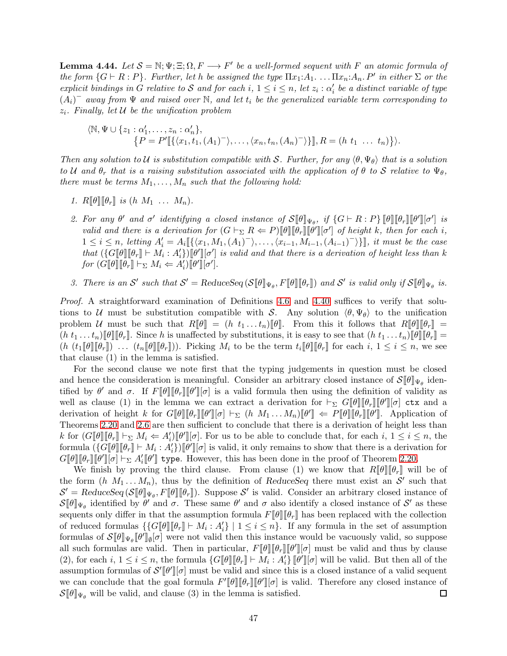<span id="page-46-0"></span>**Lemma 4.44.** Let  $S = \mathbb{N}; \Psi; \Xi; \Omega, F \longrightarrow F'$  be a well-formed sequent with F an atomic formula of the form  $\{G \vdash R : P\}$ . Further, let h be assigned the type  $\Pi x_1:A_1$ .  $\ldots \Pi x_n:A_n$ . P' in either  $\Sigma$  or the explicit bindings in G relative to S and for each i,  $1 \leq i \leq n$ , let  $z_i : \alpha'_i$  be a distinct variable of type  $(A_i)^-$  away from  $\Psi$  and raised over N, and let  $t_i$  be the generalized variable term corresponding to  $z_i$ . Finally, let  $\mathcal U$  be the unification problem

$$
\langle \mathbb{N}, \Psi \cup \{z_1 : \alpha'_1, \ldots, z_n : \alpha'_n\},\
$$
  

$$
\{P = P'[\{\langle x_1, t_1, (A_1)^{-}\rangle, \ldots, \langle x_n, t_n, (A_n)^{-}\rangle\}], R = (h \ t_1 \ \ldots \ t_n)\}\rangle.
$$

Then any solution to U is substitution compatible with S. Further, for any  $\langle \theta, \Psi_{\theta} \rangle$  that is a solution to U and  $\theta_r$  that is a raising substitution associated with the application of  $\theta$  to S relative to  $\Psi_{\theta}$ , there must be terms  $M_1, \ldots, M_n$  such that the following hold:

- 1.  $R[\![\theta]\!][\![\theta_r]\!]$  is  $(h\ M_1\ \ldots\ M_n)$ .
- 2. For any  $\theta'$  and  $\sigma'$  identifying a closed instance of  $\mathcal{S}[\![\theta]\!]_{\Psi_{\theta}}$ , if  $\{G \vdash R : P\}[\![\theta]\!] [\![\theta']\!] [\![\theta']\!] [\![\sigma']\!]$  is valid and there is a derivation for  $(G \vdash_{\Sigma} R \Leftarrow P)[\![\theta]\!][\![\theta_r]\!][\![\theta']\!]$  of height k, then for each i,  $1 \leq i \leq n$ , letting  $A'_i = A_i \llbracket \{ \langle x_1, M_1, (A_1)^{-} \rangle, \ldots, \langle x_{i-1}, M_{i-1}, (A_{i-1})^{-} \rangle \} \rrbracket$ , it must be the case that  $(\{G[\![\theta]\!][\![\theta_r]\!]\!]\vdash M_i : A'_i\})[\![\theta']\!][\![\sigma']$  is valid and that there is a derivation of height less than k for  $(G[\![\theta]\!][\![\theta_r]\!]\vdash_{\Sigma} M_i \Leftarrow A'_i)[\![\theta']\!][\sigma'].$
- 3. There is an S' such that  $S' = \text{ReduceSeq}(\mathcal{S}[\![\theta]\!]_{\Psi_{\theta}}, F[\![\theta]\!] [\![\theta_r]\!])$  and S' is valid only if  $S[\![\theta]\!]_{\Psi_{\theta}}$  is.

Proof. A straightforward examination of Definitions [4.6](#page-27-1) and [4.40](#page-44-0) suffices to verify that solutions to U must be substitution compatible with S. Any solution  $\langle \theta, \Psi_{\theta} \rangle$  to the unification problem U must be such that  $R[\![\theta]\!] = (h \ t_1 \dots t_n)[\![\theta]\!]$ . From this it follows that  $R[\![\theta]\!] [\![\theta_r]\!] =$  $(h t_1 ... t_n)\llbracket \theta \rrbracket \llbracket \theta_r \rrbracket$ . Since h is unaffected by substitutions, it is easy to see that  $(h t_1 ... t_n)\llbracket \theta \rrbracket \llbracket \theta_r \rrbracket =$  $(h (t_1 \llbracket \theta \rrbracket \llbracket \theta_r \rrbracket)$ . Picking  $M_i$  to be the term  $t_i \llbracket \theta \rrbracket \llbracket \theta_r \rrbracket$  for each  $i, 1 \leq i \leq n$ , we see that clause (1) in the lemma is satisfied.

For the second clause we note first that the typing judgements in question must be closed and hence the consideration is meaningful. Consider an arbitrary closed instance of  $\mathcal{S}[\![\theta]\!]_{\Psi_{\theta}}$  identified by  $\theta'$  and  $\sigma$ . If  $F[\![\theta]\!][\![\theta_r]\!][\![\theta']\!][\![\sigma]$  is a valid formula then using the definition of validity as well as clause (1) in the lemma we can extract a derivation for  $\vdash_{\Sigma} G[\![\theta]\!][\![\theta_r]\!][\![\theta']\!][\sigma]$  ctx and a derivation of height k for  $G[\![\theta]\!][\![\theta_r]\!][\![\theta']\!][\sigma] \vdash_{\Sigma} (h \ M_1 \ldots M_n)[\![\theta']\!] \Leftarrow P[\![\theta]\!][\![\theta_r]\!][\![\theta']\!].$  Application of Theorems [2.20](#page-12-0) and [2.6](#page-5-1) are then sufficient to conclude that there is a derivation of height less than k for  $(G[\![\theta]\!][\![\theta_r]\!] \vdash_{\Sigma} M_i \Leftarrow A'_i)[\![\theta']\!][\sigma]$ . For us to be able to conclude that, for each  $i, 1 \leq i \leq n$ , the formula  $(\{G[\![\theta]\!][\![\theta_r]\!]\models M_i : A'_i\})[\![\theta']\!][\sigma]$  is valid, it only remains to show that there is a derivation for  $G[\![\theta]\!][\![\theta']][\![\sigma]\!] \vdash_{\Sigma} A'_i[\![\theta']\!]$  type. However, this has been done in the proof of Theorem [2.20.](#page-12-0)

We finish by proving the third clause. From clause (1) we know that  $R[\![\theta]\!][\![\theta_r]\!]$  will be of the form  $(h M_1 ... M_n)$ , thus by the definition of ReduceSeq there must exist an S' such that  $\mathcal{S}' = \text{ReduceSeq}(\mathcal{S}[\![\theta]\!])_{\Psi_{\theta}}, F[\![\theta]\!])$ . Suppose  $\mathcal{S}'$  is valid. Consider an arbitrary closed instance of  $\mathcal{S}[\![\theta]\!]_{\Psi_{\theta}}$  identified by  $\theta'$  and  $\sigma$ . These same  $\theta'$  and  $\sigma$  also identify a closed instance of  $\mathcal{S}'$  as these sequents only differ in that the assumption formula  $F[\![\theta]\!] [\![\theta_r]\!]$  has been replaced with the collection of reduced formulas  $\{G[\![\theta]\!][\![\theta_r]\!] \vdash M_i : A'_i\} \mid 1 \leq i \leq n\}$ . If any formula in the set of assumption formulas of  $\mathcal{S}[\![\theta]\!]_{\Psi_{\theta}}[\![\theta']\!]_{\emptyset}[\sigma]$  were not valid then this instance would be vacuously valid, so suppose all such formulas are valid. Then in particular,  $F[\![\theta]\!][\![\theta_r]\!][\![\theta']\!][\sigma]$  must be valid and thus by clause (2), for each  $i, 1 \leq i \leq n$ , the formula  $\{G[\![\theta]\!][\![\theta_r]\!] \vdash M_i : A'_i\} [\![\theta']\!][\![\sigma]$  will be valid. But then all of the assumption formulas of  $\mathcal{S}'[\![\theta']\!][\sigma]$  must be valid and since this is a closed instance of a valid sequent we can conclude that the goal formula  $F'[\![\theta]\!][\![\theta_r]\!][\![\theta']\!][\![\sigma]$  is valid. Therefore any closed instance of  $\mathcal{S}[\![\theta]\!]_{\Psi_{\theta}}$  will be valid, and clause (3) in the lemma is satisfied.  $\Box$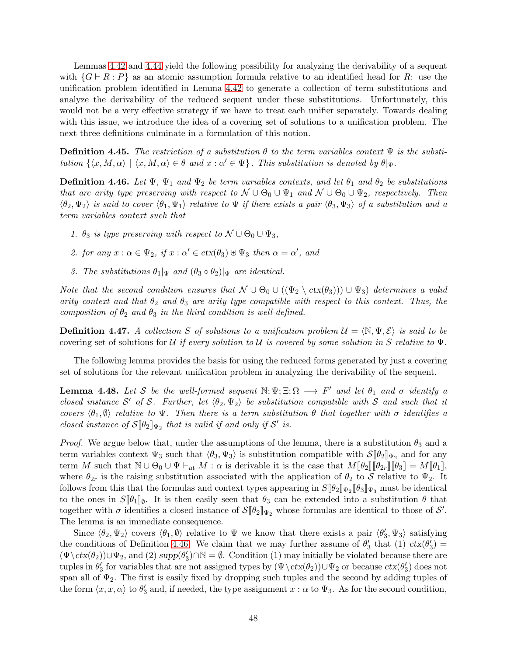Lemmas [4.42](#page-45-0) and [4.44](#page-46-0) yield the following possibility for analyzing the derivability of a sequent with  $\{G \vdash R : P\}$  as an atomic assumption formula relative to an identified head for R: use the unification problem identified in Lemma [4.42](#page-45-0) to generate a collection of term substitutions and analyze the derivability of the reduced sequent under these substitutions. Unfortunately, this would not be a very effective strategy if we have to treat each unifier separately. Towards dealing with this issue, we introduce the idea of a covering set of solutions to a unification problem. The next three definitions culminate in a formulation of this notion.

**Definition 4.45.** The restriction of a substitution  $\theta$  to the term variables context  $\Psi$  is the substitution  $\{\langle x, M, \alpha \rangle \mid \langle x, M, \alpha \rangle \in \theta \text{ and } x : \alpha' \in \Psi\}.$  This substitution is denoted by  $\theta |_{\Psi}$ .

<span id="page-47-0"></span>**Definition 4.46.** Let  $\Psi$ ,  $\Psi_1$  and  $\Psi_2$  be term variables contexts, and let  $\theta_1$  and  $\theta_2$  be substitutions that are arity type preserving with respect to  $\mathcal{N} \cup \Theta_0 \cup \Psi_1$  and  $\mathcal{N} \cup \Theta_0 \cup \Psi_2$ , respectively. Then  $\langle \theta_2, \Psi_2 \rangle$  is said to cover  $\langle \theta_1, \Psi_1 \rangle$  relative to  $\Psi$  if there exists a pair  $\langle \theta_3, \Psi_3 \rangle$  of a substitution and a term variables context such that

- 1.  $\theta_3$  is type preserving with respect to  $\mathcal{N} \cup \Theta_0 \cup \Psi_3$ ,
- 2. for any  $x : \alpha \in \Psi_2$ , if  $x : \alpha' \in \text{ctx}(\theta_3) \cup \Psi_3$  then  $\alpha = \alpha'$ , and
- 3. The substitutions  $\theta_1|\Psi$  and  $(\theta_3 \circ \theta_2)|\Psi$  are identical.

Note that the second condition ensures that  $\mathcal{N} \cup \Theta_0 \cup ((\Psi_2 \setminus \text{ctx}(\theta_3))) \cup \Psi_3)$  determines a valid arity context and that  $\theta_2$  and  $\theta_3$  are arity type compatible with respect to this context. Thus, the composition of  $\theta_2$  and  $\theta_3$  in the third condition is well-defined.

**Definition 4.47.** A collection S of solutions to a unification problem  $\mathcal{U} = \langle \mathbb{N}, \Psi, \mathcal{E} \rangle$  is said to be covering set of solutions for U if every solution to U is covered by some solution in S relative to  $\Psi$ .

The following lemma provides the basis for using the reduced forms generated by just a covering set of solutions for the relevant unification problem in analyzing the derivability of the sequent.

<span id="page-47-1"></span>**Lemma 4.48.** Let S be the well-formed sequent  $\mathbb{N}; \Psi; \Xi; \Omega \longrightarrow F'$  and let  $\theta_1$  and  $\sigma$  identify a closed instance S' of S. Further, let  $\langle \theta_2, \Psi_2 \rangle$  be substitution compatible with S and such that it covers  $\langle \theta_1, \emptyset \rangle$  relative to Ψ. Then there is a term substitution  $\theta$  that together with  $\sigma$  identifies a closed instance of  $S[\![\theta_2]\!]_{\Psi_2}$  that is valid if and only if  $S'$  is.

*Proof.* We argue below that, under the assumptions of the lemma, there is a substitution  $\theta_3$  and a term variables context  $\Psi_3$  such that  $\langle \theta_3, \Psi_3 \rangle$  is substitution compatible with  $\mathcal{S}[\![\theta_2]\!]_{\Psi_2}$  and for any term M such that  $\mathbb{N} \cup \Theta_0 \cup \Psi \vdash_{at} M : \alpha$  is derivable it is the case that  $M[\![\theta_2]\!] [\![\theta_2_r]\!] [\![\theta_3]\!] = M[\![\theta_1]\!]$ , where  $\theta_{2r}$  is the raising substitution associated with the application of  $\theta_2$  to S relative to  $\Psi_2$ . It follows from this that the formulas and context types appearing in  $S[\![\theta_2]\!]_{\Psi_2}[\![\theta_3]\!]_{\Psi_3}$  must be identical to the ones in  $S[\![\theta_1]\!]_{\emptyset}$ . It is then easily seen that  $\theta_3$  can be extended into a substitution  $\theta$  that together with  $\sigma$  identifies a closed instance of  $\mathcal{S}[\![\theta_2]\!]_{\Psi_2}$  whose formulas are identical to those of  $\mathcal{S}'$ . The lemma is an immediate consequence.

Since  $\langle \theta_2, \Psi_2 \rangle$  covers  $\langle \theta_1, \emptyset \rangle$  relative to  $\Psi$  we know that there exists a pair  $\langle \theta'_3, \Psi_3 \rangle$  satisfying the conditions of Definition [4.46.](#page-47-0) We claim that we may further assume of  $\theta'_3$  that (1)  $\text{ctx}(\theta'_3)$  =  $(\Psi \setminus \text{ctx}(\theta_2)) \cup \Psi_2$ , and  $(2)$  supp $(\theta'_3) \cap \mathbb{N} = \emptyset$ . Condition  $(1)$  may initially be violated because there are tuples in  $\theta'_3$  for variables that are not assigned types by  $(\Psi \setminus ctx(\theta_2)) \cup \Psi_2$  or because  $ctx(\theta'_3)$  does not span all of  $\Psi_2$ . The first is easily fixed by dropping such tuples and the second by adding tuples of the form  $\langle x, x, \alpha \rangle$  to  $\theta'_3$  and, if needed, the type assignment  $x : \alpha$  to  $\Psi_3$ . As for the second condition,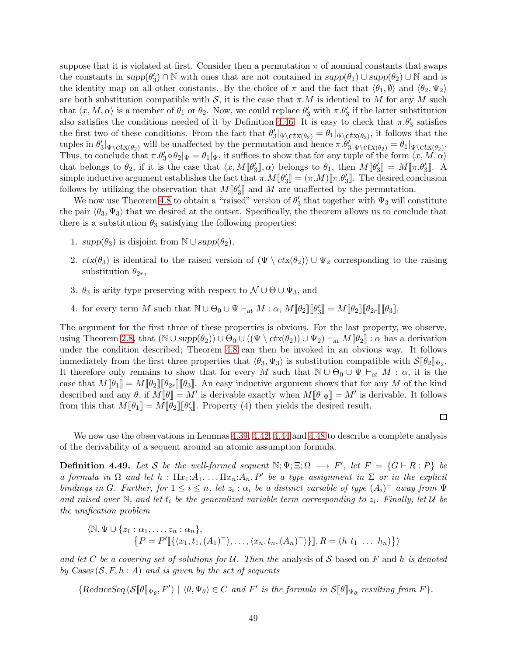suppose that it is violated at first. Consider then a permutation  $\pi$  of nominal constants that swaps the constants in  $supp(\theta_3') \cap \mathbb{N}$  with ones that are not contained in  $supp(\theta_1) \cup supp(\theta_2) \cup \mathbb{N}$  and is the identity map on all other constants. By the choice of  $\pi$  and the fact that  $\langle \theta_1, \emptyset \rangle$  and  $\langle \theta_2, \Psi_2 \rangle$ are both substitution compatible with S, it is the case that  $\pi.M$  is identical to M for any M such that  $\langle x, M, \alpha \rangle$  is a member of  $\theta_1$  or  $\theta_2$ . Now, we could replace  $\theta'_3$  with  $\pi.\theta'_3$  if the latter substitution also satisfies the conditions needed of it by Definition [4.46.](#page-47-0) It is easy to check that  $\pi.\theta'_3$  satisfies the first two of these conditions. From the fact that  $\theta'_3|_{\Psi \setminus ctx(\theta_2)} = \theta_1|_{\Psi \setminus ctx(\theta_2)}$ , it follows that the tuples in  $\theta_3' \vert_{\Psi \setminus \text{ctx}(\theta_2)}$  will be unaffected by the permutation and hence  $\pi.\theta_3' \vert_{\Psi \setminus \text{ctx}(\theta_2)} = \theta_1 \vert_{\Psi \setminus \text{ctx}(\theta_2)}$ . Thus, to conclude that  $\pi.\theta'_3 \circ \theta_2|\Psi = \theta_1|\Psi$ , it suffices to show that for any tuple of the form  $\langle x, M, \alpha \rangle$ that belongs to  $\theta_2$ , if it is the case that  $\langle x, M[\![\theta'_3]\!], \alpha \rangle$  belongs to  $\theta_1$ , then  $M[\![\theta'_3]\!] = M[\![\pi.\theta'_3]\!]$ . A simple inductive argument establishes the fact that  $\pi.M[\![\theta_3']\!] = (\pi.M)[\![\pi.\theta_3']\!]$ . The desired conclusion follows by utilizing the observation that  $M[\![\theta'_3]\!]$  and  $M$  are unaffected by the permutation.

We now use Theorem [4.8](#page-27-0) to obtain a "raised" version of  $\theta'_3$  that together with  $\Psi_3$  will constitute the pair  $\langle \theta_3, \Psi_3 \rangle$  that we desired at the outset. Specifically, the theorem allows us to conclude that there is a substitution  $\theta_3$  satisfying the following properties:

- 1.  $supp(\theta_3)$  is disjoint from  $\mathbb{N} \cup supp(\theta_2)$ ,
- 2.  $ctx(\theta_3)$  is identical to the raised version of  $(\Psi \setminus ctx(\theta_2)) \cup \Psi_2$  corresponding to the raising substitution  $\theta_{2r}$ ,
- 3.  $\theta_3$  is arity type preserving with respect to  $\mathcal{N} \cup \Theta \cup \Psi_3$ , and
- 4. for every term M such that  $\mathbb{N} \cup \Theta_0 \cup \Psi \vdash_{\text{at}} M : \alpha$ ,  $M[\![\theta_2]\!] [\![\theta'_3]\!] = M[\![\theta_2]\!] [\![\theta_2_r]\!] [\![\theta_3]\!]$ .

The argument for the first three of these properties is obvious. For the last property, we observe, using Theorem [2.8,](#page-5-0) that  $(\mathbb{N} \cup supp(\theta_2)) \cup \Theta_0 \cup ((\Psi \setminus \text{ctx}(\theta_2)) \cup \Psi_2) \vdash_{at} M[\theta_2] : \alpha$  has a derivation under the condition described; Theorem [4.8](#page-27-0) can then be invoked in an obvious way. It follows immediately from the first three properties that  $\langle \theta_3, \Psi_3 \rangle$  is substitution compatible with  $\mathcal{S}[\![\theta_2]\!]_{\Psi_2}$ . It therefore only remains to show that for every M such that  $\mathbb{N} \cup \Theta_0 \cup \Psi \vdash_{at} M : \alpha$ , it is the case that  $M[\theta_1] = M[\theta_2][\theta_2_T][\theta_3]$ . An easy inductive argument shows that for any M of the kind described and any  $\theta$ , if  $M[\![\theta]\!] = M'$  is derivable exactly when  $M[\![\theta]\!] \Psi] = M'$  is derivable. It follows from this that  $M[\![\theta_1]\!] = M[\![\theta_2]\!] [\![\theta'_3]\!]$ . Property (4) then yields the desired result.

We now use the observations in Lemmas [4.39,](#page-42-0) [4.42,](#page-45-0) [4.44](#page-46-0) and [4.48](#page-47-1) to describe a complete analysis of the derivability of a sequent around an atomic assumption formula.

 $\Box$ 

**Definition 4.49.** Let S be the well-formed sequent  $\mathbb{N}; \Psi; \Xi; \Omega \longrightarrow F'$ , let  $F = \{G \vdash R : P\}$  be a formula in  $\Omega$  and let  $h : \Pi x_1:A_1 \ldots \Pi x_n:A_n$ . P' be a type assignment in  $\Sigma$  or in the explicit bindings in G. Further, for  $1 \leq i \leq n$ , let  $z_i : \alpha_i$  be a distinct variable of type  $(A_i)^-$  away from  $\Psi$ and raised over  $\mathbb N$ , and let  $t_i$  be the generalized variable term corresponding to  $z_i$ . Finally, let  $\mathcal U$  be the unification problem

$$
\langle \mathbb{N}, \Psi \cup \{z_1 : \alpha_1, \ldots, z_n : \alpha_n\},\
$$
  

$$
\{P = P'[\{\langle x_1, t_1, (A_1)^{-}\rangle, \ldots, \langle x_n, t_n, (A_n)^{-}\rangle\}], R = (h \ t_1 \ \ldots \ h_n)\}\rangle
$$

and let C be a covering set of solutions for U. Then the analysis of S based on F and h is denoted by Cases  $(S, F, h : A)$  and is given by the set of sequents

 ${ReduceSeq(\mathcal{S}[\![\theta]\!]_{\Psi_{\theta}}, F') \mid \langle \theta, \Psi_{\theta} \rangle \in C \text{ and } F' \text{ is the formula in } \mathcal{S}[\![\theta]\!]_{\Psi_{\theta}} \text{ resulting from } F}.$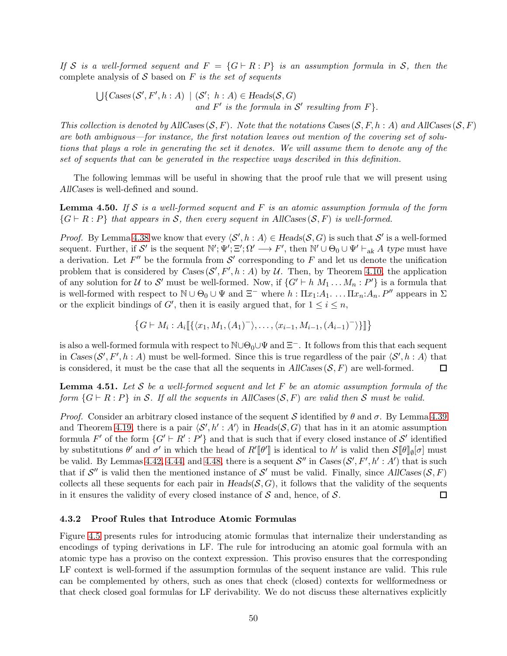If S is a well-formed sequent and  $F = \{G \vdash R : P\}$  is an assumption formula in S, then the complete analysis of  $S$  based on  $F$  is the set of sequents

 $\bigcup \{ \text{Cases}(\mathcal{S}', F', h : A) \mid (\mathcal{S}'; h : A) \in \text{Heads}(\mathcal{S}, G)$ and  $F'$  is the formula in  $S'$  resulting from  $F$ .

This collection is denoted by AllCases  $(S, F)$ . Note that the notations Cases  $(S, F, h : A)$  and AllCases  $(S, F)$ are both ambiguous—for instance, the first notation leaves out mention of the covering set of solutions that plays a role in generating the set it denotes. We will assume them to denote any of the set of sequents that can be generated in the respective ways described in this definition.

The following lemmas will be useful in showing that the proof rule that we will present using AllCases is well-defined and sound.

<span id="page-49-0"></span>**Lemma 4.50.** If S is a well-formed sequent and F is an atomic assumption formula of the form  $\{G \vdash R : P\}$  that appears in S, then every sequent in AllCases(S, F) is well-formed.

*Proof.* By Lemma [4.38](#page-42-1) we know that every  $\langle S', h : A \rangle \in \text{Heads}(\mathcal{S}, G)$  is such that  $\mathcal{S}'$  is a well-formed sequent. Further, if S' is the sequent  $\mathbb{N}'$ ;  $\mathbb{E}'$ ;  $\Omega' \longrightarrow F'$ , then  $\mathbb{N}' \cup \Theta_0 \cup \Psi' \vdash_{\text{ak}} A$  type must have a derivation. Let  $F''$  be the formula from  $\mathcal{S}'$  corresponding to F and let us denote the unification problem that is considered by  $\text{Cases}(\mathcal{S}', F', h : A)$  by U. Then, by Theorem [4.10,](#page-28-0) the application of any solution for U to S' must be well-formed. Now, if  $\{G' \vdash h M_1 \dots M_n : P'\}$  is a formula that is well-formed with respect to  $\mathbb{N} \cup \Theta_0 \cup \Psi$  and  $\Xi^-$  where  $h : \Pi x_1:A_1. \dots. \Pi x_n:A_n. P''$  appears in  $\Sigma$ or the explicit bindings of  $G'$ , then it is easily argued that, for  $1 \leq i \leq n$ ,

$$
\{G \vdash M_i : A_i \llbracket \{ \langle x_1, M_1, (A_1)^{-} \rangle, \dots, \langle x_{i-1}, M_{i-1}, (A_{i-1})^{-} \rangle \} \rrbracket \}
$$

is also a well-formed formula with respect to  $\mathbb{N}\cup\Theta_0\cup\Psi$  and  $\Xi^-$ . It follows from this that each sequent in Cases  $(S', F', h : A)$  must be well-formed. Since this is true regardless of the pair  $\langle S', h : A \rangle$  that is considered, it must be the case that all the sequents in  $AllCases(S, F)$  are well-formed.  $\Box$ 

<span id="page-49-1"></span>**Lemma 4.51.** Let S be a well-formed sequent and let F be an atomic assumption formula of the form  $\{G \vdash R : P\}$  in S. If all the sequents in AllCases  $(S, F)$  are valid then S must be valid.

*Proof.* Consider an arbitrary closed instance of the sequent S identified by  $\theta$  and  $\sigma$ . By Lemma [4.39](#page-42-0) and Theorem [4.19,](#page-31-0) there is a pair  $\langle \mathcal{S}', h': A' \rangle$  in Heads( $\mathcal{S}, G$ ) that has in it an atomic assumption formula F' of the form  $\{G' \vdash R' : P'\}$  and that is such that if every closed instance of S' identified by substitutions  $\theta'$  and  $\sigma'$  in which the head of  $R'[\![\theta']\!]$  is identical to  $h'$  is valid then  $\mathcal{S}[\![\theta]\!]_{\emptyset}[\sigma]$  must be valid. By Lemmas [4.42,](#page-45-0) [4.44,](#page-46-0) and [4.48,](#page-47-1) there is a sequent  $\mathcal{S}''$  in  $\text{Cases}(\mathcal{S}', F', h' : A')$  that is such that if  $\mathcal{S}''$  is valid then the mentioned instance of  $\mathcal{S}'$  must be valid. Finally, since AllCases  $(\mathcal{S}, F)$ collects all these sequents for each pair in  $Heads(\mathcal{S}, G)$ , it follows that the validity of the sequents in it ensures the validity of every closed instance of  $S$  and, hence, of  $S$ . □

## 4.3.2 Proof Rules that Introduce Atomic Formulas

Figure [4.5](#page-50-0) presents rules for introducing atomic formulas that internalize their understanding as encodings of typing derivations in LF. The rule for introducing an atomic goal formula with an atomic type has a proviso on the context expression. This proviso ensures that the corresponding LF context is well-formed if the assumption formulas of the sequent instance are valid. This rule can be complemented by others, such as ones that check (closed) contexts for wellformedness or that check closed goal formulas for LF derivability. We do not discuss these alternatives explicitly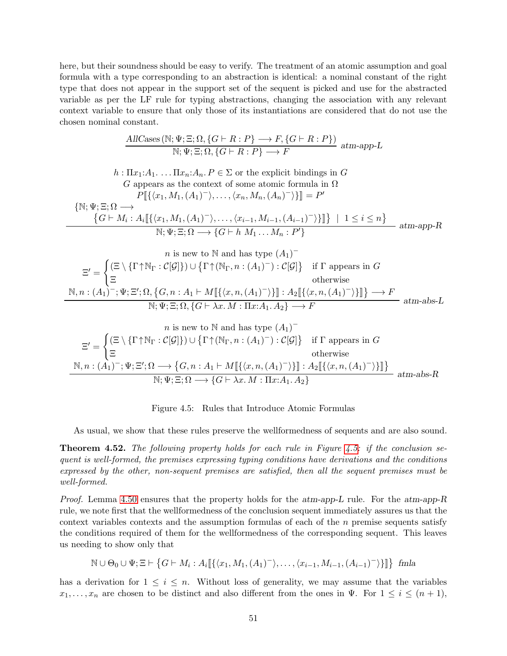here, but their soundness should be easy to verify. The treatment of an atomic assumption and goal formula with a type corresponding to an abstraction is identical: a nominal constant of the right type that does not appear in the support set of the sequent is picked and use for the abstracted variable as per the LF rule for typing abstractions, changing the association with any relevant context variable to ensure that only those of its instantiations are considered that do not use the chosen nominal constant.

$$
\frac{\text{AICases}(\mathbb{N}; \Psi; \Xi; \Omega, \{G \vdash R : P\} \longrightarrow F, \{G \vdash R : P\})}{\mathbb{N}; \Psi; \Xi; \Omega, \{G \vdash R : P\} \longrightarrow F} \text{atm-app-L}
$$

$$
h: \Pi x_1:A_1.\dots.\Pi x_n:A_n.P \in \Sigma \text{ or the explicit bindings in } G
$$
  

$$
G \text{ appears as the context of some atomic formula in } \Omega
$$
  

$$
P[\{\langle x_1, M_1, (A_1)^-\rangle, \dots, \langle x_n, M_n, (A_n)^-\rangle\}] = P'
$$
  

$$
\{\mathbb{N}; \Psi; \Xi; \Omega \longrightarrow \{G \vdash M_i : A_i[\{\langle x_1, M_1, (A_1)^-\rangle, \dots, \langle x_{i-1}, M_{i-1}, (A_{i-1})^-\rangle\}]\} \mid 1 \leq i \leq n\}
$$
  

$$
\mathbb{N}; \Psi; \Xi; \Omega \longrightarrow \{G \vdash h \ M_1 \dots M_n : P'\}
$$
atm-app-R

$$
n \text{ is new to } \mathbb{N} \text{ and has type } (A_1)^-\n\Xi' = \begin{cases}\n(\Xi \setminus \{\Gamma \uparrow \mathbb{N}_{\Gamma} : \mathcal{C}[\mathcal{G}]\}) \cup \{\Gamma \uparrow (\mathbb{N}_{\Gamma}, n : (A_1)^-) : \mathcal{C}[\mathcal{G}]\} & \text{if } \Gamma \text{ appears in } G \\
\Xi & \text{otherwise} \\
\mathbb{N}, n : (A_1)^-, \Psi; \Xi'; \Omega, \{G, n : A_1 \vdash M[\{\langle x, n, (A_1)^- \rangle\}]] : A_2[\{\langle x, n, (A_1)^- \rangle\}]]\} \longrightarrow F \\
\mathbb{N}; \Psi; \Xi; \Omega, \{G \vdash \lambda x. M : \Pi x : A_1. A_2\} \longrightarrow F & \text{atm-abs-L}\n\end{cases}
$$

$$
n \text{ is new to } \mathbb{N} \text{ and has type } (A_1)^-\n\Xi' = \n\begin{cases}\n(\Xi \setminus \{\Gamma \uparrow \mathbb{N}_{\Gamma} : \mathcal{C}[\mathcal{G}]\}) \cup \{\Gamma \uparrow (\mathbb{N}_{\Gamma}, n : (A_1)^{-}) : \mathcal{C}[\mathcal{G}]\} & \text{if } \Gamma \text{ appears in } G \\
\Xi & \text{otherwise} \\
\mathbb{N}, n : (A_1)^{-}; \Psi; \Xi'; \Omega \longrightarrow \{G, n : A_1 \vdash M[\{\langle x, n, (A_1)^{-} \rangle\}]\} : A_2[\{\langle x, n, (A_1)^{-} \rangle\}]\} & \text{atm-abs-R} \\
\mathbb{N}; \Psi; \Xi; \Omega \longrightarrow \{G \vdash \lambda x. M : \Pi x : A_1. A_2\}\n\end{cases}
$$

<span id="page-50-0"></span>Figure 4.5: Rules that Introduce Atomic Formulas

As usual, we show that these rules preserve the wellformedness of sequents and are also sound.

<span id="page-50-1"></span>**Theorem 4.52.** The following property holds for each rule in Figure [4.5:](#page-50-0) if the conclusion sequent is well-formed, the premises expressing typing conditions have derivations and the conditions expressed by the other, non-sequent premises are satisfied, then all the sequent premises must be well-formed.

Proof. Lemma [4.50](#page-49-0) ensures that the property holds for the atm-app-L rule. For the atm-app-R rule, we note first that the wellformedness of the conclusion sequent immediately assures us that the context variables contexts and the assumption formulas of each of the  $n$  premise sequents satisfy the conditions required of them for the wellformedness of the corresponding sequent. This leaves us needing to show only that

 $\mathbb{N} \cup \Theta_0 \cup \Psi; \Xi \vdash \big\{ G \vdash M_i : A_i \llbracket \{ \langle x_1, M_1, (A_1)^{-} \rangle, \dots, \langle x_{i-1}, M_{i-1}, (A_{i-1})^{-} \rangle \} \rrbracket \big\}$  fmla

has a derivation for  $1 \leq i \leq n$ . Without loss of generality, we may assume that the variables  $x_1, \ldots, x_n$  are chosen to be distinct and also different from the ones in  $\Psi$ . For  $1 \leq i \leq (n+1)$ ,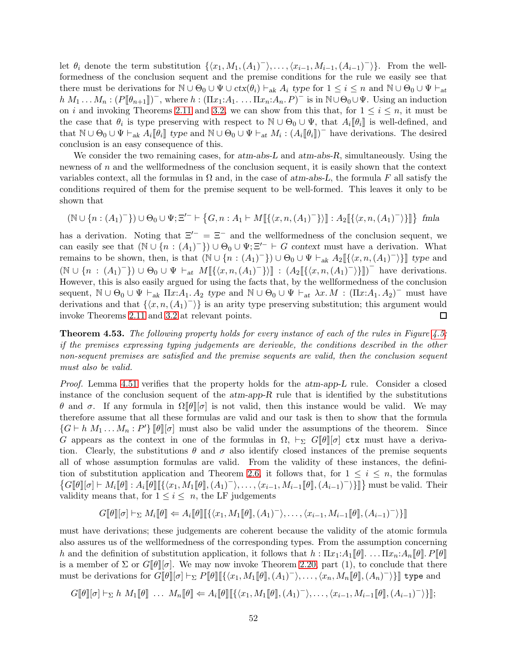let  $\theta_i$  denote the term substitution  $\{\langle x_1, M_1, (A_1)^-\rangle, \ldots, \langle x_{i-1}, M_{i-1}, (A_{i-1})^-\rangle\}$ . From the wellformedness of the conclusion sequent and the premise conditions for the rule we easily see that there must be derivations for  $\mathbb{N} \cup \Theta_0 \cup \Psi \cup ctx(\theta_i) \vdash_{ak} A_i$  type for  $1 \leq i \leq n$  and  $\mathbb{N} \cup \Theta_0 \cup \Psi \vdash_{at}$  $h M_1 ... M_n : (P[\![\theta_{n+1}]\!])^-,$  where  $h : (\Pi x_1 : A_1 ... \Pi x_n : A_n P)^-$  is in  $\mathbb{N} \cup \Theta_0 \cup \Psi$ . Using an induction on i and invoking Theorems [2.11](#page-8-0) and [3.2,](#page-16-0) we can show from this that, for  $1 \leq i \leq n$ , it must be the case that  $\theta_i$  is type preserving with respect to  $\mathbb{N} \cup \Theta_0 \cup \Psi$ , that  $A_i[\![\theta_i]\!]$  is well-defined, and that  $\mathbb{N} \cup \Theta_0 \cup \Psi \vdash_{ak} A_i [\![\theta_i]\!]$  type and  $\mathbb{N} \cup \Theta_0 \cup \Psi \vdash_{at} M_i : (A_i [\![\theta_i]\!])^-$  have derivations. The desired conclusion is an easy consequence of this.

We consider the two remaining cases, for  $atm-abs-L$  and  $atm-abs-R$ , simultaneously. Using the newness of n and the wellformedness of the conclusion sequent, it is easily shown that the context variables context, all the formulas in  $\Omega$  and, in the case of atm-abs-L, the formula F all satisfy the conditions required of them for the premise sequent to be well-formed. This leaves it only to be shown that

$$
(\mathbb{N} \cup \{n : (A_1)^{-}\}) \cup \Theta_0 \cup \Psi; \Xi'^{-} \vdash \{G, n : A_1 \vdash M[\{\langle x, n, (A_1)^{-}\}\rangle] : A_2[\{\langle x, n, (A_1)^{-}\}\}] \quad \text{fmla}
$$

has a derivation. Noting that  $\Xi^{-} = \Xi^{-}$  and the wellformedness of the conclusion sequent, we can easily see that  $(\mathbb{N} \cup \{n : (A_1)^{\top}\}) \cup \Theta_0 \cup \Psi; \Xi'^{\top} \vdash G$  context must have a derivation. What remains to be shown, then, is that  $(\mathbb{N} \cup \{n : (A_1)^-\}) \cup \Theta_0 \cup \Psi \vdash_{ak} A_2[\{\langle x, n, (A_1)^-\rangle\}]$  type and  $(\mathbb{N} \cup \{n : (A_1)^-\}) \cup \Theta_0 \cup \Psi \vdash_{at} M[\{\langle x, n, (A_1)^-\}\}\] : (A_2[\{\langle x, n, (A_1)^-\rangle\}]]$  have derivations. However, this is also easily argued for using the facts that, by the wellformedness of the conclusion sequent,  $\mathbb{N} \cup \Theta_0 \cup \Psi \vdash_{ak} \Pi x:A_1 \ A_2$  type and  $\mathbb{N} \cup \Theta_0 \cup \Psi \vdash_{at} \lambda x \ A \colon (\Pi x:A_1 \ A_2)^{-1}$  must have derivations and that  $\{\langle x, n, (A_1)^{\dagger}\rangle\}$  is an arity type preserving substitution; this argument would invoke Theorems [2.11](#page-8-0) and [3.2](#page-16-0) at relevant points.  $\Box$ 

<span id="page-51-0"></span>**Theorem 4.53.** The following property holds for every instance of each of the rules in Figure [4.5:](#page-50-0) if the premises expressing typing judgements are derivable, the conditions described in the other non-sequent premises are satisfied and the premise sequents are valid, then the conclusion sequent must also be valid.

Proof. Lemma [4.51](#page-49-1) verifies that the property holds for the atm-app-L rule. Consider a closed instance of the conclusion sequent of the  $atm-app-R$  rule that is identified by the substitutions θ and σ. If any formula in  $\Omega[\theta][\sigma]$  is not valid, then this instance would be valid. We may therefore assume that all these formulas are valid and our task is then to show that the formula  $\{G \vdash h M_1 \dots M_n : P'\}\llbracket \theta \rrbracket[\sigma]$  must also be valid under the assumptions of the theorem. Since G appears as the context in one of the formulas in  $\Omega$ ,  $\vdash_{\Sigma} G[\![\theta]\!][\sigma]$  ctx must have a derivation. Clearly, the substitutions  $\theta$  and  $\sigma$  also identify closed instances of the premise sequents all of whose assumption formulas are valid. From the validity of these instances, the defini-tion of substitution application and Theorem [2.6,](#page-5-1) it follows that, for  $1 \leq i \leq n$ , the formulas  $\{G[\![\theta]\!][\![\sigma]\!] \vdash M_i[\![\theta]\!][\![\{\langle x_1,M_1[\![\theta]\!],(A_1)^-\rangle,\ldots,\langle x_{i-1},M_{i-1}[\![\theta]\!],(A_{i-1})^-\rangle\}]\}]$  must be valid. Their validity means that, for  $1 \leq i \leq n$ , the LF judgements

$$
G[\![\theta]\!][\sigma]\vdash_{\Sigma} M_i[\![\theta]\!] \Leftarrow A_i[\![\theta]\!][\{\langle x_1,M_1[\![\theta]\!],(A_1)^-\rangle,\ldots,\langle x_{i-1},M_{i-1}[\![\theta]\!],(A_{i-1})^-\rangle\}]
$$

must have derivations; these judgements are coherent because the validity of the atomic formula also assures us of the wellformedness of the corresponding types. From the assumption concerning h and the definition of substitution application, it follows that  $h: \Pi x_1:A_1[\theta] \ldots \Pi x_n:A_n[\theta] \ldots \theta$ is a member of  $\Sigma$  or  $G[\theta][\sigma]$ . We may now invoke Theorem [2.20,](#page-12-0) part (1), to conclude that there must be derivations for  $G[\![\theta]\!][\![\sigma]\vdash_\Sigma P[\![\theta]\!][\{\langle x_1,M_1[\![\theta]\!],(A_1)^-\rangle,\ldots,\langle x_n,M_n[\![\theta]\!],(A_n)^-\rangle\}]$  type and

$$
G[\![\theta]\!][\![\sigma]\!] \vdash_{\Sigma} h M_1[\![\theta]\!]\ldots M_n[\![\theta]\!] \Leftarrow A_i[\![\theta]\!][\{\langle x_1,M_1[\![\theta]\!],(A_1)^-\rangle,\ldots,\langle x_{i-1},M_{i-1}[\![\theta]\!],(A_{i-1})^-\rangle\}];
$$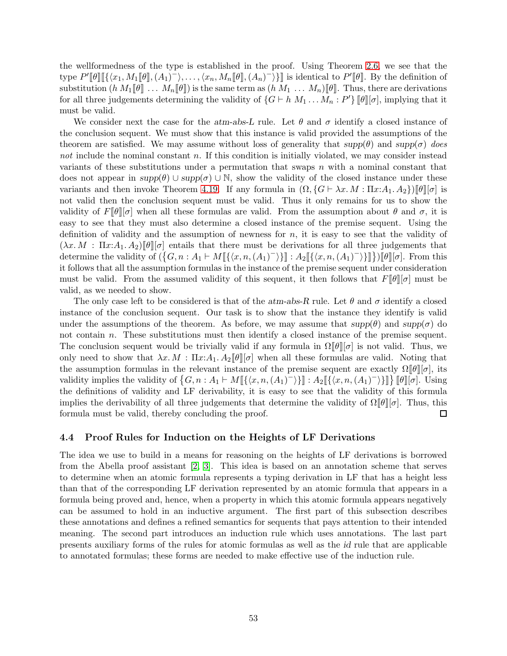the wellformedness of the type is established in the proof. Using Theorem [2.6,](#page-5-1) we see that the type  $P'[\![\theta]\!][\{\langle x_1,M_1[\![\theta]\!],(A_1)^-\rangle,\ldots,\langle x_n,M_n[\![\theta]\!],(A_n)^-\rangle\}]$  is identical to  $P'[\![\theta]\!]$ . By the definition of substitution  $(h M_1[\![\theta]\!]) \ldots M_n[\![\theta]\!])$  is the same term as  $(h M_1 \ldots M_n)[\![\theta]\!]$ . Thus, there are derivations for all three judgements determining the validity of  $\{G \vdash h M_1 \dots M_n : P'\}\llbracket \theta \rrbracket[\sigma],$  implying that it must be valid.

We consider next the case for the atm-abs-L rule. Let  $\theta$  and  $\sigma$  identify a closed instance of the conclusion sequent. We must show that this instance is valid provided the assumptions of the theorem are satisfied. We may assume without loss of generality that  $supp(\theta)$  and  $supp(\sigma)$  does not include the nominal constant n. If this condition is initially violated, we may consider instead variants of these substitutions under a permutation that swaps  $n$  with a nominal constant that does not appear in  $supp(\theta) \cup supp(\sigma) \cup \mathbb{N}$ , show the validity of the closed instance under these variants and then invoke Theorem [4.19.](#page-31-0) If any formula in  $(\Omega, \{G \vdash \lambda x. M : \Pi x:A_1.A_2\})[\![\theta]\!][\![\sigma]$  is not valid then the conclusion sequent must be valid. Thus it only remains for us to show the validity of  $F[\theta] [\sigma]$  when all these formulas are valid. From the assumption about  $\theta$  and  $\sigma$ , it is easy to see that they must also determine a closed instance of the premise sequent. Using the definition of validity and the assumption of newness for  $n$ , it is easy to see that the validity of  $(\lambda x. M : \Pi x A_1 \ldots A_2)[\ell] [\sigma]$  entails that there must be derivations for all three judgements that determine the validity of  $(\{G, n : A_1 \vdash M[\{\langle x, n, (A_1)^\top \rangle\}]] : A_2[\{\langle x, n, (A_1)^\top \rangle\}]]\})[\![\theta]\!][\![\sigma]\!]$ . From this it follows that all the assumption formulas in the instance of the premise sequent under consideration must be valid. From the assumed validity of this sequent, it then follows that  $F[\![\theta]\!][\sigma]$  must be valid, as we needed to show.

The only case left to be considered is that of the atm-abs-R rule. Let  $\theta$  and  $\sigma$  identify a closed instance of the conclusion sequent. Our task is to show that the instance they identify is valid under the assumptions of the theorem. As before, we may assume that  $supp(\theta)$  and  $supp(\sigma)$  do not contain n. These substitutions must then identify a closed instance of the premise sequent. The conclusion sequent would be trivially valid if any formula in  $\Omega[\![\theta]\!]$  is not valid. Thus, we only need to show that  $\lambda x \cdot M : \Pi x A_1 \cdot A_2 \cdot \mathcal{F}(\sigma)$  when all these formulas are valid. Noting that the assumption formulas in the relevant instance of the premise sequent are exactly  $\Omega[\theta][\sigma]$ , its validity implies the validity of  $\{G, n : A_1 \vdash M[\{\langle x, n, (A_1)^-\rangle\}]] : A_2[\{\langle x, n, (A_1)^-\rangle\}]]\} [\![\theta]\!][\sigma]$ . Using the definitions of validity and LF derivability, it is easy to see that the validity of this formula implies the derivability of all three judgements that determine the validity of  $\Omega[\theta][\sigma]$ . Thus, this formula must be valid, thereby concluding the proof.  $\Box$ 

## <span id="page-52-0"></span>4.4 Proof Rules for Induction on the Heights of LF Derivations

The idea we use to build in a means for reasoning on the heights of LF derivations is borrowed from the Abella proof assistant [\[2,](#page-70-0) [3\]](#page-70-1). This idea is based on an annotation scheme that serves to determine when an atomic formula represents a typing derivation in LF that has a height less than that of the corresponding LF derivation represented by an atomic formula that appears in a formula being proved and, hence, when a property in which this atomic formula appears negatively can be assumed to hold in an inductive argument. The first part of this subsection describes these annotations and defines a refined semantics for sequents that pays attention to their intended meaning. The second part introduces an induction rule which uses annotations. The last part presents auxiliary forms of the rules for atomic formulas as well as the id rule that are applicable to annotated formulas; these forms are needed to make effective use of the induction rule.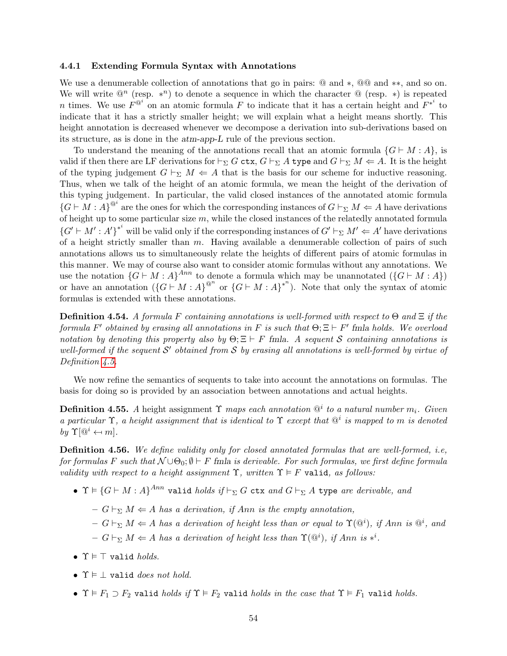### 4.4.1 Extending Formula Syntax with Annotations

We use a denumerable collection of annotations that go in pairs: @ and ∗, @@ and ∗∗, and so on. We will write  $\mathbb{Q}^n$  (resp. \*<sup>n</sup>) to denote a sequence in which the character  $\mathbb{Q}$  (resp. \*) is repeated n times. We use  $F^{\mathbb{Q}^i}$  on an atomic formula F to indicate that it has a certain height and  $F^{*^i}$  to indicate that it has a strictly smaller height; we will explain what a height means shortly. This height annotation is decreased whenever we decompose a derivation into sub-derivations based on its structure, as is done in the atm-app-L rule of the previous section.

To understand the meaning of the annotations recall that an atomic formula  $\{G \vdash M : A\}$ , is valid if then there are LF derivations for  $\vdash_{\Sigma} G$  ctx,  $G \vdash_{\Sigma} A$  type and  $G \vdash_{\Sigma} M \Leftarrow A$ . It is the height of the typing judgement  $G \vdash_{\Sigma} M \Leftarrow A$  that is the basis for our scheme for inductive reasoning. Thus, when we talk of the height of an atomic formula, we mean the height of the derivation of this typing judgement. In particular, the valid closed instances of the annotated atomic formula  ${G \vdash M : A}^{\mathcal{Q}^i}$  are the ones for which the corresponding instances of  $G \vdash_{\Sigma} M \Leftarrow A$  have derivations of height up to some particular size  $m$ , while the closed instances of the relatedly annotated formula  ${G' \vdash M' : A'}^*$  will be valid only if the corresponding instances of  $G' \vdash_{\Sigma} M' \Leftarrow A'$  have derivations of a height strictly smaller than  $m$ . Having available a denumerable collection of pairs of such annotations allows us to simultaneously relate the heights of different pairs of atomic formulas in this manner. We may of course also want to consider atomic formulas without any annotations. We use the notation  $\{G \vdash M : A\}^{Ann}$  to denote a formula which may be unannotated  $(\{G \vdash M : A\})$ or have an annotation  $({G \vdash M : A})^{\otimes^n}$  or  $({G \vdash M : A})^{*^n}$ ). Note that only the syntax of atomic formulas is extended with these annotations.

<span id="page-53-1"></span>**Definition 4.54.** A formula F containing annotations is well-formed with respect to  $\Theta$  and  $\Xi$  if the formula F' obtained by erasing all annotations in F is such that  $\Theta; \Xi \vdash F'$  fmla holds. We overload notation by denoting this property also by  $\Theta$ ;  $\Xi \vdash F$  fmla. A sequent S containing annotations is well-formed if the sequent  $\mathcal{S}'$  obtained from  $\mathcal{S}$  by erasing all annotations is well-formed by virtue of Definition [4.5.](#page-26-3)

We now refine the semantics of sequents to take into account the annotations on formulas. The basis for doing so is provided by an association between annotations and actual heights.

**Definition 4.55.** A height assignment  $\Upsilon$  maps each annotation  $\mathbb{Q}^i$  to a natural number  $m_i$ . Given a particular  $\Upsilon$ , a height assignment that is identical to  $\Upsilon$  except that  $\mathbb{Q}^i$  is mapped to m is denoted by  $\Upsilon[\mathbb{Q}^i \leftarrow m]$ .

<span id="page-53-0"></span>Definition 4.56. We define validity only for closed annotated formulas that are well-formed, i.e, for formulas F such that  $\mathcal{N} \cup \Theta_0$ ;  $\emptyset \vdash F$  fmla is derivable. For such formulas, we first define formula validity with respect to a height assignment  $\Upsilon$ , written  $\Upsilon \models F$  valid, as follows:

- $\bullet$   $\Upsilon \vDash \{G \vdash M : A\}^{Ann}$  valid holds  $if \vdash_{\Sigma} G$  ctx and  $G \vdash_{\Sigma} A$  type are derivable, and
	- $-G \vdash_{\Sigma} M \Leftarrow A$  has a derivation, if Ann is the empty annotation,
	- $-G \vdash_{\Sigma} M \Leftarrow A$  has a derivation of height less than or equal to  $\Upsilon(\mathbb{Q}^i)$ , if Ann is  $\mathbb{Q}^i$ , and
	- $-G \vdash_{\Sigma} M \Leftarrow A$  has a derivation of height less than  $\Upsilon(\mathbb{Q}^i)$ , if Ann is \*<sup>i</sup>.
- $\Upsilon \models \top$  valid holds.
- $\Upsilon \models \bot$  valid does not hold.
- $\Upsilon \models F_1 \supset F_2$  valid holds if  $\Upsilon \models F_2$  valid holds in the case that  $\Upsilon \models F_1$  valid holds.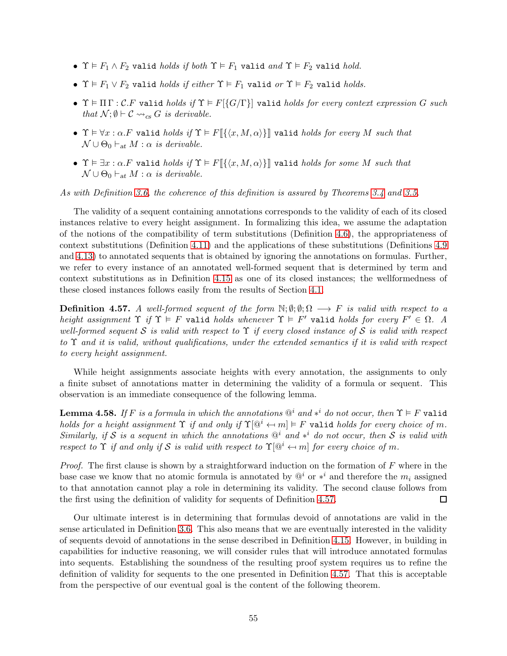- $\Upsilon \vDash F_1 \wedge F_2$  valid *holds if both*  $\Upsilon \vDash F_1$  valid *and*  $\Upsilon \vDash F_2$  valid *hold.*
- $\Upsilon \vDash F_1 \vee F_2$  valid *holds if either*  $\Upsilon \vDash F_1$  valid *or*  $\Upsilon \vDash F_2$  valid *holds*.
- $\Upsilon \models \Pi \Gamma : \mathcal{C}.F$  valid holds if  $\Upsilon \models F[\{G/\Gamma\}]$  valid holds for every context expression G such that  $\mathcal{N}; \emptyset \vdash \mathcal{C} \leadsto_{cs} G$  is derivable.
- $\Upsilon \vDash \forall x : \alpha. F$  valid holds if  $\Upsilon \vDash F[\{\langle x, M, \alpha \rangle\}]$  valid holds for every M such that  $\mathcal{N} \cup \Theta_0 \vdash_{at} M : \alpha$  is derivable.
- $\Upsilon \vDash \exists x : \alpha. F$  valid holds if  $\Upsilon \vDash F[\{\langle x, M, \alpha \rangle\}]$  valid holds for some M such that  $\mathcal{N} \cup \Theta_0 \vdash_{at} M : \alpha$  is derivable.

As with Definition [3.6,](#page-20-1) the coherence of this definition is assured by Theorems [3.4](#page-19-0) and [3.5.](#page-20-0)

The validity of a sequent containing annotations corresponds to the validity of each of its closed instances relative to every height assignment. In formalizing this idea, we assume the adaptation of the notions of the compatibility of term substitutions (Definition [4.6\)](#page-27-1), the appropriateness of context substitutions (Definition [4.11\)](#page-29-1) and the applications of these substitutions (Definitions [4.9](#page-28-1) and [4.13\)](#page-29-2) to annotated sequents that is obtained by ignoring the annotations on formulas. Further, we refer to every instance of an annotated well-formed sequent that is determined by term and context substitutions as in Definition [4.15](#page-30-0) as one of its closed instances; the wellformedness of these closed instances follows easily from the results of Section [4.1.](#page-25-0)

<span id="page-54-0"></span>**Definition 4.57.** A well-formed sequent of the form  $\mathbb{N}; \emptyset; \emptyset; \Omega \longrightarrow F$  is valid with respect to a height assignment  $\Upsilon$  if  $\Upsilon \models F$  valid holds whenever  $\Upsilon \models F'$  valid holds for every  $F' \in \Omega$ . A well-formed sequent S is valid with respect to  $\Upsilon$  if every closed instance of S is valid with respect to  $\Upsilon$  and it is valid, without qualifications, under the extended semantics if it is valid with respect to every height assignment.

While height assignments associate heights with every annotation, the assignments to only a finite subset of annotations matter in determining the validity of a formula or sequent. This observation is an immediate consequence of the following lemma.

<span id="page-54-1"></span>**Lemma 4.58.** If F is a formula in which the annotations  $\mathbb{Q}^i$  and  $*^i$  do not occur, then  $\Upsilon \models F$  valid holds for a height assignment  $\Upsilon$  if and only if  $\Upsilon[\mathbb{Q}^i \leftarrow m] \models F$  valid holds for every choice of m. Similarly, if S is a sequent in which the annotations  $\mathbb{Q}^i$  and  $*^i$  do not occur, then S is valid with respect to  $\Upsilon$  if and only if S is valid with respect to  $\Upsilon[\mathbb{Q}^i \leftarrow m]$  for every choice of m.

*Proof.* The first clause is shown by a straightforward induction on the formation of  $F$  where in the base case we know that no atomic formula is annotated by  $\mathbb{Q}^i$  or  $*^i$  and therefore the  $m_i$  assigned to that annotation cannot play a role in determining its validity. The second clause follows from the first using the definition of validity for sequents of Definition [4.57.](#page-54-0) □

Our ultimate interest is in determining that formulas devoid of annotations are valid in the sense articulated in Definition [3.6.](#page-20-1) This also means that we are eventually interested in the validity of sequents devoid of annotations in the sense described in Definition [4.15.](#page-30-0) However, in building in capabilities for inductive reasoning, we will consider rules that will introduce annotated formulas into sequents. Establishing the soundness of the resulting proof system requires us to refine the definition of validity for sequents to the one presented in Definition [4.57.](#page-54-0) That this is acceptable from the perspective of our eventual goal is the content of the following theorem.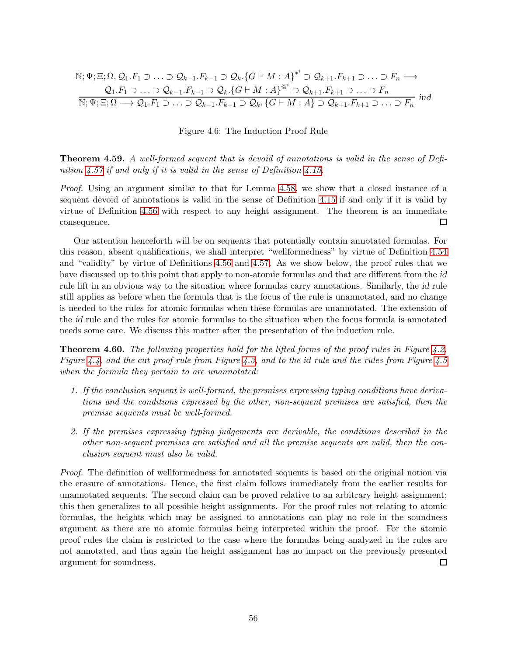$$
\mathbb{N}; \Psi; \Xi; \Omega, \mathcal{Q}_1. F_1 \supset \ldots \supset \mathcal{Q}_{k-1}. F_{k-1} \supset \mathcal{Q}_k. \{G \vdash M : A\}^{*^i} \supset \mathcal{Q}_{k+1}. F_{k+1} \supset \ldots \supset F_n \longrightarrow
$$
\n
$$
\frac{\mathcal{Q}_1. F_1 \supset \ldots \supset \mathcal{Q}_{k-1}. F_{k-1} \supset \mathcal{Q}_k. \{G \vdash M : A\}^{\mathfrak{Q}^i} \supset \mathcal{Q}_{k+1}. F_{k+1} \supset \ldots \supset F_n}{\mathbb{N}; \Psi; \Xi; \Omega \longrightarrow \mathcal{Q}_1. F_1 \supset \ldots \supset \mathcal{Q}_{k-1}. F_{k-1} \supset \mathcal{Q}_k. \{G \vdash M : A\} \supset \mathcal{Q}_{k+1}. F_{k+1} \supset \ldots \supset F_n} \text{ ind}
$$

<span id="page-55-0"></span>Figure 4.6: The Induction Proof Rule

Theorem 4.59. A well-formed sequent that is devoid of annotations is valid in the sense of Defi-nition [4.57](#page-54-0) if and only if it is valid in the sense of Definition [4.15.](#page-30-0)

Proof. Using an argument similar to that for Lemma [4.58,](#page-54-1) we show that a closed instance of a sequent devoid of annotations is valid in the sense of Definition [4.15](#page-30-0) if and only if it is valid by virtue of Definition [4.56](#page-53-0) with respect to any height assignment. The theorem is an immediate consequence. □

Our attention henceforth will be on sequents that potentially contain annotated formulas. For this reason, absent qualifications, we shall interpret "wellformedness" by virtue of Definition [4.54](#page-53-1) and "validity" by virtue of Definitions [4.56](#page-53-0) and [4.57.](#page-54-0) As we show below, the proof rules that we have discussed up to this point that apply to non-atomic formulas and that are different from the id rule lift in an obvious way to the situation where formulas carry annotations. Similarly, the id rule still applies as before when the formula that is the focus of the rule is unannotated, and no change is needed to the rules for atomic formulas when these formulas are unannotated. The extension of the id rule and the rules for atomic formulas to the situation when the focus formula is annotated needs some care. We discuss this matter after the presentation of the induction rule.

**Theorem 4.60.** The following properties hold for the lifted forms of the proof rules in Figure [4.2,](#page-31-2) Figure [4.4,](#page-36-0) and the cut proof rule from Figure [4.3,](#page-33-0) and to the id rule and the rules from Figure [4.5](#page-50-0) when the formula they pertain to are unannotated:

- 1. If the conclusion sequent is well-formed, the premises expressing typing conditions have derivations and the conditions expressed by the other, non-sequent premises are satisfied, then the premise sequents must be well-formed.
- 2. If the premises expressing typing judgements are derivable, the conditions described in the other non-sequent premises are satisfied and all the premise sequents are valid, then the conclusion sequent must also be valid.

Proof. The definition of wellformedness for annotated sequents is based on the original notion via the erasure of annotations. Hence, the first claim follows immediately from the earlier results for unannotated sequents. The second claim can be proved relative to an arbitrary height assignment; this then generalizes to all possible height assignments. For the proof rules not relating to atomic formulas, the heights which may be assigned to annotations can play no role in the soundness argument as there are no atomic formulas being interpreted within the proof. For the atomic proof rules the claim is restricted to the case where the formulas being analyzed in the rules are not annotated, and thus again the height assignment has no impact on the previously presented argument for soundness.  $\Box$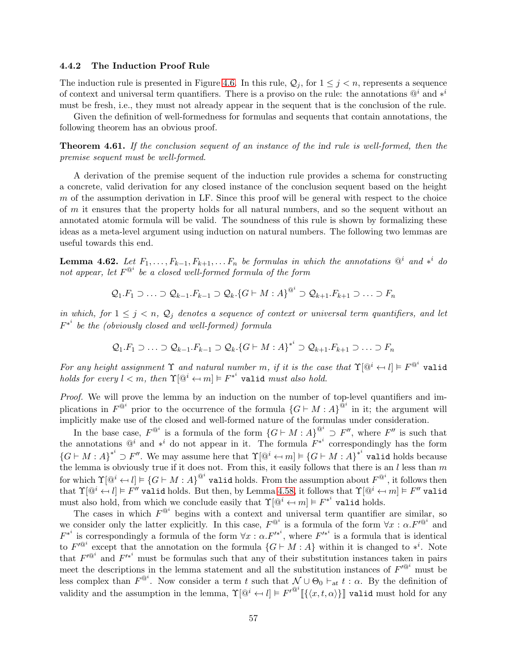#### 4.4.2 The Induction Proof Rule

The induction rule is presented in Figure [4.6.](#page-55-0) In this rule,  $\mathcal{Q}_j$ , for  $1 \leq j \leq n$ , represents a sequence of context and universal term quantifiers. There is a proviso on the rule: the annotations  $@<sup>i</sup>$  and  $*<sup>i</sup>$ must be fresh, i.e., they must not already appear in the sequent that is the conclusion of the rule.

Given the definition of well-formedness for formulas and sequents that contain annotations, the following theorem has an obvious proof.

Theorem 4.61. If the conclusion sequent of an instance of the ind rule is well-formed, then the premise sequent must be well-formed.

A derivation of the premise sequent of the induction rule provides a schema for constructing a concrete, valid derivation for any closed instance of the conclusion sequent based on the height  $m$  of the assumption derivation in LF. Since this proof will be general with respect to the choice of m it ensures that the property holds for all natural numbers, and so the sequent without an annotated atomic formula will be valid. The soundness of this rule is shown by formalizing these ideas as a meta-level argument using induction on natural numbers. The following two lemmas are useful towards this end.

<span id="page-56-0"></span>**Lemma 4.62.** Let  $F_1, \ldots, F_{k-1}, F_{k+1}, \ldots, F_n$  be formulas in which the annotations  $\mathbb{Q}^i$  and  $*^i$  do not appear, let  $F^{\mathbb{Q}^i}$  be a closed well-formed formula of the form

$$
Q_1.F_1 \supset \ldots \supset Q_{k-1}.F_{k-1} \supset Q_k \cdot \{G \vdash M : A\}^{\otimes^i} \supset Q_{k+1}.F_{k+1} \supset \ldots \supset F_n
$$

in which, for  $1 \leq j \leq n$ ,  $\mathcal{Q}_j$  denotes a sequence of context or universal term quantifiers, and let  $F^{*^i}$  be the (obviously closed and well-formed) formula

$$
Q_1.F_1 \supset \ldots \supset Q_{k-1}.F_{k-1} \supset Q_k.\{G \vdash M : A\}^{*^i} \supset Q_{k+1}.F_{k+1} \supset \ldots \supset F_n
$$

For any height assignment  $\Upsilon$  and natural number m, if it is the case that  $\Upsilon[\mathbb{Q}^i \leftarrow l] \models F^{\mathbb{Q}^i}$  valid holds for every  $l < m$ , then  $\Upsilon[\mathbb{Q}^i \leftarrow m] \models F^{*^i}$  valid must also hold.

Proof. We will prove the lemma by an induction on the number of top-level quantifiers and implications in  $F^{\hat{Q}^i}$  prior to the occurrence of the formula  $\{G \vdash M : A\}^{\hat{Q}^i}$  in it; the argument will implicitly make use of the closed and well-formed nature of the formulas under consideration.

In the base case,  $F^{\circledR}$  is a formula of the form  $\{G \vdash M : A\}^{\circledR} \supset F''$ , where  $F''$  is such that the annotations  $\mathbb{Q}^i$  and  $*^i$  do not appear in it. The formula  $F^{*^i}$  correspondingly has the form  ${G \vdash M : A}^{*^i} \supset F''.$  We may assume here that  $\Upsilon[\mathbb{Q}^i \leftarrow m] \models {G \vdash M : A}^{*^i}$  valid holds because the lemma is obviously true if it does not. From this, it easily follows that there is an  $l$  less than  $m$ for which  $\Upsilon[\mathbb{Q}^i \leftarrow l] \models \{G \vdash M : A\}^{\mathbb{Q}^i}$  valid holds. From the assumption about  $F^{\mathbb{Q}^i}$ , it follows then that  $\Upsilon[\mathbb{Q}^i \leftarrow l] \models F''$  valid holds. But then, by Lemma [4.58,](#page-54-1) it follows that  $\Upsilon[\mathbb{Q}^i \leftarrow m] \models F''$  valid must also hold, from which we conclude easily that  $\Upsilon[\mathbb{Q}^i \leftarrow m] \models F^{*^i}$  valid holds.

The cases in which  $F^{\mathbb{Q}^i}$  begins with a context and universal term quantifier are similar, so we consider only the latter explicitly. In this case,  $F^{\mathbb{Q}^i}$  is a formula of the form  $\forall x : \alpha. F'^{\mathbb{Q}^i}$  and  $F^{*^i}$  is correspondingly a formula of the form  $\forall x : \alpha F'^{*^i}$ , where  $F'^{*^i}$  is a formula that is identical to  $F'^@^i$  except that the annotation on the formula  $\{G \vdash M : A\}$  within it is changed to  $*^i$ . Note that  $F'^{@i}$  and  $F'^{*i}$  must be formulas such that any of their substitution instances taken in pairs meet the descriptions in the lemma statement and all the substitution instances of  $F'^{\mathbb{Q}^i}$  must be less complex than  $F^{\mathbb{Q}^i}$ . Now consider a term t such that  $\mathcal{N} \cup \Theta_0 \vdash_{\text{at}} t : \alpha$ . By the definition of validity and the assumption in the lemma,  $\Upsilon[\mathbb{Q}^i \leftarrow l] \models F'^{\mathbb{Q}^i}[\{\langle x, t, \alpha \rangle\}]$  valid must hold for any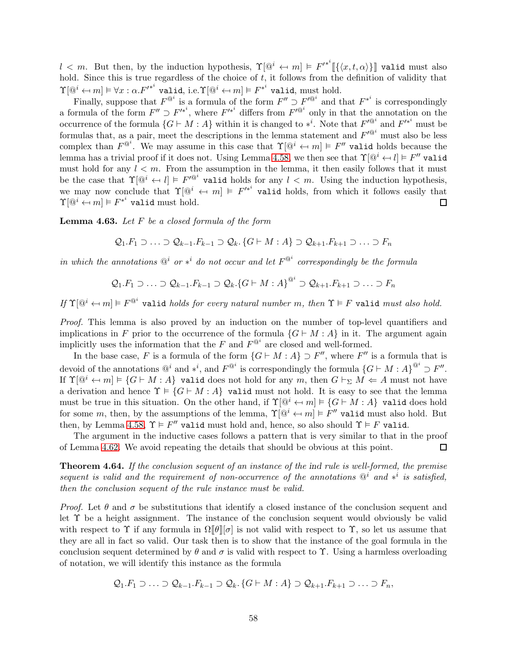$l < m$ . But then, by the induction hypothesis,  $\Upsilon[\mathbb{Q}^i \leftarrow m] \models F'^{*^i}[\{\langle x, t, \alpha \rangle\}]$  valid must also hold. Since this is true regardless of the choice of  $t$ , it follows from the definition of validity that  $\Upsilon[\mathbb{Q}^i \leftarrow m] \vDash \forall x : \alpha. F'^{*^i} \text{ valid, i.e.} \Upsilon[\mathbb{Q}^i \leftarrow m] \vDash F^{*^i} \text{ valid, must hold.}$ 

Finally, suppose that  $F^{\mathbb{Q}^i}$  is a formula of the form  $F'' \supset F'^{\mathbb{Q}^i}$  and that  $F^{*^i}$  is correspondingly a formula of the form  $F'' \supset F'^{*^i}$ , where  $F'^{*^i}$  differs from  $F'^{\mathbb{Q}^i}$  only in that the annotation on the occurrence of the formula  $\{G \vdash M : A\}$  within it is changed to  $*^i$ . Note that  $F'^{@^i}$  and  $F'^{*^i}$  must be formulas that, as a pair, meet the descriptions in the lemma statement and  $F'^{\mathbb{Q}^i}$  must also be less complex than  $F^{\mathbb{Q}^i}$ . We may assume in this case that  $\Upsilon[\mathbb{Q}^i \leftarrow m] \models F''$  valid holds because the lemma has a trivial proof if it does not. Using Lemma [4.58,](#page-54-1) we then see that  $\Upsilon[\mathbb{Q}^i \leftarrow l] \models F''$  valid must hold for any  $l < m$ . From the assumption in the lemma, it then easily follows that it must be the case that  $\Upsilon[\mathbb{Q}^i \leftarrow l] \models F'^{\mathbb{Q}^i}$  valid holds for any  $l < m$ . Using the induction hypothesis, we may now conclude that  $\Upsilon[\mathbb{Q}^i \leftarrow m] \models F'^{*^i}$  valid holds, from which it follows easily that  $\Upsilon[\mathbb{Q}^i \leftarrow m] \vDash F^{*^i}$  valid must hold. П

<span id="page-57-0"></span>**Lemma 4.63.** Let  $F$  be a closed formula of the form

$$
Q_1.F_1 \supset \ldots \supset Q_{k-1}.F_{k-1} \supset Q_k. \{G \vdash M : A\} \supset Q_{k+1}.F_{k+1} \supset \ldots \supset F_n
$$

in which the annotations  $\mathbb{Q}^i$  or  $*^i$  do not occur and let  $F^{\mathbb{Q}^i}$  correspondingly be the formula

$$
Q_1.F_1 \supset \ldots \supset Q_{k-1}.F_{k-1} \supset Q_k.\{G \vdash M : A\}^{\otimes^i} \supset Q_{k+1}.F_{k+1} \supset \ldots \supset F_n
$$

If  $\Upsilon[\mathbb{Q}^i \leftarrow m] \vDash F^{\mathbb{Q}^i}$  valid holds for every natural number m, then  $\Upsilon \vDash F$  valid must also hold.

Proof. This lemma is also proved by an induction on the number of top-level quantifiers and implications in F prior to the occurrence of the formula  $\{G \vdash M : A\}$  in it. The argument again implicitly uses the information that the F and  $F^{\mathbb{Q}^i}$  are closed and well-formed.

In the base case, F is a formula of the form  $\{G \vdash M : A\} \supset F''$ , where  $F''$  is a formula that is devoid of the annotations  $@^i$  and  $*^i$ , and  $F^{@^i}$  is correspondingly the formula  ${G \vdash M : A}^{\otimes^i} \supset F''$ . If  $\Upsilon[\mathbb{Q}^i \leftarrow m] \models \{G \vdash M : A\}$  valid does not hold for any m, then  $G \vdash_{\Sigma} M \Leftarrow A$  must not have a derivation and hence  $\Upsilon \models \{G \vdash M : A\}$  valid must not hold. It is easy to see that the lemma must be true in this situation. On the other hand, if  $\Upsilon[\mathbb{Q}^i \leftarrow m] \models \{G \vdash M : A\}$  valid does hold for some m, then, by the assumptions of the lemma,  $\Upsilon[\mathbb{Q}^i \leftarrow m] \models F''$  valid must also hold. But then, by Lemma [4.58,](#page-54-1)  $\Upsilon \models F''$  valid must hold and, hence, so also should  $\Upsilon \models F$  valid.

The argument in the inductive cases follows a pattern that is very similar to that in the proof of Lemma [4.62.](#page-56-0) We avoid repeating the details that should be obvious at this point.  $\Box$ 

Theorem 4.64. If the conclusion sequent of an instance of the ind rule is well-formed, the premise sequent is valid and the requirement of non-occurrence of the annotations  $\mathbb{Q}^i$  and  $*^i$  is satisfied, then the conclusion sequent of the rule instance must be valid.

*Proof.* Let  $\theta$  and  $\sigma$  be substitutions that identify a closed instance of the conclusion sequent and let  $\Upsilon$  be a height assignment. The instance of the conclusion sequent would obviously be valid with respect to  $\Upsilon$  if any formula in  $\Omega[\theta][\sigma]$  is not valid with respect to  $\Upsilon$ , so let us assume that they are all in fact so valid. Our task then is to show that the instance of the goal formula in the conclusion sequent determined by  $\theta$  and  $\sigma$  is valid with respect to  $\Upsilon$ . Using a harmless overloading of notation, we will identify this instance as the formula

$$
Q_1.F_1 \supset \ldots \supset Q_{k-1}.F_{k-1} \supset Q_k.\{G \vdash M : A\} \supset Q_{k+1}.F_{k+1} \supset \ldots \supset F_n,
$$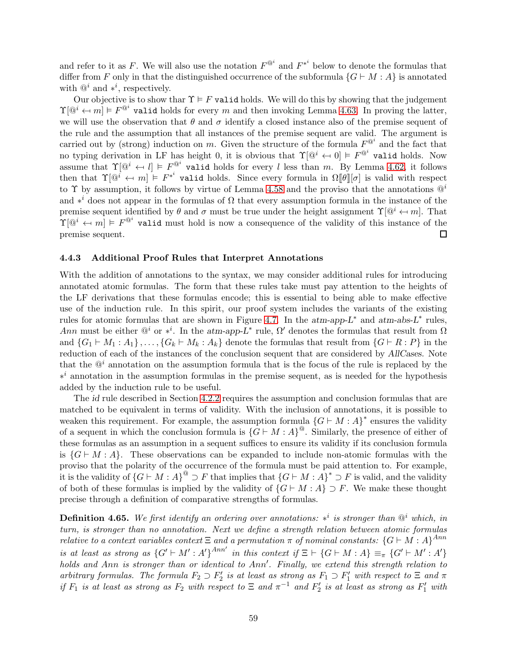and refer to it as F. We will also use the notation  $F^{\mathbb{Q}^i}$  and  $F^{*^i}$  below to denote the formulas that differ from F only in that the distinguished occurrence of the subformula  $\{G \vdash M : A\}$  is annotated with  $@<sup>i</sup>$  and  $*<sup>i</sup>$ , respectively.

Our objective is to show thar  $\Upsilon \models F$  valid holds. We will do this by showing that the judgement  $\Upsilon[\mathbb{Q}^i \leftarrow m] \models F^{\mathbb{Q}^i}$  valid holds for every m and then invoking Lemma [4.63.](#page-57-0) In proving the latter, we will use the observation that  $\theta$  and  $\sigma$  identify a closed instance also of the premise sequent of the rule and the assumption that all instances of the premise sequent are valid. The argument is carried out by (strong) induction on m. Given the structure of the formula  $F^{\mathbb{Q}^i}$  and the fact that no typing derivation in LF has height 0, it is obvious that  $\Upsilon[\mathbb{Q}^i \leftarrow 0] \models F^{\mathbb{Q}^i}$  valid holds. Now assume that  $\Upsilon[\mathbb{Q}^i \leftarrow l] \models F^{\mathbb{Q}^i}$  valid holds for every l less than m. By Lemma [4.62,](#page-56-0) it follows then that  $\Upsilon[\mathbb{Q}^i \leftarrow m] \models F^{*^i}$  valid holds. Since every formula in  $\Omega[\![\theta]\!] [\sigma]$  is valid with respect to  $\Upsilon$  by assumption, it follows by virtue of Lemma [4.58](#page-54-1) and the proviso that the annotations  $\mathbb{Q}^i$ and  $*^i$  does not appear in the formulas of  $\Omega$  that every assumption formula in the instance of the premise sequent identified by  $\theta$  and  $\sigma$  must be true under the height assignment  $\Upsilon[\mathbb{Q}^i \leftarrow m]$ . That  $\Upsilon(\mathbb{Q}^i \leftarrow m] \models F^{\mathbb{Q}^i}$  valid must hold is now a consequence of the validity of this instance of the premise sequent.  $\Box$ 

### 4.4.3 Additional Proof Rules that Interpret Annotations

With the addition of annotations to the syntax, we may consider additional rules for introducing annotated atomic formulas. The form that these rules take must pay attention to the heights of the LF derivations that these formulas encode; this is essential to being able to make effective use of the induction rule. In this spirit, our proof system includes the variants of the existing rules for atomic formulas that are shown in Figure [4.7.](#page-59-0) In the  $atm-app-L^*$  and  $atm-abs-L^*$  rules, Ann must be either  $\mathbb{Q}^i$  or  $*^i$ . In the atm-app-L<sup>\*</sup> rule,  $\Omega'$  denotes the formulas that result from  $\Omega$ and  $\{G_1 \vdash M_1 : A_1\}, \ldots, \{G_k \vdash M_k : A_k\}$  denote the formulas that result from  $\{G \vdash R : P\}$  in the reduction of each of the instances of the conclusion sequent that are considered by AllCases. Note that the  $\mathbb{Q}^i$  annotation on the assumption formula that is the focus of the rule is replaced by the ∗ <sup>i</sup> annotation in the assumption formulas in the premise sequent, as is needed for the hypothesis added by the induction rule to be useful.

The id rule described in Section [4.2.2](#page-33-1) requires the assumption and conclusion formulas that are matched to be equivalent in terms of validity. With the inclusion of annotations, it is possible to weaken this requirement. For example, the assumption formula  ${G \vdash M : A}^*$  ensures the validity of a sequent in which the conclusion formula is  ${G \vdash M : A}^{\mathcal{Q}}$ . Similarly, the presence of either of these formulas as an assumption in a sequent suffices to ensure its validity if its conclusion formula is  $\{G \vdash M : A\}$ . These observations can be expanded to include non-atomic formulas with the proviso that the polarity of the occurrence of the formula must be paid attention to. For example, it is the validity of  ${G \vdash M : A}^{\circ} \supset F$  that implies that  ${G \vdash M : A}^* \supset F$  is valid, and the validity of both of these formulas is implied by the validity of  $\{G \vdash M : A\} \supset F$ . We make these thought precise through a definition of comparative strengths of formulas.

**Definition 4.65.** We first identify an ordering over annotations: \*<sup>i</sup> is stronger than  $\mathbb{Q}^i$  which, in turn, is stronger than no annotation. Next we define a strength relation between atomic formulas relative to a context variables context  $\Xi$  and a permutation  $\pi$  of nominal constants:  $\{G \vdash M : A\}^{Ann}$ is at least as strong as  ${G' \vdash M' : A'}^{Ann'}$  in this context if  $\Xi \vdash \{G \vdash M : A\} \equiv_{\pi} G' \vdash M' : A'\}$ holds and Ann is stronger than or identical to Ann'. Finally, we extend this strength relation to arbitrary formulas. The formula  $F_2 \supset F'_2$  is at least as strong as  $F_1 \supset F'_1$  with respect to  $\Xi$  and  $\pi$ if  $F_1$  is at least as strong as  $F_2$  with respect to  $\Xi$  and  $\pi^{-1}$  and  $F'_2$  is at least as strong as  $F'_1$  with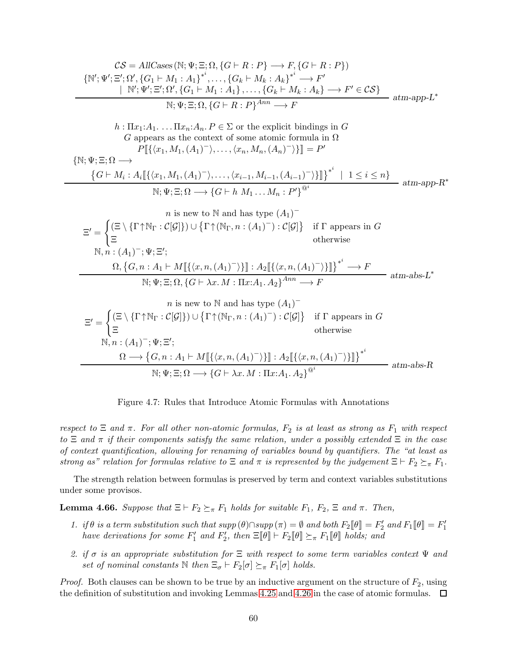$$
\mathcal{CS} = AllCases(N; \Psi; \Xi; \Omega, \{G \vdash R : P\} \to F, \{G \vdash R : P\})
$$
\n
$$
\{N'; \Psi'; \Xi'; \Omega', \{G_1 \vdash M_1 : A_1\}^{*,}\dots, \{G_k \vdash M_k : A_k\}^{*,} \to F'
$$
\n
$$
\xrightarrow[N'; \Psi'; \Xi'; \Omega', \{G_1 \vdash M_1 : A_1\},\dots, \{G_k \vdash M_k : A_k\} \to F' \in \mathcal{CS}\}
$$
\n
$$
\xrightarrow[N; \Psi; \Xi; \Omega, \{G \vdash R : P\}^{Ann} \to F
$$
\n
$$
h : \Pi x_1 : A_1 \dots \Pi x_n : A_n P \in \Sigma \text{ or the explicit bindings in } G
$$
\n
$$
G \text{ appears as the context of some atomic formula in } \Omega
$$
\n
$$
P[\{\langle x_1, M_1, (A_1) \rangle, \dots, \langle x_n, M_n, (A_n) \rangle\}] = P'
$$
\n
$$
\{G \vdash M_i : A_i [\{\langle x_1, M_1, (A_1) \rangle, \dots, \langle x_{i-1}, M_{i-1}, (A_{i-1}) \rangle\}]\}^{*,i} \quad 1 \leq i \leq n\}
$$
\n
$$
\{G \vdash M_i : A_i [\{\langle x_1, M_1, (A_1) \rangle, \dots, \langle x_{i-1}, M_{i-1}, (A_{i-1}) \rangle\}]\}^{*,i} \quad 1 \leq i \leq n\}
$$
\n
$$
n \text{ is new to N and has type } (A_1)^-
$$
\n
$$
\Xi' = \begin{cases} \{\Xi \setminus \{\Gamma \uparrow \mathbb{N}_{\Gamma} : \mathcal{C}[\mathcal{G}]\} \} \cup \{\Gamma \uparrow (\mathbb{N}_{\Gamma}, n : (A_1)^{-} \} \} \end{cases} \text{ if } \Gamma \text{ appears in } G \text{ otherwise}
$$
\n
$$
N, n : (A_1)^{-}; \Psi; \Xi';
$$
\n
$$
\Omega, \{G, n : A_1 \vdash M[\{\langle x, n, (A_1) \rangle\}] : A_2[\{\langle x, n, (A_1) \rangle\}]\}^{*,i} \to F
$$
\n
$$
n \text
$$

<span id="page-59-0"></span>Figure 4.7: Rules that Introduce Atomic Formulas with Annotations

respect to  $\Xi$  and  $\pi$ . For all other non-atomic formulas,  $F_2$  is at least as strong as  $F_1$  with respect to  $\Xi$  and  $\pi$  if their components satisfy the same relation, under a possibly extended  $\Xi$  in the case of context quantification, allowing for renaming of variables bound by quantifiers. The "at least as strong as" relation for formulas relative to  $\Xi$  and  $\pi$  is represented by the judgement  $\Xi \vdash F_2 \succeq_{\pi} F_1$ .

The strength relation between formulas is preserved by term and context variables substitutions under some provisos.

<span id="page-59-1"></span>**Lemma 4.66.** Suppose that  $\Xi \vdash F_2 \succeq_{\pi} F_1$  holds for suitable  $F_1$ ,  $F_2$ ,  $\Xi$  and  $\pi$ . Then,

- 1. if  $\theta$  is a term substitution such that  $supp(\theta) \cap supp(\pi) = \emptyset$  and both  $F_2[\![\theta]\!] = F'_2$  and  $F_1[\![\theta]\!] = F'_1$ have derivations for some  $F'_1$  and  $F'_2$ , then  $\Xi[\![\theta]\!] \vdash F_2[\![\theta]\!] \succeq_{\pi} F_1[\![\theta]\!]$  holds; and
- 2. if  $\sigma$  is an appropriate substitution for  $\Xi$  with respect to some term variables context  $\Psi$  and set of nominal constants  $\mathbb N$  then  $\Xi_{\sigma} \vdash F_2[\sigma] \succeq_{\pi} F_1[\sigma]$  holds.

*Proof.* Both clauses can be shown to be true by an inductive argument on the structure of  $F_2$ , using the definition of substitution and invoking Lemmas [4.25](#page-34-0) and [4.26](#page-34-1) in the case of atomic formulas.  $\Box$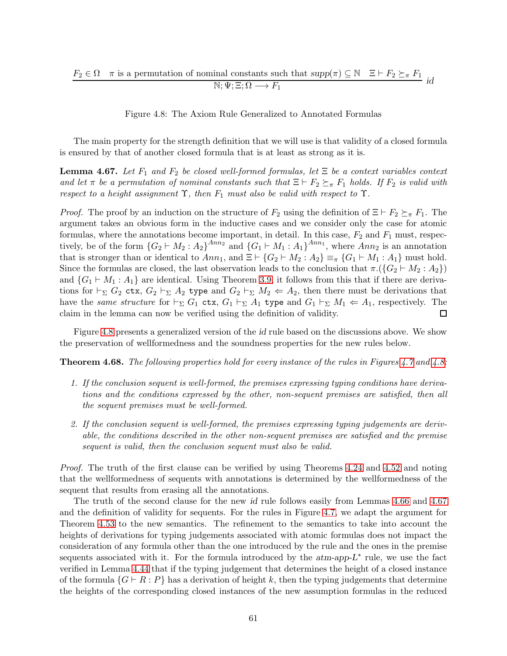$$
F_2 \in \Omega \quad \pi \text{ is a permutation of nominal constants such that } supp(\pi) \subseteq \mathbb{N} \quad \Xi \vdash F_2 \succeq_{\pi} F_1
$$
  

$$
\mathbb{N}; \Psi; \Xi; \Omega \longrightarrow F_1
$$

<span id="page-60-0"></span>Figure 4.8: The Axiom Rule Generalized to Annotated Formulas

The main property for the strength definition that we will use is that validity of a closed formula is ensured by that of another closed formula that is at least as strong as it is.

<span id="page-60-1"></span>**Lemma 4.67.** Let  $F_1$  and  $F_2$  be closed well-formed formulas, let  $\Xi$  be a context variables context and let  $\pi$  be a permutation of nominal constants such that  $\Xi \vdash F_2 \succeq_{\pi} F_1$  holds. If  $F_2$  is valid with respect to a height assignment  $\Upsilon$ , then  $F_1$  must also be valid with respect to  $\Upsilon$ .

*Proof.* The proof by an induction on the structure of  $F_2$  using the definition of  $\Xi \vdash F_2 \succeq_{\pi} F_1$ . The argument takes an obvious form in the inductive cases and we consider only the case for atomic formulas, where the annotations become important, in detail. In this case,  $F_2$  and  $F_1$  must, respectively, be of the form  ${G_2 \vdash M_2 : A_2}^{Ann_2}$  and  ${G_1 \vdash M_1 : A_1}^{Ann_1}$ , where  $Ann_2$  is an annotation that is stronger than or identical to  $Ann_1$ , and  $\Xi \vdash \{G_2 \vdash M_2 : A_2\} \equiv_{\pi} \{G_1 \vdash M_1 : A_1\}$  must hold. Since the formulas are closed, the last observation leads to the conclusion that  $\pi \cdot (\{G_2 \vdash M_2 : A_2\})$ and  $\{G_1 \vdash M_1 : A_1\}$  are identical. Using Theorem [3.9,](#page-23-0) it follows from this that if there are derivations for  $\vdash_{\Sigma} G_2$  ctx,  $G_2 \vdash_{\Sigma} A_2$  type and  $G_2 \vdash_{\Sigma} M_2 \Leftarrow A_2$ , then there must be derivations that have the same structure for  $\vdash_{\Sigma} G_1$  ctx,  $G_1 \vdash_{\Sigma} A_1$  type and  $G_1 \vdash_{\Sigma} M_1 \Leftarrow A_1$ , respectively. The claim in the lemma can now be verified using the definition of validity.  $\Box$ 

Figure [4.8](#page-60-0) presents a generalized version of the id rule based on the discussions above. We show the preservation of wellformedness and the soundness properties for the new rules below.

**Theorem 4.68.** The following properties hold for every instance of the rules in Figures [4.7](#page-59-0) and [4.8:](#page-60-0)

- 1. If the conclusion sequent is well-formed, the premises expressing typing conditions have derivations and the conditions expressed by the other, non-sequent premises are satisfied, then all the sequent premises must be well-formed.
- 2. If the conclusion sequent is well-formed, the premises expressing typing judgements are derivable, the conditions described in the other non-sequent premises are satisfied and the premise sequent is valid, then the conclusion sequent must also be valid.

Proof. The truth of the first clause can be verified by using Theorems [4.24](#page-33-2) and [4.52](#page-50-1) and noting that the wellformedness of sequents with annotations is determined by the wellformedness of the sequent that results from erasing all the annotations.

The truth of the second clause for the new id rule follows easily from Lemmas [4.66](#page-59-1) and [4.67](#page-60-1) and the definition of validity for sequents. For the rules in Figure [4.7,](#page-59-0) we adapt the argument for Theorem [4.53](#page-51-0) to the new semantics. The refinement to the semantics to take into account the heights of derivations for typing judgements associated with atomic formulas does not impact the consideration of any formula other than the one introduced by the rule and the ones in the premise sequents associated with it. For the formula introduced by the  $atm-app-L^*$  rule, we use the fact verified in Lemma [4.44](#page-46-0) that if the typing judgement that determines the height of a closed instance of the formula  $\{G \vdash R : P\}$  has a derivation of height k, then the typing judgements that determine the heights of the corresponding closed instances of the new assumption formulas in the reduced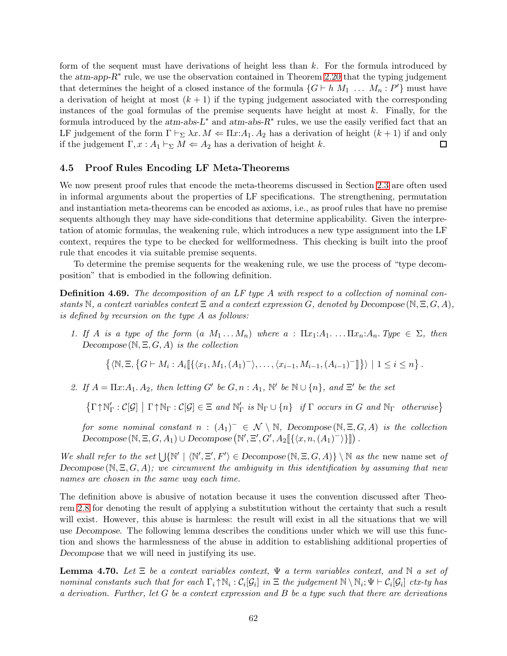form of the sequent must have derivations of height less than  $k$ . For the formula introduced by the  $atm-app-R<sup>*</sup>$  rule, we use the observation contained in Theorem [2.20](#page-12-0) that the typing judgement that determines the height of a closed instance of the formula  $\{G \vdash h M_1 \ldots M_n : P'\}$  must have a derivation of height at most  $(k + 1)$  if the typing judgement associated with the corresponding instances of the goal formulas of the premise sequents have height at most  $k$ . Finally, for the formula introduced by the  $atm-abs-L^*$  and  $atm-abs-R^*$  rules, we use the easily verified fact that an LF judgement of the form  $\Gamma \vdash_{\Sigma} \lambda x. M \Leftarrow \Pi x A_1 \ldotp A_2$  has a derivation of height  $(k+1)$  if and only if the judgement  $\Gamma, x : A_1 \vdash_{\Sigma} M \Leftarrow A_2$  has a derivation of height k.  $\Box$ 

## 4.5 Proof Rules Encoding LF Meta-Theorems

We now present proof rules that encode the meta-theorems discussed in Section [2.3](#page-11-0) are often used in informal arguments about the properties of LF specifications. The strengthening, permutation and instantiation meta-theorems can be encoded as axioms, i.e., as proof rules that have no premise sequents although they may have side-conditions that determine applicability. Given the interpretation of atomic formulas, the weakening rule, which introduces a new type assignment into the LF context, requires the type to be checked for wellformedness. This checking is built into the proof rule that encodes it via suitable premise sequents.

To determine the premise sequents for the weakening rule, we use the process of "type decomposition" that is embodied in the following definition.

**Definition 4.69.** The decomposition of an LF type A with respect to a collection of nominal constants N, a context variables context  $\Xi$  and a context expression G, denoted by Decompose (N, $\Xi$ , G, A), is defined by recursion on the type A as follows:

1. If A is a type of the form  $(a M_1 ... M_n)$  where  $a : \Pi x_1:A_1 ... \Pi x_n:A_n$ . Type  $\in \Sigma$ , then Decompose  $(N, \Xi, G, A)$  is the collection

$$
\{\langle \mathbb{N}, \Xi, \{G \vdash M_i : A_i \llbracket \{\langle x_1, M_1, (A_1)^\top \rangle, \dots, \langle x_{i-1}, M_{i-1}, (A_{i-1})^\top \rrbracket \}\rangle \mid 1 \leq i \leq n \}.
$$

2. If  $A = \Pi x A_1 A_2$ , then letting G' be  $G, n : A_1, \mathbb{N}'$  be  $\mathbb{N} \cup \{n\}$ , and  $\Xi'$  be the set

 $\{\Gamma \uparrow \mathbb{N}_{\Gamma}': \mathcal{C}[\mathcal{G}] \mid \Gamma \uparrow \mathbb{N}_{\Gamma} : \mathcal{C}[\mathcal{G}] \in \Xi \text{ and } \mathbb{N}_{\Gamma}' \text{ is } \mathbb{N}_{\Gamma} \cup \{n\} \text{ if } \Gamma \text{ occurs in } G \text{ and } \mathbb{N}_{\Gamma} \text{ otherwise}\}\$ 

for some nominal constant  $n : (A_1)^- \in \mathcal{N} \setminus \mathbb{N}$ , Decompose  $(\mathbb{N}, \Xi, G, A)$  is the collection Decompose  $(\mathbb{N}, \Xi, G, A_1) \cup$  Decompose  $(\mathbb{N}', \Xi', G', A_2 \llbracket \{\langle x, n, (A_1)^{-} \rangle\} \rrbracket)$ .

We shall refer to the set  $\bigcup \{ \mathbb{N}' \mid \langle \mathbb{N}', \Xi', F' \rangle \in Decompose(\mathbb{N}, \Xi, G, A) \} \setminus \mathbb{N}$  as the new name set of Decompose  $(N, \Xi, G, A)$ ; we circumvent the ambiguity in this identification by assuming that new names are chosen in the same way each time.

The definition above is abusive of notation because it uses the convention discussed after Theorem [2.8](#page-5-0) for denoting the result of applying a substitution without the certainty that such a result will exist. However, this abuse is harmless: the result will exist in all the situations that we will use Decompose. The following lemma describes the conditions under which we will use this function and shows the harmlessness of the abuse in addition to establishing additional properties of Decompose that we will need in justifying its use.

<span id="page-61-0"></span>**Lemma 4.70.** Let  $\Xi$  be a context variables context,  $\Psi$  a term variables context, and  $\mathbb N$  a set of nominal constants such that for each  $\Gamma_i \uparrow \mathbb{N}_i : C_i[\mathcal{G}_i]$  in  $\Xi$  the judgement  $\mathbb{N} \setminus \mathbb{N}_i$ ;  $\Psi \vdash C_i[\mathcal{G}_i]$  ctx-ty has a derivation. Further, let  $G$  be a context expression and  $B$  be a type such that there are derivations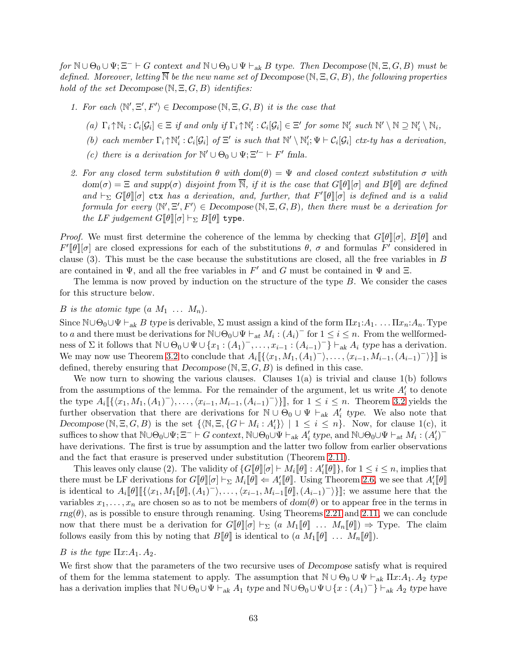for  $\mathbb{N} \cup \Theta_0 \cup \Psi$ ;  $\Xi^- \vdash G$  context and  $\mathbb{N} \cup \Theta_0 \cup \Psi \vdash_{ak} B$  type. Then Decompose  $(\mathbb{N}, \Xi, G, B)$  must be defined. Moreover, letting  $\overline{N}$  be the new name set of Decompose ( $N, \Xi, G, B$ ), the following properties hold of the set Decompose  $(N, \Xi, G, B)$  identifies:

- 1. For each  $\langle \mathbb{N}', \Xi', F' \rangle \in Decompose(\mathbb{N}, \Xi, G, B)$  it is the case that
	- (a)  $\Gamma_i \uparrow \mathbb{N}_i : C_i[\mathcal{G}_i] \in \Xi$  if and only if  $\Gamma_i \uparrow \mathbb{N}'_i : C_i[\mathcal{G}_i] \in \Xi'$  for some  $\mathbb{N}'_i$  such  $\mathbb{N}' \setminus \mathbb{N} \supseteq \mathbb{N}'_i \setminus \mathbb{N}_i$ ,
	- (b) each member  $\Gamma_i \uparrow \mathbb{N}'_i : C_i[\mathcal{G}_i]$  of  $\Xi'$  is such that  $\mathbb{N}' \setminus \mathbb{N}'_i$ ;  $\Psi \vdash C_i[\mathcal{G}_i]$  ctx-ty has a derivation,
	- (c) there is a derivation for  $\mathbb{N}' \cup \Theta_0 \cup \Psi; \Xi'^{-} \vdash F'$  fmla.
- 2. For any closed term substitution  $\theta$  with  $dom(\theta) = \Psi$  and closed context substitution  $\sigma$  with  $dom(\sigma) = \Xi$  and supp $(\sigma)$  disjoint from N, if it is the case that  $G[\![\theta]\!][\![\sigma]$  and  $B[\![\theta]\!]$  are defined and  $\vdash_{\Sigma} G[\![\theta]\!][\sigma]$  ctx has a derivation, and, further, that  $F'[\![\theta]\!][\sigma]$  is defined and is a valid formula for every  $\langle N', \Xi', F' \rangle \in Decompose(N, \Xi, G, B)$ , then there must be a derivation for the LF judgement  $G[\![\theta]\!][\sigma] \vdash_{\Sigma} B[\![\theta]\!]$  type.

*Proof.* We must first determine the coherence of the lemma by checking that  $G[\![\theta]\!][\![\sigma], B[\![\theta]\!]$  and  $F'[\![\theta]\!] [\sigma]$  are closed expressions for each of the substitutions  $\theta$ ,  $\sigma$  and formulas  $F'$  considered in clause (3). This must be the case because the substitutions are closed, all the free variables in B are contained in  $\Psi$ , and all the free variables in  $F'$  and G must be contained in  $\Psi$  and  $\Xi$ .

The lemma is now proved by induction on the structure of the type  $B$ . We consider the cases for this structure below.

## B is the atomic type  $(a\ M_1\ \ldots\ M_n)$ .

Since  $\mathbb{N}\cup\Theta_0\cup\Psi\vdash_{ak} B$  type is derivable,  $\Sigma$  must assign a kind of the form  $\Pi x_1:A_1$ . . . .  $\Pi x_n:A_n$ . Type to a and there must be derivations for  $\mathbb{N} \cup \Theta_0 \cup \Psi \vdash_{at} M_i : (A_i)^-$  for  $1 \leq i \leq n$ . From the wellformedness of  $\Sigma$  it follows that  $\mathbb{N} \cup \Theta_0 \cup \Psi \cup \{x_1 : (A_1)^-, \ldots, x_{i-1} : (A_{i-1})^-\}\vdash_{ak} A_i$  type has a derivation. We may now use Theorem [3.2](#page-16-0) to conclude that  $A_i \llbracket \{ \langle x_1, M_1, (A_1)^{-} \rangle, \ldots, \langle x_{i-1}, M_{i-1}, (A_{i-1})^{-} \rangle \} \rrbracket$  is defined, thereby ensuring that  $Decompose(N, \Xi, G, B)$  is defined in this case.

We now turn to showing the various clauses. Clauses  $1(a)$  is trivial and clause  $1(b)$  follows from the assumptions of the lemma. For the remainder of the argument, let us write  $A_i'$  to denote the type  $A_i \llbracket \{ \langle x_1, M_1, (A_1)^{-} \rangle, \ldots, \langle x_{i-1}, M_{i-1}, (A_{i-1})^{-} \rangle \} \rrbracket$ , for  $1 \leq i \leq n$ . Theorem [3.2](#page-16-0) yields the further observation that there are derivations for  $\mathbb{N} \cup \Theta_0 \cup \Psi +_{ak} A'_i$  type. We also note that Decompose  $(N, \Xi, G, B)$  is the set  $\{N, \Xi, \{G \vdash M_i : A'_i\}\}\mid 1 \leq i \leq n\}$ . Now, for clause 1(c), it suffices to show that  $\mathbb{N} \cup \Theta_0 \cup \Psi$ ;  $\Xi^- \vdash G$  context,  $\mathbb{N} \cup \Theta_0 \cup \Psi \vdash_{ak} A'_i$  type, and  $\mathbb{N} \cup \Theta_0 \cup \Psi \vdash_{at} M_i : (A'_i)^$ have derivations. The first is true by assumption and the latter two follow from earlier observations and the fact that erasure is preserved under substitution (Theorem [2.11\)](#page-8-0).

This leaves only clause (2). The validity of  $\{G[\![\theta]\!][\sigma] \vdash M_i[\![\theta]\!]: A'_i[\![\theta]\!],$  for  $1 \leq i \leq n$ , implies that there must be LF derivations for  $G[\![\theta]\!] [\sigma] \vdash_{\Sigma} M_i[\![\theta]\!] \Leftarrow A'_i[\![\theta]\!]$ . Using Theorem [2.6,](#page-5-1) we see that  $A'_i[\![\theta]\!]$ is identical to  $A_i[\![\theta]\!] [\{\langle x_1,M_1[\![\theta]\!],(A_1)^{-}\rangle,\ldots,\langle x_{i-1},M_{i-1}[\![\theta]\!],(A_{i-1})^{-}\rangle\}]]$ ; we assume here that the variables  $x_1, \ldots, x_n$  are chosen so as to not be members of  $dom(\theta)$  or to appear free in the terms in  $rng(\theta)$ , as is possible to ensure through renaming. Using Theorems [2.21](#page-14-0) and [2.11,](#page-8-0) we can conclude now that there must be a derivation for  $G[\![\theta]\!][\![\sigma]\!] \vdash_{\Sigma} (a M_1[\![\theta]\!]) \ldots M_n[\![\theta]\!]) \Rightarrow \text{Type. The claim}$ follows easily from this by noting that  $B[\![\theta]\!]$  is identical to  $(a \ M_1[\![\theta]\!] \ldots M_n[\![\theta]\!]).$ 

### B is the type  $\Pi x:A_1 \ A_2$ .

We first show that the parameters of the two recursive uses of *Decompose* satisfy what is required of them for the lemma statement to apply. The assumption that  $\mathbb{N} \cup \Theta_0 \cup \Psi \vdash_{ak} \Pi x:A_1 \ldotp A_2$  type has a derivation implies that  $\mathbb{N} \cup \Theta_0 \cup \Psi \vdash_{ak} A_1$  type and  $\mathbb{N} \cup \Theta_0 \cup \Psi \cup \{x : (A_1)^{-}\}\vdash_{ak} A_2$  type have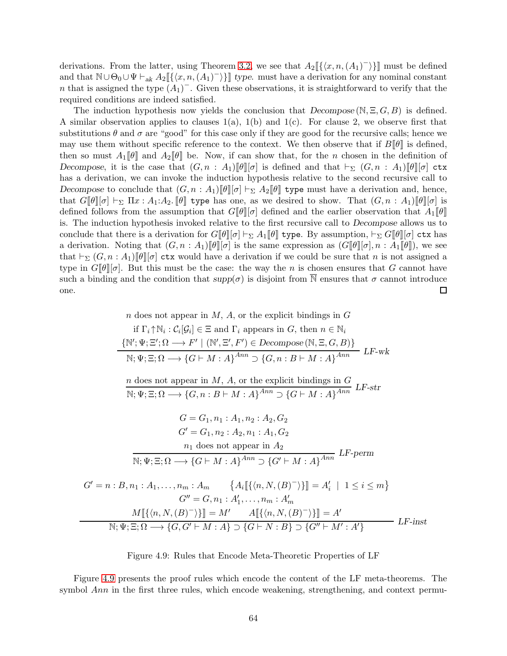derivations. From the latter, using Theorem [3.2,](#page-16-0) we see that  $A_2\llbracket \{ \langle x, n, (A_1)^{\dagger} \rangle \} \rrbracket$  must be defined and that  $\mathbb{N} \cup \Theta_0 \cup \Psi \vdash_{ak} A_2 \llbracket \{ \langle x, n, (A_1)^\top \rangle \} \rrbracket$  type. must have a derivation for any nominal constant n that is assigned the type  $(A_1)^-$ . Given these observations, it is straightforward to verify that the required conditions are indeed satisfied.

The induction hypothesis now yields the conclusion that  $Decompose(N, \Xi, G, B)$  is defined. A similar observation applies to clauses  $1(a)$ ,  $1(b)$  and  $1(c)$ . For clause 2, we observe first that substitutions  $\theta$  and  $\sigma$  are "good" for this case only if they are good for the recursive calls; hence we may use them without specific reference to the context. We then observe that if  $B[\![\theta]\!]$  is defined, then so must  $A_1[\![\theta]\!]$  and  $A_2[\![\theta]\!]$  be. Now, if can show that, for the n chosen in the definition of Decompose, it is the case that  $(G, n : A_1)\llbracket \theta \rrbracket[\sigma]$  is defined and that  $\vdash_{\Sigma} (G, n : A_1)\llbracket \theta \rrbracket[\sigma]$  ctx has a derivation, we can invoke the induction hypothesis relative to the second recursive call to Decompose to conclude that  $(G, n : A_1)\llbracket \theta \rrbracket [\sigma] \vdash_{\Sigma} A_2\llbracket \theta \rrbracket$  type must have a derivation and, hence, that  $G[\![\theta]\!] [\![\sigma]\!] \vdash_{\Sigma} \Pi x : A_1 : A_2$ .  $[\![\theta]\!]$  type has one, as we desired to show. That  $(G, n : A_1)[\![\theta]\!] [\![\sigma]\!]$  is defined follows from the assumption that  $G[\![\theta]\!]$  defined and the earlier observation that  $A_1[\![\theta]\!]$ is. The induction hypothesis invoked relative to the first recursive call to Decompose allows us to conclude that there is a derivation for  $G\llbracket \theta \rrbracket \sigma \vdash_{\Sigma} A_1\llbracket \theta \rrbracket$  type. By assumption,  $\vdash_{\Sigma} G\llbracket \theta \rrbracket \sigma \vdash_{\Sigma}$  tx has a derivation. Noting that  $(G, n : A_1)[\theta][\sigma]$  is the same expression as  $(G[\theta][\sigma], n : A_1[\theta])$ , we see that  $\vdash_{\Sigma} (G, n : A_1)$ [θ][σ] ctx would have a derivation if we could be sure that n is not assigned a type in  $G[\![\theta]\!]$ , But this must be the case: the way the n is chosen ensures that G cannot have such a binding and the condition that  $supp(\sigma)$  is disjoint from  $\overline{N}$  ensures that  $\sigma$  cannot introduce one.  $\Box$ 

 $n$  does not appear in  $M$ ,  $A$ , or the explicit bindings in  $G$ 

if 
$$
\Gamma_i \uparrow \mathbb{N}_i : C_i[\mathcal{G}_i] \in \Xi
$$
 and  $\Gamma_i$  appears in  $G$ , then  $n \in \mathbb{N}_i$   
\n
$$
\{\mathbb{N}'; \Psi; \Xi'; \Omega \longrightarrow F' \mid (\mathbb{N}', \Xi', F') \in Decompose(\mathbb{N}, \Xi, G, B)\}
$$
\n
$$
\mathbb{N}; \Psi; \Xi; \Omega \longrightarrow \{G \vdash M : A\}^{Ann} \supset \{G, n : B \vdash M : A\}^{Ann}
$$
\n
$$
n \text{ does not appear in } M, A \text{ or the explicit bindings in } G
$$

$$
\frac{n \text{ also not approach in } M, H, G, \text{ the cipher changes in } G}{N; \Psi; \Xi; \Omega \longrightarrow \{G, n : B \vdash M : A\}^{Ann} \supset \{G \vdash M : A\}^{Ann}
$$
 LF-str  
\n
$$
G = G_1, n_1 : A_1, n_2 : A_2, G_2
$$
\n
$$
G' = G_1, n_2 : A_2, n_1 : A_1, G_2
$$
\n
$$
n_1 \text{ does not appear in } A_2
$$
\n
$$
\overline{N; \Psi; \Xi; \Omega \longrightarrow \{G \vdash M : A\}^{Ann} \supset \{G' \vdash M : A\}^{Ann}
$$
 LF-perm  
\n
$$
G' = n : B, n_1 : A_1, \dots, n_m : A_m \qquad \{A_i[[\{(n, N, (B)^-)\}] = A'_i \mid 1 \le i \le m\}
$$
\n
$$
G'' = G, n_1 : A'_1, \dots, n_m : A'_m
$$
\n
$$
\underline{M[\{(n, N, (B)^-)\}] = M' \qquad A[\{(n, N, (B)^-)\}] = A'}
$$
\n
$$
\overline{N; \Psi; \Xi; \Omega \longrightarrow \{G, G' \vdash M : A\} \supset \{G \vdash N : B\} \supset \{G'' \vdash M' : A'\}
$$
\nLF-inst

<span id="page-63-0"></span>Figure 4.9: Rules that Encode Meta-Theoretic Properties of LF

Figure [4.9](#page-63-0) presents the proof rules which encode the content of the LF meta-theorems. The symbol Ann in the first three rules, which encode weakening, strengthening, and context permu-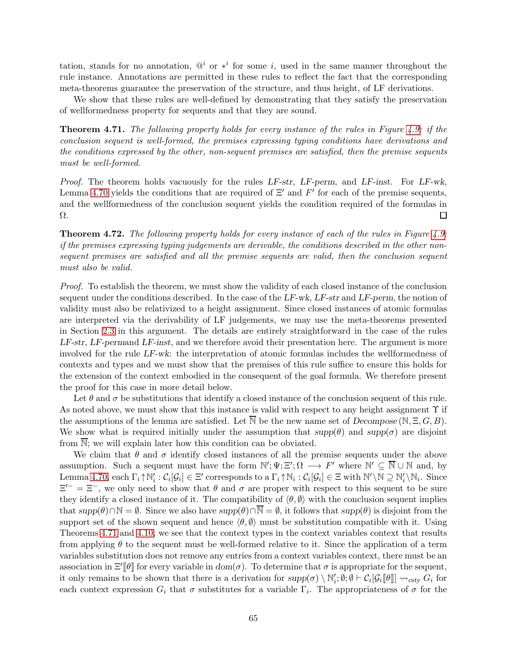tation, stands for no annotation,  $\mathbb{Q}^i$  or  $*^i$  for some i, used in the same manner throughout the rule instance. Annotations are permitted in these rules to reflect the fact that the corresponding meta-theorems guarantee the preservation of the structure, and thus height, of LF derivations.

We show that these rules are well-defined by demonstrating that they satisfy the preservation of wellformedness property for sequents and that they are sound.

<span id="page-64-0"></span>Theorem 4.71. The following property holds for every instance of the rules in Figure [4.9:](#page-63-0) if the conclusion sequent is well-formed, the premises expressing typing conditions have derivations and the conditions expressed by the other, non-sequent premises are satisfied, then the premise sequents must be well-formed.

Proof. The theorem holds vacuously for the rules LF-str, LF-perm, and LF-inst. For LF-wk, Lemma [4.70](#page-61-0) yields the conditions that are required of  $\Xi'$  and  $F'$  for each of the premise sequents, and the wellformedness of the conclusion sequent yields the condition required of the formulas in Ω. □

**Theorem 4.72.** The following property holds for every instance of each of the rules in Figure [4.9:](#page-63-0) if the premises expressing typing judgements are derivable, the conditions described in the other nonsequent premises are satisfied and all the premise sequents are valid, then the conclusion sequent must also be valid.

Proof. To establish the theorem, we must show the validity of each closed instance of the conclusion sequent under the conditions described. In the case of the  $LF-wk$ ,  $LF-str$  and  $LF-perm$ , the notion of validity must also be relativized to a height assignment. Since closed instances of atomic formulas are interpreted via the derivability of LF judgements, we may use the meta-theorems presented in Section [2.3](#page-11-0) in this argument. The details are entirely straightforward in the case of the rules  $LF-str$ ,  $LF-permand LF-inst$ , and we therefore avoid their presentation here. The argument is more involved for the rule LF-wk: the interpretation of atomic formulas includes the wellformedness of contexts and types and we must show that the premises of this rule suffice to ensure this holds for the extension of the context embodied in the consequent of the goal formula. We therefore present the proof for this case in more detail below.

Let  $\theta$  and  $\sigma$  be substitutions that identify a closed instance of the conclusion sequent of this rule. As noted above, we must show that this instance is valid with respect to any height assignment  $\Upsilon$  if the assumptions of the lemma are satisfied. Let  $\overline{N}$  be the new name set of Decompose (N,  $\Xi$ , G, B). We show what is required initially under the assumption that  $supp(\theta)$  and  $supp(\sigma)$  are disjoint from N; we will explain later how this condition can be obviated.

We claim that  $\theta$  and  $\sigma$  identify closed instances of all the premise sequents under the above assumption. Such a sequent must have the form  $\mathbb{N}'; \Psi; \Xi'; \Omega \longrightarrow F'$  where  $\mathbb{N}' \subseteq \overline{\mathbb{N}} \cup \mathbb{N}$  and, by Lemma [4.70,](#page-61-0) each  $\Gamma_i \uparrow \mathbb{N}'_i : \mathcal{C}_i[\mathcal{G}_i] \in \Xi'$  corresponds to a  $\Gamma_i \uparrow \mathbb{N}_i : \mathcal{C}_i[\mathcal{G}_i] \in \Xi$  with  $\mathbb{N}' \setminus \mathbb{N} \supseteq \mathbb{N}'_i \setminus \mathbb{N}_i$ . Since  $\Xi^{-} = \Xi^{-}$ , we only need to show that  $\theta$  and  $\sigma$  are proper with respect to this sequent to be sure they identify a closed instance of it. The compatibility of  $\langle \theta, \emptyset \rangle$  with the conclusion sequent implies that  $supp(\theta) \cap \mathbb{N} = \emptyset$ . Since we also have  $supp(\theta) \cap \overline{\mathbb{N}} = \emptyset$ , it follows that  $supp(\theta)$  is disjoint from the support set of the shown sequent and hence  $\langle \theta, \emptyset \rangle$  must be substitution compatible with it. Using Theorems [4.71](#page-64-0) and [4.10,](#page-28-0) we see that the context types in the context variables context that results from applying  $\theta$  to the sequent must be well-formed relative to it. Since the application of a term variables substitution does not remove any entries from a context variables context, there must be an association in  $\Xi'[\![\theta]\!]$  for every variable in  $dom(\sigma)$ . To determine that  $\sigma$  is appropriate for the sequent, it only remains to be shown that there is a derivation for  $supp(\sigma) \setminus \mathbb{N}'_i$ ;  $\emptyset$ ;  $\emptyset \vdash C_i[\mathcal{G}_i[\![\theta]\!] \leadsto_{csty} G_i$  for each context expression  $G_i$  that  $\sigma$  substitutes for a variable  $\Gamma_i$ . The appropriateness of  $\sigma$  for the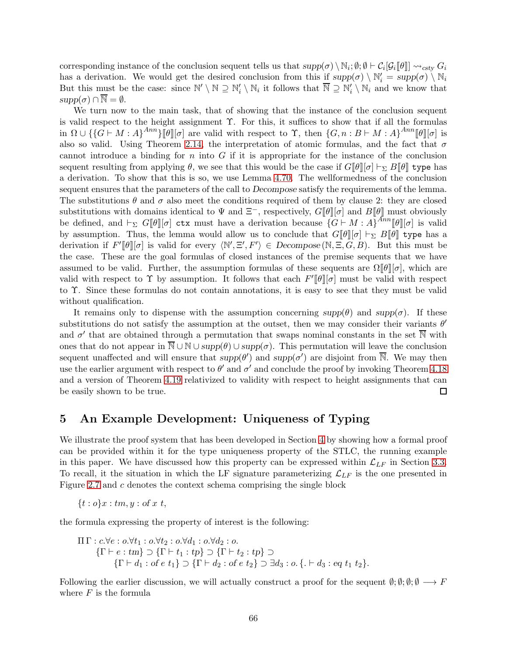corresponding instance of the conclusion sequent tells us that  $supp(\sigma) \setminus \mathbb{N}_i$ ;  $\emptyset$ ;  $\emptyset \vdash \mathcal{C}_i[\mathcal{G}_i[\![\theta]\!] \leadsto_{\text{csty}} G_i$ has a derivation. We would get the desired conclusion from this if  $supp(\sigma) \setminus \mathbb{N}'_i = supp(\sigma) \setminus \mathbb{N}_i$ But this must be the case: since  $\mathbb{N}' \setminus \mathbb{N} \supseteq \mathbb{N}'_i \setminus \mathbb{N}_i$  it follows that  $\overline{\mathbb{N}} \supseteq \mathbb{N}'_i \setminus \mathbb{N}_i$  and we know that  $supp(\sigma) \cap \overline{\mathbb{N}} = \emptyset.$ 

We turn now to the main task, that of showing that the instance of the conclusion sequent is valid respect to the height assignment  $\Upsilon$ . For this, it suffices to show that if all the formulas in  $\Omega \cup \{\{G \vdash M : A\}^{Ann}\}[\![\theta]\!][\sigma]$  are valid with respect to  $\Upsilon$ , then  $\{G, n : B \vdash M : A\}^{Ann}[\![\theta]\!][\sigma]$  is also so valid. Using Theorem [2.14,](#page-11-1) the interpretation of atomic formulas, and the fact that  $\sigma$ cannot introduce a binding for n into  $G$  if it is appropriate for the instance of the conclusion sequent resulting from applying  $\theta$ , we see that this would be the case if  $G[\theta][\sigma] \vdash_{\Sigma} B[\theta]$  type has a derivation. To show that this is so, we use Lemma [4.70.](#page-61-0) The wellformedness of the conclusion sequent ensures that the parameters of the call to Decompose satisfy the requirements of the lemma. The substitutions  $\theta$  and  $\sigma$  also meet the conditions required of them by clause 2: they are closed substitutions with domains identical to  $\Psi$  and  $\Xi^-$ , respectively,  $G[\![\theta]\!] [\![\sigma]\!]$  and  $B[\![\theta]\!]$  must obviously be defined, and  $\vdash_{\Sigma} G[\![\theta]\!][\sigma]$  ctx must have a derivation because  $\{G \vdash M : A\}^{Ann}[\![\theta]\!][\sigma]$  is valid by assumption. Thus, the lemma would allow us to conclude that  $G\llbracket \theta \rrbracket[\sigma] \vdash_{\Sigma} B\llbracket \theta \rrbracket$  type has a derivation if  $F'[\![\theta]\!] [\sigma]$  is valid for every  $\langle \mathbb{N}', \Xi', F' \rangle \in Decompose(\mathbb{N}, \Xi, G, B)$ . But this must be the case. These are the goal formulas of closed instances of the premise sequents that we have assumed to be valid. Further, the assumption formulas of these sequents are  $\Omega[\![\theta]\!][\![\sigma]$ , which are valid with respect to  $\Upsilon$  by assumption. It follows that each  $F'[\![\theta]\!][\sigma]$  must be valid with respect to Υ. Since these formulas do not contain annotations, it is easy to see that they must be valid without qualification.

It remains only to dispense with the assumption concerning  $supp(\theta)$  and  $supp(\sigma)$ . If these substitutions do not satisfy the assumption at the outset, then we may consider their variants  $\theta'$ and  $\sigma'$  that are obtained through a permutation that swaps nominal constants in the set  $\overline{N}$  with ones that do not appear in  $\overline{\mathbb{N}} \cup \mathbb{N} \cup supp(\theta) \cup supp(\sigma)$ . This permutation will leave the conclusion sequent unaffected and will ensure that  $supp(\theta')$  and  $supp(\sigma')$  are disjoint from  $\overline{\mathbb{N}}$ . We may then use the earlier argument with respect to  $\theta'$  and  $\sigma'$  and conclude the proof by invoking Theorem [4.18](#page-31-1) and a version of Theorem [4.19](#page-31-0) relativized to validity with respect to height assignments that can be easily shown to be true. 口

# 5 An Example Development: Uniqueness of Typing

We illustrate the proof system that has been developed in Section [4](#page-24-0) by showing how a formal proof can be provided within it for the type uniqueness property of the STLC, the running example in this paper. We have discussed how this property can be expressed within  $\mathcal{L}_{LF}$  in Section [3.3.](#page-21-0) To recall, it the situation in which the LF signature parameterizing  $\mathcal{L}_{LF}$  is the one presented in Figure [2.7](#page-59-0) and c denotes the context schema comprising the single block

 $\{t : o\}x : tm, y : of x t,$ 

the formula expressing the property of interest is the following:

$$
\Pi \Gamma : c.\forall e : o.\forall t_1 : o.\forall t_2 : o.\forall d_1 : o.\forall d_2 : o.
$$
\n
$$
\{\Gamma \vdash e : tm\} \supset \{\Gamma \vdash t_1 : tp\} \supset \{\Gamma \vdash t_2 : tp\} \supset \{\Gamma \vdash d_3 : o.\{.\} \vdash d_3 : eq \ t_1 \ t_2\}.
$$

Following the earlier discussion, we will actually construct a proof for the sequent  $\emptyset; \emptyset; \emptyset; \emptyset \longrightarrow F$ where  $F$  is the formula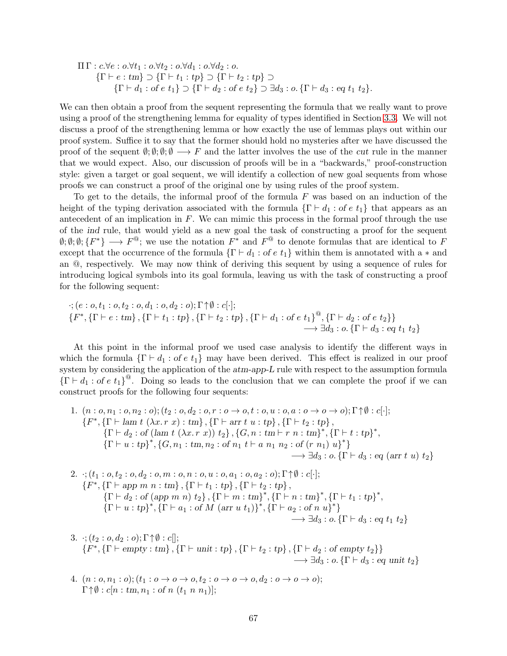$$
\Pi \Gamma : c.\forall e : o.\forall t_1 : o.\forall t_2 : o.\forall d_1 : o.\forall d_2 : o.
$$
\n
$$
\{\Gamma \vdash e : tm\} \supset \{\Gamma \vdash t_1 : tp\} \supset \{\Gamma \vdash t_2 : tp\} \supset \{\Gamma \vdash d_3 : o.\{\Gamma \vdash d_3 : eq \ t_1 \ t_2\}.\}
$$

We can then obtain a proof from the sequent representing the formula that we really want to prove using a proof of the strengthening lemma for equality of types identified in Section [3.3.](#page-21-0) We will not discuss a proof of the strengthening lemma or how exactly the use of lemmas plays out within our proof system. Suffice it to say that the former should hold no mysteries after we have discussed the proof of the sequent  $\emptyset$ ;  $\emptyset$ ;  $\emptyset \longrightarrow F$  and the latter involves the use of the cut rule in the manner that we would expect. Also, our discussion of proofs will be in a "backwards," proof-construction style: given a target or goal sequent, we will identify a collection of new goal sequents from whose proofs we can construct a proof of the original one by using rules of the proof system.

To get to the details, the informal proof of the formula  $F$  was based on an induction of the height of the typing derivation associated with the formula  $\{\Gamma \vdash d_1 : \text{of } e t_1\}$  that appears as an antecedent of an implication in  $F$ . We can mimic this process in the formal proof through the use of the ind rule, that would yield as a new goal the task of constructing a proof for the sequent  $\emptyset; \emptyset; \emptyset; \{F^*\} \longrightarrow F^{\textcircled{a}}$ ; we use the notation  $F^*$  and  $F^{\textcircled{a}}$  to denote formulas that are identical to F except that the occurrence of the formula  $\{\Gamma \vdash d_1 : \text{of } e \ t_1\}$  within them is annotated with a  $*$  and an @, respectively. We may now think of deriving this sequent by using a sequence of rules for introducing logical symbols into its goal formula, leaving us with the task of constructing a proof for the following sequent:

$$
\begin{aligned}\n\cdot; (e: o, t_1: o, t_2: o, d_1: o, d_2: o); \Gamma \uparrow \emptyset : c[\cdot]; \\
\{F^*, \{\Gamma \vdash e : \text{tm}\}, \{\Gamma \vdash t_1: \text{tp}\}, \{\Gamma \vdash t_2: \text{tp}\}, \{\Gamma \vdash d_1: \text{of } e \ t_1\}^\text{@}, \{\Gamma \vdash d_2: \text{of } e \ t_2\}\} \\
&\longrightarrow \exists d_3: o, \{\Gamma \vdash d_3: \text{eq } t_1 \ t_2\}\n\end{aligned}
$$

At this point in the informal proof we used case analysis to identify the different ways in which the formula  $\{\Gamma \vdash d_1 : \text{of } e \ t_1\}$  may have been derived. This effect is realized in our proof system by considering the application of the  $atm$ -app-L rule with respect to the assumption formula  ${\{\Gamma \vdash d_1 : \text{of } e \ t_1\}}^@$ . Doing so leads to the conclusion that we can complete the proof if we can construct proofs for the following four sequents:

1. 
$$
(n : o, n_1 : o, n_2 : o); (t_2 : o, d_2 : o, r : o \rightarrow o, t : o, u : o, a : o \rightarrow o \rightarrow o); \Gamma \uparrow \emptyset : c[\cdot];
$$
  
\n $\{F^*, \{\Gamma \vdash \text{lam } t \ (\lambda x. r \ x) : \text{tm} \}, \{\Gamma \vdash \text{arr } t \ u : \text{tp} \}, \{\Gamma \vdash t_2 : \text{tp} \}, \{\Gamma \vdash t : \text{tp} \}^*,$   
\n $\{\Gamma \vdash d_2 : \text{of} (\text{lam } t \ (\lambda x. r \ x)) \ t_2 \}, \{G, n : \text{tm} \vdash r \ n : \text{tm} \}^*, \{\Gamma \vdash t : \text{tp} \}^*,$   
\n $\{\Gamma \vdash u : \text{tp} \}^*, \{G, n_1 : \text{tm}, n_2 : \text{of } n_1 \ t \vdash a \ n_1 \ n_2 : \text{of} \ (r \ n_1) \ u\}^* \}$   
\n $\rightarrow \exists d_3 : o. \{\Gamma \vdash d_3 : \text{eq} (\text{arr } t \ u) \ t_2 \}$ 

<span id="page-66-0"></span>2. 
$$
\because
$$
;  $(t_1 : o, t_2 : o, d_2 : o, m : o, n : o, u : o, a_1 : o, a_2 : o)$ ;  $\Gamma \uparrow \emptyset : c[\cdot]$ ;  
\n $\{F^*, \{\Gamma \vdash app m n : tm\}, \{\Gamma \vdash t_1 : tp\}, \{\Gamma \vdash t_2 : tp\}, \{\Gamma \vdash n : tm\}^*, \{\Gamma \vdash t_1 : tp\}^*, \{\Gamma \vdash t_1 : tp\}^*, \{\Gamma \vdash u : tp\}^*, \{\Gamma \vdash a_1 : of M (arr u t_1)\}^*, \{\Gamma \vdash a_2 : of n u\}^*\}\longrightarrow \exists d_3 : o. \{\Gamma \vdash d_3 : eq t_1 t_2\}$ 

3. 
$$
\cdot
$$
;  $(t_2 : o, d_2 : o)$ ;  $\Gamma \uparrow \emptyset : c[]$ ;  
\n $\{F^*, \{\Gamma \vdash empty : tm\}, \{\Gamma \vdash unit : tp\}, \{\Gamma \vdash t_2 : tp\}, \{\Gamma \vdash d_2 : of empty t_2\}\}\$   
\n $\longrightarrow \exists d_3 : o, \{\Gamma \vdash d_3 : eq \text{ unit } t_2\}$ 

4. 
$$
(n : o, n_1 : o)
$$
;  $(t_1 : o \to o \to o, t_2 : o \to o \to o, d_2 : o \to o \to o)$ ;  
\n $\Gamma \uparrow \emptyset : c[n : tm, n_1 : of n (t_1 n n_1)];$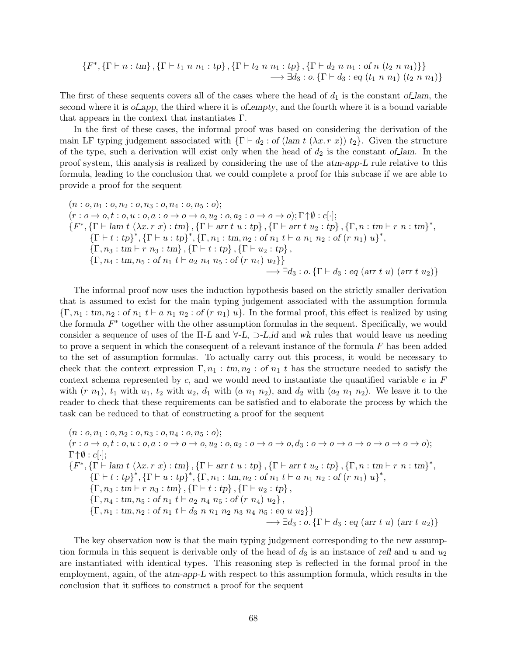$$
\{F^*, \{\Gamma \vdash n : \text{tm}\}, \{\Gamma \vdash t_1 \ n \ n_1 : \text{tp}\}, \{\Gamma \vdash t_2 \ n \ n_1 : \text{tp}\}, \{\Gamma \vdash d_2 \ n \ n_1 : \text{of} \ n \ (t_2 \ n \ n_1)\}\}\
$$
  

$$
\longrightarrow \exists d_3 : o. \{\Gamma \vdash d_3 : \text{eq } (t_1 \ n \ n_1) \ (t_2 \ n \ n_1)\}
$$

The first of these sequents covers all of the cases where the head of  $d_1$  is the constant of lam, the second where it is of app, the third where it is of empty, and the fourth where it is a bound variable that appears in the context that instantiates  $\Gamma$ .

In the first of these cases, the informal proof was based on considering the derivation of the main LF typing judgement associated with  $\{\Gamma \vdash d_2 : \text{of } (\text{lam } t \ (\lambda x.\ r \ x)) \ t_2\}$ . Given the structure of the type, such a derivation will exist only when the head of  $d_2$  is the constant of lam. In the proof system, this analysis is realized by considering the use of the atm-app-L rule relative to this formula, leading to the conclusion that we could complete a proof for this subcase if we are able to provide a proof for the sequent

$$
(n: o, n_1: o, n_2: o, n_3: o, n_4: o, n_5: o);
$$
  
\n
$$
(r: o \rightarrow o, t: o, u: o, a: o \rightarrow o \rightarrow o, u_2: o, a_2: o \rightarrow o \rightarrow o); \Gamma \uparrow \emptyset : c[\cdot];
$$
  
\n
$$
\{F^*, \{\Gamma \vdash \text{lam } t \ (\lambda x. r \ x): \text{tm} \}, \{\Gamma \vdash \text{arr } t \ u: tp \}, \{\Gamma \vdash \text{arr } t \ u_2: tp \}, \{\Gamma, n: tm \vdash r \ n: tm \}^*,
$$
  
\n
$$
\{\Gamma \vdash t: tp \}^*, \{\Gamma \vdash u: tp \}^*, \{\Gamma, n_1: tm, n_2: of n_1 t \vdash a n_1 n_2: of (r \ n_1) u \}^*,
$$
  
\n
$$
\{\Gamma, n_3: tm \vdash r \ n_3: tm \}, \{\Gamma \vdash t: tp \}, \{\Gamma \vdash u_2: tp \},
$$
  
\n
$$
\{\Gamma, n_4: tm, n_5: of n_1 t \vdash a_2 n_4 n_5: of (r \ n_4) u_2\}\}
$$
  
\n
$$
\rightarrow \exists d_3: o, \{\Gamma \vdash d_3: eq (arr t \ u) (arr t u_2)\}
$$

The informal proof now uses the induction hypothesis based on the strictly smaller derivation that is assumed to exist for the main typing judgement associated with the assumption formula  ${\{\Gamma, n_1 : tm, n_2 : of n_1 t \vdash a n_1 n_2 : of (r n_1) u\}}$ . In the formal proof, this effect is realized by using the formula  $F^*$  together with the other assumption formulas in the sequent. Specifically, we would consider a sequence of uses of the  $\Pi$ -L and  $\forall$ -L,  $\supset$ -L,id and wk rules that would leave us needing to prove a sequent in which the consequent of a relevant instance of the formula F has been added to the set of assumption formulas. To actually carry out this process, it would be necessary to check that the context expression  $\Gamma, n_1 : \text{tm}, n_2 : \text{of } n_1 \text{ } t$  has the structure needed to satisfy the context schema represented by c, and we would need to instantiate the quantified variable  $e$  in  $F$ with  $(r n_1)$ ,  $t_1$  with  $u_1$ ,  $t_2$  with  $u_2$ ,  $d_1$  with  $(a n_1 n_2)$ , and  $d_2$  with  $(a_2 n_1 n_2)$ . We leave it to the reader to check that these requirements can be satisfied and to elaborate the process by which the task can be reduced to that of constructing a proof for the sequent

$$
(n: o, n_1: o, n_2: o, n_3: o, n_4: o, n_5: o);
$$
  
\n
$$
(r: o \rightarrow o, t: o, u: o, a: o \rightarrow o \rightarrow o, u_2: o, a_2: o \rightarrow o \rightarrow o, d_3: o \rightarrow o \rightarrow o \rightarrow o \rightarrow o \rightarrow o \rightarrow o \rightarrow o);
$$
  
\n
$$
\Gamma \uparrow \emptyset : c[\cdot];
$$
  
\n
$$
\{F^*, \{\Gamma \vdash \text{lam } t \ (\lambda x. r \ x): \text{tm} \}, \{\Gamma \vdash \text{arr } t \ u: tp \}, \{\Gamma \vdash \text{arr } t \ u_2: tp \}, \{\Gamma, n: tm \vdash r \ n: tm \}^*,
$$
  
\n
$$
\{\Gamma \vdash t: tp \}^*, \{\Gamma \vdash u: tp \}^*, \{\Gamma, n_1: tm, n_2: of n_1 t \vdash a n_1 n_2: of (r \ n_1) u \}^*,
$$
  
\n
$$
\{\Gamma, n_3: tm \vdash r \ n_3: tm \}, \{\Gamma \vdash t: tp \}, \{\Gamma \vdash u_2: tp \},
$$
  
\n
$$
\{\Gamma, n_4: tm, n_5: of n_1 t \vdash a_2 n_4 n_5: of (r \ n_4) u_2 \},
$$
  
\n
$$
\{\Gamma, n_1: tm, n_2: of n_1 t \vdash d_3 n n_1 n_2 n_3 n_4 n_5: eq u u_2 \} \}
$$
  
\n
$$
\rightarrow \exists d_3: o. \{\Gamma \vdash d_3: eq (arr t u) (arr t u_2) \}
$$

The key observation now is that the main typing judgement corresponding to the new assumption formula in this sequent is derivable only of the head of  $d_3$  is an instance of refl and u and  $u_2$ are instantiated with identical types. This reasoning step is reflected in the formal proof in the employment, again, of the atm-app-L with respect to this assumption formula, which results in the conclusion that it suffices to construct a proof for the sequent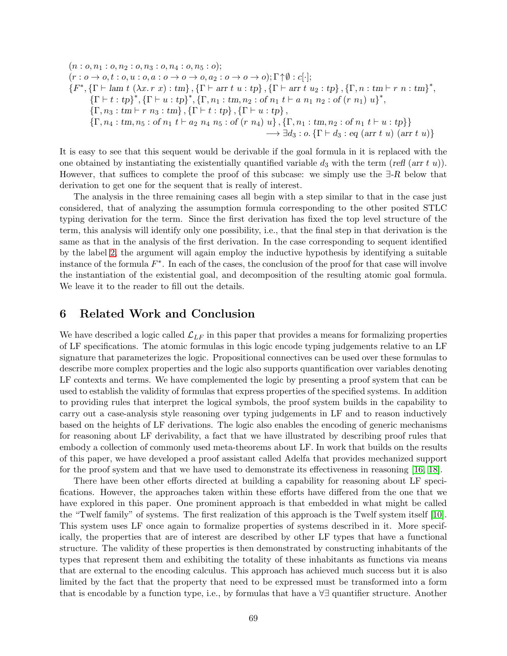$$
(n: o, n_1: o, n_2: o, n_3: o, n_4: o, n_5: o);
$$
  
\n
$$
(r: o \rightarrow o, t: o, u: o, a: o \rightarrow o \rightarrow o, a_2: o \rightarrow o \rightarrow o); \Gamma \uparrow \emptyset : c[\cdot];
$$
  
\n
$$
\{F^*, \{\Gamma \vdash \text{lam } t(\lambda x. r x): \text{tm}\}, \{\Gamma \vdash \text{arr } t u: \text{tp}\}, \{\Gamma \vdash \text{arr } t u_2: \text{tp}\}, \{\Gamma, n: \text{tm}\vdash r n: \text{tm}\}^*,
$$
  
\n
$$
\{\Gamma \vdash t: \text{tp}\}^*, \{\Gamma \vdash u: \text{tp}\}^*, \{\Gamma, n_1: \text{tm}, n_2: \text{of } n_1 t \vdash a n_1 n_2: \text{of } (r n_1) u\}^*,
$$
  
\n
$$
\{\Gamma, n_3: \text{tm}\vdash r n_3: \text{tm}\}, \{\Gamma \vdash t: \text{tp}\}, \{\Gamma \vdash u: \text{tp}\},
$$
  
\n
$$
\{\Gamma, n_4: \text{tm}, n_5: \text{of } n_1 t \vdash a_2 n_4 n_5: \text{of } (r n_4) u\}, \{\Gamma, n_1: \text{tm}, n_2: \text{of } n_1 t \vdash u: \text{tp}\}\}
$$
  
\n
$$
\rightarrow \exists d_3: o, \{\Gamma \vdash d_3: \text{eq} (\text{arr } t u) (\text{arr } t u)\}
$$

It is easy to see that this sequent would be derivable if the goal formula in it is replaced with the one obtained by instantiating the existentially quantified variable  $d_3$  with the term (refl (arr t u)). However, that suffices to complete the proof of this subcase: we simply use the  $\exists$ -R below that derivation to get one for the sequent that is really of interest.

The analysis in the three remaining cases all begin with a step similar to that in the case just considered, that of analyzing the assumption formula corresponding to the other posited STLC typing derivation for the term. Since the first derivation has fixed the top level structure of the term, this analysis will identify only one possibility, i.e., that the final step in that derivation is the same as that in the analysis of the first derivation. In the case corresponding to sequent identified by the label [2,](#page-66-0) the argument will again employ the inductive hypothesis by identifying a suitable instance of the formula  $F^*$ . In each of the cases, the conclusion of the proof for that case will involve the instantiation of the existential goal, and decomposition of the resulting atomic goal formula. We leave it to the reader to fill out the details.

## 6 Related Work and Conclusion

We have described a logic called  $\mathcal{L}_{LF}$  in this paper that provides a means for formalizing properties of LF specifications. The atomic formulas in this logic encode typing judgements relative to an LF signature that parameterizes the logic. Propositional connectives can be used over these formulas to describe more complex properties and the logic also supports quantification over variables denoting LF contexts and terms. We have complemented the logic by presenting a proof system that can be used to establish the validity of formulas that express properties of the specified systems. In addition to providing rules that interpret the logical symbols, the proof system builds in the capability to carry out a case-analysis style reasoning over typing judgements in LF and to reason inductively based on the heights of LF derivations. The logic also enables the encoding of generic mechanisms for reasoning about LF derivability, a fact that we have illustrated by describing proof rules that embody a collection of commonly used meta-theorems about LF. In work that builds on the results of this paper, we have developed a proof assistant called Adelfa that provides mechanized support for the proof system and that we have used to demonstrate its effectiveness in reasoning [\[16,](#page-70-2) [18\]](#page-71-0).

There have been other efforts directed at building a capability for reasoning about LF specifications. However, the approaches taken within these efforts have differed from the one that we have explored in this paper. One prominent approach is that embedded in what might be called the "Twelf family" of systems. The first realization of this approach is the Twelf system itself [\[10\]](#page-70-3). This system uses LF once again to formalize properties of systems described in it. More specifically, the properties that are of interest are described by other LF types that have a functional structure. The validity of these properties is then demonstrated by constructing inhabitants of the types that represent them and exhibiting the totality of these inhabitants as functions via means that are external to the encoding calculus. This approach has achieved much success but it is also limited by the fact that the property that need to be expressed must be transformed into a form that is encodable by a function type, i.e., by formulas that have a ∀∃ quantifier structure. Another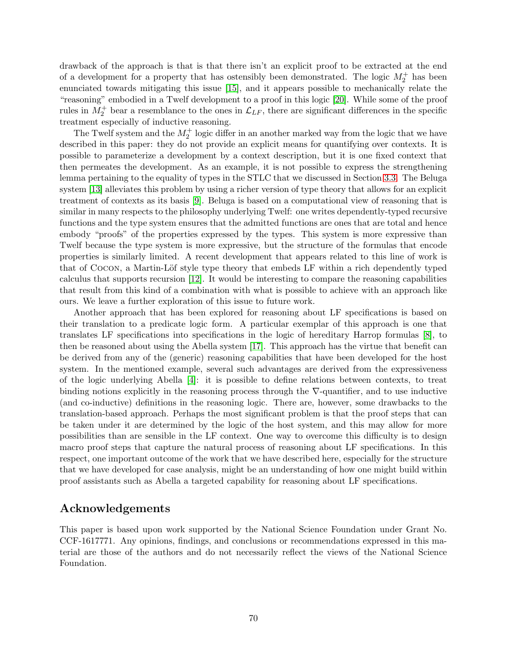drawback of the approach is that is that there isn't an explicit proof to be extracted at the end of a development for a property that has ostensibly been demonstrated. The logic  $M_2^+$  has been enunciated towards mitigating this issue [\[15\]](#page-70-4), and it appears possible to mechanically relate the "reasoning" embodied in a Twelf development to a proof in this logic [\[20\]](#page-71-1). While some of the proof rules in  $M_2^+$  bear a resemblance to the ones in  $\mathcal{L}_{LF}$ , there are significant differences in the specific treatment especially of inductive reasoning.

The Twelf system and the  $M_2^+$  logic differ in an another marked way from the logic that we have described in this paper: they do not provide an explicit means for quantifying over contexts. It is possible to parameterize a development by a context description, but it is one fixed context that then permeates the development. As an example, it is not possible to express the strengthening lemma pertaining to the equality of types in the STLC that we discussed in Section [3.3.](#page-21-0) The Beluga system [\[13\]](#page-70-5) alleviates this problem by using a richer version of type theory that allows for an explicit treatment of contexts as its basis [\[9\]](#page-70-6). Beluga is based on a computational view of reasoning that is similar in many respects to the philosophy underlying Twelf: one writes dependently-typed recursive functions and the type system ensures that the admitted functions are ones that are total and hence embody "proofs" of the properties expressed by the types. This system is more expressive than Twelf because the type system is more expressive, but the structure of the formulas that encode properties is similarly limited. A recent development that appears related to this line of work is that of COCON, a Martin-Löf style type theory that embeds LF within a rich dependently typed calculus that supports recursion [\[12\]](#page-70-7). It would be interesting to compare the reasoning capabilities that result from this kind of a combination with what is possible to achieve with an approach like ours. We leave a further exploration of this issue to future work.

Another approach that has been explored for reasoning about LF specifications is based on their translation to a predicate logic form. A particular exemplar of this approach is one that translates LF specifications into specifications in the logic of hereditary Harrop formulas [\[8\]](#page-70-8), to then be reasoned about using the Abella system [\[17\]](#page-71-2). This approach has the virtue that benefit can be derived from any of the (generic) reasoning capabilities that have been developed for the host system. In the mentioned example, several such advantages are derived from the expressiveness of the logic underlying Abella [\[4\]](#page-70-9): it is possible to define relations between contexts, to treat binding notions explicitly in the reasoning process through the ∇-quantifier, and to use inductive (and co-inductive) definitions in the reasoning logic. There are, however, some drawbacks to the translation-based approach. Perhaps the most significant problem is that the proof steps that can be taken under it are determined by the logic of the host system, and this may allow for more possibilities than are sensible in the LF context. One way to overcome this difficulty is to design macro proof steps that capture the natural process of reasoning about LF specifications. In this respect, one important outcome of the work that we have described here, especially for the structure that we have developed for case analysis, might be an understanding of how one might build within proof assistants such as Abella a targeted capability for reasoning about LF specifications.

## Acknowledgements

This paper is based upon work supported by the National Science Foundation under Grant No. CCF-1617771. Any opinions, findings, and conclusions or recommendations expressed in this material are those of the authors and do not necessarily reflect the views of the National Science Foundation.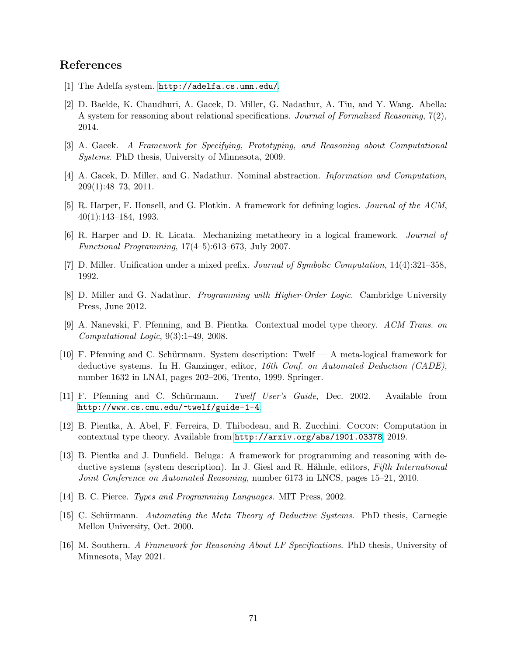# References

- <span id="page-70-0"></span>[1] The Adelfa system. <http://adelfa.cs.umn.edu/>.
- [2] D. Baelde, K. Chaudhuri, A. Gacek, D. Miller, G. Nadathur, A. Tiu, and Y. Wang. Abella: A system for reasoning about relational specifications. Journal of Formalized Reasoning, 7(2), 2014.
- <span id="page-70-9"></span><span id="page-70-1"></span>[3] A. Gacek. A Framework for Specifying, Prototyping, and Reasoning about Computational Systems. PhD thesis, University of Minnesota, 2009.
- [4] A. Gacek, D. Miller, and G. Nadathur. Nominal abstraction. Information and Computation, 209(1):48–73, 2011.
- [5] R. Harper, F. Honsell, and G. Plotkin. A framework for defining logics. Journal of the ACM, 40(1):143–184, 1993.
- [6] R. Harper and D. R. Licata. Mechanizing metatheory in a logical framework. Journal of Functional Programming, 17(4–5):613–673, July 2007.
- <span id="page-70-8"></span>[7] D. Miller. Unification under a mixed prefix. Journal of Symbolic Computation, 14(4):321–358, 1992.
- <span id="page-70-6"></span>[8] D. Miller and G. Nadathur. *Programming with Higher-Order Logic*. Cambridge University Press, June 2012.
- <span id="page-70-3"></span>[9] A. Nanevski, F. Pfenning, and B. Pientka. Contextual model type theory. ACM Trans. on Computational Logic, 9(3):1–49, 2008.
- [10] F. Pfenning and C. Schürmann. System description: Twelf  $A$  meta-logical framework for deductive systems. In H. Ganzinger, editor, 16th Conf. on Automated Deduction (CADE), number 1632 in LNAI, pages 202–206, Trento, 1999. Springer.
- [11] F. Pfenning and C. Schürmann. Twelf User's Guide, Dec. 2002. Available from <http://www.cs.cmu.edu/~twelf/guide-1-4>.
- <span id="page-70-7"></span>[12] B. Pientka, A. Abel, F. Ferreira, D. Thibodeau, and R. Zucchini. Cocon: Computation in contextual type theory. Available from <http://arxiv.org/abs/1901.03378>, 2019.
- <span id="page-70-5"></span>[13] B. Pientka and J. Dunfield. Beluga: A framework for programming and reasoning with deductive systems (system description). In J. Giesl and R. Hähnle, editors, Fifth International Joint Conference on Automated Reasoning, number 6173 in LNCS, pages 15–21, 2010.
- <span id="page-70-4"></span>[14] B. C. Pierce. Types and Programming Languages. MIT Press, 2002.
- [15] C. Schürmann. Automating the Meta Theory of Deductive Systems. PhD thesis, Carnegie Mellon University, Oct. 2000.
- <span id="page-70-2"></span>[16] M. Southern. A Framework for Reasoning About LF Specifications. PhD thesis, University of Minnesota, May 2021.